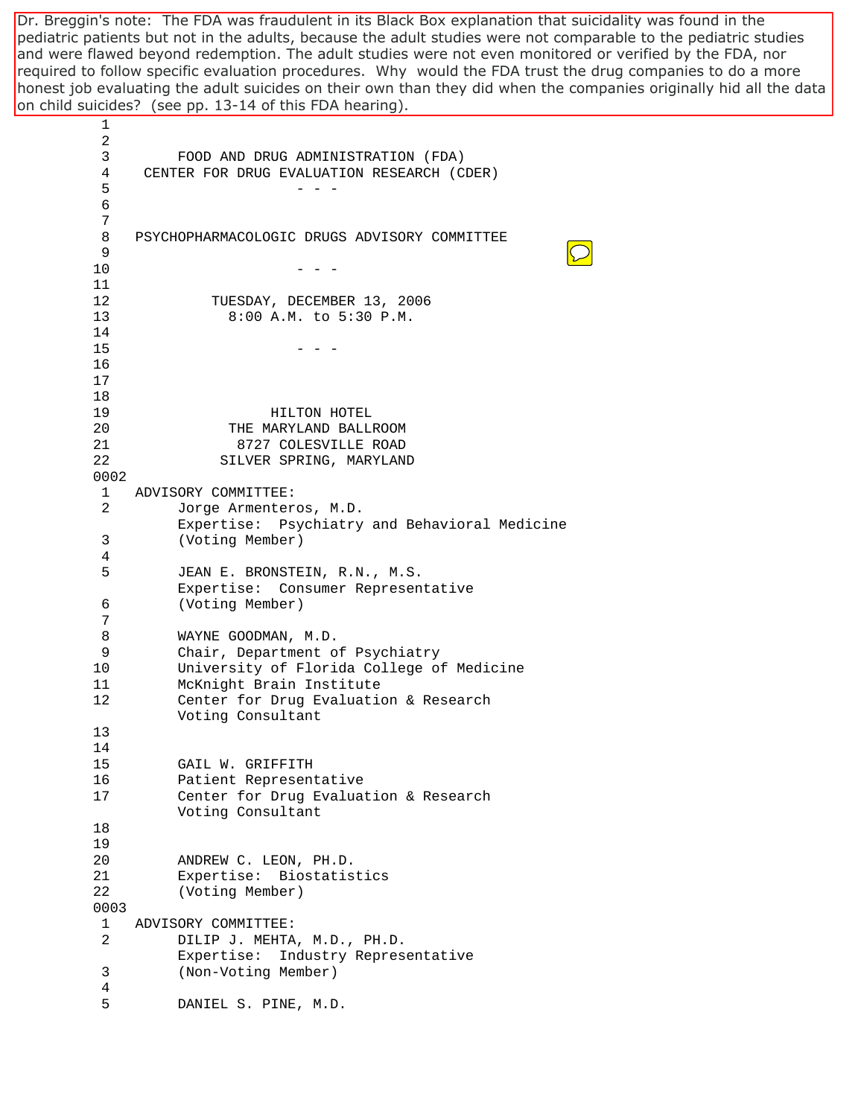on child suicides? (see pp. 13-14 of this FDA hearing). Dr. Breggin's note: The FDA was fraudulent in its Black Box explanation that suicidality was found in the pediatric patients but not in the adults, because the adult studies were not comparable to the pediatric studies and were flawed beyond redemption. The adult studies were not even monitored or verified by the FDA, nor required to follow specific evaluation procedures. Why would the FDA trust the drug companies to do a more honest job evaluating the adult suicides on their own than they did when the companies originally hid all the data

 1 2 3 FOOD AND DRUG ADMINISTRATION (FDA) 4 CENTER FOR DRUG EVALUATION RESEARCH (CDER)  $5$  - - - 6 7 8 PSYCHOPHARMACOLOGIC DRUGS ADVISORY COMMITTEE 9  $10$  - - -11 12 TUESDAY, DECEMBER 13, 2006 13 8:00 A.M. to 5:30 P.M. 14  $15$  - - -16 17 18 19 HILTON HOTEL 20 THE MARYLAND BALLROOM 21 8727 COLESVILLE ROAD 22 SILVER SPRING, MARYLAND 0002 1 ADVISORY COMMITTEE: 2 Jorge Armenteros, M.D. Expertise: Psychiatry and Behavioral Medicine 3 (Voting Member) 4 5 JEAN E. BRONSTEIN, R.N., M.S. Expertise: Consumer Representative 6 (Voting Member) 7 8 WAYNE GOODMAN, M.D. 9 Chair, Department of Psychiatry 10 University of Florida College of Medicine 11 McKnight Brain Institute 12 Center for Drug Evaluation & Research Voting Consultant 13 14 15 GAIL W. GRIFFITH 16 Patient Representative 17 Center for Drug Evaluation & Research Voting Consultant 18 19 20 ANDREW C. LEON, PH.D. 21 Expertise: Biostatistics 22 (Voting Member) 0003 1 ADVISORY COMMITTEE: 2 DILIP J. MEHTA, M.D., PH.D. Expertise: Industry Representative 3 (Non-Voting Member) 4 5 DANIEL S. PINE, M.D.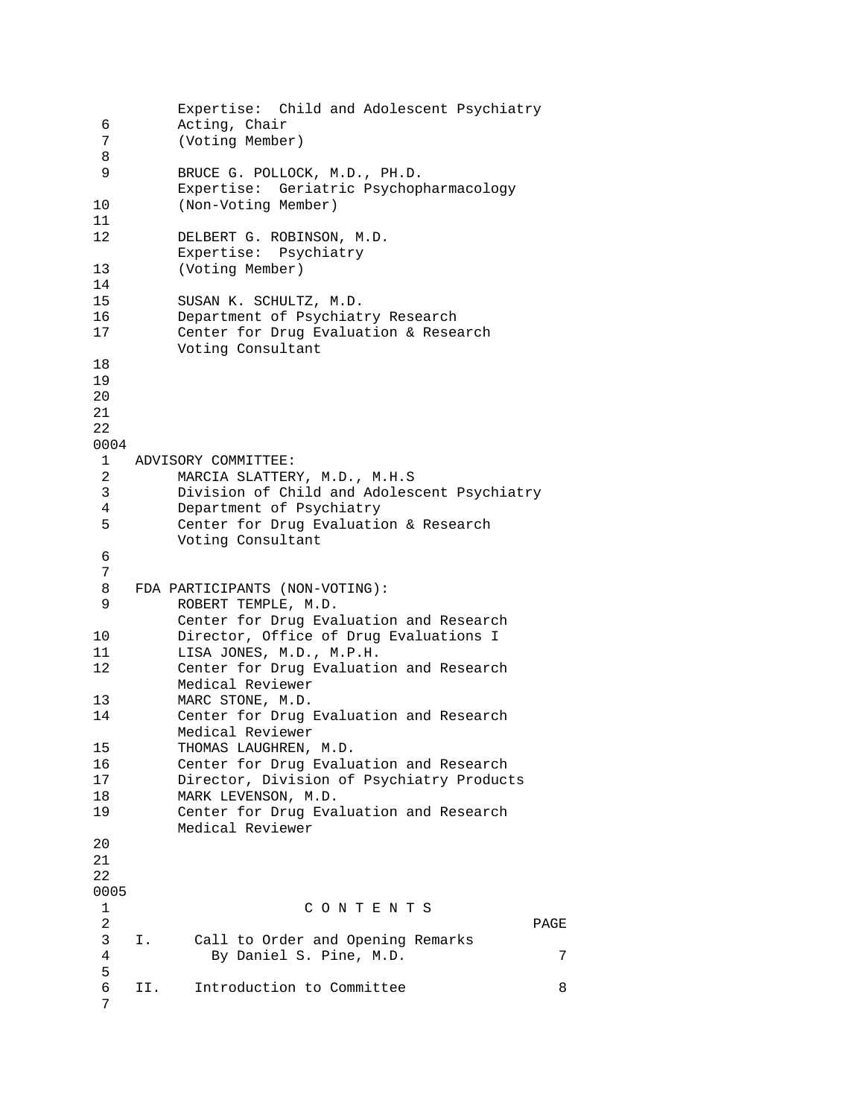```
 Expertise: Child and Adolescent Psychiatry 
  6 Acting, Chair 
  7 (Voting Member) 
  8 
 9 BRUCE G. POLLOCK, M.D., PH.D. 
         Expertise: Geriatric Psychopharmacology 
10 (Non-Voting Member) 
11 
12 DELBERT G. ROBINSON, M.D. 
         Expertise: Psychiatry 
13 (Voting Member) 
14 
15 SUSAN K. SCHULTZ, M.D. 
16 Department of Psychiatry Research 
17 Center for Drug Evaluation & Research 
         Voting Consultant 
18 
19 
2021 
22 
0004 
 1 ADVISORY COMMITTEE: 
  2 MARCIA SLATTERY, M.D., M.H.S 
  3 Division of Child and Adolescent Psychiatry 
  4 Department of Psychiatry 
  5 Center for Drug Evaluation & Research 
         Voting Consultant 
  6 
  7 
 8 FDA PARTICIPANTS (NON-VOTING):<br>9 ROBERT TEMPLE, M.D.
        ROBERT TEMPLE, M.D.
         Center for Drug Evaluation and Research 
10 Director, Office of Drug Evaluations I 
11 LISA JONES, M.D., M.P.H. 
12 Center for Drug Evaluation and Research 
         Medical Reviewer 
13 MARC STONE, M.D.
14 Center for Drug Evaluation and Research 
         Medical Reviewer 
15 THOMAS LAUGHREN, M.D. 
16 Center for Drug Evaluation and Research 
17 Director, Division of Psychiatry Products 
18 MARK LEVENSON, M.D. 
19 Center for Drug Evaluation and Research 
         Medical Reviewer 
20 
21 
22 
0005 
 1 C O N T E N T S 
 2 PAGE 
 3 I. Call to Order and Opening Remarks 
  4 By Daniel S. Pine, M.D. 7 
  5 
  6 II. Introduction to Committee 8 
  7
```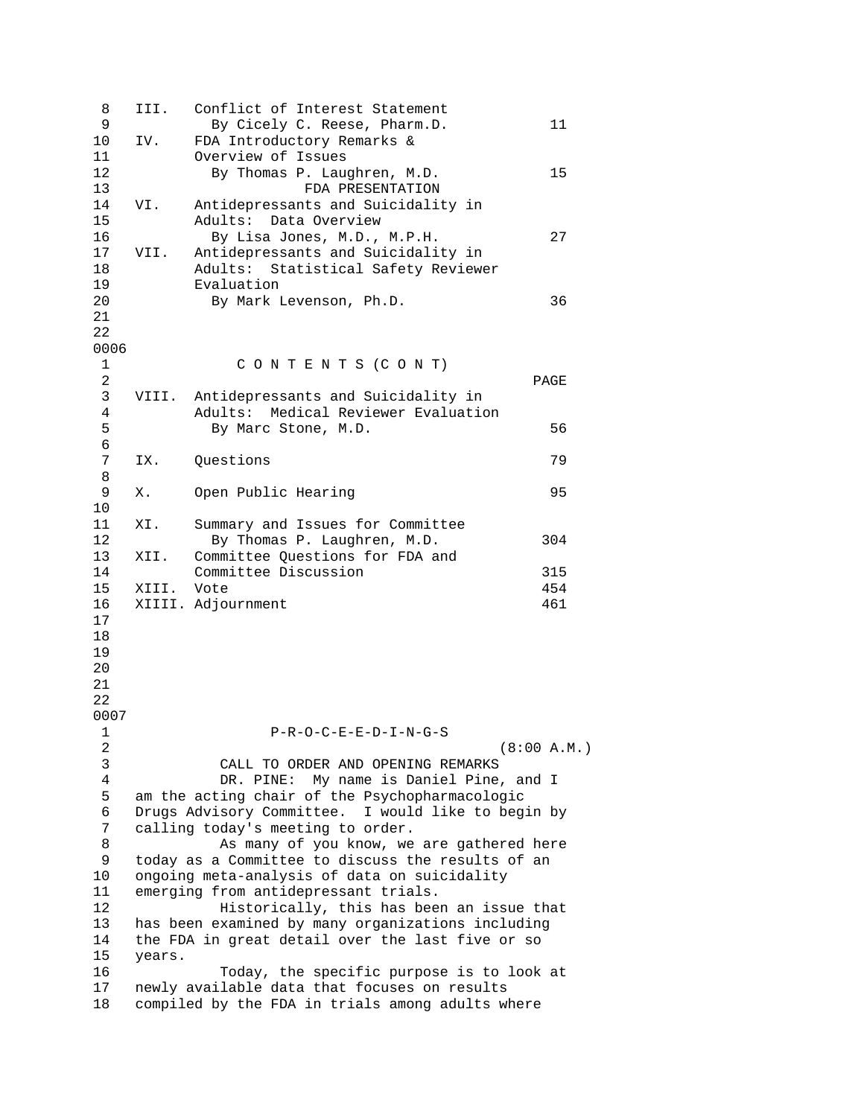| 8              | III.                                               | Conflict of Interest Statement                   |             |
|----------------|----------------------------------------------------|--------------------------------------------------|-------------|
| 9              |                                                    | By Cicely C. Reese, Pharm.D.                     | 11          |
| 10             | IV.                                                | FDA Introductory Remarks &                       |             |
| 11             |                                                    | Overview of Issues                               |             |
| 12             |                                                    | By Thomas P. Laughren, M.D.                      | 15          |
| 13             |                                                    | FDA PRESENTATION                                 |             |
| 14             | VI.                                                | Antidepressants and Suicidality in               |             |
|                |                                                    |                                                  |             |
| 15             |                                                    | Adults: Data Overview                            |             |
| 16             |                                                    | By Lisa Jones, M.D., M.P.H.                      | 27          |
| 17             | VII.                                               | Antidepressants and Suicidality in               |             |
| 18             |                                                    | Adults: Statistical Safety Reviewer              |             |
| 19             |                                                    | Evaluation                                       |             |
| 20             |                                                    | By Mark Levenson, Ph.D.                          | 36          |
| 21             |                                                    |                                                  |             |
| 22             |                                                    |                                                  |             |
| 0006           |                                                    |                                                  |             |
| $\mathbf{1}$   |                                                    | CONTENTS (CONT)                                  |             |
| $\overline{a}$ |                                                    |                                                  | PAGE        |
| 3              |                                                    | Antidepressants and Suicidality in               |             |
|                | VIII.                                              |                                                  |             |
| 4              |                                                    | Adults: Medical Reviewer Evaluation              |             |
| 5              |                                                    | By Marc Stone, M.D.                              | 56          |
| 6              |                                                    |                                                  |             |
| 7              | IX.                                                | Questions                                        | 79          |
| 8              |                                                    |                                                  |             |
| 9              | Χ.                                                 | Open Public Hearing                              | 95          |
| 10             |                                                    |                                                  |             |
| 11             | XI.                                                | Summary and Issues for Committee                 |             |
| 12             |                                                    | By Thomas P. Laughren, M.D.                      | 304         |
| 13             | XII.                                               | Committee Questions for FDA and                  |             |
| 14             |                                                    | Committee Discussion                             | 315         |
| 15             | XIII.                                              | Vote                                             | 454         |
| 16             |                                                    |                                                  | 461         |
|                |                                                    | XIIII. Adjournment                               |             |
| 17             |                                                    |                                                  |             |
| 18             |                                                    |                                                  |             |
| 19             |                                                    |                                                  |             |
| 20             |                                                    |                                                  |             |
| 21             |                                                    |                                                  |             |
| 22             |                                                    |                                                  |             |
| 0007           |                                                    |                                                  |             |
| 1              |                                                    | $P-R-O-C-E-E-D-I-N-G-S$                          |             |
| 2              |                                                    |                                                  | (8:00 A.M.) |
| 3              |                                                    | CALL TO ORDER AND OPENING REMARKS                |             |
| 4              |                                                    | DR. PINE: My name is Daniel Pine, and I          |             |
| 5              | am the acting chair of the Psychopharmacologic     |                                                  |             |
| 6              | Drugs Advisory Committee. I would like to begin by |                                                  |             |
| 7              | calling today's meeting to order.                  |                                                  |             |
|                |                                                    |                                                  |             |
| 8              | As many of you know, we are gathered here          |                                                  |             |
| 9              | today as a Committee to discuss the results of an  |                                                  |             |
| 10             | ongoing meta-analysis of data on suicidality       |                                                  |             |
| 11             | emerging from antidepressant trials.               |                                                  |             |
| 12             | Historically, this has been an issue that          |                                                  |             |
| 13             | has been examined by many organizations including  |                                                  |             |
| 14             | the FDA in great detail over the last five or so   |                                                  |             |
| 15             | years.                                             |                                                  |             |
| 16             |                                                    | Today, the specific purpose is to look at        |             |
| 17             |                                                    | newly available data that focuses on results     |             |
| 18             |                                                    | compiled by the FDA in trials among adults where |             |
|                |                                                    |                                                  |             |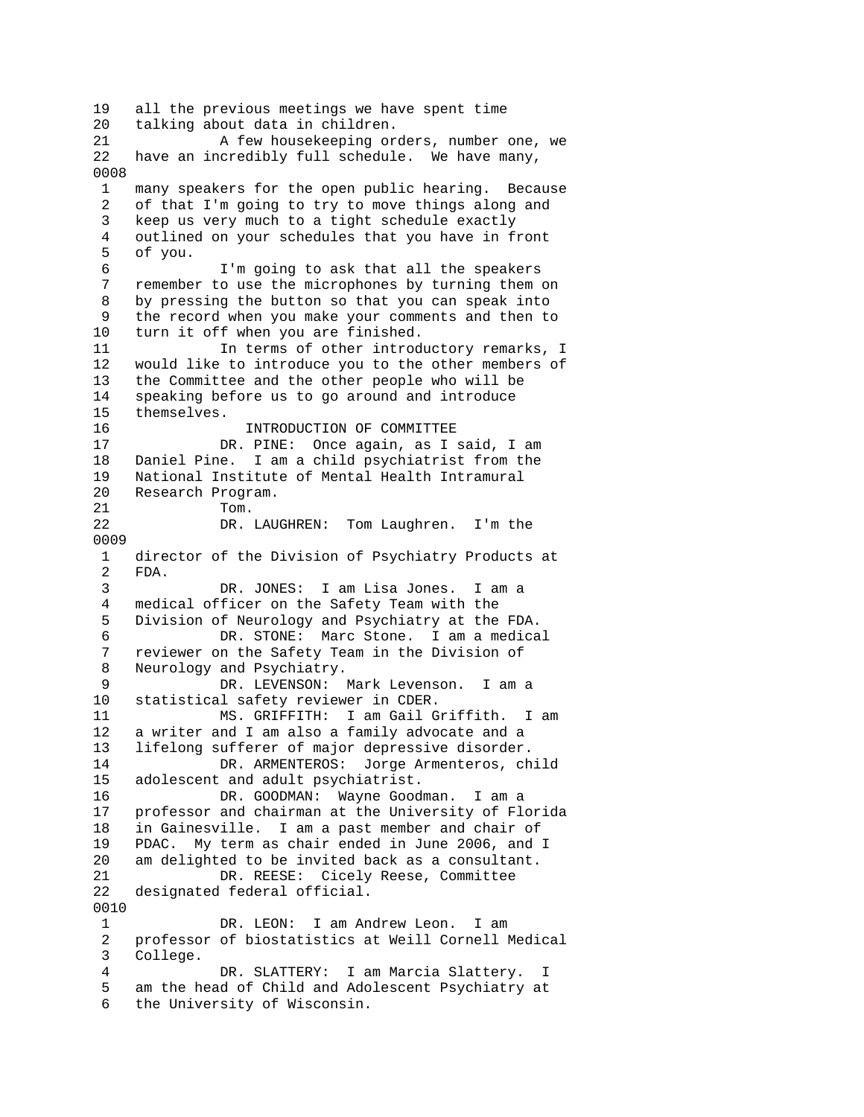19 all the previous meetings we have spent time 20 talking about data in children. 21 A few housekeeping orders, number one, we 22 have an incredibly full schedule. We have many, 0008 1 many speakers for the open public hearing. Because 2 of that I'm going to try to move things along and 3 keep us very much to a tight schedule exactly 4 outlined on your schedules that you have in front 5 of you. 6 I'm going to ask that all the speakers 7 remember to use the microphones by turning them on 8 by pressing the button so that you can speak into 9 the record when you make your comments and then to 10 turn it off when you are finished. 11 11 In terms of other introductory remarks, I 12 would like to introduce you to the other members of 13 the Committee and the other people who will be 14 speaking before us to go around and introduce 15 themselves. 16 INTRODUCTION OF COMMITTEE 17 DR. PINE: Once again, as I said, I am 18 Daniel Pine. I am a child psychiatrist from the 19 National Institute of Mental Health Intramural 20 Research Program. 21 Tom. 22 DR. LAUGHREN: Tom Laughren. I'm the 0009 1 director of the Division of Psychiatry Products at 2 FDA. 3 DR. JONES: I am Lisa Jones. I am a medical officer on the Safety Team with the 5 Division of Neurology and Psychiatry at the FDA. 6 DR. STONE: Marc Stone. I am a medical 7 reviewer on the Safety Team in the Division of 8 Neurology and Psychiatry. 9 DR. LEVENSON: Mark Levenson. I am a 10 statistical safety reviewer in CDER. 11 MS. GRIFFITH: I am Gail Griffith. I am 12 a writer and I am also a family advocate and a 13 lifelong sufferer of major depressive disorder. 14 DR. ARMENTEROS: Jorge Armenteros, child 15 adolescent and adult psychiatrist. 16 DR. GOODMAN: Wayne Goodman. I am a 17 professor and chairman at the University of Florida 18 in Gainesville. I am a past member and chair of 19 PDAC. My term as chair ended in June 2006, and I 20 am delighted to be invited back as a consultant. 21 DR. REESE: Cicely Reese, Committee 22 designated federal official. 0010 1 DR. LEON: I am Andrew Leon. I am 2 professor of biostatistics at Weill Cornell Medical 3 College. 4 DR. SLATTERY: I am Marcia Slattery. I 5 am the head of Child and Adolescent Psychiatry at 6 the University of Wisconsin.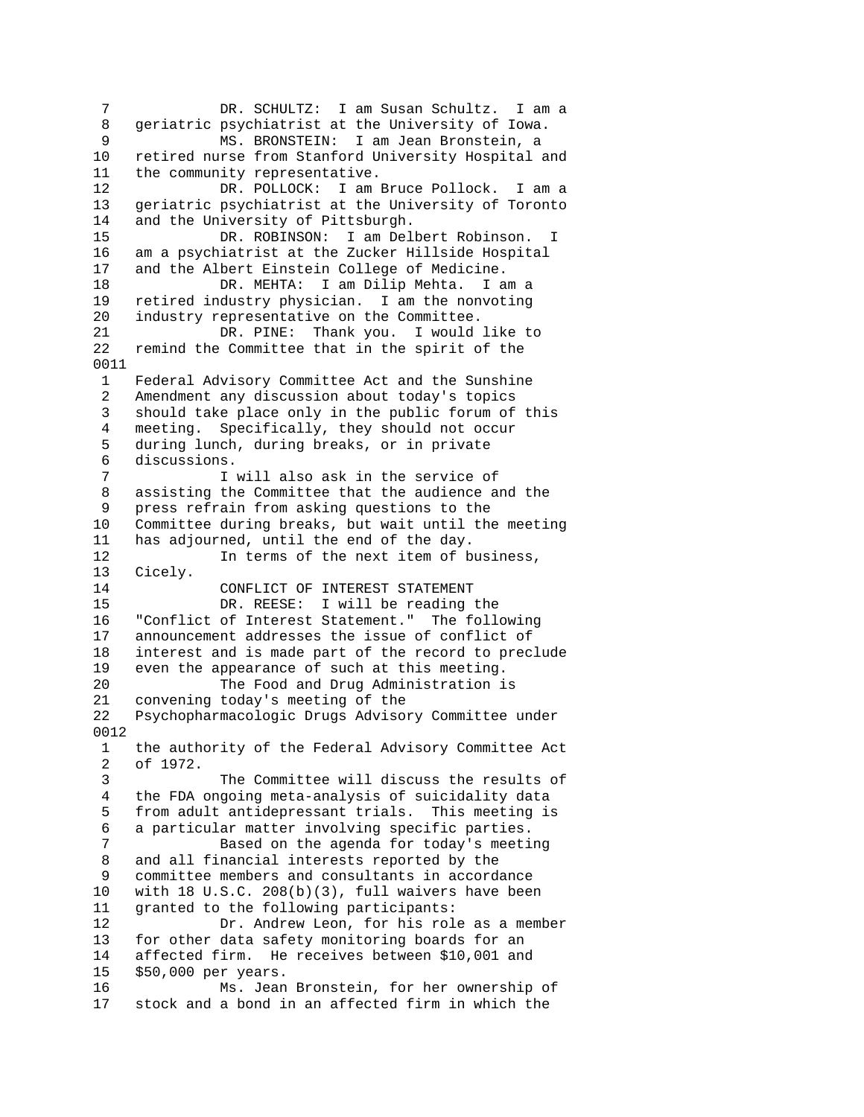7 DR. SCHULTZ: I am Susan Schultz. I am a 8 geriatric psychiatrist at the University of Iowa. 9 MS. BRONSTEIN: I am Jean Bronstein, a 10 retired nurse from Stanford University Hospital and 11 the community representative. 12 DR. POLLOCK: I am Bruce Pollock. I am a 13 geriatric psychiatrist at the University of Toronto 14 and the University of Pittsburgh. 15 DR. ROBINSON: I am Delbert Robinson. I 16 am a psychiatrist at the Zucker Hillside Hospital 17 and the Albert Einstein College of Medicine. 18 DR. MEHTA: I am Dilip Mehta. I am a 19 retired industry physician. I am the nonvoting 20 industry representative on the Committee. 21 DR. PINE: Thank you. I would like to 22 remind the Committee that in the spirit of the 0011 1 Federal Advisory Committee Act and the Sunshine 2 Amendment any discussion about today's topics 3 should take place only in the public forum of this 4 meeting. Specifically, they should not occur 5 during lunch, during breaks, or in private 6 discussions. 7 I will also ask in the service of 8 assisting the Committee that the audience and the 9 press refrain from asking questions to the 10 Committee during breaks, but wait until the meeting 11 has adjourned, until the end of the day. 12 **In terms of the next item of business,** 13 Cicely. 14 CONFLICT OF INTEREST STATEMENT<br>15 DR. REESE: I will be reading DR. REESE: I will be reading the 16 "Conflict of Interest Statement." The following 17 announcement addresses the issue of conflict of 18 interest and is made part of the record to preclude<br>19 even the appearance of such at this meeting. even the appearance of such at this meeting. 20 The Food and Drug Administration is 21 convening today's meeting of the 22 Psychopharmacologic Drugs Advisory Committee under 0012 1 the authority of the Federal Advisory Committee Act 2 of 1972. 3 The Committee will discuss the results of 4 the FDA ongoing meta-analysis of suicidality data 5 from adult antidepressant trials. This meeting is 6 a particular matter involving specific parties. 7 Based on the agenda for today's meeting 8 and all financial interests reported by the 9 committee members and consultants in accordance 10 with 18 U.S.C. 208(b)(3), full waivers have been 11 granted to the following participants: 12 Dr. Andrew Leon, for his role as a member 13 for other data safety monitoring boards for an 14 affected firm. He receives between \$10,001 and 15 \$50,000 per years. 16 Ms. Jean Bronstein, for her ownership of 17 stock and a bond in an affected firm in which the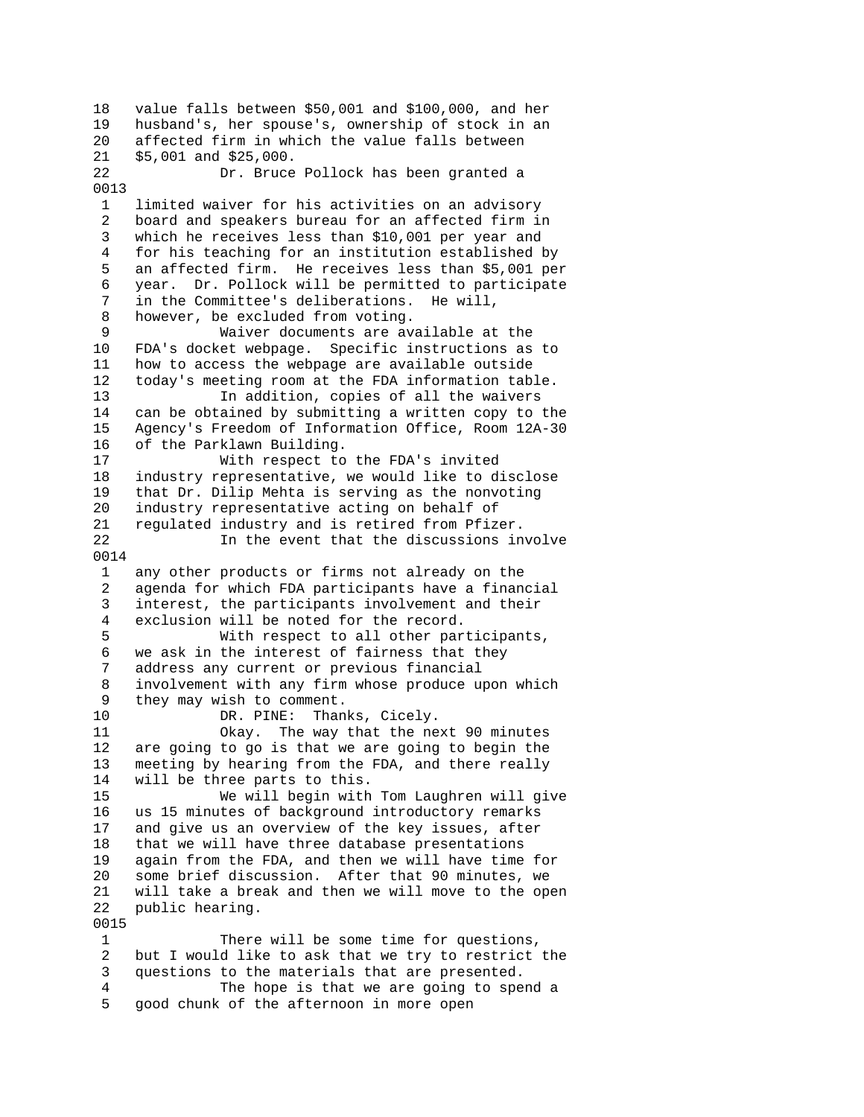18 value falls between \$50,001 and \$100,000, and her 19 husband's, her spouse's, ownership of stock in an 20 affected firm in which the value falls between 21 \$5,001 and \$25,000. 22 Dr. Bruce Pollock has been granted a 0013 1 limited waiver for his activities on an advisory 2 board and speakers bureau for an affected firm in 3 which he receives less than \$10,001 per year and 4 for his teaching for an institution established by 5 an affected firm. He receives less than \$5,001 per 6 year. Dr. Pollock will be permitted to participate 7 in the Committee's deliberations. He will, 8 however, be excluded from voting.<br>9 Waiver documents are av Waiver documents are available at the 10 FDA's docket webpage. Specific instructions as to 11 how to access the webpage are available outside 12 today's meeting room at the FDA information table. 13 In addition, copies of all the waivers 14 can be obtained by submitting a written copy to the 15 Agency's Freedom of Information Office, Room 12A-30 16 of the Parklawn Building. 17 With respect to the FDA's invited 18 industry representative, we would like to disclose 19 that Dr. Dilip Mehta is serving as the nonvoting 20 industry representative acting on behalf of 21 regulated industry and is retired from Pfizer. 22 In the event that the discussions involve 0014 1 any other products or firms not already on the 2 agenda for which FDA participants have a financial 3 interest, the participants involvement and their 4 exclusion will be noted for the record. 5 With respect to all other participants, 6 we ask in the interest of fairness that they 7 address any current or previous financial 8 involvement with any firm whose produce upon which 9 they may wish to comment. 10 DR. PINE: Thanks, Cicely. 11 Okay. The way that the next 90 minutes 12 are going to go is that we are going to begin the 13 meeting by hearing from the FDA, and there really 14 will be three parts to this. 15 We will begin with Tom Laughren will give 16 us 15 minutes of background introductory remarks 17 and give us an overview of the key issues, after 18 that we will have three database presentations 19 again from the FDA, and then we will have time for 20 some brief discussion. After that 90 minutes, we 21 will take a break and then we will move to the open 22 public hearing. 0015 1 There will be some time for questions, 2 but I would like to ask that we try to restrict the 3 questions to the materials that are presented. 4 The hope is that we are going to spend a 5 good chunk of the afternoon in more open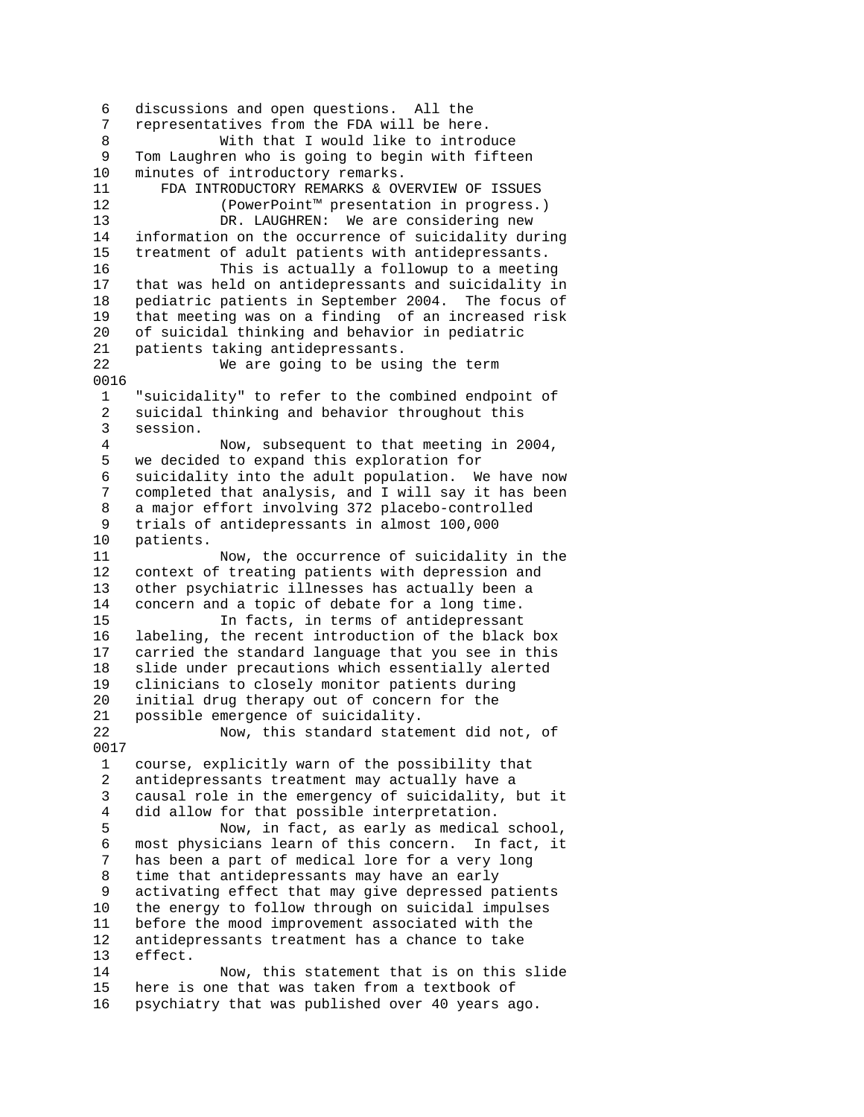6 discussions and open questions. All the 7 representatives from the FDA will be here. 8 With that I would like to introduce 9 Tom Laughren who is going to begin with fifteen<br>10 minutes of introductory remarks. minutes of introductory remarks. 11 FDA INTRODUCTORY REMARKS & OVERVIEW OF ISSUES 12 (PowerPoint™ presentation in progress.) 13 DR. LAUGHREN: We are considering new 14 information on the occurrence of suicidality during 15 treatment of adult patients with antidepressants. 16 This is actually a followup to a meeting 17 that was held on antidepressants and suicidality in 18 pediatric patients in September 2004. The focus of 19 that meeting was on a finding of an increased risk 20 of suicidal thinking and behavior in pediatric 21 patients taking antidepressants. 22 We are going to be using the term 0016 1 "suicidality" to refer to the combined endpoint of 2 suicidal thinking and behavior throughout this 3 session. 4 Now, subsequent to that meeting in 2004, 5 we decided to expand this exploration for 6 suicidality into the adult population. We have now 7 completed that analysis, and I will say it has been 8 a major effort involving 372 placebo-controlled 9 trials of antidepressants in almost 100,000 10 patients. 11 Now, the occurrence of suicidality in the 12 context of treating patients with depression and 13 other psychiatric illnesses has actually been a 14 concern and a topic of debate for a long time. 15 In facts, in terms of antidepressant 16 labeling, the recent introduction of the black box 17 carried the standard language that you see in this 18 slide under precautions which essentially alerted 19 clinicians to closely monitor patients during 20 initial drug therapy out of concern for the 21 possible emergence of suicidality. 22 Now, this standard statement did not, of 0017 1 course, explicitly warn of the possibility that 2 antidepressants treatment may actually have a 3 causal role in the emergency of suicidality, but it 4 did allow for that possible interpretation. 5 Now, in fact, as early as medical school, 6 most physicians learn of this concern. In fact, it 7 has been a part of medical lore for a very long 8 time that antidepressants may have an early 9 activating effect that may give depressed patients 10 the energy to follow through on suicidal impulses 11 before the mood improvement associated with the 12 antidepressants treatment has a chance to take 13 effect. 14 Now, this statement that is on this slide 15 here is one that was taken from a textbook of 16 psychiatry that was published over 40 years ago.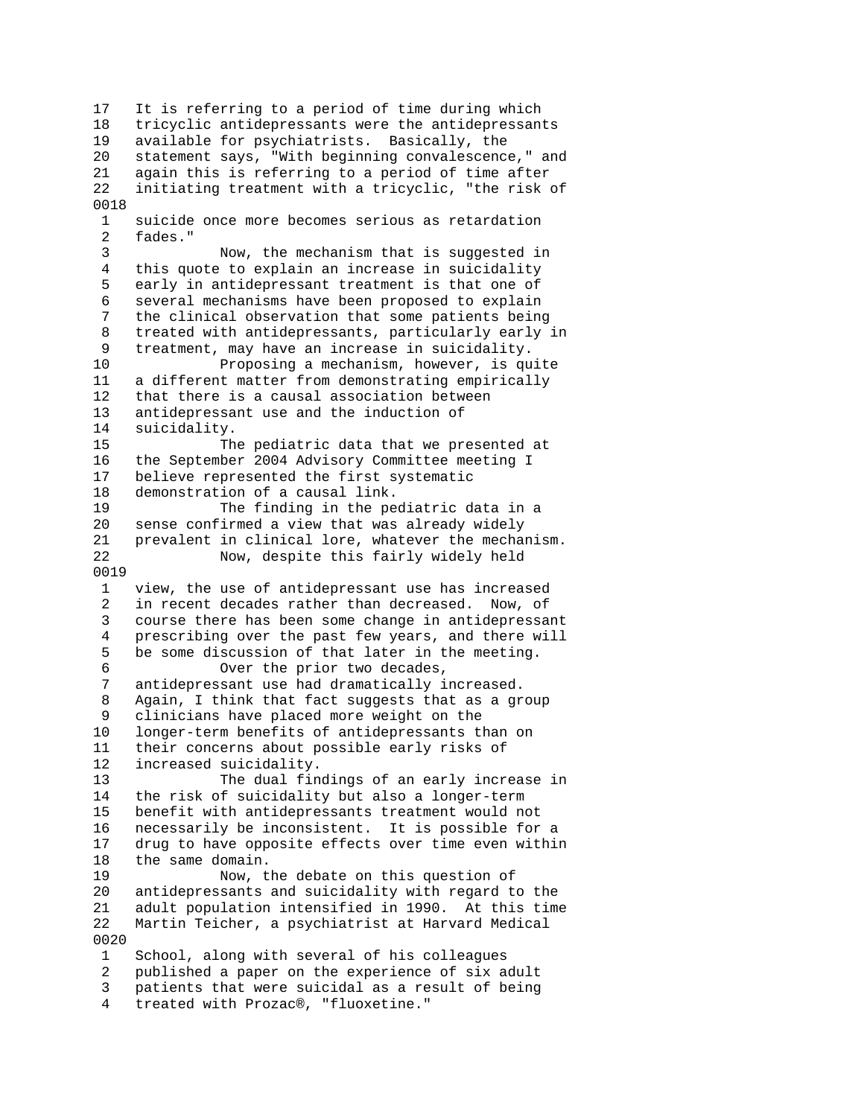17 It is referring to a period of time during which 18 tricyclic antidepressants were the antidepressants 19 available for psychiatrists. Basically, the 20 statement says, "With beginning convalescence," and 21 again this is referring to a period of time after 22 initiating treatment with a tricyclic, "the risk of 0018 1 suicide once more becomes serious as retardation 2 fades." 3 Now, the mechanism that is suggested in 4 this quote to explain an increase in suicidality 5 early in antidepressant treatment is that one of 6 several mechanisms have been proposed to explain 7 the clinical observation that some patients being 8 treated with antidepressants, particularly early in 9 treatment, may have an increase in suicidality. 10 Proposing a mechanism, however, is quite 11 a different matter from demonstrating empirically 12 that there is a causal association between 13 antidepressant use and the induction of 14 suicidality. 15 The pediatric data that we presented at 16 the September 2004 Advisory Committee meeting I 17 believe represented the first systematic 18 demonstration of a causal link. 19 The finding in the pediatric data in a 20 sense confirmed a view that was already widely 21 prevalent in clinical lore, whatever the mechanism. 22 Now, despite this fairly widely held 0019 1 view, the use of antidepressant use has increased 2 in recent decades rather than decreased. Now, of 3 course there has been some change in antidepressant 4 prescribing over the past few years, and there will 5 be some discussion of that later in the meeting. 6 Over the prior two decades,<br>7 antidepressant use had dramatically i antidepressant use had dramatically increased. 8 Again, I think that fact suggests that as a group 9 clinicians have placed more weight on the 10 longer-term benefits of antidepressants than on 11 their concerns about possible early risks of 12 increased suicidality. 13 The dual findings of an early increase in 14 the risk of suicidality but also a longer-term 15 benefit with antidepressants treatment would not 16 necessarily be inconsistent. It is possible for a 17 drug to have opposite effects over time even within 18 the same domain. 19 Now, the debate on this question of 20 antidepressants and suicidality with regard to the 21 adult population intensified in 1990. At this time 22 Martin Teicher, a psychiatrist at Harvard Medical 0020 1 School, along with several of his colleagues 2 published a paper on the experience of six adult 3 patients that were suicidal as a result of being 4 treated with Prozac®, "fluoxetine."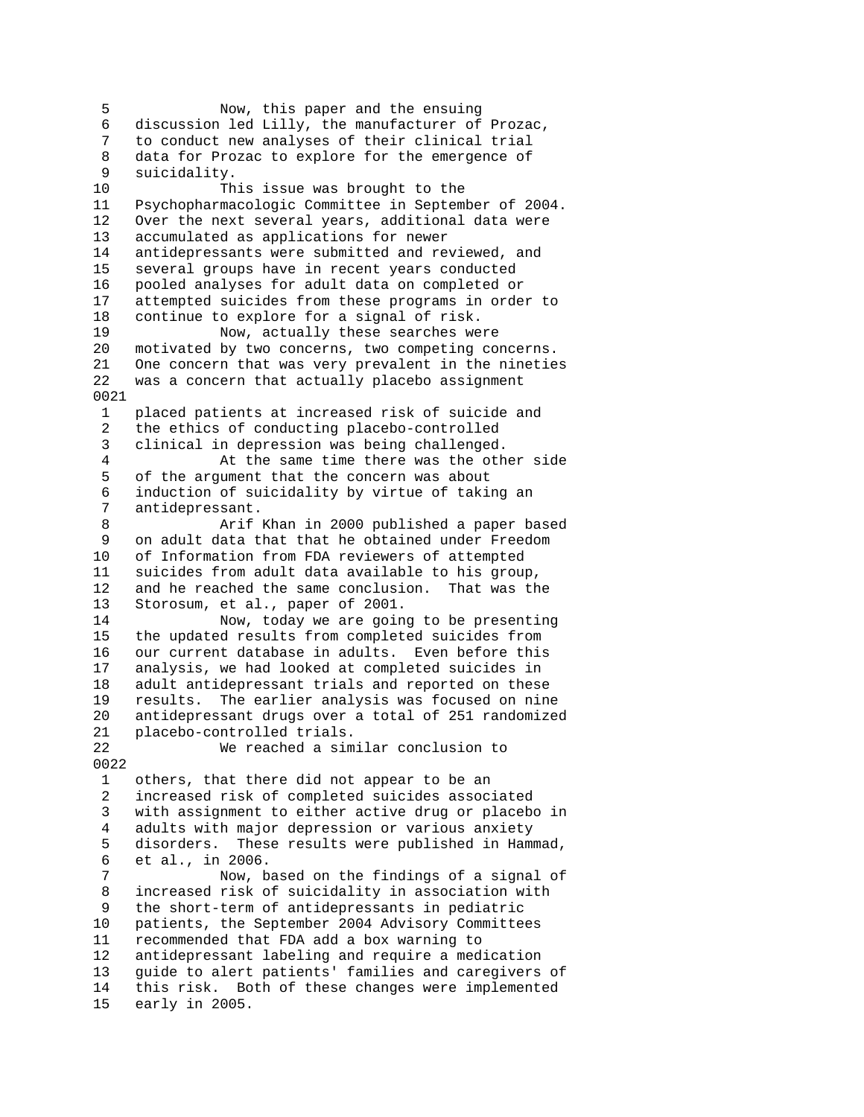5 Now, this paper and the ensuing 6 discussion led Lilly, the manufacturer of Prozac, 7 to conduct new analyses of their clinical trial 8 data for Prozac to explore for the emergence of 9 suicidality. 10 This issue was brought to the 11 Psychopharmacologic Committee in September of 2004. 12 Over the next several years, additional data were 13 accumulated as applications for newer 14 antidepressants were submitted and reviewed, and 15 several groups have in recent years conducted 16 pooled analyses for adult data on completed or 17 attempted suicides from these programs in order to 18 continue to explore for a signal of risk. 19 Now, actually these searches were 20 motivated by two concerns, two competing concerns. 21 One concern that was very prevalent in the nineties 22 was a concern that actually placebo assignment 0021 1 placed patients at increased risk of suicide and 2 the ethics of conducting placebo-controlled 3 clinical in depression was being challenged. 4 At the same time there was the other side 5 of the argument that the concern was about 6 induction of suicidality by virtue of taking an 7 antidepressant. 8 Arif Khan in 2000 published a paper based 9 on adult data that that he obtained under Freedom<br>10 of Information from FDA reviewers of attempted of Information from FDA reviewers of attempted 11 suicides from adult data available to his group, 12 and he reached the same conclusion. That was the 13 Storosum, et al., paper of 2001. Storosum, et al., paper of 2001. 14 Now, today we are going to be presenting 15 the updated results from completed suicides from 16 our current database in adults. Even before this 17 analysis, we had looked at completed suicides in 18 adult antidepressant trials and reported on these 19 results. The earlier analysis was focused on nine 20 antidepressant drugs over a total of 251 randomized 21 placebo-controlled trials. 22 We reached a similar conclusion to 0022 1 others, that there did not appear to be an 2 increased risk of completed suicides associated 3 with assignment to either active drug or placebo in 4 adults with major depression or various anxiety 5 disorders. These results were published in Hammad, 6 et al., in 2006. 7 Now, based on the findings of a signal of 8 increased risk of suicidality in association with 9 the short-term of antidepressants in pediatric 10 patients, the September 2004 Advisory Committees 11 recommended that FDA add a box warning to 12 antidepressant labeling and require a medication 13 guide to alert patients' families and caregivers of 14 this risk. Both of these changes were implemented 15 early in 2005.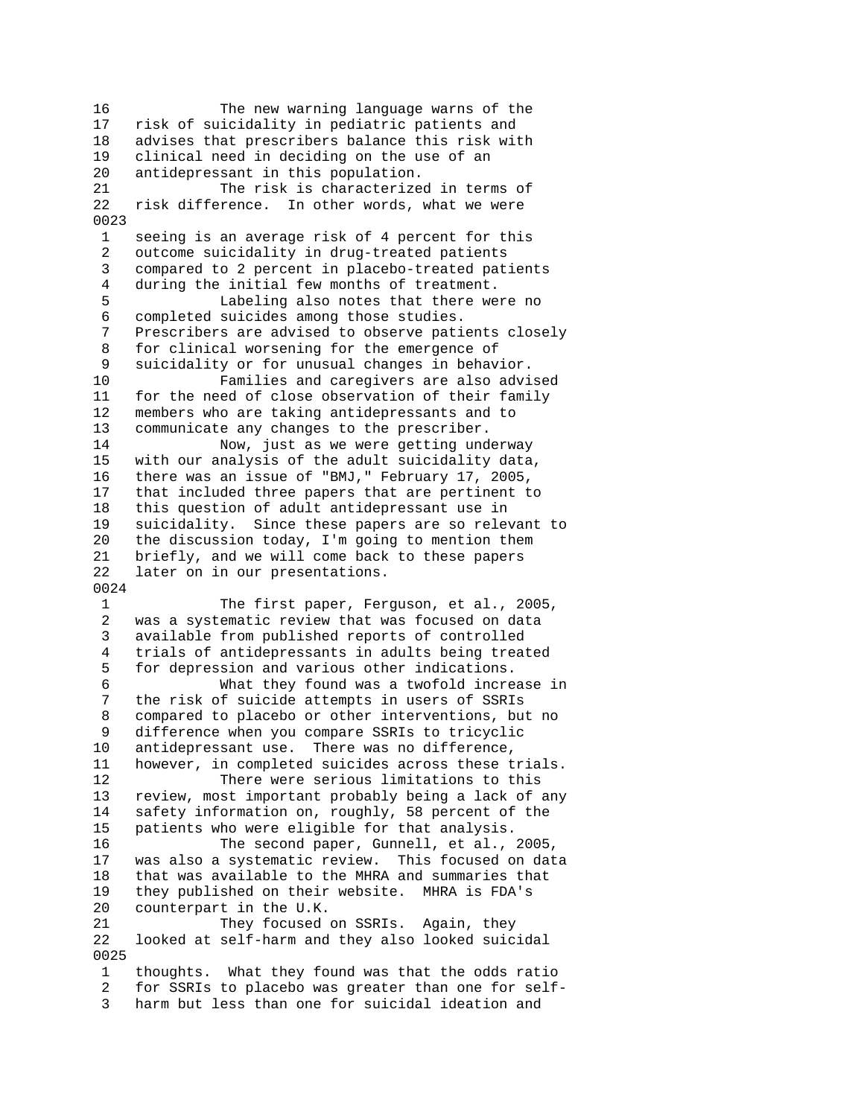16 The new warning language warns of the 17 risk of suicidality in pediatric patients and 18 advises that prescribers balance this risk with 19 clinical need in deciding on the use of an 20 antidepressant in this population. 21 The risk is characterized in terms of 22 risk difference. In other words, what we were 0023 1 seeing is an average risk of 4 percent for this 2 outcome suicidality in drug-treated patients 3 compared to 2 percent in placebo-treated patients 4 during the initial few months of treatment. 5 Labeling also notes that there were no 6 completed suicides among those studies.<br>7 Prescribers are advised to observe pati Prescribers are advised to observe patients closely 8 for clinical worsening for the emergence of 9 suicidality or for unusual changes in behavior. 10 Families and caregivers are also advised<br>11 for the need of close observation of their family for the need of close observation of their family 12 members who are taking antidepressants and to 13 communicate any changes to the prescriber. 14 Now, just as we were getting underway 15 with our analysis of the adult suicidality data, 16 there was an issue of "BMJ," February 17, 2005, 17 that included three papers that are pertinent to 18 this question of adult antidepressant use in 19 suicidality. Since these papers are so relevant to 20 the discussion today, I'm going to mention them 21 briefly, and we will come back to these papers 22 later on in our presentations. 0024 1 The first paper, Ferguson, et al., 2005, 2 was a systematic review that was focused on data 3 available from published reports of controlled 4 trials of antidepressants in adults being treated 5 for depression and various other indications. 6 What they found was a twofold increase in 7 the risk of suicide attempts in users of SSRIs 8 compared to placebo or other interventions, but no 9 difference when you compare SSRIs to tricyclic 10 antidepressant use. There was no difference, 11 however, in completed suicides across these trials. 12 There were serious limitations to this 13 review, most important probably being a lack of any 14 safety information on, roughly, 58 percent of the 15 patients who were eligible for that analysis. 16 The second paper, Gunnell, et al., 2005, 17 was also a systematic review. This focused on data 18 that was available to the MHRA and summaries that 19 they published on their website. MHRA is FDA's 20 counterpart in the U.K. 21 They focused on SSRIs. Again, they 22 looked at self-harm and they also looked suicidal 0025 1 thoughts. What they found was that the odds ratio 2 for SSRIs to placebo was greater than one for self-

3 harm but less than one for suicidal ideation and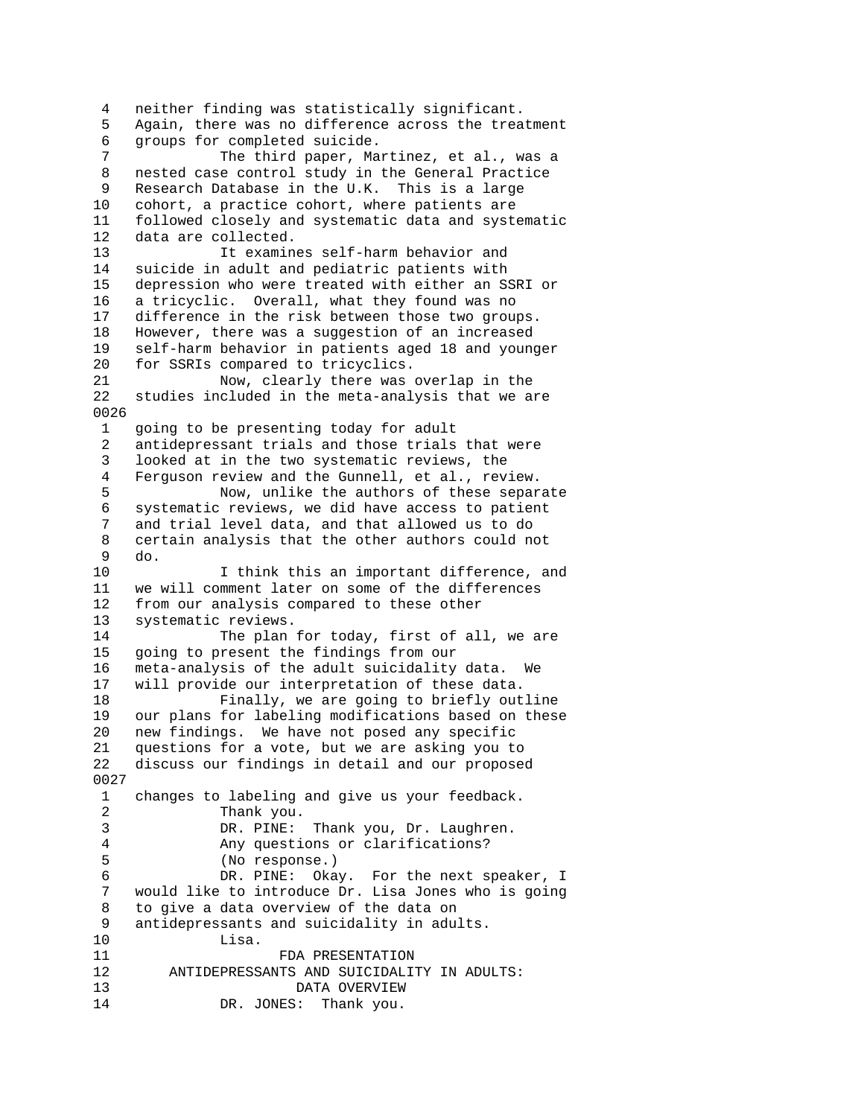4 neither finding was statistically significant. 5 Again, there was no difference across the treatment 6 groups for completed suicide. 7 The third paper, Martinez, et al., was a 8 nested case control study in the General Practice 9 Research Database in the U.K. This is a large 10 cohort, a practice cohort, where patients are 11 followed closely and systematic data and systematic 12 data are collected. 13 It examines self-harm behavior and 14 suicide in adult and pediatric patients with 15 depression who were treated with either an SSRI or 16 a tricyclic. Overall, what they found was no 17 difference in the risk between those two groups. 18 However, there was a suggestion of an increased 19 self-harm behavior in patients aged 18 and younger 20 for SSRIs compared to tricyclics. 21 Now, clearly there was overlap in the<br>22 studies included in the meta-analysis that we a studies included in the meta-analysis that we are 0026 1 going to be presenting today for adult 2 antidepressant trials and those trials that were 3 looked at in the two systematic reviews, the 4 Ferguson review and the Gunnell, et al., review. 5 Now, unlike the authors of these separate 6 systematic reviews, we did have access to patient 7 and trial level data, and that allowed us to do 8 certain analysis that the other authors could not 9 do. 10 I think this an important difference, and 11 we will comment later on some of the differences 12 from our analysis compared to these other 13 systematic reviews. 14 The plan for today, first of all, we are 15 going to present the findings from our 16 meta-analysis of the adult suicidality data. We 17 will provide our interpretation of these data. 18 Finally, we are going to briefly outline 19 our plans for labeling modifications based on these 20 new findings. We have not posed any specific 21 questions for a vote, but we are asking you to 22 discuss our findings in detail and our proposed 0027 1 changes to labeling and give us your feedback. 2 Thank you. 3 DR. PINE: Thank you, Dr. Laughren. 4 Any questions or clarifications? 5 (No response.) 6 DR. PINE: Okay. For the next speaker, I would like to introduce Dr. Lisa Jones who is going 8 to give a data overview of the data on 9 antidepressants and suicidality in adults. 10 Lisa. 11 FDA PRESENTATION 12 ANTIDEPRESSANTS AND SUICIDALITY IN ADULTS: 13 DATA OVERVIEW 14 DR. JONES: Thank you.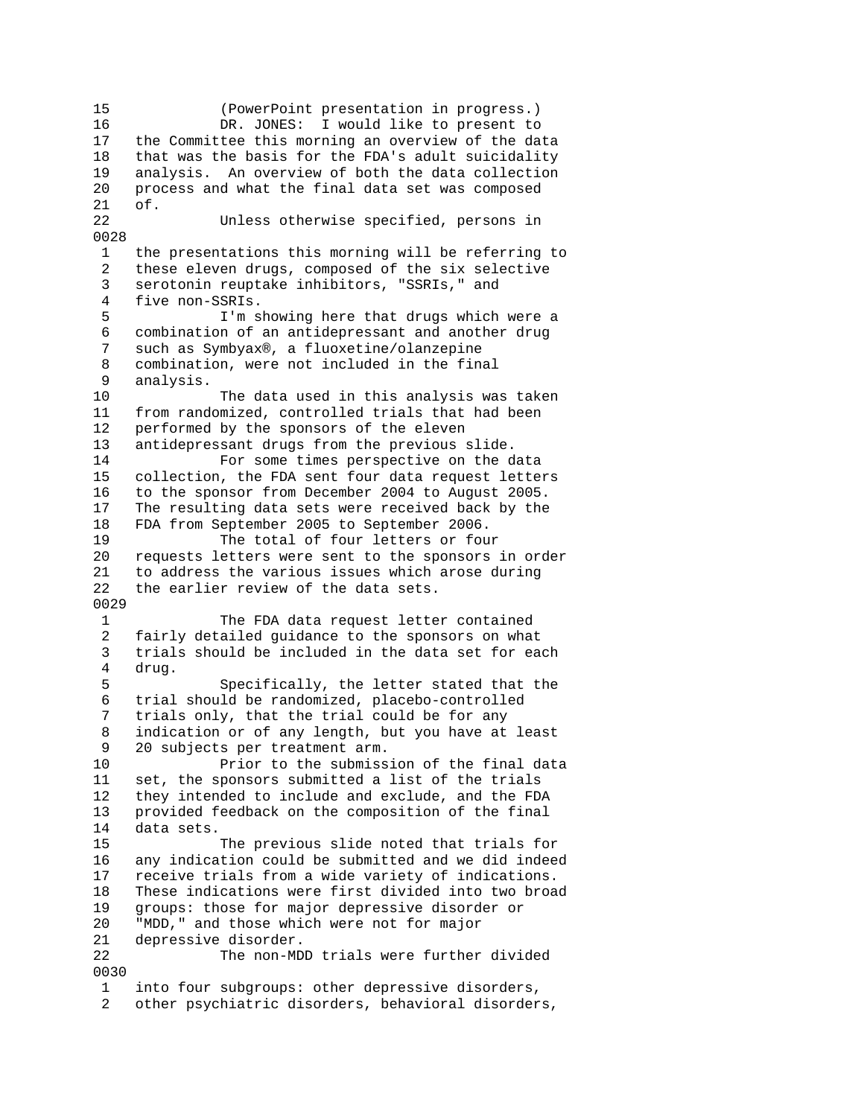15 (PowerPoint presentation in progress.) 16 DR. JONES: I would like to present to 17 the Committee this morning an overview of the data 18 that was the basis for the FDA's adult suicidality 19 analysis. An overview of both the data collection 20 process and what the final data set was composed 21 of. 22 Unless otherwise specified, persons in 0028 1 the presentations this morning will be referring to 2 these eleven drugs, composed of the six selective 3 serotonin reuptake inhibitors, "SSRIs," and 4 five non-SSRIs. 5 I'm showing here that drugs which were a 6 combination of an antidepressant and another drug such as Symbyax®, a fluoxetine/olanzepine 8 combination, were not included in the final 9 analysis. The data used in this analysis was taken 11 from randomized, controlled trials that had been 12 performed by the sponsors of the eleven 13 antidepressant drugs from the previous slide. 14 For some times perspective on the data 15 collection, the FDA sent four data request letters 16 to the sponsor from December 2004 to August 2005. 17 The resulting data sets were received back by the 18 FDA from September 2005 to September 2006. 19 The total of four letters or four 20 requests letters were sent to the sponsors in order 21 to address the various issues which arose during 22 the earlier review of the data sets. 0029 1 The FDA data request letter contained 2 fairly detailed guidance to the sponsors on what 3 trials should be included in the data set for each 4 drug. 5 Specifically, the letter stated that the 6 trial should be randomized, placebo-controlled 7 trials only, that the trial could be for any 8 indication or of any length, but you have at least 9 20 subjects per treatment arm. Prior to the submission of the final data 11 set, the sponsors submitted a list of the trials 12 they intended to include and exclude, and the FDA 13 provided feedback on the composition of the final 14 data sets. 15 The previous slide noted that trials for 16 any indication could be submitted and we did indeed 17 receive trials from a wide variety of indications. 18 These indications were first divided into two broad 19 groups: those for major depressive disorder or 20 "MDD," and those which were not for major 21 depressive disorder. 22 The non-MDD trials were further divided 0030 1 into four subgroups: other depressive disorders, 2 other psychiatric disorders, behavioral disorders,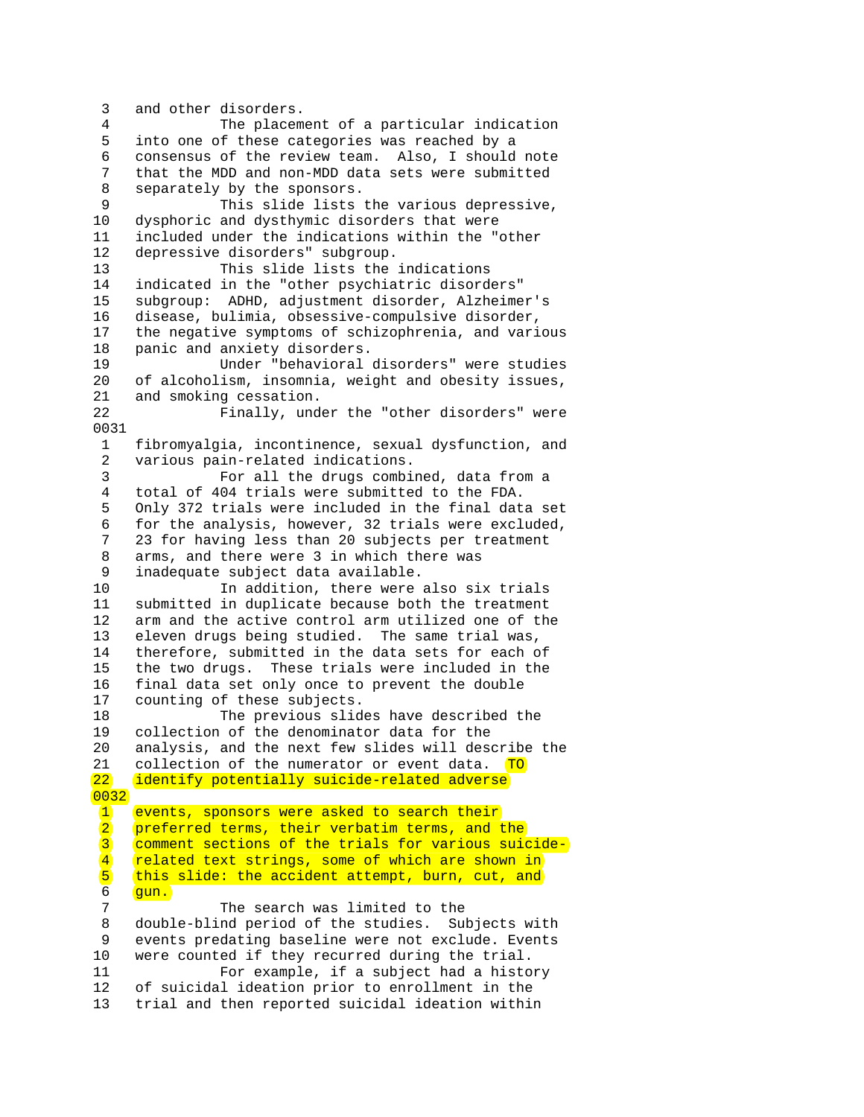3 and other disorders. 4 The placement of a particular indication 5 into one of these categories was reached by a 6 consensus of the review team. Also, I should note 7 that the MDD and non-MDD data sets were submitted 8 separately by the sponsors. 9 This slide lists the various depressive, 10 dysphoric and dysthymic disorders that were 11 included under the indications within the "other 12 depressive disorders" subgroup. 13 This slide lists the indications 14 indicated in the "other psychiatric disorders" 15 subgroup: ADHD, adjustment disorder, Alzheimer's 16 disease, bulimia, obsessive-compulsive disorder, 17 the negative symptoms of schizophrenia, and various 18 panic and anxiety disorders. 19 Under "behavioral disorders" were studies 20 of alcoholism, insomnia, weight and obesity issues, 21 and smoking cessation. 22 Finally, under the "other disorders" were 0031 1 fibromyalgia, incontinence, sexual dysfunction, and 2 various pain-related indications. 3 For all the drugs combined, data from a 4 total of 404 trials were submitted to the FDA. 5 Only 372 trials were included in the final data set 6 for the analysis, however, 32 trials were excluded, 7 23 for having less than 20 subjects per treatment 8 arms, and there were 3 in which there was 9 inadequate subject data available.<br>10 In addition, there were 10 In addition, there were also six trials<br>11 submitted in duplicate because both the treatment submitted in duplicate because both the treatment 12 arm and the active control arm utilized one of the 13 eleven drugs being studied. The same trial was, 14 therefore, submitted in the data sets for each of 15 the two drugs. These trials were included in the 16 final data set only once to prevent the double 17 counting of these subjects. 18 The previous slides have described the 19 collection of the denominator data for the 20 analysis, and the next few slides will describe the 21 collection of the numerator or event data. TO 22 identify potentially suicide-related adverse 0032 1 events, sponsors were asked to search their 2 preferred terms, their verbatim terms, and the 3 comment sections of the trials for various suicide- 4 related text strings, some of which are shown in<br>5 this slide: the accident attempt, burn, cut, and  $\begin{bmatrix} 5 \end{bmatrix}$  (this slide: the accident attempt, burn, cut, and  $\begin{bmatrix} 6 \end{bmatrix}$ gun. 7 The search was limited to the 8 double-blind period of the studies. Subjects with 9 events predating baseline were not exclude. Events 10 were counted if they recurred during the trial. 11 For example, if a subject had a history 12 of suicidal ideation prior to enrollment in the 13 trial and then reported suicidal ideation within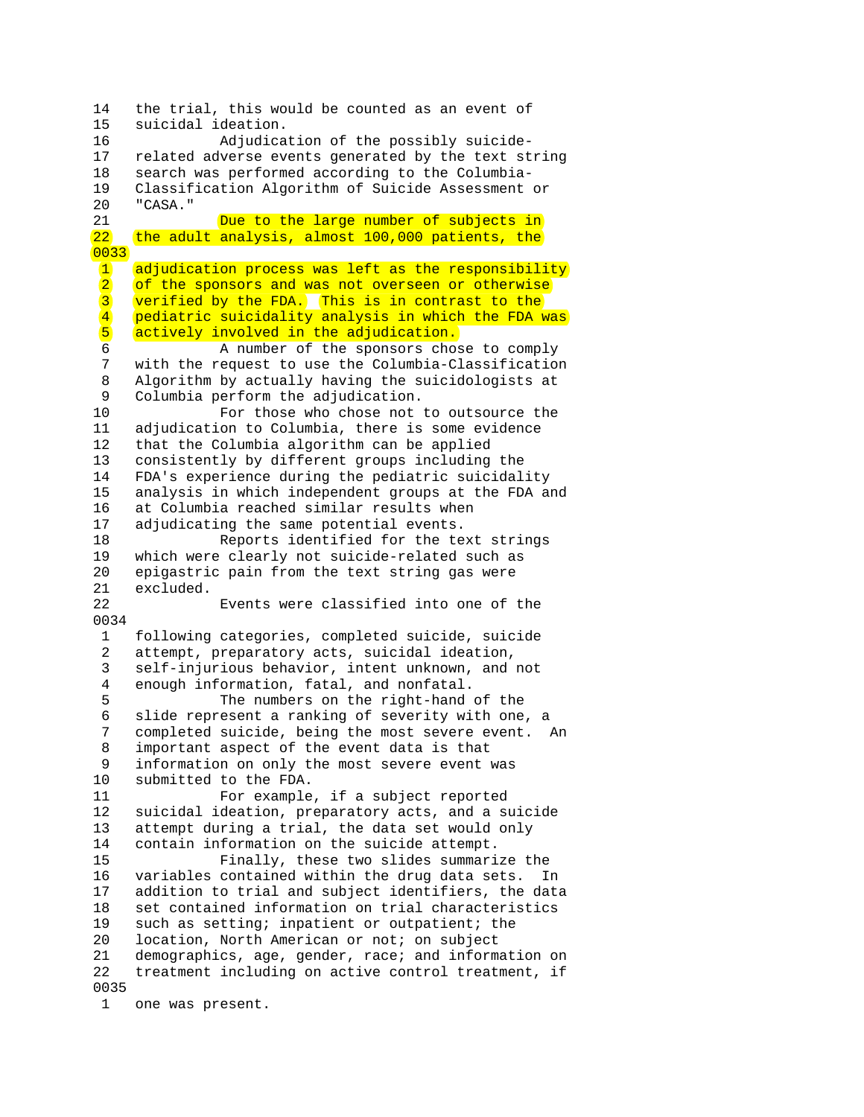14 the trial, this would be counted as an event of 15 suicidal ideation. 16 Adjudication of the possibly suicide-17 related adverse events generated by the text string 18 search was performed according to the Columbia-19 Classification Algorithm of Suicide Assessment or 20 "CASA." 21 **Due to the large number of subjects in** 22 the adult analysis, almost 100,000 patients, the 0033 1 adjudication process was left as the responsibility 2 of the sponsors and was not overseen or otherwise<br>3 verified by the FDA. This is in contrast to the  $\frac{3}{4}$  verified by the FDA. This is in contrast to the  $\frac{4}{4}$  pediatric suicidality analysis in which the FDA w 4 pediatric suicidality analysis in which the FDA was<br>5 actively involved in the adjudication. 5 actively involved in the adjudication.<br>6 A number of the sponsors chos A number of the sponsors chose to comply 7 with the request to use the Columbia-Classification 8 Algorithm by actually having the suicidologists at<br>9 Columbia perform the adjudication Columbia perform the adjudication. 10 For those who chose not to outsource the 11 adjudication to Columbia, there is some evidence 12 that the Columbia algorithm can be applied 13 consistently by different groups including the 14 FDA's experience during the pediatric suicidality 15 analysis in which independent groups at the FDA and 16 at Columbia reached similar results when 17 adjudicating the same potential events. 18 Reports identified for the text strings 19 which were clearly not suicide-related such as 20 epigastric pain from the text string gas were 21 excluded. Events were classified into one of the 0034 1 following categories, completed suicide, suicide 2 attempt, preparatory acts, suicidal ideation, 3 self-injurious behavior, intent unknown, and not 4 enough information, fatal, and nonfatal. 5 The numbers on the right-hand of the 6 slide represent a ranking of severity with one, a 7 completed suicide, being the most severe event. An 8 important aspect of the event data is that 9 information on only the most severe event was 10 submitted to the FDA. 11 For example, if a subject reported 12 suicidal ideation, preparatory acts, and a suicide 13 attempt during a trial, the data set would only 14 contain information on the suicide attempt. 15 Finally, these two slides summarize the 16 variables contained within the drug data sets. In 17 addition to trial and subject identifiers, the data 18 set contained information on trial characteristics 19 such as setting; inpatient or outpatient; the 20 location, North American or not; on subject 21 demographics, age, gender, race; and information on 22 treatment including on active control treatment, if 0035 1 one was present.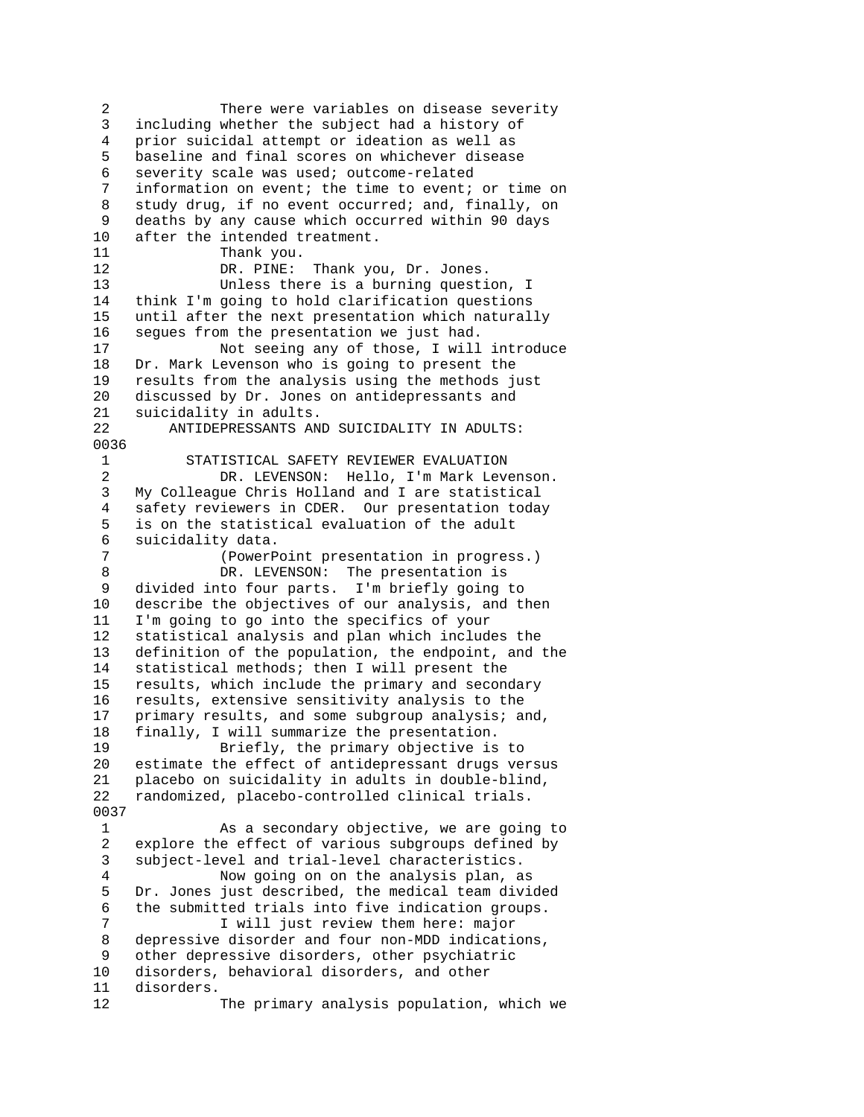2 There were variables on disease severity 3 including whether the subject had a history of 4 prior suicidal attempt or ideation as well as 5 baseline and final scores on whichever disease 6 severity scale was used; outcome-related 7 information on event; the time to event; or time on 8 study drug, if no event occurred; and, finally, on 9 deaths by any cause which occurred within 90 days 10 after the intended treatment. 11 Thank you. 12 DR. PINE: Thank you, Dr. Jones. 13 Unless there is a burning question, I 14 think I'm going to hold clarification questions 15 until after the next presentation which naturally 16 segues from the presentation we just had. 17 Not seeing any of those, I will introduce 18 Dr. Mark Levenson who is going to present the 19 results from the analysis using the methods just<br>20 discussed by Dr. Jones on antidepressants and discussed by Dr. Jones on antidepressants and 21 suicidality in adults. 22 ANTIDEPRESSANTS AND SUICIDALITY IN ADULTS: 0036 1 STATISTICAL SAFETY REVIEWER EVALUATION 2 DR. LEVENSON: Hello, I'm Mark Levenson. 3 My Colleague Chris Holland and I are statistical 4 safety reviewers in CDER. Our presentation today 5 is on the statistical evaluation of the adult 6 suicidality data. 7 (PowerPoint presentation in progress.) 8 DR. LEVENSON: The presentation is<br>9 divided into four parts. I'm briefly going divided into four parts. I'm briefly going to 10 describe the objectives of our analysis, and then 11 I'm going to go into the specifics of your 12 statistical analysis and plan which includes the 13 definition of the population, the endpoint, and the 14 statistical methods; then I will present the 15 results, which include the primary and secondary 16 results, extensive sensitivity analysis to the 17 primary results, and some subgroup analysis; and, 18 finally, I will summarize the presentation. 19 Briefly, the primary objective is to 20 estimate the effect of antidepressant drugs versus 21 placebo on suicidality in adults in double-blind, 22 randomized, placebo-controlled clinical trials. 0037 1 As a secondary objective, we are going to 2 explore the effect of various subgroups defined by 3 subject-level and trial-level characteristics. 4 Now going on on the analysis plan, as 5 Dr. Jones just described, the medical team divided 6 the submitted trials into five indication groups. 7 **I** will just review them here: major 8 depressive disorder and four non-MDD indications, 9 other depressive disorders, other psychiatric 10 disorders, behavioral disorders, and other 11 disorders. 12 The primary analysis population, which we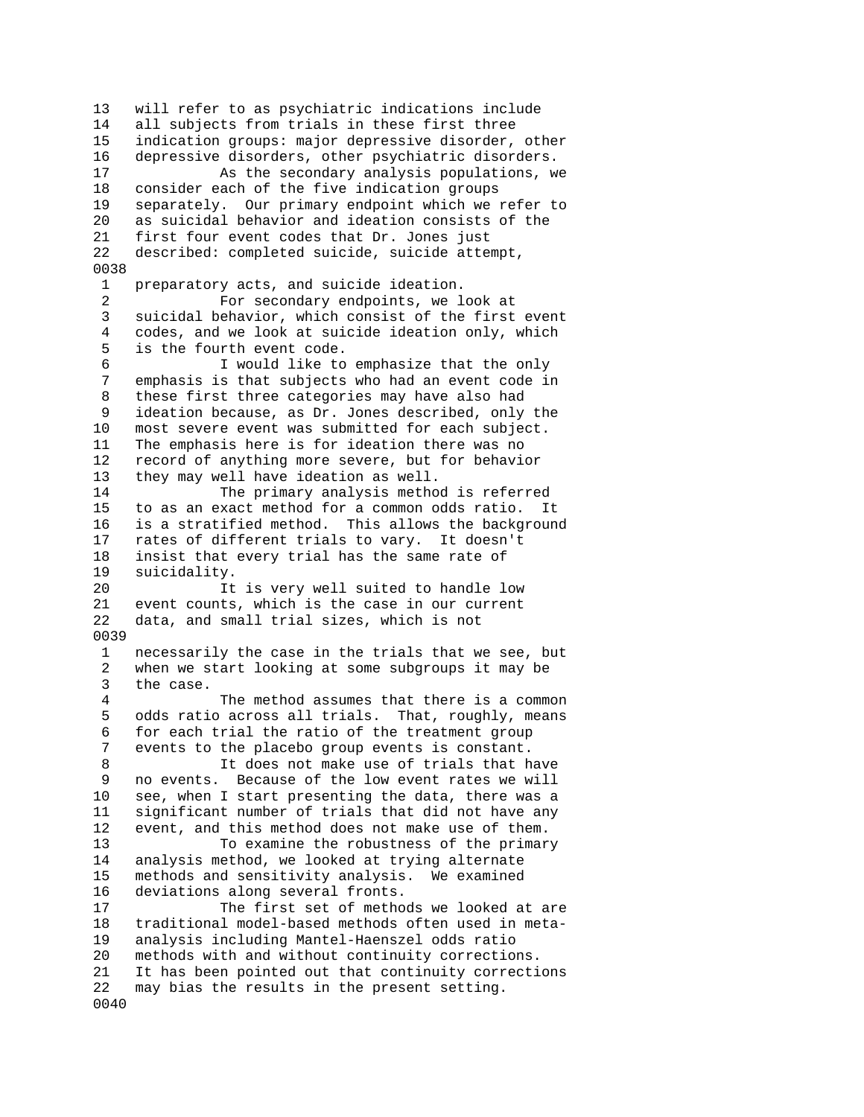13 will refer to as psychiatric indications include 14 all subjects from trials in these first three 15 indication groups: major depressive disorder, other 16 depressive disorders, other psychiatric disorders. 17 As the secondary analysis populations, we 18 consider each of the five indication groups 19 separately. Our primary endpoint which we refer to 20 as suicidal behavior and ideation consists of the 21 first four event codes that Dr. Jones just 22 described: completed suicide, suicide attempt, 0038 1 preparatory acts, and suicide ideation. 2 For secondary endpoints, we look at 3 suicidal behavior, which consist of the first event 4 codes, and we look at suicide ideation only, which 5 is the fourth event code. 6 I would like to emphasize that the only 7 emphasis is that subjects who had an event code in 8 these first three categories may have also had 9 ideation because, as Dr. Jones described, only the 10 most severe event was submitted for each subject. 11 The emphasis here is for ideation there was no 12 record of anything more severe, but for behavior 13 they may well have ideation as well. 14 The primary analysis method is referred 15 to as an exact method for a common odds ratio. It 16 is a stratified method. This allows the background 17 rates of different trials to vary. It doesn't 18 insist that every trial has the same rate of 19 suicidality. 20 11 Is very well suited to handle low<br>21 event counts, which is the case in our current event counts, which is the case in our current 22 data, and small trial sizes, which is not 0039 1 necessarily the case in the trials that we see, but 2 when we start looking at some subgroups it may be 3 the case. 4 The method assumes that there is a common 5 odds ratio across all trials. That, roughly, means 6 for each trial the ratio of the treatment group 7 events to the placebo group events is constant. 8 It does not make use of trials that have 9 no events. Because of the low event rates we will 10 see, when I start presenting the data, there was a 11 significant number of trials that did not have any<br>12 event, and this method does not make use of them. event, and this method does not make use of them. 13 To examine the robustness of the primary 14 analysis method, we looked at trying alternate 15 methods and sensitivity analysis. We examined 16 deviations along several fronts. 17 The first set of methods we looked at are 18 traditional model-based methods often used in meta-19 analysis including Mantel-Haenszel odds ratio 20 methods with and without continuity corrections. 21 It has been pointed out that continuity corrections 22 may bias the results in the present setting. 0040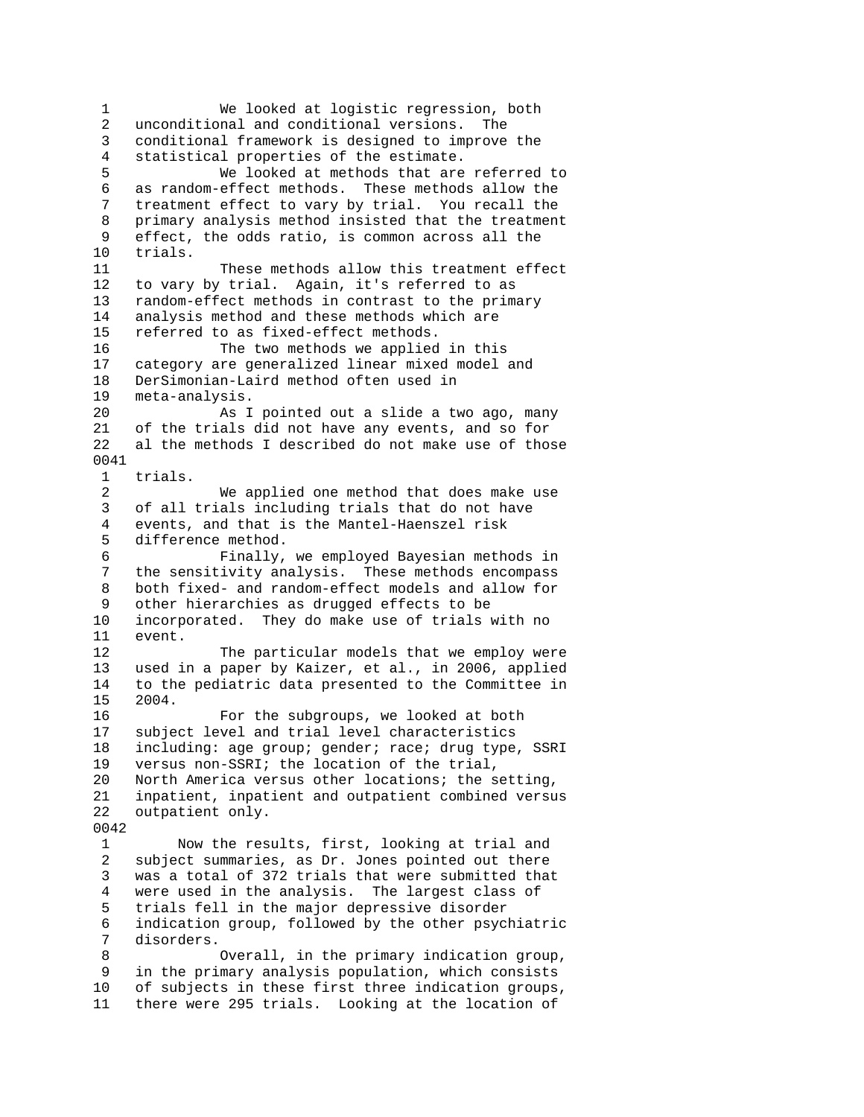1 We looked at logistic regression, both 2 unconditional and conditional versions. The 3 conditional framework is designed to improve the 4 statistical properties of the estimate. 5 We looked at methods that are referred to 6 as random-effect methods. These methods allow the 7 treatment effect to vary by trial. You recall the 8 primary analysis method insisted that the treatment 9 effect, the odds ratio, is common across all the 10 trials. 11 These methods allow this treatment effect 12 to vary by trial. Again, it's referred to as 13 random-effect methods in contrast to the primary 14 analysis method and these methods which are 15 referred to as fixed-effect methods. 16 The two methods we applied in this 17 category are generalized linear mixed model and 18 DerSimonian-Laird method often used in<br>19 meta-analysis. meta-analysis. 20 As I pointed out a slide a two ago, many 21 of the trials did not have any events, and so for 22 al the methods I described do not make use of those 0041 1 trials. 2 We applied one method that does make use 3 of all trials including trials that do not have 4 events, and that is the Mantel-Haenszel risk 5 difference method. 6 Finally, we employed Bayesian methods in 7 the sensitivity analysis. These methods encompass 8 both fixed- and random-effect models and allow for other hierarchies as drugged effects to be 10 incorporated. They do make use of trials with no 11 event. 12 The particular models that we employ were 13 used in a paper by Kaizer, et al., in 2006, applied 14 to the pediatric data presented to the Committee in 15 2004. 16 For the subgroups, we looked at both 17 subject level and trial level characteristics 18 including: age group; gender; race; drug type, SSRI 19 versus non-SSRI; the location of the trial, 20 North America versus other locations; the setting, 21 inpatient, inpatient and outpatient combined versus 22 outpatient only. 0042 1 Now the results, first, looking at trial and 2 subject summaries, as Dr. Jones pointed out there 3 was a total of 372 trials that were submitted that 4 were used in the analysis. The largest class of 5 trials fell in the major depressive disorder 6 indication group, followed by the other psychiatric 7 disorders. 8 Overall, in the primary indication group, 9 in the primary analysis population, which consists<br>10 of subjects in these first three indication groups of subjects in these first three indication groups, 11 there were 295 trials. Looking at the location of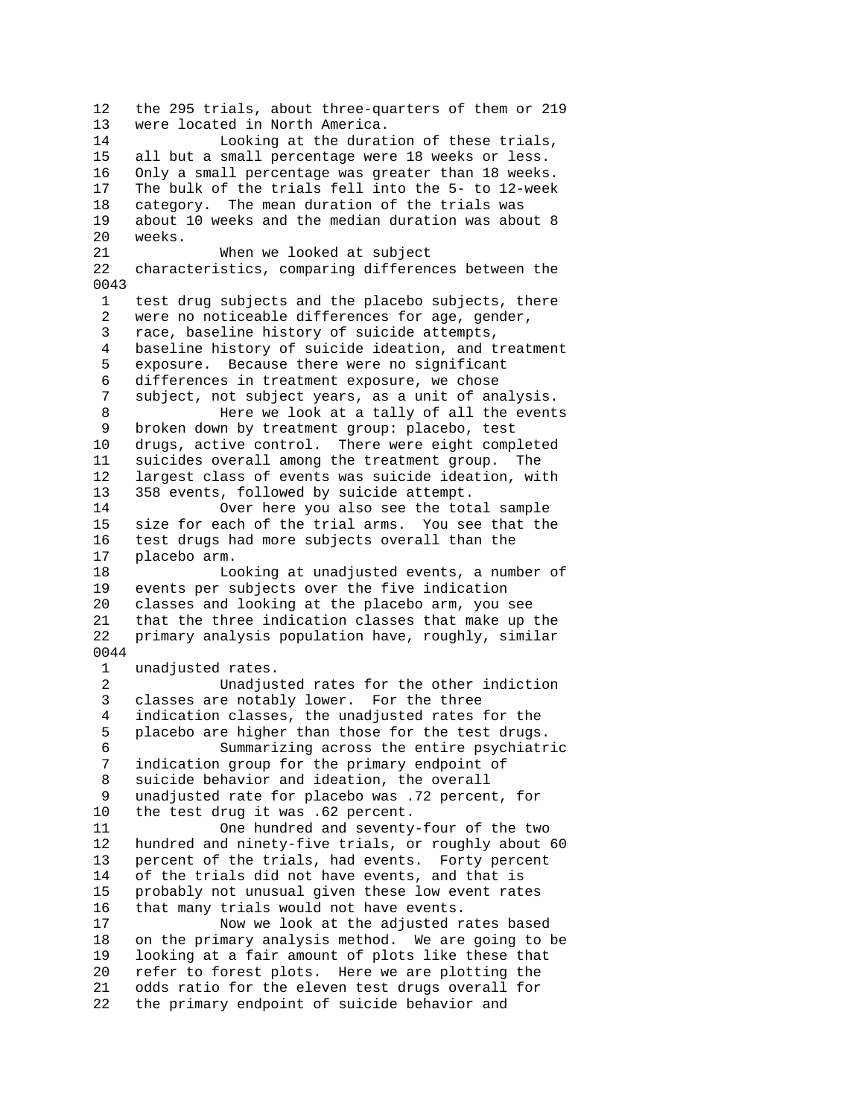12 the 295 trials, about three-quarters of them or 219 13 were located in North America. 14 Looking at the duration of these trials, 15 all but a small percentage were 18 weeks or less. 16 Only a small percentage was greater than 18 weeks. 17 The bulk of the trials fell into the 5- to 12-week 18 category. The mean duration of the trials was 19 about 10 weeks and the median duration was about 8 weeks. 21 When we looked at subject 22 characteristics, comparing differences between the 0043 1 test drug subjects and the placebo subjects, there 2 were no noticeable differences for age, gender, 3 race, baseline history of suicide attempts, 4 baseline history of suicide ideation, and treatment 5 exposure. Because there were no significant 6 differences in treatment exposure, we chose<br>7 subject, not subject years, as a unit of an subject, not subject years, as a unit of analysis. 8 Here we look at a tally of all the events 9 broken down by treatment group: placebo, test 10 drugs, active control. There were eight completed 11 suicides overall among the treatment group. The 12 largest class of events was suicide ideation, with 13 358 events, followed by suicide attempt. 14 Over here you also see the total sample 15 size for each of the trial arms. You see that the 16 test drugs had more subjects overall than the 17 placebo arm. 18 Looking at unadjusted events, a number of 19 events per subjects over the five indication 20 classes and looking at the placebo arm, you see 21 that the three indication classes that make up the 22 primary analysis population have, roughly, similar 0044 1 unadjusted rates. 2 Unadjusted rates for the other indiction 3 classes are notably lower. For the three 4 indication classes, the unadjusted rates for the 5 placebo are higher than those for the test drugs. 6 Summarizing across the entire psychiatric 7 indication group for the primary endpoint of 8 suicide behavior and ideation, the overall 9 unadjusted rate for placebo was .72 percent, for 10 the test drug it was .62 percent.<br>11 0ne hundred and seventy One hundred and seventy-four of the two 12 hundred and ninety-five trials, or roughly about 60 13 percent of the trials, had events. Forty percent 14 of the trials did not have events, and that is 15 probably not unusual given these low event rates 16 that many trials would not have events. 17 Now we look at the adjusted rates based 18 on the primary analysis method. We are going to be 19 looking at a fair amount of plots like these that 20 refer to forest plots. Here we are plotting the 21 odds ratio for the eleven test drugs overall for 22 the primary endpoint of suicide behavior and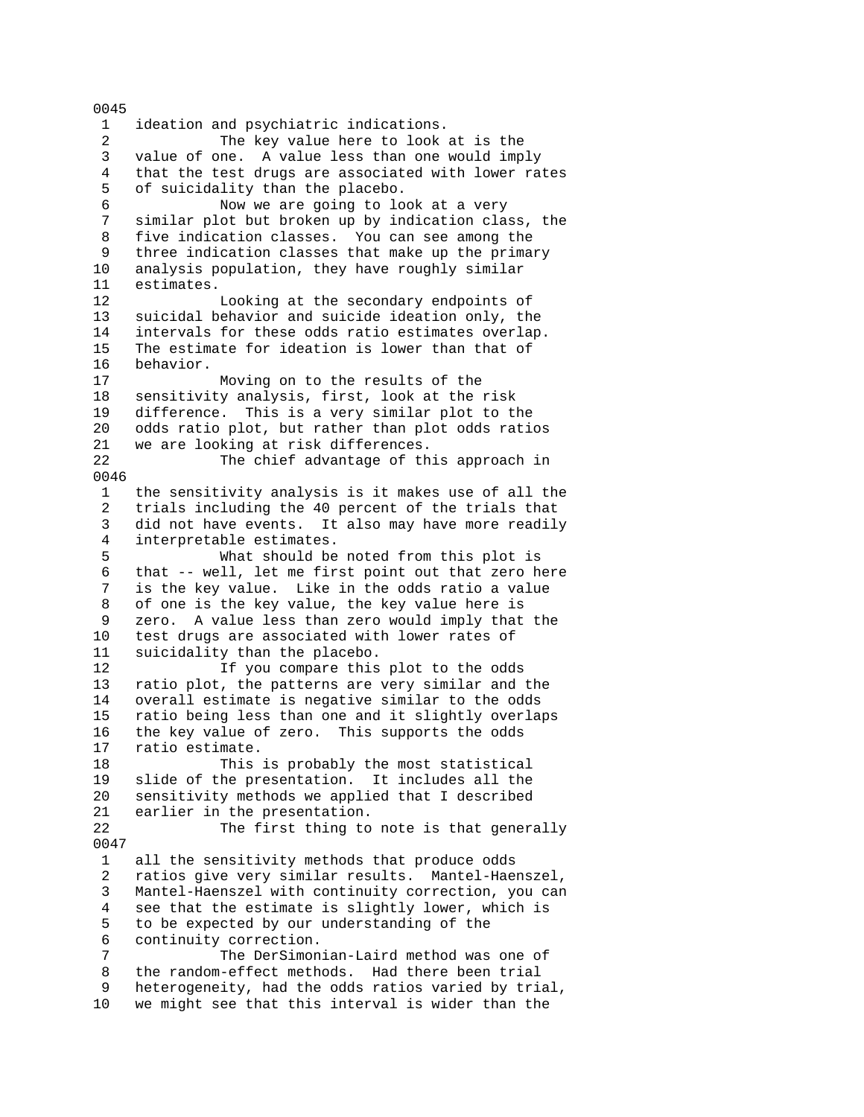1 ideation and psychiatric indications. 2 The key value here to look at is the 3 value of one. A value less than one would imply 4 that the test drugs are associated with lower rates 5 of suicidality than the placebo. 6 Now we are going to look at a very 7 similar plot but broken up by indication class, the 8 five indication classes. You can see among the 9 three indication classes that make up the primary 10 analysis population, they have roughly similar 11 estimates. 12 Looking at the secondary endpoints of 13 suicidal behavior and suicide ideation only, the 14 intervals for these odds ratio estimates overlap. 15 The estimate for ideation is lower than that of 16 behavior. 17 Moving on to the results of the 18 sensitivity analysis, first, look at the risk 19 difference. This is a very similar plot to the 20 odds ratio plot, but rather than plot odds ratios 21 we are looking at risk differences.<br>22 The chief advantage of th The chief advantage of this approach in 0046 1 the sensitivity analysis is it makes use of all the 2 trials including the 40 percent of the trials that 3 did not have events. It also may have more readily 4 interpretable estimates. 5 What should be noted from this plot is 6 that -- well, let me first point out that zero here is the key value. Like in the odds ratio a value 8 of one is the key value, the key value here is 9 zero. A value less than zero would imply that the 10 test drugs are associated with lower rates of 11 suicidality than the placebo. 12 If you compare this plot to the odds 13 ratio plot, the patterns are very similar and the 14 overall estimate is negative similar to the odds 15 ratio being less than one and it slightly overlaps 16 the key value of zero. This supports the odds 17 ratio estimate. 18 This is probably the most statistical 19 slide of the presentation. It includes all the 20 sensitivity methods we applied that I described 21 earlier in the presentation. 22 The first thing to note is that generally 0047 1 all the sensitivity methods that produce odds 2 ratios give very similar results. Mantel-Haenszel, 3 Mantel-Haenszel with continuity correction, you can 4 see that the estimate is slightly lower, which is 5 to be expected by our understanding of the 6 continuity correction. 7 The DerSimonian-Laird method was one of 8 the random-effect methods. Had there been trial 9 heterogeneity, had the odds ratios varied by trial, 10 we might see that this interval is wider than the

0045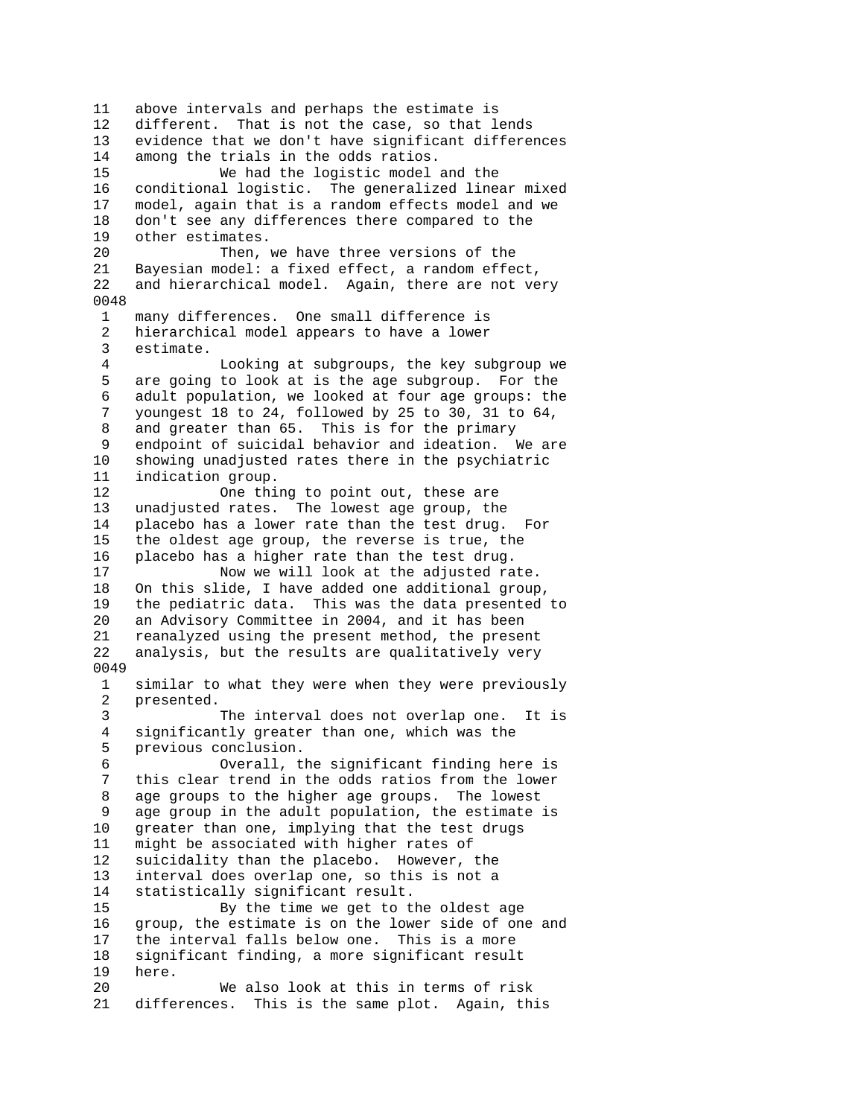11 above intervals and perhaps the estimate is 12 different. That is not the case, so that lends 13 evidence that we don't have significant differences 14 among the trials in the odds ratios. 15 We had the logistic model and the 16 conditional logistic. The generalized linear mixed 17 model, again that is a random effects model and we 18 don't see any differences there compared to the 19 other estimates. 20 Then, we have three versions of the 21 Bayesian model: a fixed effect, a random effect, 22 and hierarchical model. Again, there are not very 0048 1 many differences. One small difference is 2 hierarchical model appears to have a lower 3 estimate. 4 Looking at subgroups, the key subgroup we 5 are going to look at is the age subgroup. For the 6 adult population, we looked at four age groups: the 7 youngest 18 to 24, followed by 25 to 30, 31 to 64, 8 and greater than 65. This is for the primary 9 endpoint of suicidal behavior and ideation. We are 10 showing unadjusted rates there in the psychiatric 11 indication group. 12 One thing to point out, these are 13 unadjusted rates. The lowest age group, the 14 placebo has a lower rate than the test drug. For 15 the oldest age group, the reverse is true, the 16 placebo has a higher rate than the test drug. 17 Now we will look at the adjusted rate. 18 On this slide, I have added one additional group,<br>19 the pediatric data. This was the data presented the pediatric data. This was the data presented to 20 an Advisory Committee in 2004, and it has been 21 reanalyzed using the present method, the present 22 analysis, but the results are qualitatively very 0049 1 similar to what they were when they were previously 2 presented. 3 The interval does not overlap one. It is 4 significantly greater than one, which was the 5 previous conclusion. 6 Overall, the significant finding here is 7 this clear trend in the odds ratios from the lower 8 age groups to the higher age groups. The lowest 9 age group in the adult population, the estimate is 10 greater than one, implying that the test drugs 11 might be associated with higher rates of 12 suicidality than the placebo. However, the 13 interval does overlap one, so this is not a 14 statistically significant result. 15 By the time we get to the oldest age 16 group, the estimate is on the lower side of one and 17 the interval falls below one. This is a more 18 significant finding, a more significant result 19 here. 20 We also look at this in terms of risk 21 differences. This is the same plot. Again, this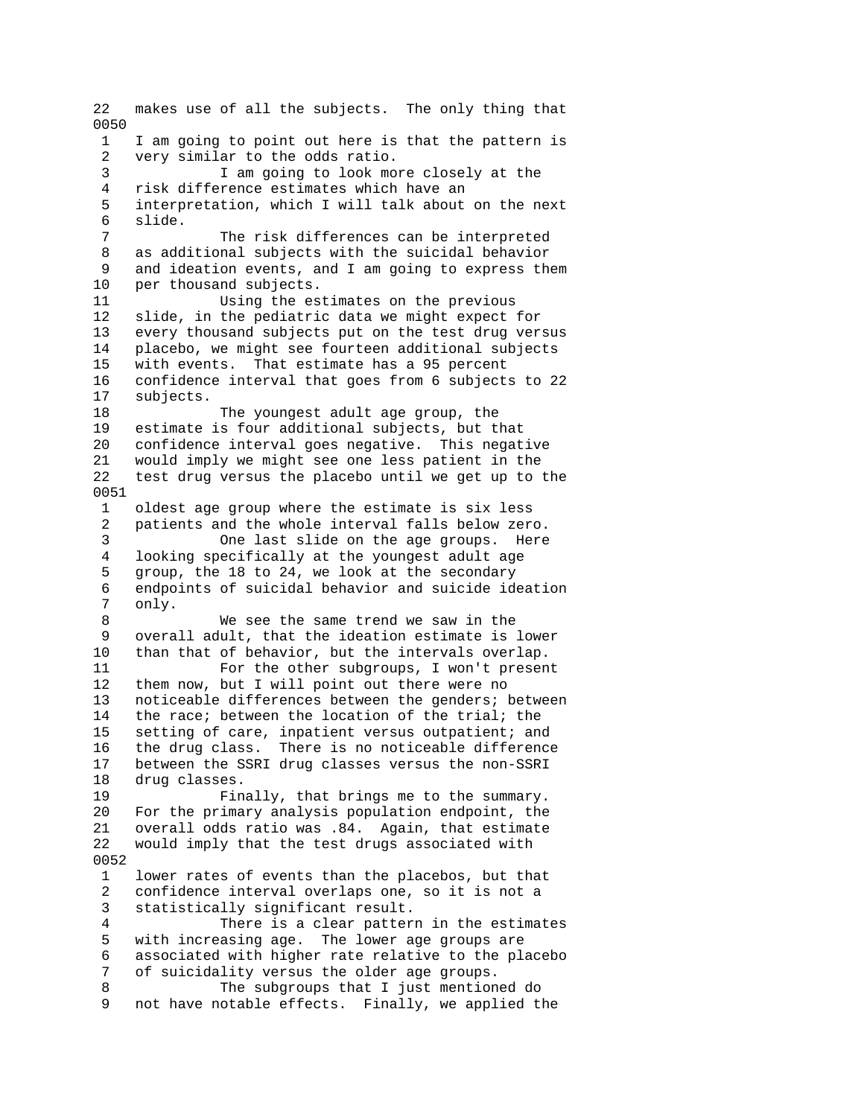22 makes use of all the subjects. The only thing that 0050 1 I am going to point out here is that the pattern is 2 very similar to the odds ratio. 3 I am going to look more closely at the 4 risk difference estimates which have an 5 interpretation, which I will talk about on the next 6 slide. 7 The risk differences can be interpreted 8 as additional subjects with the suicidal behavior 9 and ideation events, and I am going to express them 10 per thousand subjects. 11 Using the estimates on the previous 12 slide, in the pediatric data we might expect for 13 every thousand subjects put on the test drug versus 14 placebo, we might see fourteen additional subjects 15 with events. That estimate has a 95 percent 16 confidence interval that goes from 6 subjects to 22 17 subjects. 18 The youngest adult age group, the 19 estimate is four additional subjects, but that 20 confidence interval goes negative. This negative 21 would imply we might see one less patient in the 22 test drug versus the placebo until we get up to the 0051 1 oldest age group where the estimate is six less 2 patients and the whole interval falls below zero. 3 One last slide on the age groups. Here 4 looking specifically at the youngest adult age 5 group, the 18 to 24, we look at the secondary 6 endpoints of suicidal behavior and suicide ideation only. 8 We see the same trend we saw in the 9 overall adult, that the ideation estimate is lower 10 than that of behavior, but the intervals overlap. 11 For the other subgroups, I won't present 12 them now, but I will point out there were no 13 noticeable differences between the genders; between 14 the race; between the location of the trial; the 15 setting of care, inpatient versus outpatient; and 16 the drug class. There is no noticeable difference 17 between the SSRI drug classes versus the non-SSRI 18 drug classes. 19 Finally, that brings me to the summary. 20 For the primary analysis population endpoint, the 21 overall odds ratio was .84. Again, that estimate 22 would imply that the test drugs associated with 0052 1 lower rates of events than the placebos, but that 2 confidence interval overlaps one, so it is not a 3 statistically significant result. 4 There is a clear pattern in the estimates 5 with increasing age. The lower age groups are 6 associated with higher rate relative to the placebo 7 of suicidality versus the older age groups. 8 The subgroups that I just mentioned do 9 not have notable effects. Finally, we applied the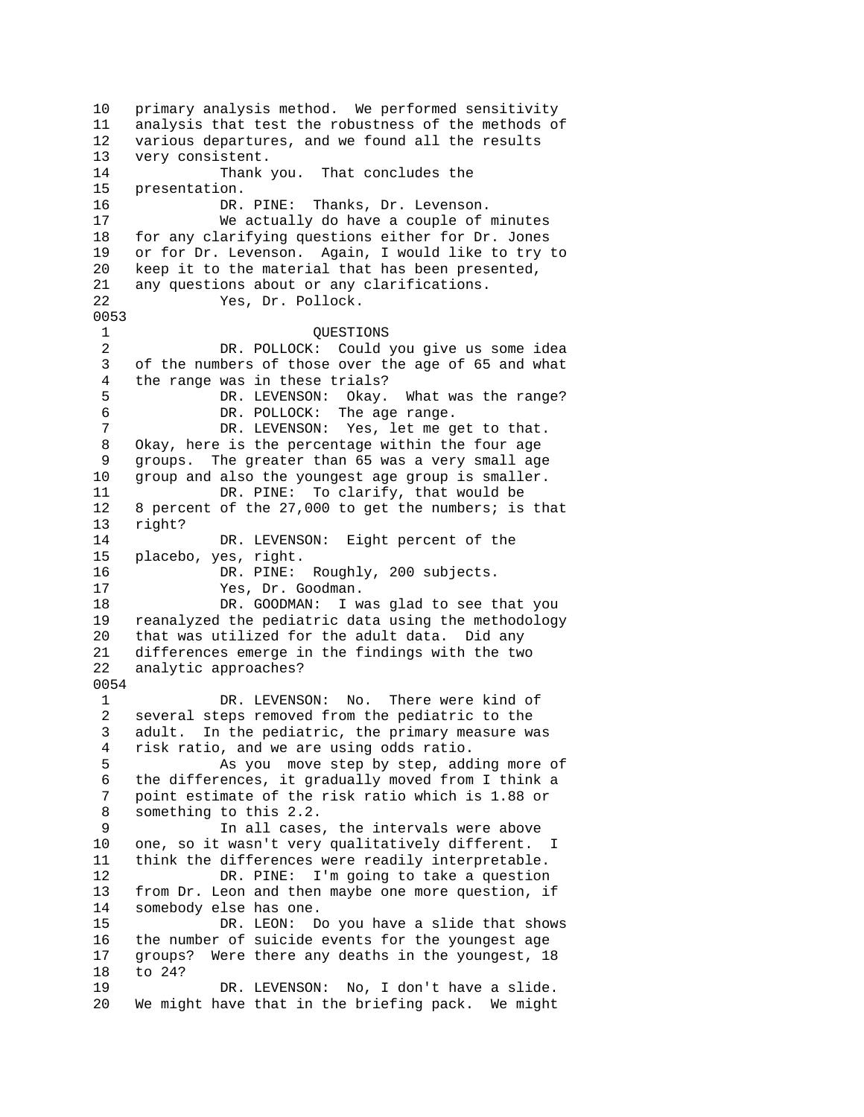10 primary analysis method. We performed sensitivity 11 analysis that test the robustness of the methods of 12 various departures, and we found all the results 13 very consistent. 14 Thank you. That concludes the 15 presentation. 16 DR. PINE: Thanks, Dr. Levenson. 17 We actually do have a couple of minutes 18 for any clarifying questions either for Dr. Jones 19 or for Dr. Levenson. Again, I would like to try to 20 keep it to the material that has been presented, 21 any questions about or any clarifications. 22 Yes, Dr. Pollock. 0053 1 QUESTIONS<br>2 DR. POLLOCK: Could DR. POLLOCK: Could you give us some idea 3 of the numbers of those over the age of 65 and what 4 the range was in these trials? 5 DR. LEVENSON: Okay. What was the range? 6 DR. POLLOCK: The age range. 7 DR. LEVENSON: Yes, let me get to that. 8 Okay, here is the percentage within the four age 9 groups. The greater than 65 was a very small age 10 group and also the youngest age group is smaller. 11 DR. PINE: To clarify, that would be 12 8 percent of the 27,000 to get the numbers; is that 13 right? 14 DR. LEVENSON: Eight percent of the 15 placebo, yes, right. 16 DR. PINE: Roughly, 200 subjects.<br>17 Yes, Dr. Goodman. 17 Yes, Dr. Goodman. 18 DR. GOODMAN: I was glad to see that you 19 reanalyzed the pediatric data using the methodology 20 that was utilized for the adult data. Did any 21 differences emerge in the findings with the two 22 analytic approaches? 0054 1 DR. LEVENSON: No. There were kind of 2 several steps removed from the pediatric to the 3 adult. In the pediatric, the primary measure was 4 risk ratio, and we are using odds ratio. 5 As you move step by step, adding more of 6 the differences, it gradually moved from I think a 7 point estimate of the risk ratio which is 1.88 or 8 something to this 2.2. 9 In all cases, the intervals were above 10 one, so it wasn't very qualitatively different. I 11 think the differences were readily interpretable. 12 DR. PINE: I'm going to take a question 13 from Dr. Leon and then maybe one more question, if 14 somebody else has one. 15 DR. LEON: Do you have a slide that shows 16 the number of suicide events for the youngest age 17 groups? Were there any deaths in the youngest, 18 18 to 24? 19 DR. LEVENSON: No, I don't have a slide. 20 We might have that in the briefing pack. We might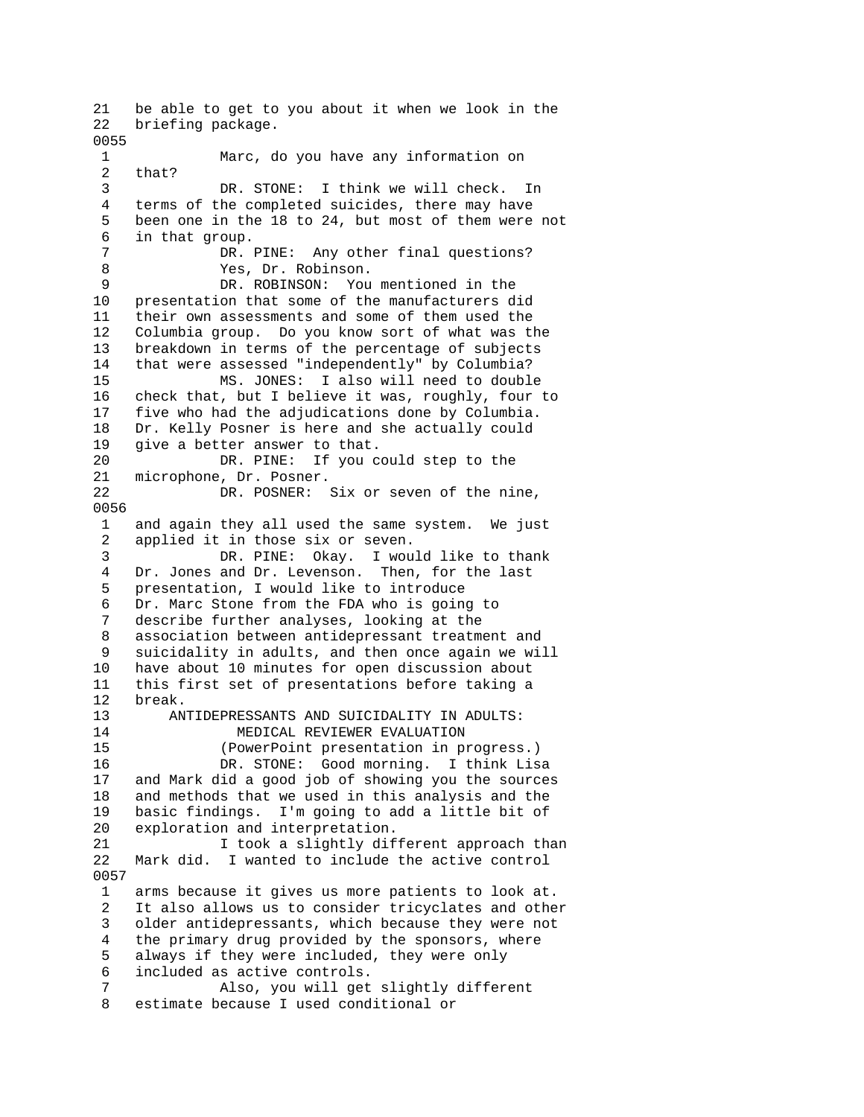21 be able to get to you about it when we look in the 22 briefing package. 0055 1 Marc, do you have any information on 2 that? 3 DR. STONE: I think we will check. In 4 terms of the completed suicides, there may have 5 been one in the 18 to 24, but most of them were not 6 in that group. 7 DR. PINE: Any other final questions? 8 Yes, Dr. Robinson. 9 DR. ROBINSON: You mentioned in the 10 presentation that some of the manufacturers did 11 their own assessments and some of them used the 12 Columbia group. Do you know sort of what was the 13 breakdown in terms of the percentage of subjects 14 that were assessed "independently" by Columbia? 15 MS. JONES: I also will need to double 16 check that, but I believe it was, roughly, four to 17 five who had the adjudications done by Columbia. 18 Dr. Kelly Posner is here and she actually could 19 give a better answer to that. 20 DR. PINE: If you could step to the 21 microphone, Dr. Posner. 22 DR. POSNER: Six or seven of the nine, 0056 1 and again they all used the same system. We just 2 applied it in those six or seven. 3 DR. PINE: Okay. I would like to thank 4 Dr. Jones and Dr. Levenson. Then, for the last 5 presentation, I would like to introduce 6 Dr. Marc Stone from the FDA who is going to 7 describe further analyses, looking at the 8 association between antidepressant treatment and 9 suicidality in adults, and then once again we will 10 have about 10 minutes for open discussion about 11 this first set of presentations before taking a 12 break. 13 ANTIDEPRESSANTS AND SUICIDALITY IN ADULTS: 14 MEDICAL REVIEWER EVALUATION 15 (PowerPoint presentation in progress.) 16 DR. STONE: Good morning. I think Lisa 17 and Mark did a good job of showing you the sources 18 and methods that we used in this analysis and the 19 basic findings. I'm going to add a little bit of 20 exploration and interpretation. 21 I took a slightly different approach than 22 Mark did. I wanted to include the active control 0057 1 arms because it gives us more patients to look at. 2 It also allows us to consider tricyclates and other 3 older antidepressants, which because they were not 4 the primary drug provided by the sponsors, where 5 always if they were included, they were only 6 included as active controls. 7 Also, you will get slightly different 8 estimate because I used conditional or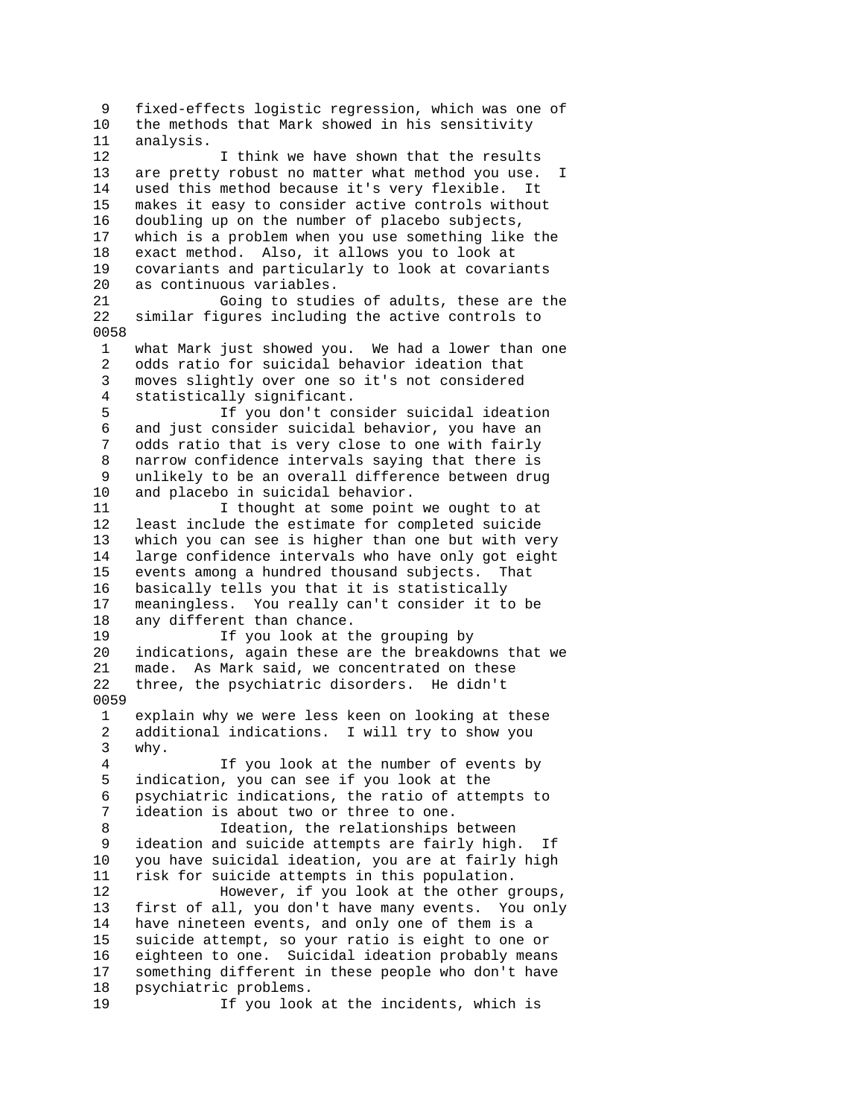9 fixed-effects logistic regression, which was one of 10 the methods that Mark showed in his sensitivity 11 analysis. 12 I think we have shown that the results 13 are pretty robust no matter what method you use. I 14 used this method because it's very flexible. It 15 makes it easy to consider active controls without 16 doubling up on the number of placebo subjects, 17 which is a problem when you use something like the 18 exact method. Also, it allows you to look at 19 covariants and particularly to look at covariants 20 as continuous variables. 21 Going to studies of adults, these are the 22 similar figures including the active controls to 0058 1 what Mark just showed you. We had a lower than one 2 odds ratio for suicidal behavior ideation that 3 moves slightly over one so it's not considered 4 statistically significant. 5 If you don't consider suicidal ideation 6 and just consider suicidal behavior, you have an 7 odds ratio that is very close to one with fairly 8 narrow confidence intervals saying that there is 9 unlikely to be an overall difference between drug 10 and placebo in suicidal behavior. 11 11 I thought at some point we ought to at 12 least include the estimate for completed suicide 13 which you can see is higher than one but with very 14 large confidence intervals who have only got eight 15 events among a hundred thousand subjects. That 16 basically tells you that it is statistically meaningless. You really can't consider it to be 18 any different than chance. 19 If you look at the grouping by 20 indications, again these are the breakdowns that we 21 made. As Mark said, we concentrated on these 22 three, the psychiatric disorders. He didn't 0059 1 explain why we were less keen on looking at these 2 additional indications. I will try to show you 3 why. 4 If you look at the number of events by 5 indication, you can see if you look at the 6 psychiatric indications, the ratio of attempts to 7 ideation is about two or three to one. 8 Ideation, the relationships between 9 ideation and suicide attempts are fairly high. If 10 you have suicidal ideation, you are at fairly high 11 risk for suicide attempts in this population. 12 However, if you look at the other groups, 13 first of all, you don't have many events. You only 14 have nineteen events, and only one of them is a 15 suicide attempt, so your ratio is eight to one or 16 eighteen to one. Suicidal ideation probably means 17 something different in these people who don't have 18 psychiatric problems. 19 If you look at the incidents, which is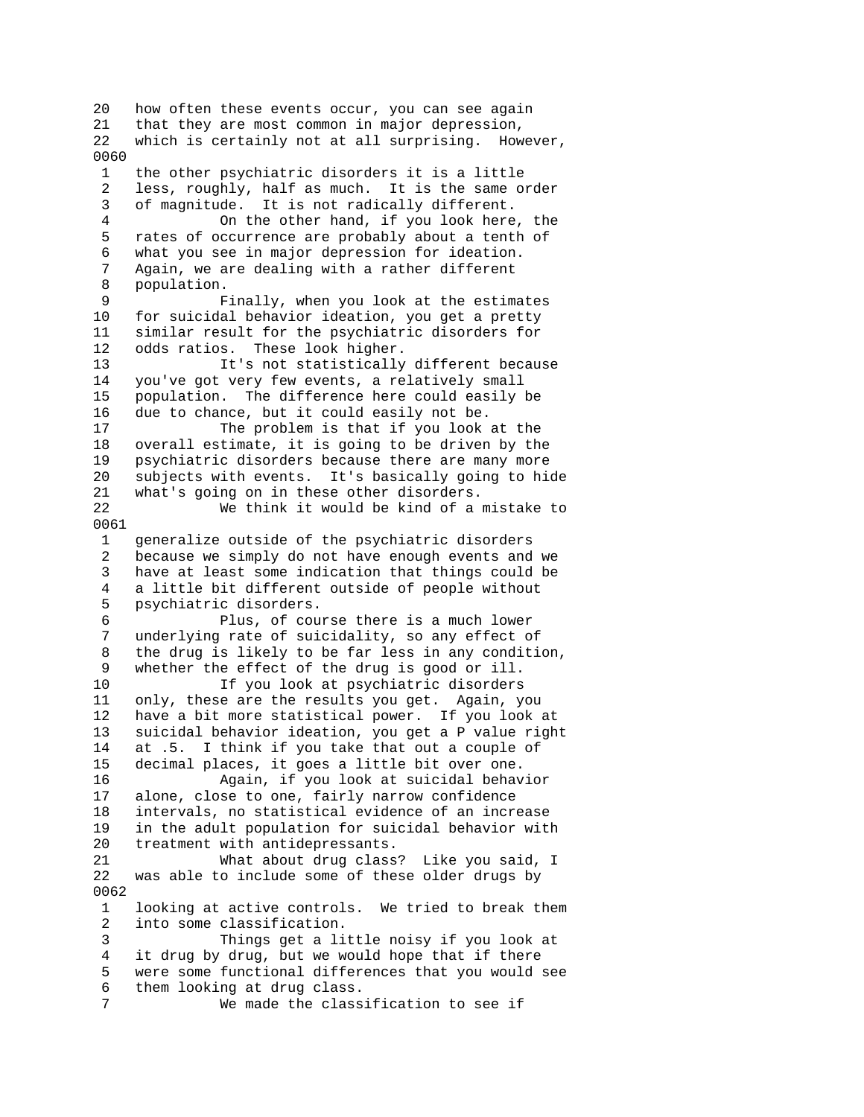20 how often these events occur, you can see again 21 that they are most common in major depression, 22 which is certainly not at all surprising. However, 0060 1 the other psychiatric disorders it is a little 2 less, roughly, half as much. It is the same order 3 of magnitude. It is not radically different. 4 On the other hand, if you look here, the 5 rates of occurrence are probably about a tenth of 6 what you see in major depression for ideation. 7 Again, we are dealing with a rather different 8 population. 9 Finally, when you look at the estimates 10 for suicidal behavior ideation, you get a pretty 11 similar result for the psychiatric disorders for 12 odds ratios. These look higher. 13 It's not statistically different because 14 you've got very few events, a relatively small 15 population. The difference here could easily be 16 due to chance, but it could easily not be. 17 The problem is that if you look at the 18 overall estimate, it is going to be driven by the 19 psychiatric disorders because there are many more 20 subjects with events. It's basically going to hide 21 what's going on in these other disorders. 22 We think it would be kind of a mistake to 0061 1 generalize outside of the psychiatric disorders 2 because we simply do not have enough events and we 3 have at least some indication that things could be 4 a little bit different outside of people without<br>5 psychiatric disorders. psychiatric disorders. 6 Plus, of course there is a much lower 7 underlying rate of suicidality, so any effect of 8 the drug is likely to be far less in any condition, 9 whether the effect of the drug is good or ill. 10 If you look at psychiatric disorders 11 only, these are the results you get. Again, you 12 have a bit more statistical power. If you look at 13 suicidal behavior ideation, you get a P value right 14 at .5. I think if you take that out a couple of 15 decimal places, it goes a little bit over one. 16 Again, if you look at suicidal behavior 17 alone, close to one, fairly narrow confidence 18 intervals, no statistical evidence of an increase 19 in the adult population for suicidal behavior with 20 treatment with antidepressants. 21 What about drug class? Like you said, I 22 was able to include some of these older drugs by 0062 1 looking at active controls. We tried to break them 2 into some classification. 3 Things get a little noisy if you look at 4 it drug by drug, but we would hope that if there 5 were some functional differences that you would see 6 them looking at drug class. 7 We made the classification to see if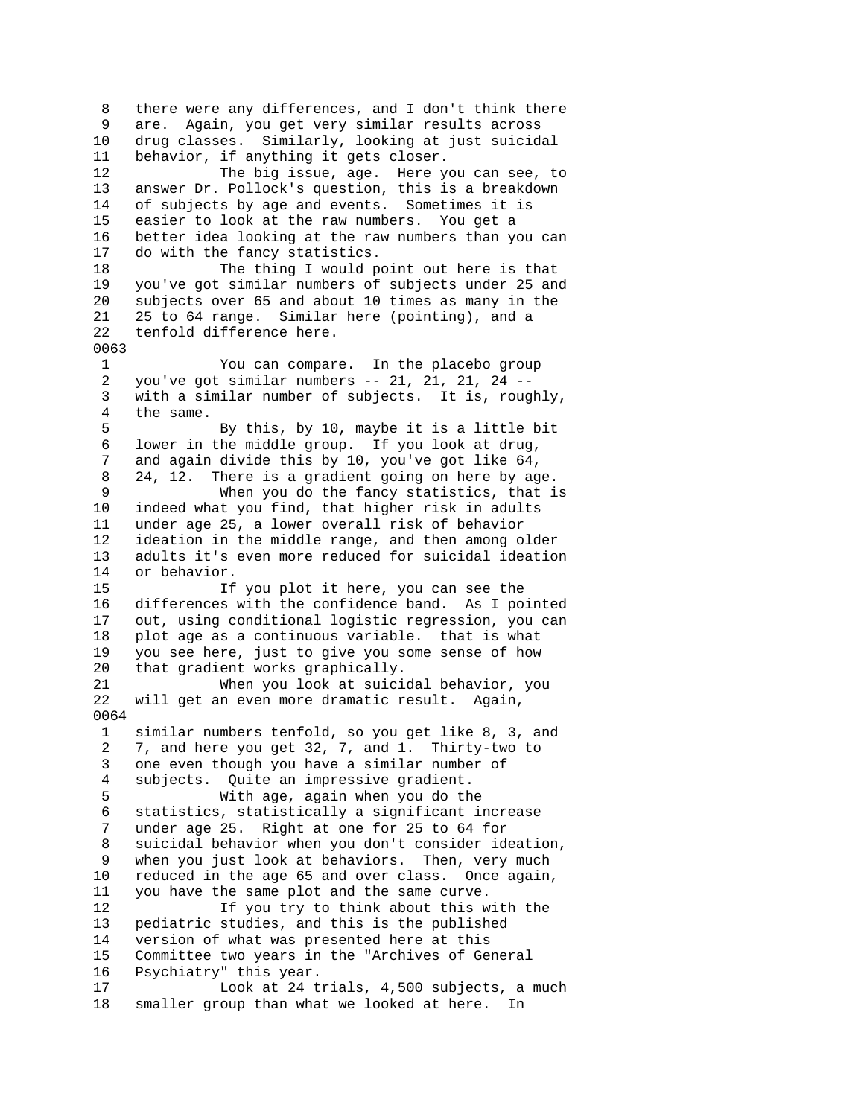8 there were any differences, and I don't think there 9 are. Again, you get very similar results across 10 drug classes. Similarly, looking at just suicidal 11 behavior, if anything it gets closer. 12 The big issue, age. Here you can see, to 13 answer Dr. Pollock's question, this is a breakdown 14 of subjects by age and events. Sometimes it is 15 easier to look at the raw numbers. You get a 16 better idea looking at the raw numbers than you can 17 do with the fancy statistics. 18 The thing I would point out here is that 19 you've got similar numbers of subjects under 25 and 20 subjects over 65 and about 10 times as many in the 21 25 to 64 range. Similar here (pointing), and a 22 tenfold difference here. 0063 1 You can compare. In the placebo group 2 you've got similar numbers -- 21, 21, 21, 24 -- 3 with a similar number of subjects. It is, roughly, 4 the same. 5 By this, by 10, maybe it is a little bit 6 lower in the middle group. If you look at drug, 7 and again divide this by 10, you've got like 64, 8 24, 12. There is a gradient going on here by age. 9 When you do the fancy statistics, that is 10 indeed what you find, that higher risk in adults 11 under age 25, a lower overall risk of behavior 12 ideation in the middle range, and then among older 13 adults it's even more reduced for suicidal ideation 14 or behavior.<br>15 1f 15 If you plot it here, you can see the 16 differences with the confidence band. As I pointed 17 out, using conditional logistic regression, you can 18 plot age as a continuous variable. that is what 19 you see here, just to give you some sense of how 20 that gradient works graphically. 21 When you look at suicidal behavior, you 22 will get an even more dramatic result. Again, 0064 1 similar numbers tenfold, so you get like 8, 3, and 2 7, and here you get 32, 7, and 1. Thirty-two to 3 one even though you have a similar number of 4 subjects. Quite an impressive gradient. 5 With age, again when you do the 6 statistics, statistically a significant increase 7 under age 25. Right at one for 25 to 64 for 8 suicidal behavior when you don't consider ideation, 9 when you just look at behaviors. Then, very much 10 reduced in the age 65 and over class. Once again, 11 you have the same plot and the same curve. 12 If you try to think about this with the 13 pediatric studies, and this is the published 14 version of what was presented here at this 15 Committee two years in the "Archives of General 16 Psychiatry" this year. 17 Look at 24 trials, 4,500 subjects, a much 18 smaller group than what we looked at here. In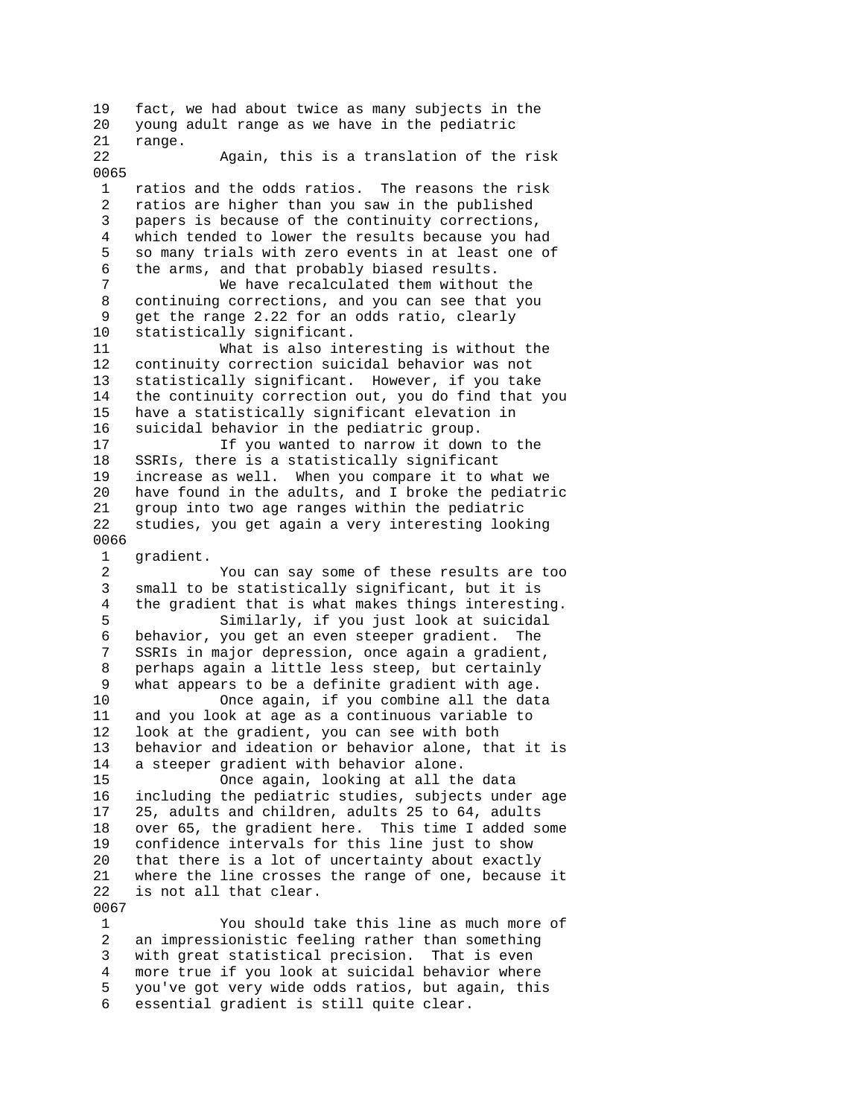19 fact, we had about twice as many subjects in the 20 young adult range as we have in the pediatric 21 range. 22 Again, this is a translation of the risk 0065 1 ratios and the odds ratios. The reasons the risk 2 ratios are higher than you saw in the published 3 papers is because of the continuity corrections, 4 which tended to lower the results because you had 5 so many trials with zero events in at least one of 6 the arms, and that probably biased results. 7 We have recalculated them without the 8 continuing corrections, and you can see that you 9 get the range 2.22 for an odds ratio, clearly 10 statistically significant. 11 What is also interesting is without the 12 continuity correction suicidal behavior was not 13 statistically significant. However, if you take 14 the continuity correction out, you do find that you 15 have a statistically significant elevation in 16 suicidal behavior in the pediatric group. 17 If you wanted to narrow it down to the 18 SSRIs, there is a statistically significant 19 increase as well. When you compare it to what we 20 have found in the adults, and I broke the pediatric 21 group into two age ranges within the pediatric 22 studies, you get again a very interesting looking 0066 1 gradient. 2 You can say some of these results are too 3 small to be statistically significant, but it is 4 the gradient that is what makes things interesting. 5 Similarly, if you just look at suicidal 6 behavior, you get an even steeper gradient. The 7 SSRIs in major depression, once again a gradient, 8 perhaps again a little less steep, but certainly 9 what appears to be a definite gradient with age. 10 Once again, if you combine all the data 11 and you look at age as a continuous variable to 12 look at the gradient, you can see with both 13 behavior and ideation or behavior alone, that it is 14 a steeper gradient with behavior alone. 15 Once again, looking at all the data 16 including the pediatric studies, subjects under age 17 25, adults and children, adults 25 to 64, adults 18 over 65, the gradient here. This time I added some 19 confidence intervals for this line just to show 20 that there is a lot of uncertainty about exactly 21 where the line crosses the range of one, because it 22 is not all that clear. 0067 1 You should take this line as much more of 2 an impressionistic feeling rather than something 3 with great statistical precision. That is even 4 more true if you look at suicidal behavior where

 5 you've got very wide odds ratios, but again, this 6 essential gradient is still quite clear.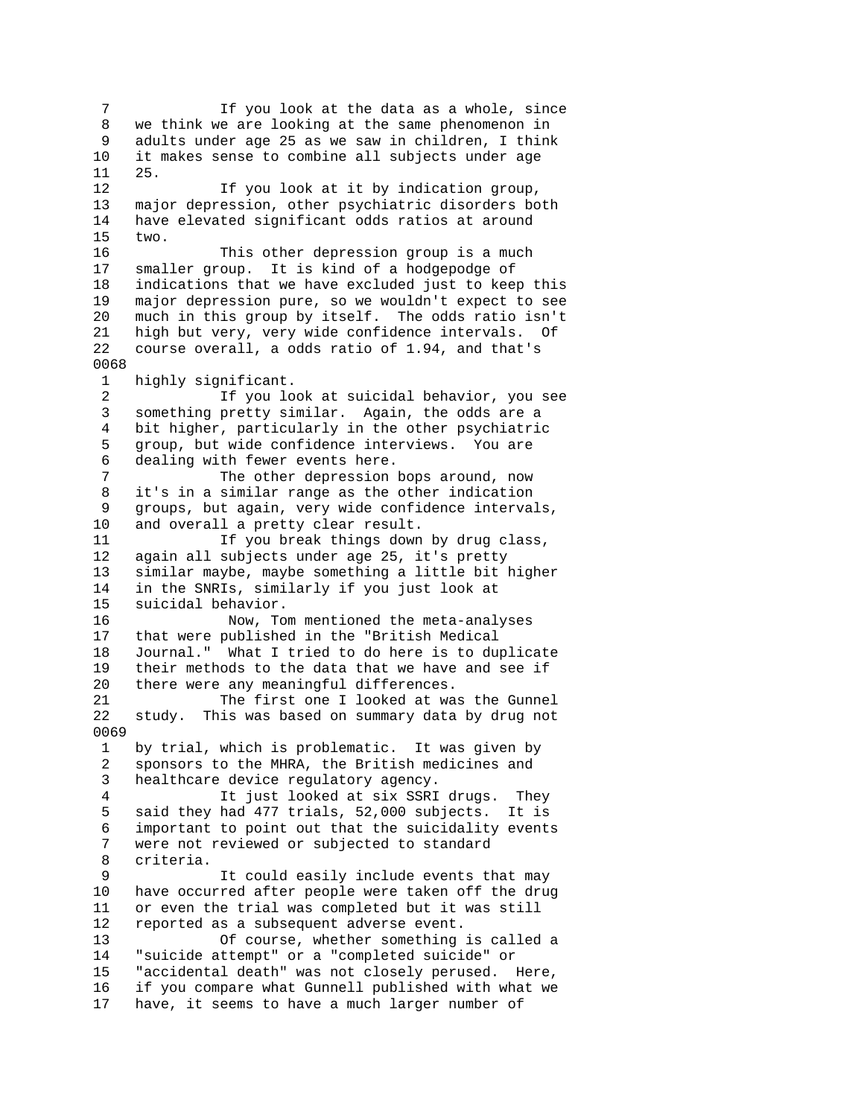7 If you look at the data as a whole, since 8 we think we are looking at the same phenomenon in 9 adults under age 25 as we saw in children, I think 10 it makes sense to combine all subjects under age 11 25. 12 If you look at it by indication group, 13 major depression, other psychiatric disorders both 14 have elevated significant odds ratios at around 15 two. 16 This other depression group is a much 17 smaller group. It is kind of a hodgepodge of 18 indications that we have excluded just to keep this 19 major depression pure, so we wouldn't expect to see 20 much in this group by itself. The odds ratio isn't 21 high but very, very wide confidence intervals. Of 22 course overall, a odds ratio of 1.94, and that's 0068 1 highly significant. 2 If you look at suicidal behavior, you see 3 something pretty similar. Again, the odds are a 4 bit higher, particularly in the other psychiatric 5 group, but wide confidence interviews. You are 6 dealing with fewer events here. 7 The other depression bops around, now 8 it's in a similar range as the other indication 9 groups, but again, very wide confidence intervals, 10 and overall a pretty clear result. 11 If you break things down by drug class, 12 again all subjects under age 25, it's pretty 13 similar maybe, maybe something a little bit higher 14 in the SNRIs, similarly if you just look at<br>15 suicidal behavior. suicidal behavior. 16 Now, Tom mentioned the meta-analyses 17 that were published in the "British Medical 18 Journal." What I tried to do here is to duplicate 19 their methods to the data that we have and see if 20 there were any meaningful differences. 21 The first one I looked at was the Gunnel 22 study. This was based on summary data by drug not 0069 1 by trial, which is problematic. It was given by 2 sponsors to the MHRA, the British medicines and 3 healthcare device regulatory agency. 4 It just looked at six SSRI drugs. They 5 said they had 477 trials, 52,000 subjects. It is 6 important to point out that the suicidality events 7 were not reviewed or subjected to standard 8 criteria. 9 It could easily include events that may 10 have occurred after people were taken off the drug 11 or even the trial was completed but it was still 12 reported as a subsequent adverse event. 13 Of course, whether something is called a 14 "suicide attempt" or a "completed suicide" or 15 "accidental death" was not closely perused. Here, 16 if you compare what Gunnell published with what we 17 have, it seems to have a much larger number of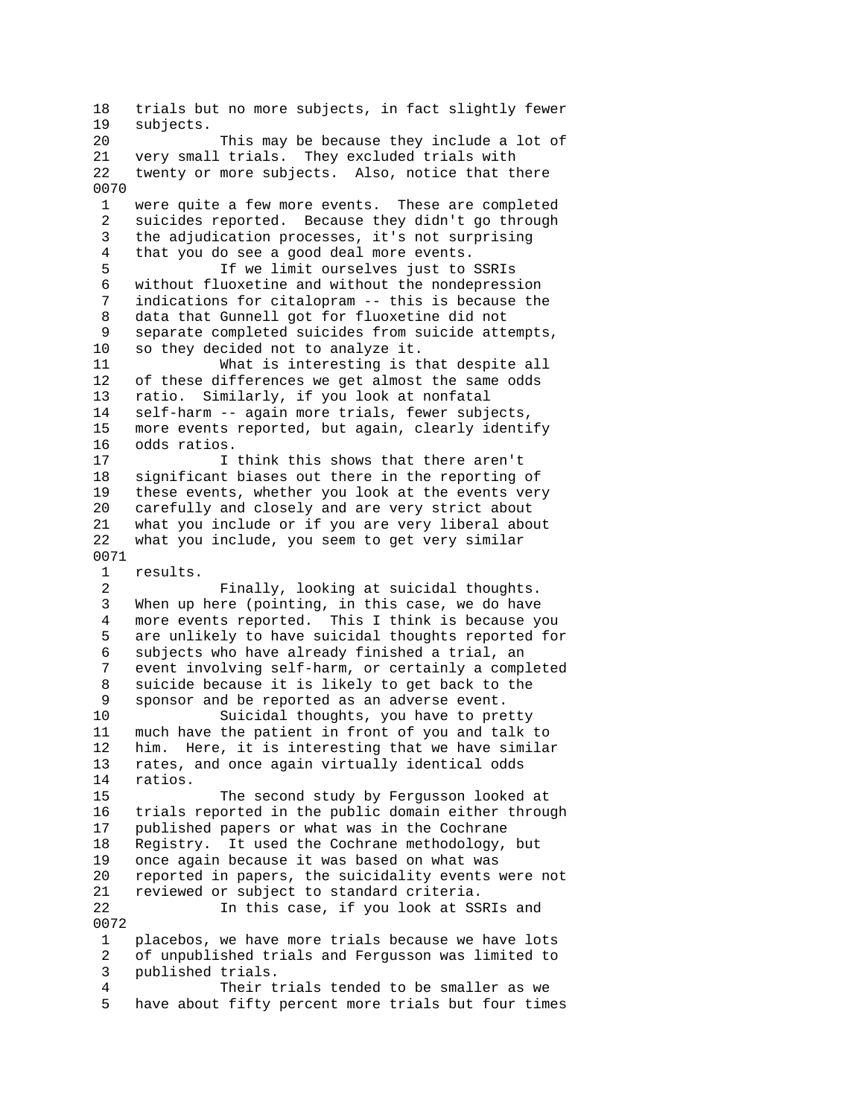18 trials but no more subjects, in fact slightly fewer 19 subjects. 20 This may be because they include a lot of 21 very small trials. They excluded trials with 22 twenty or more subjects. Also, notice that there 0070 1 were quite a few more events. These are completed 2 suicides reported. Because they didn't go through 3 the adjudication processes, it's not surprising 4 that you do see a good deal more events. 5 If we limit ourselves just to SSRIs 6 without fluoxetine and without the nondepression 7 indications for citalopram -- this is because the 8 data that Gunnell got for fluoxetine did not 9 separate completed suicides from suicide attempts, 10 so they decided not to analyze it. 11 What is interesting is that despite all 12 of these differences we get almost the same odds 13 ratio. Similarly, if you look at nonfatal 14 self-harm -- again more trials, fewer subjects, 15 more events reported, but again, clearly identify 16 odds ratios. 17 I think this shows that there aren't 18 significant biases out there in the reporting of 19 these events, whether you look at the events very 20 carefully and closely and are very strict about 21 what you include or if you are very liberal about 22 what you include, you seem to get very similar 0071 1 results. 2 Finally, looking at suicidal thoughts.<br>3 When up here (pointing, in this case, we do have When up here (pointing, in this case, we do have 4 more events reported. This I think is because you 5 are unlikely to have suicidal thoughts reported for 6 subjects who have already finished a trial, an 7 event involving self-harm, or certainly a completed 8 suicide because it is likely to get back to the 9 sponsor and be reported as an adverse event. 10 Suicidal thoughts, you have to pretty 11 much have the patient in front of you and talk to 12 him. Here, it is interesting that we have similar 13 rates, and once again virtually identical odds 14 ratios. 15 The second study by Fergusson looked at 16 trials reported in the public domain either through 17 published papers or what was in the Cochrane 18 Registry. It used the Cochrane methodology, but 19 once again because it was based on what was 20 reported in papers, the suicidality events were not 21 reviewed or subject to standard criteria. 22 In this case, if you look at SSRIs and 0072 1 placebos, we have more trials because we have lots 2 of unpublished trials and Fergusson was limited to 3 published trials. 4 Their trials tended to be smaller as we 5 have about fifty percent more trials but four times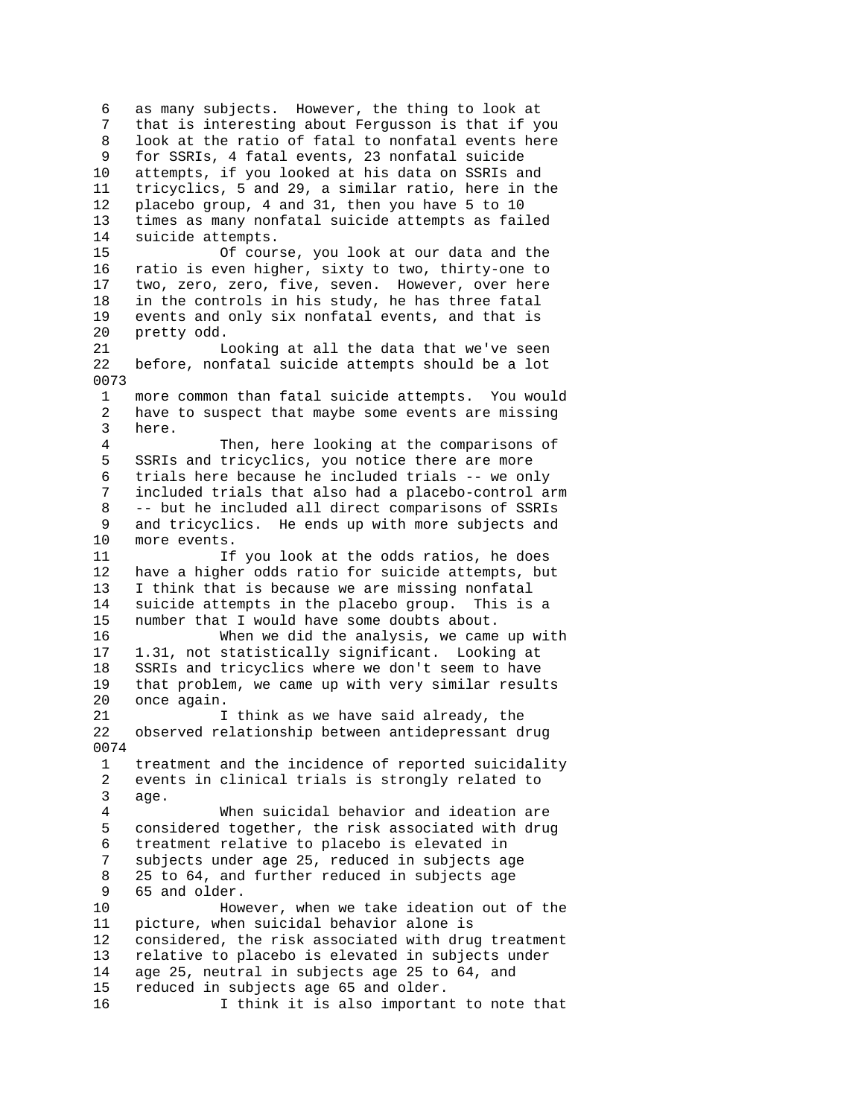6 as many subjects. However, the thing to look at 7 that is interesting about Fergusson is that if you 8 look at the ratio of fatal to nonfatal events here 9 for SSRIs, 4 fatal events, 23 nonfatal suicide 10 attempts, if you looked at his data on SSRIs and 11 tricyclics, 5 and 29, a similar ratio, here in the 12 placebo group, 4 and 31, then you have 5 to 10 13 times as many nonfatal suicide attempts as failed 14 suicide attempts. 15 Of course, you look at our data and the 16 ratio is even higher, sixty to two, thirty-one to 17 two, zero, zero, five, seven. However, over here 18 in the controls in his study, he has three fatal 19 events and only six nonfatal events, and that is 20 pretty odd. 21 Looking at all the data that we've seen 22 before, nonfatal suicide attempts should be a lot 0073 more common than fatal suicide attempts. You would 2 have to suspect that maybe some events are missing 3 here. 4 Then, here looking at the comparisons of 5 SSRIs and tricyclics, you notice there are more 6 trials here because he included trials -- we only 7 included trials that also had a placebo-control arm 8 -- but he included all direct comparisons of SSRIs 9 and tricyclics. He ends up with more subjects and 10 more events. 11 If you look at the odds ratios, he does 12 have a higher odds ratio for suicide attempts, but 13 I think that is because we are missing nonfatal 14 suicide attempts in the placebo group. This is a 15 number that I would have some doubts about. 16 When we did the analysis, we came up with 17 1.31, not statistically significant. Looking at 18 SSRIs and tricyclics where we don't seem to have 19 that problem, we came up with very similar results 20 once again. 21 1 I think as we have said already, the 22 observed relationship between antidepressant drug 0074 1 treatment and the incidence of reported suicidality 2 events in clinical trials is strongly related to 3 age. 4 When suicidal behavior and ideation are 5 considered together, the risk associated with drug 6 treatment relative to placebo is elevated in 7 subjects under age 25, reduced in subjects age 8 25 to 64, and further reduced in subjects age 9 65 and older. 10 However, when we take ideation out of the 11 picture, when suicidal behavior alone is 12 considered, the risk associated with drug treatment 13 relative to placebo is elevated in subjects under 14 age 25, neutral in subjects age 25 to 64, and 15 reduced in subjects age 65 and older. 16 I think it is also important to note that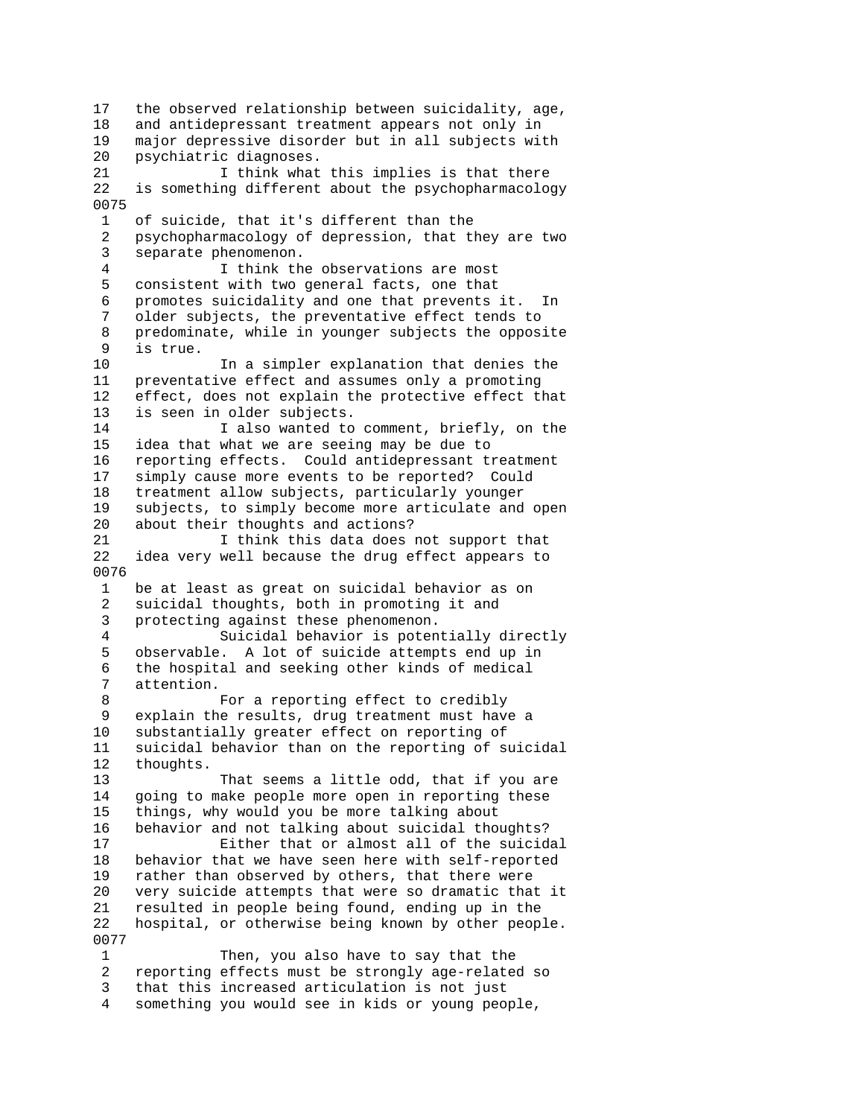17 the observed relationship between suicidality, age, 18 and antidepressant treatment appears not only in 19 major depressive disorder but in all subjects with 20 psychiatric diagnoses.<br>21 1 think what I think what this implies is that there 22 is something different about the psychopharmacology 0075 1 of suicide, that it's different than the 2 psychopharmacology of depression, that they are two 3 separate phenomenon. 4 I think the observations are most 5 consistent with two general facts, one that 6 promotes suicidality and one that prevents it. In 7 older subjects, the preventative effect tends to 8 predominate, while in younger subjects the opposite 9 is true. 10 In a simpler explanation that denies the 11 preventative effect and assumes only a promoting 12 effect, does not explain the protective effect that 13 is seen in older subjects. 14 I also wanted to comment, briefly, on the 15 idea that what we are seeing may be due to 16 reporting effects. Could antidepressant treatment 17 simply cause more events to be reported? Could 18 treatment allow subjects, particularly younger 19 subjects, to simply become more articulate and open 20 about their thoughts and actions? 21 I think this data does not support that 22 idea very well because the drug effect appears to 0076 1 be at least as great on suicidal behavior as on 2 suicidal thoughts, both in promoting it and 3 protecting against these phenomenon. 4 Suicidal behavior is potentially directly 5 observable. A lot of suicide attempts end up in 6 the hospital and seeking other kinds of medical attention. 8 For a reporting effect to credibly 9 explain the results, drug treatment must have a 10 substantially greater effect on reporting of 11 suicidal behavior than on the reporting of suicidal 12 thoughts. 13 That seems a little odd, that if you are 14 going to make people more open in reporting these 15 things, why would you be more talking about 16 behavior and not talking about suicidal thoughts? 17 Either that or almost all of the suicidal 18 behavior that we have seen here with self-reported 19 rather than observed by others, that there were 20 very suicide attempts that were so dramatic that it 21 resulted in people being found, ending up in the 22 hospital, or otherwise being known by other people. 0077 1 Then, you also have to say that the 2 reporting effects must be strongly age-related so 3 that this increased articulation is not just

4 something you would see in kids or young people,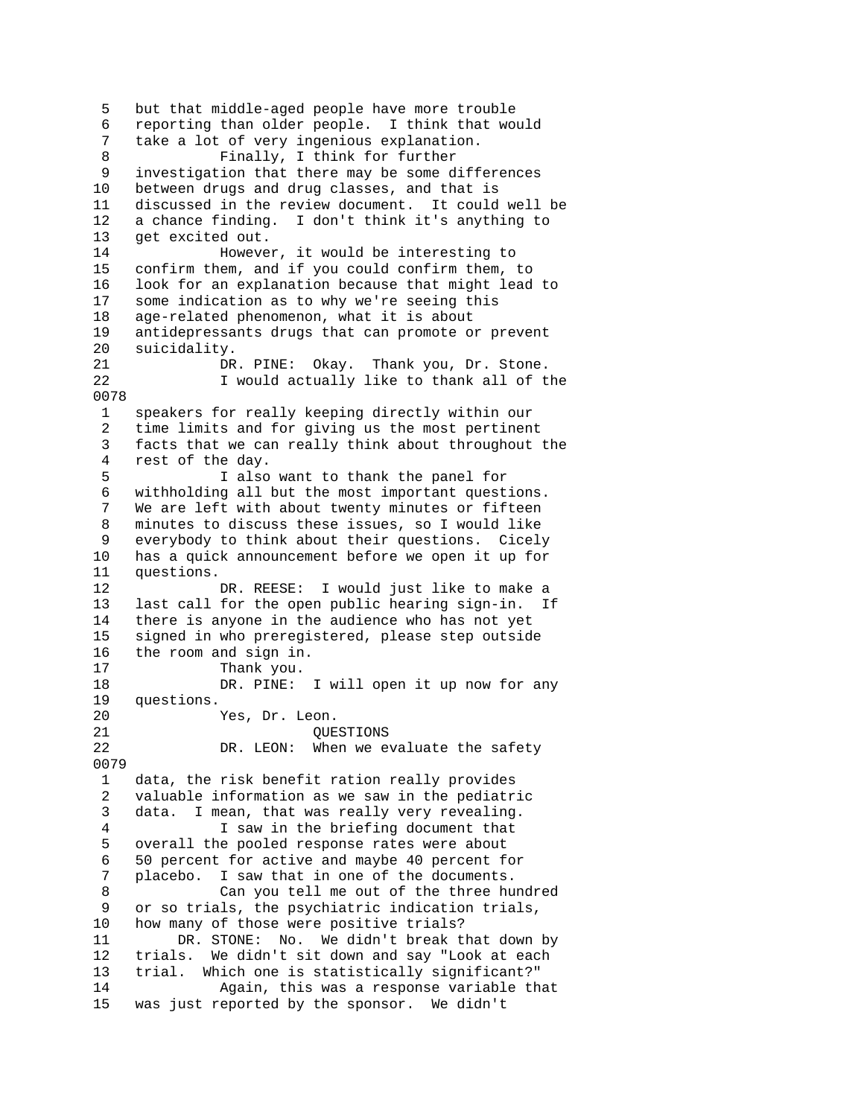5 but that middle-aged people have more trouble 6 reporting than older people. I think that would 7 take a lot of very ingenious explanation. 8 Finally, I think for further 9 investigation that there may be some differences 10 between drugs and drug classes, and that is 11 discussed in the review document. It could well be 12 a chance finding. I don't think it's anything to 13 get excited out. 14 However, it would be interesting to 15 confirm them, and if you could confirm them, to 16 look for an explanation because that might lead to 17 some indication as to why we're seeing this 18 age-related phenomenon, what it is about 19 antidepressants drugs that can promote or prevent 20 suicidality. 21 DR. PINE: Okay. Thank you, Dr. Stone.<br>22 I would actually like to thank all of t I would actually like to thank all of the 0078 1 speakers for really keeping directly within our 2 time limits and for giving us the most pertinent 3 facts that we can really think about throughout the 4 rest of the day. 5 I also want to thank the panel for 6 withholding all but the most important questions. 7 We are left with about twenty minutes or fifteen 8 minutes to discuss these issues, so I would like 9 everybody to think about their questions. Cicely 10 has a quick announcement before we open it up for 11 questions. 12 DR. REESE: I would just like to make a<br>13 last call for the open public hearing sign-in. I last call for the open public hearing sign-in. If 14 there is anyone in the audience who has not yet 15 signed in who preregistered, please step outside 16 the room and sign in. 17 Thank you. 18 DR. PINE: I will open it up now for any 19 questions. 20 Yes, Dr. Leon. 21 QUESTIONS 22 DR. LEON: When we evaluate the safety 0079 1 data, the risk benefit ration really provides 2 valuable information as we saw in the pediatric 3 data. I mean, that was really very revealing. 4 I saw in the briefing document that 5 overall the pooled response rates were about 6 50 percent for active and maybe 40 percent for 7 placebo. I saw that in one of the documents. 8 Can you tell me out of the three hundred 9 or so trials, the psychiatric indication trials, 10 how many of those were positive trials? 11 DR. STONE: No. We didn't break that down by 12 trials. We didn't sit down and say "Look at each 13 trial. Which one is statistically significant?" 14 Again, this was a response variable that 15 was just reported by the sponsor. We didn't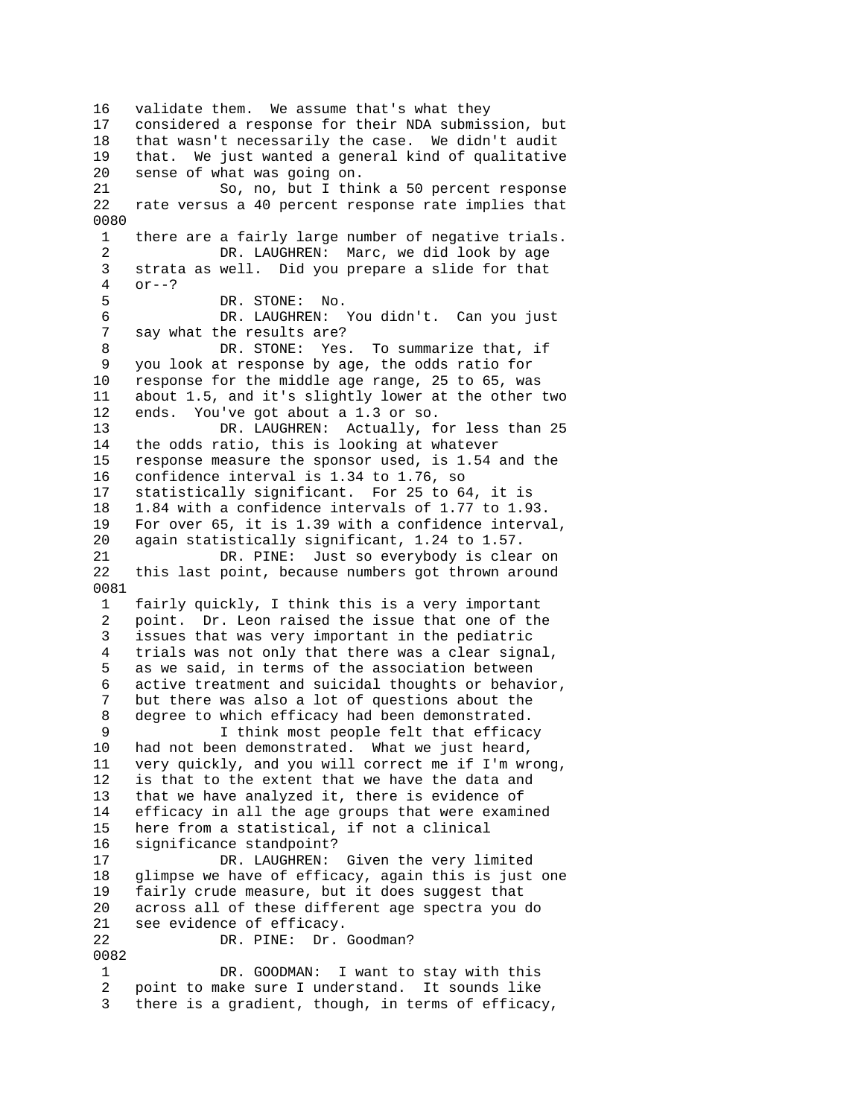16 validate them. We assume that's what they 17 considered a response for their NDA submission, but 18 that wasn't necessarily the case. We didn't audit 19 that. We just wanted a general kind of qualitative 20 sense of what was going on. 21 So, no, but I think a 50 percent response 22 rate versus a 40 percent response rate implies that 0080 1 there are a fairly large number of negative trials. 2 DR. LAUGHREN: Marc, we did look by age 3 strata as well. Did you prepare a slide for that 4 or--? 5 DR. STONE: No. 6 DR. LAUGHREN: You didn't. Can you just say what the results are? 8 DR. STONE: Yes. To summarize that, if 9 you look at response by age, the odds ratio for 10 response for the middle age range, 25 to 65, was<br>11 about 1.5, and it's slightly lower at the other about 1.5, and it's slightly lower at the other two 12 ends. You've got about a 1.3 or so. 13 DR. LAUGHREN: Actually, for less than 25<br>14 the odds ratio, this is looking at whatever the odds ratio, this is looking at whatever 15 response measure the sponsor used, is 1.54 and the 16 confidence interval is 1.34 to 1.76, so 17 statistically significant. For 25 to 64, it is 18 1.84 with a confidence intervals of 1.77 to 1.93. 19 For over 65, it is 1.39 with a confidence interval, 20 again statistically significant, 1.24 to 1.57. 21 DR. PINE: Just so everybody is clear on 22 this last point, because numbers got thrown around 0081 1 fairly quickly, I think this is a very important 2 point. Dr. Leon raised the issue that one of the 3 issues that was very important in the pediatric 4 trials was not only that there was a clear signal, 5 as we said, in terms of the association between 6 active treatment and suicidal thoughts or behavior, 7 but there was also a lot of questions about the 8 degree to which efficacy had been demonstrated. 9 I think most people felt that efficacy 10 had not been demonstrated. What we just heard, 11 very quickly, and you will correct me if I'm wrong, 12 is that to the extent that we have the data and 13 that we have analyzed it, there is evidence of 14 efficacy in all the age groups that were examined 15 here from a statistical, if not a clinical 16 significance standpoint? 17 DR. LAUGHREN: Given the very limited 18 glimpse we have of efficacy, again this is just one 19 fairly crude measure, but it does suggest that 20 across all of these different age spectra you do 21 see evidence of efficacy. 22 DR. PINE: Dr. Goodman? 0082 1 DR. GOODMAN: I want to stay with this 2 point to make sure I understand. It sounds like 3 there is a gradient, though, in terms of efficacy,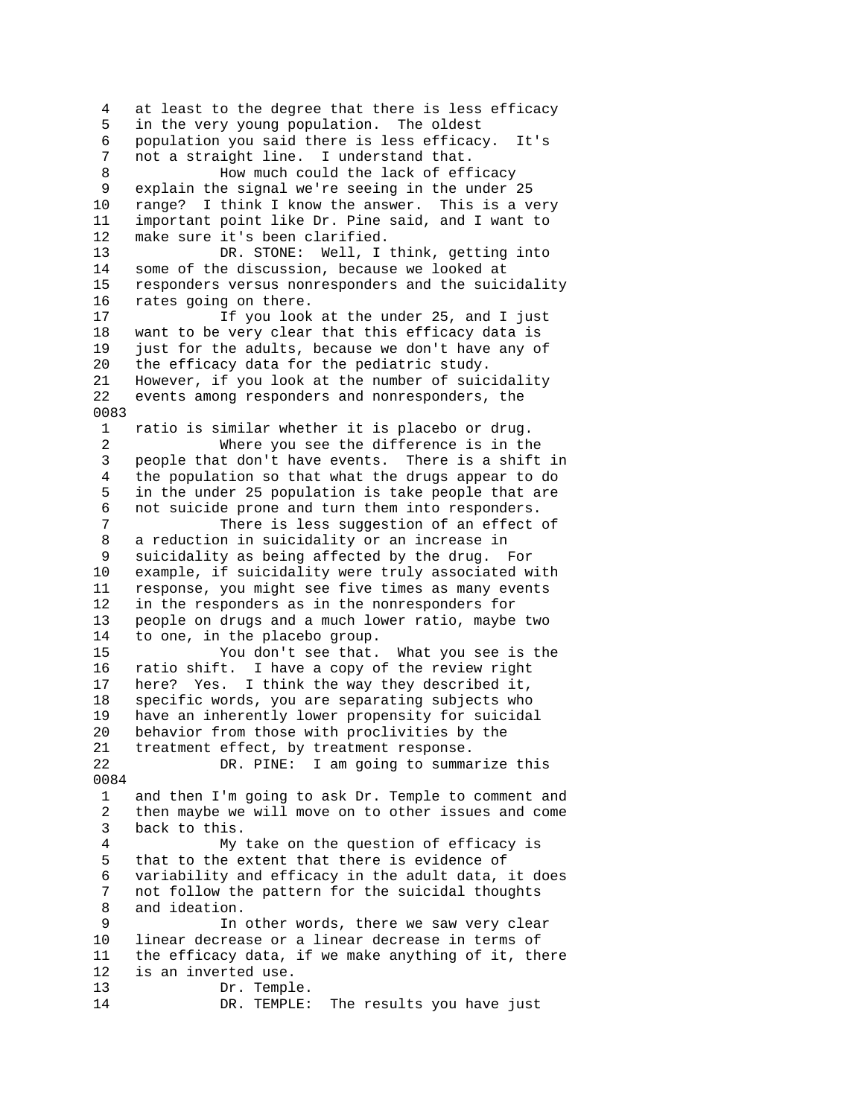4 at least to the degree that there is less efficacy 5 in the very young population. The oldest 6 population you said there is less efficacy. It's 7 not a straight line. I understand that. 8 How much could the lack of efficacy 9 explain the signal we're seeing in the under 25 10 range? I think I know the answer. This is a very 11 important point like Dr. Pine said, and I want to 12 make sure it's been clarified. 13 DR. STONE: Well, I think, getting into 14 some of the discussion, because we looked at 15 responders versus nonresponders and the suicidality 16 rates going on there. 17 17 If you look at the under 25, and I just 18 want to be very clear that this efficacy data is 19 just for the adults, because we don't have any of 20 the efficacy data for the pediatric study. 21 However, if you look at the number of suicidality 22 events among responders and nonresponders, the 0083 1 ratio is similar whether it is placebo or drug. 2 Where you see the difference is in the 3 people that don't have events. There is a shift in 4 the population so that what the drugs appear to do 5 in the under 25 population is take people that are 6 not suicide prone and turn them into responders. 7 There is less suggestion of an effect of 8 a reduction in suicidality or an increase in 9 suicidality as being affected by the drug. For 10 example, if suicidality were truly associated with 11 response, you might see five times as many events 12 in the responders as in the nonresponders for 13 people on drugs and a much lower ratio, maybe two 14 to one, in the placebo group. 15 You don't see that. What you see is the 16 ratio shift. I have a copy of the review right 17 here? Yes. I think the way they described it, 18 specific words, you are separating subjects who 19 have an inherently lower propensity for suicidal 20 behavior from those with proclivities by the 21 treatment effect, by treatment response. 22 DR. PINE: I am going to summarize this 0084 1 and then I'm going to ask Dr. Temple to comment and 2 then maybe we will move on to other issues and come 3 back to this. 4 My take on the question of efficacy is 5 that to the extent that there is evidence of 6 variability and efficacy in the adult data, it does 7 not follow the pattern for the suicidal thoughts 8 and ideation. 9 In other words, there we saw very clear 10 linear decrease or a linear decrease in terms of 11 the efficacy data, if we make anything of it, there 12 is an inverted use. 13 Dr. Temple. 14 DR. TEMPLE: The results you have just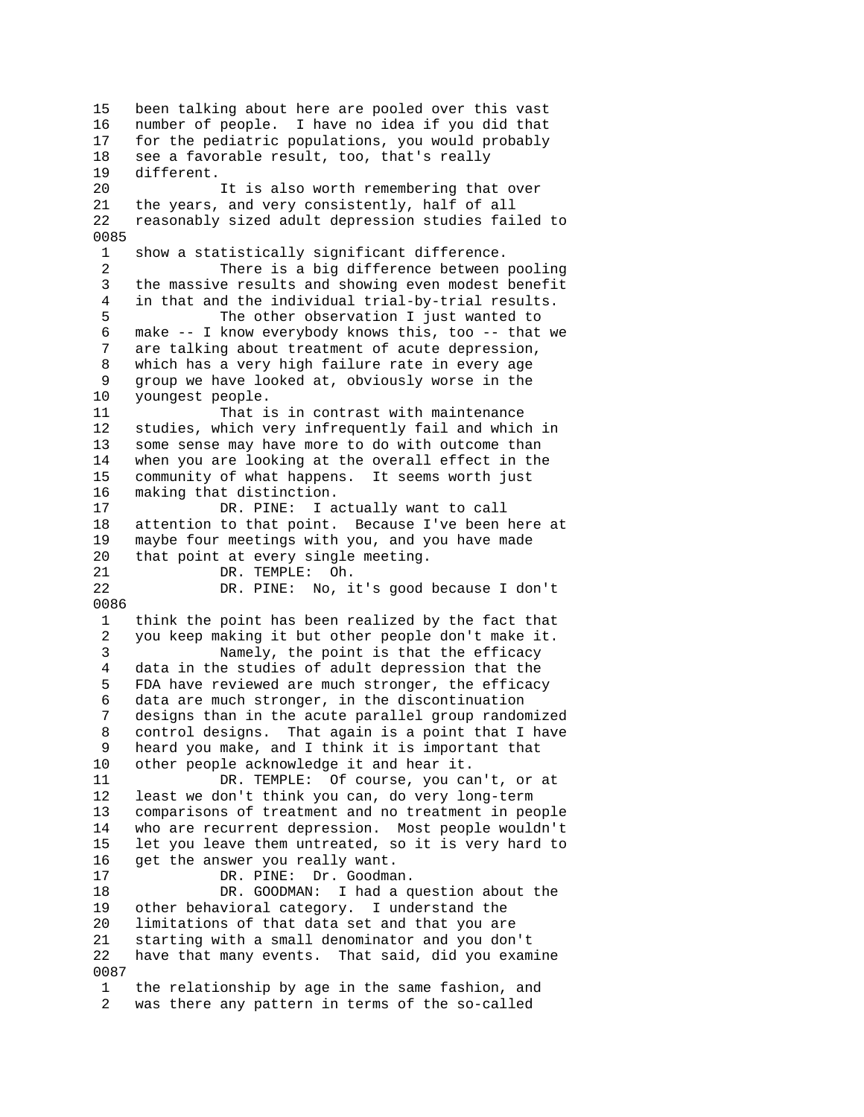15 been talking about here are pooled over this vast 16 number of people. I have no idea if you did that 17 for the pediatric populations, you would probably 18 see a favorable result, too, that's really 19 different. 20 It is also worth remembering that over 21 the years, and very consistently, half of all 22 reasonably sized adult depression studies failed to 0085 1 show a statistically significant difference. 2 There is a big difference between pooling 3 the massive results and showing even modest benefit 4 in that and the individual trial-by-trial results. 5 The other observation I just wanted to 6 make -- I know everybody knows this, too -- that we are talking about treatment of acute depression, 8 which has a very high failure rate in every age 9 group we have looked at, obviously worse in the 10 youngest people. 11 That is in contrast with maintenance 12 studies, which very infrequently fail and which in 13 some sense may have more to do with outcome than 14 when you are looking at the overall effect in the 15 community of what happens. It seems worth just 16 making that distinction. 17 DR. PINE: I actually want to call 18 attention to that point. Because I've been here at 19 maybe four meetings with you, and you have made 20 that point at every single meeting. 21 DR. TEMPLE: Oh.<br>22 DR. PINE: No, i DR. PINE: No, it's good because I don't 0086 1 think the point has been realized by the fact that 2 you keep making it but other people don't make it. 3 Namely, the point is that the efficacy 4 data in the studies of adult depression that the 5 FDA have reviewed are much stronger, the efficacy 6 data are much stronger, in the discontinuation 7 designs than in the acute parallel group randomized 8 control designs. That again is a point that I have 9 heard you make, and I think it is important that 10 other people acknowledge it and hear it. 11 DR. TEMPLE: Of course, you can't, or at 12 least we don't think you can, do very long-term 13 comparisons of treatment and no treatment in people 14 who are recurrent depression. Most people wouldn't 15 let you leave them untreated, so it is very hard to 16 get the answer you really want. 17 DR. PINE: Dr. Goodman. 18 DR. GOODMAN: I had a question about the 19 other behavioral category. I understand the 20 limitations of that data set and that you are 21 starting with a small denominator and you don't 22 have that many events. That said, did you examine 0087 1 the relationship by age in the same fashion, and 2 was there any pattern in terms of the so-called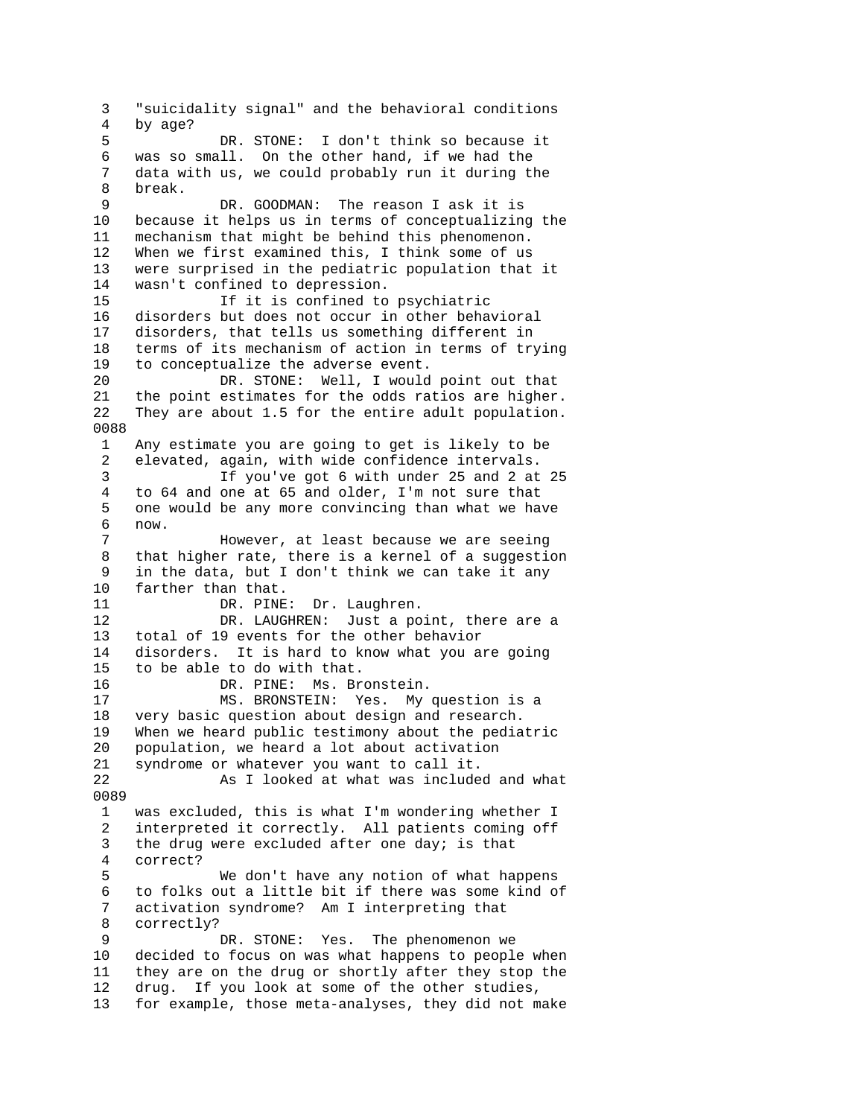3 "suicidality signal" and the behavioral conditions 4 by age? 5 DR. STONE: I don't think so because it 6 was so small. On the other hand, if we had the 7 data with us, we could probably run it during the 8 break. 9 DR. GOODMAN: The reason I ask it is 10 because it helps us in terms of conceptualizing the 11 mechanism that might be behind this phenomenon. 12 When we first examined this, I think some of us 13 were surprised in the pediatric population that it 14 wasn't confined to depression. 15 If it is confined to psychiatric 16 disorders but does not occur in other behavioral 17 disorders, that tells us something different in 18 terms of its mechanism of action in terms of trying 19 to conceptualize the adverse event. 20 DR. STONE: Well, I would point out that<br>21 the point estimates for the odds ratios are higher the point estimates for the odds ratios are higher. 22 They are about 1.5 for the entire adult population. 0088 1 Any estimate you are going to get is likely to be 2 elevated, again, with wide confidence intervals. 3 If you've got 6 with under 25 and 2 at 25 4 to 64 and one at 65 and older, I'm not sure that 5 one would be any more convincing than what we have 6 now. 7 However, at least because we are seeing 8 that higher rate, there is a kernel of a suggestion 9 in the data, but I don't think we can take it any 10 farther than that.<br>11 DR. PINE DR. PINE: Dr. Laughren. 12 DR. LAUGHREN: Just a point, there are a 13 total of 19 events for the other behavior 14 disorders. It is hard to know what you are going 15 to be able to do with that. 16 DR. PINE: Ms. Bronstein. 17 MS. BRONSTEIN: Yes. My question is a 18 very basic question about design and research. 19 When we heard public testimony about the pediatric 20 population, we heard a lot about activation 21 syndrome or whatever you want to call it. 22 As I looked at what was included and what 0089 1 was excluded, this is what I'm wondering whether I 2 interpreted it correctly. All patients coming off 3 the drug were excluded after one day; is that 4 correct? 5 We don't have any notion of what happens 6 to folks out a little bit if there was some kind of 7 activation syndrome? Am I interpreting that 8 correctly? 9 DR. STONE: Yes. The phenomenon we 10 decided to focus on was what happens to people when 11 they are on the drug or shortly after they stop the 12 drug. If you look at some of the other studies, 13 for example, those meta-analyses, they did not make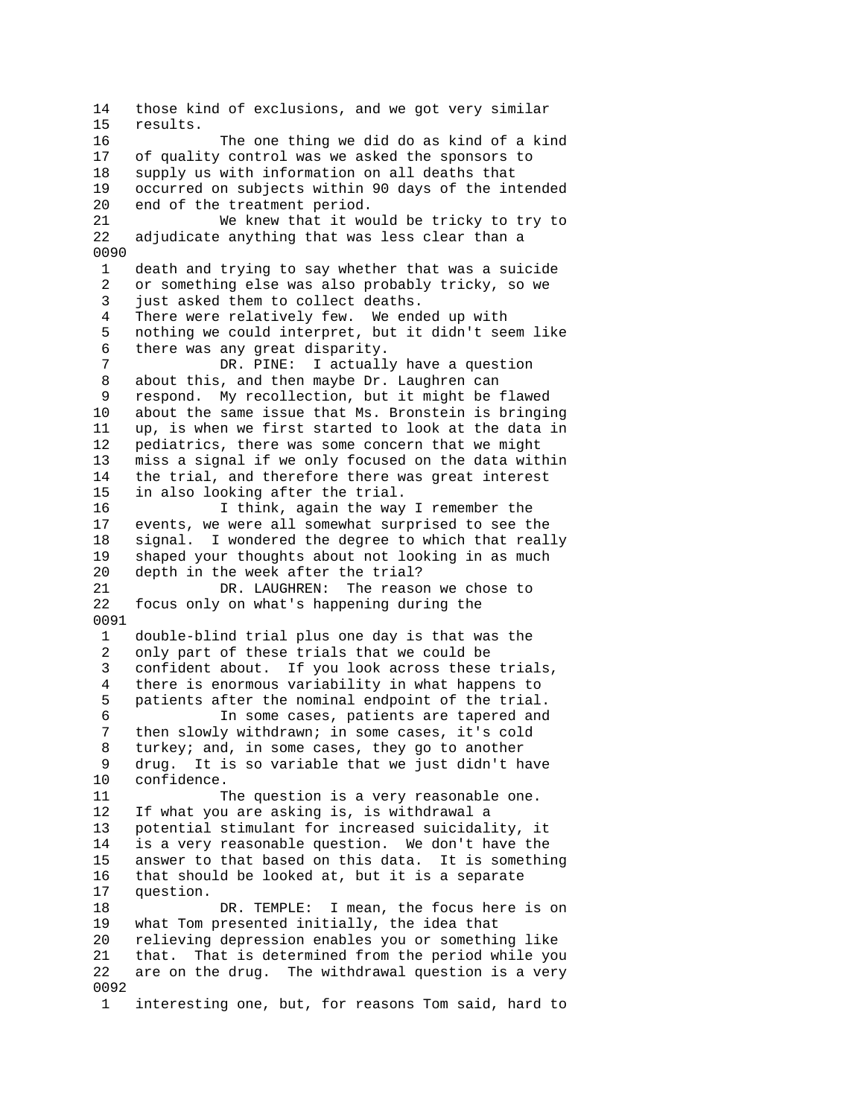14 those kind of exclusions, and we got very similar 15 results. 16 The one thing we did do as kind of a kind 17 of quality control was we asked the sponsors to 18 supply us with information on all deaths that 19 occurred on subjects within 90 days of the intended 20 end of the treatment period. 21 We knew that it would be tricky to try to 22 adjudicate anything that was less clear than a 0090 1 death and trying to say whether that was a suicide 2 or something else was also probably tricky, so we 3 just asked them to collect deaths. 4 There were relatively few. We ended up with 5 nothing we could interpret, but it didn't seem like 6 there was any great disparity. 7 DR. PINE: I actually have a question 8 about this, and then maybe Dr. Laughren can 9 respond. My recollection, but it might be flawed 10 about the same issue that Ms. Bronstein is bringing 11 up, is when we first started to look at the data in 12 pediatrics, there was some concern that we might 13 miss a signal if we only focused on the data within 14 the trial, and therefore there was great interest 15 in also looking after the trial. 16 I think, again the way I remember the 17 events, we were all somewhat surprised to see the 18 signal. I wondered the degree to which that really 19 shaped your thoughts about not looking in as much 20 depth in the week after the trial? 21 DR. LAUGHREN: The reason we chose to 22 focus only on what's happening during the 0091 1 double-blind trial plus one day is that was the 2 only part of these trials that we could be 3 confident about. If you look across these trials, 4 there is enormous variability in what happens to 5 patients after the nominal endpoint of the trial. 6 In some cases, patients are tapered and 7 then slowly withdrawn; in some cases, it's cold 8 turkey; and, in some cases, they go to another 9 drug. It is so variable that we just didn't have 10 confidence. 11 The question is a very reasonable one. 12 If what you are asking is, is withdrawal a 13 potential stimulant for increased suicidality, it 14 is a very reasonable question. We don't have the 15 answer to that based on this data. It is something 16 that should be looked at, but it is a separate 17 question. 18 DR. TEMPLE: I mean, the focus here is on 19 what Tom presented initially, the idea that<br>20 relieving depression enables you or somethi relieving depression enables you or something like 21 that. That is determined from the period while you 22 are on the drug. The withdrawal question is a very 0092 1 interesting one, but, for reasons Tom said, hard to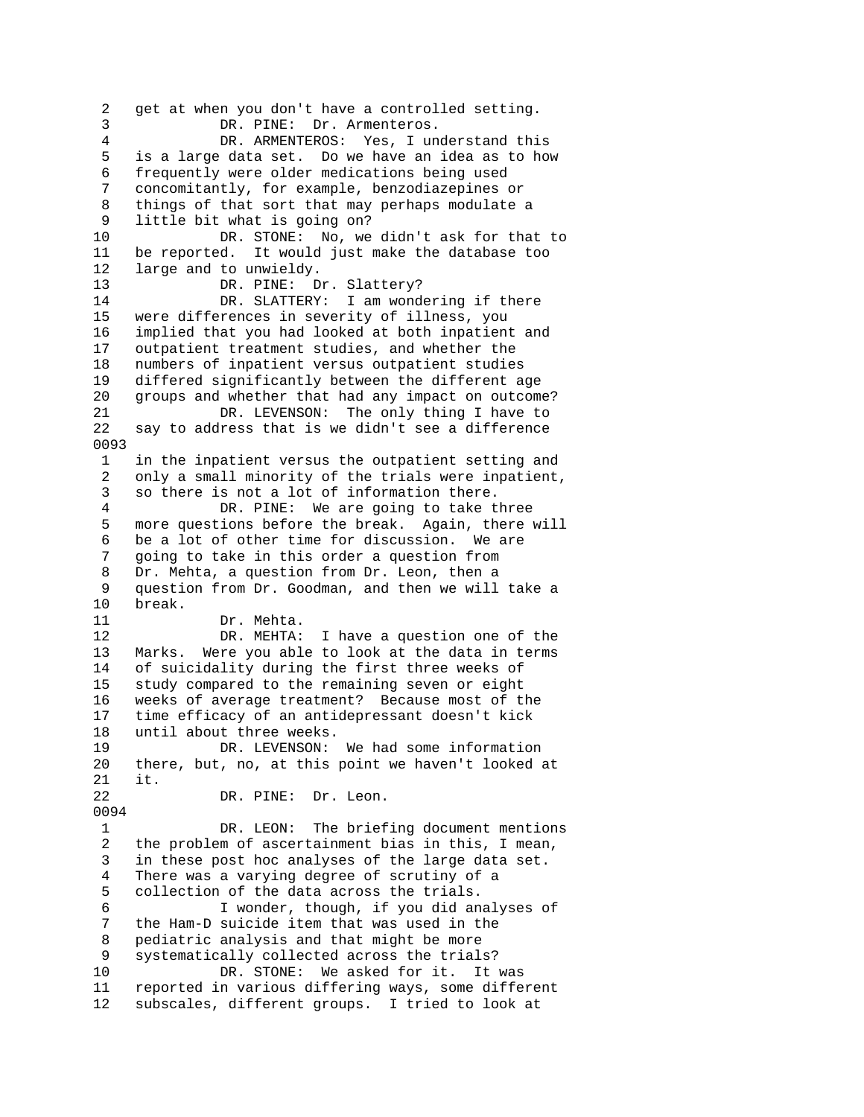2 get at when you don't have a controlled setting. 3 DR. PINE: Dr. Armenteros. 4 DR. ARMENTEROS: Yes, I understand this 5 is a large data set. Do we have an idea as to how 6 frequently were older medications being used 7 concomitantly, for example, benzodiazepines or 8 things of that sort that may perhaps modulate a 9 little bit what is going on? 10 DR. STONE: No, we didn't ask for that to 11 be reported. It would just make the database too 12 large and to unwieldy. 13 DR. PINE: Dr. Slattery? 14 DR. SLATTERY: I am wondering if there 15 were differences in severity of illness, you 16 implied that you had looked at both inpatient and 17 outpatient treatment studies, and whether the 18 numbers of inpatient versus outpatient studies 19 differed significantly between the different age 20 groups and whether that had any impact on outcome? 21 DR. LEVENSON: The only thing I have to 22 say to address that is we didn't see a difference 0093 1 in the inpatient versus the outpatient setting and 2 only a small minority of the trials were inpatient, 3 so there is not a lot of information there. 4 DR. PINE: We are going to take three 5 more questions before the break. Again, there will 6 be a lot of other time for discussion. We are 7 going to take in this order a question from 8 Dr. Mehta, a question from Dr. Leon, then a<br>9 question from Dr. Goodman, and then we will 9 question from Dr. Goodman, and then we will take a break. 11 Dr. Mehta. 12 DR. MEHTA: I have a question one of the 13 Marks. Were you able to look at the data in terms 14 of suicidality during the first three weeks of 15 study compared to the remaining seven or eight 16 weeks of average treatment? Because most of the 17 time efficacy of an antidepressant doesn't kick 18 until about three weeks. 19 DR. LEVENSON: We had some information 20 there, but, no, at this point we haven't looked at 21 it. 22 DR. PINE: Dr. Leon. 0094 1 DR. LEON: The briefing document mentions 2 the problem of ascertainment bias in this, I mean, 3 in these post hoc analyses of the large data set. 4 There was a varying degree of scrutiny of a 5 collection of the data across the trials. 6 I wonder, though, if you did analyses of 7 the Ham-D suicide item that was used in the 8 pediatric analysis and that might be more 9 systematically collected across the trials? 10 DR. STONE: We asked for it. It was 11 reported in various differing ways, some different 12 subscales, different groups. I tried to look at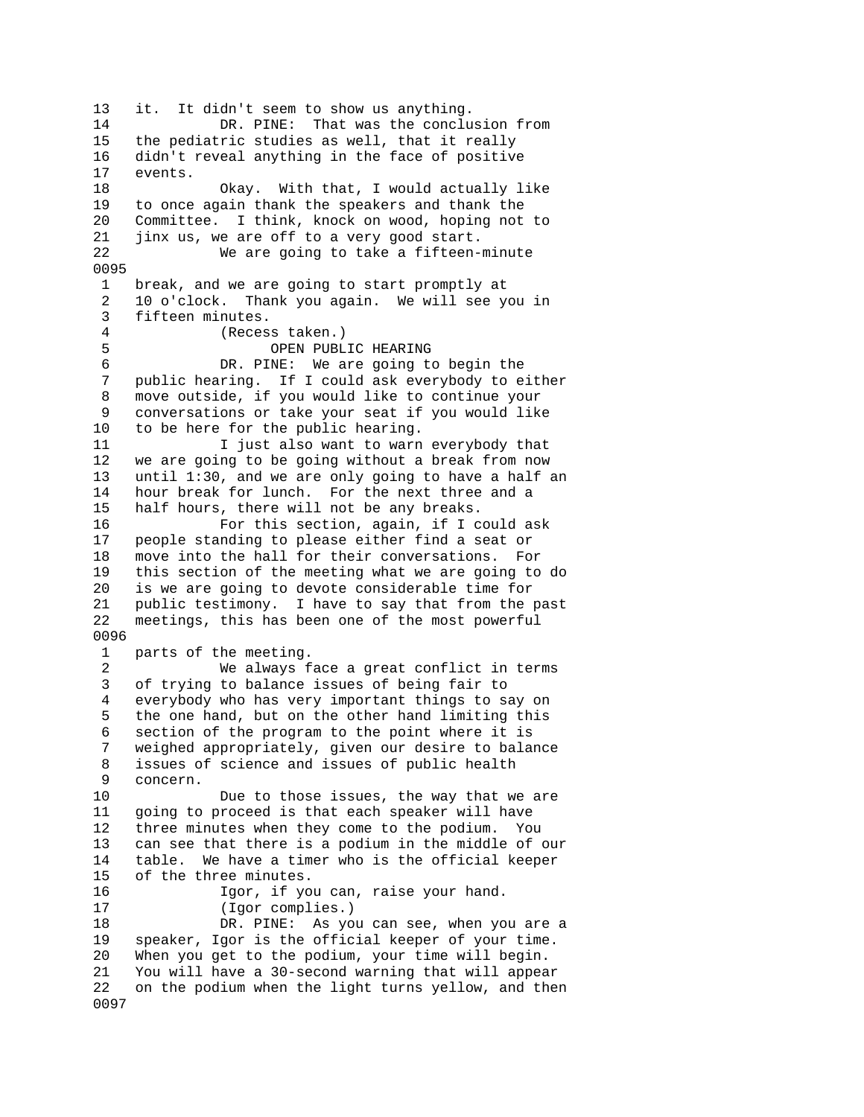13 it. It didn't seem to show us anything. 14 DR. PINE: That was the conclusion from 15 the pediatric studies as well, that it really 16 didn't reveal anything in the face of positive 17 events. 18 Okay. With that, I would actually like 19 to once again thank the speakers and thank the 20 Committee. I think, knock on wood, hoping not to 21 jinx us, we are off to a very good start. 22 We are going to take a fifteen-minute 0095 1 break, and we are going to start promptly at 2 10 o'clock. Thank you again. We will see you in 3 fifteen minutes. 4 (Recess taken.) 5 OPEN PUBLIC HEARING 6 DR. PINE: We are going to begin the 7 public hearing. If I could ask everybody to either 8 move outside, if you would like to continue your 9 conversations or take your seat if you would like 10 to be here for the public hearing. 11 I just also want to warn everybody that 12 we are going to be going without a break from now 13 until 1:30, and we are only going to have a half an 14 hour break for lunch. For the next three and a 15 half hours, there will not be any breaks. 16 For this section, again, if I could ask 17 people standing to please either find a seat or 18 move into the hall for their conversations. For 19 this section of the meeting what we are going to do 20 is we are going to devote considerable time for 21 public testimony. I have to say that from the past 22 meetings, this has been one of the most powerful 0096 1 parts of the meeting. 2 We always face a great conflict in terms 3 of trying to balance issues of being fair to 4 everybody who has very important things to say on 5 the one hand, but on the other hand limiting this 6 section of the program to the point where it is 7 weighed appropriately, given our desire to balance 8 issues of science and issues of public health 9 concern. 10 Due to those issues, the way that we are 11 going to proceed is that each speaker will have 12 three minutes when they come to the podium. You 13 can see that there is a podium in the middle of our 14 table. We have a timer who is the official keeper 15 of the three minutes. 16 Igor, if you can, raise your hand. 17 (Igor complies.) 18 DR. PINE: As you can see, when you are a 19 speaker, Igor is the official keeper of your time. 20 When you get to the podium, your time will begin. 21 You will have a 30-second warning that will appear 22 on the podium when the light turns yellow, and then 0097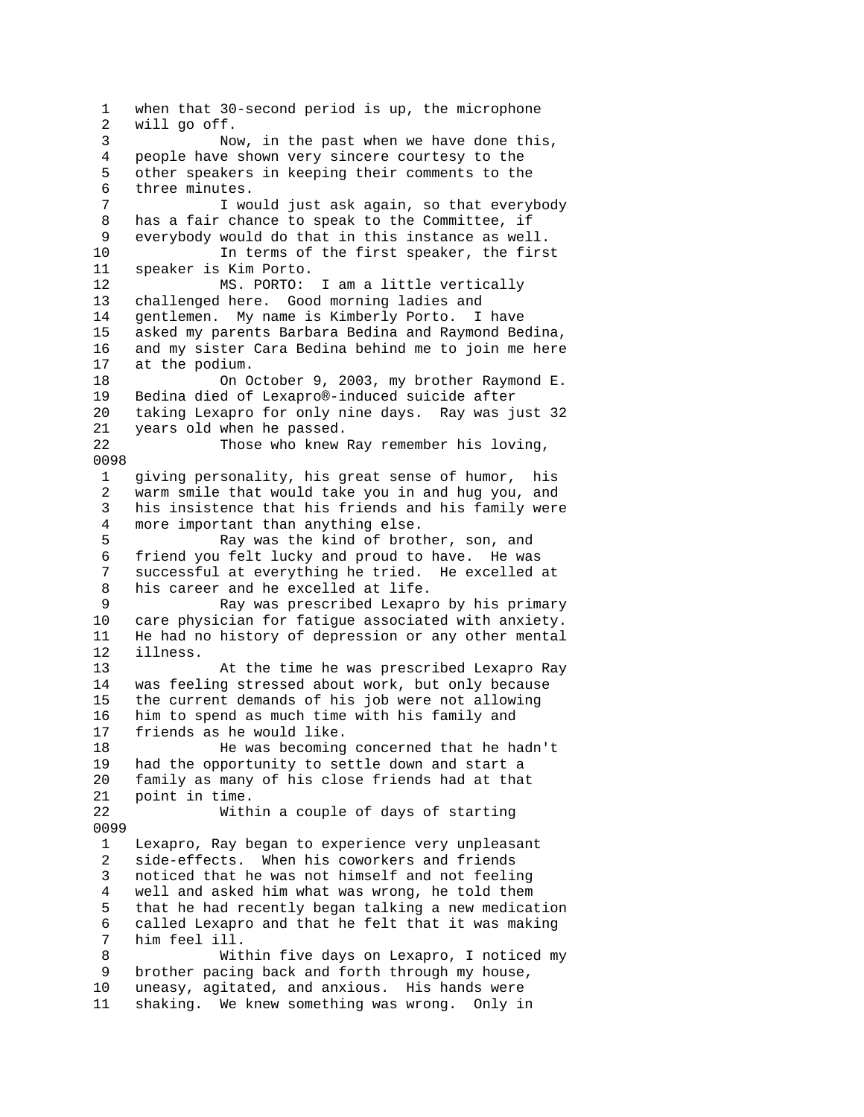1 when that 30-second period is up, the microphone 2 will go off. 3 Now, in the past when we have done this, 4 people have shown very sincere courtesy to the 5 other speakers in keeping their comments to the 6 three minutes. 7 I would just ask again, so that everybody 8 has a fair chance to speak to the Committee, if 9 everybody would do that in this instance as well. 10 In terms of the first speaker, the first 11 speaker is Kim Porto. 12 MS. PORTO: I am a little vertically 13 challenged here. Good morning ladies and 14 gentlemen. My name is Kimberly Porto. I have 15 asked my parents Barbara Bedina and Raymond Bedina, 16 and my sister Cara Bedina behind me to join me here 17 at the podium. 18 On October 9, 2003, my brother Raymond E.<br>19 Bedina died of Lexapro®-induced suicide after Bedina died of Lexapro®-induced suicide after 20 taking Lexapro for only nine days. Ray was just 32 21 years old when he passed. 22 Those who knew Ray remember his loving, 0098 1 giving personality, his great sense of humor, his 2 warm smile that would take you in and hug you, and 3 his insistence that his friends and his family were 4 more important than anything else. 5 Ray was the kind of brother, son, and 6 friend you felt lucky and proud to have. He was 7 successful at everything he tried. He excelled at 8 his career and he excelled at life.<br>9 Ray was prescribed Lexapr Ray was prescribed Lexapro by his primary 10 care physician for fatigue associated with anxiety. 11 He had no history of depression or any other mental 12 illness. 13 At the time he was prescribed Lexapro Ray 14 was feeling stressed about work, but only because 15 the current demands of his job were not allowing 16 him to spend as much time with his family and 17 friends as he would like. 18 He was becoming concerned that he hadn't 19 had the opportunity to settle down and start a 20 family as many of his close friends had at that 21 point in time. 22 Within a couple of days of starting 0099 1 Lexapro, Ray began to experience very unpleasant 2 side-effects. When his coworkers and friends 3 noticed that he was not himself and not feeling 4 well and asked him what was wrong, he told them 5 that he had recently began talking a new medication 6 called Lexapro and that he felt that it was making 7 him feel ill. 8 Within five days on Lexapro, I noticed my 9 brother pacing back and forth through my house, 10 uneasy, agitated, and anxious. His hands were 11 shaking. We knew something was wrong. Only in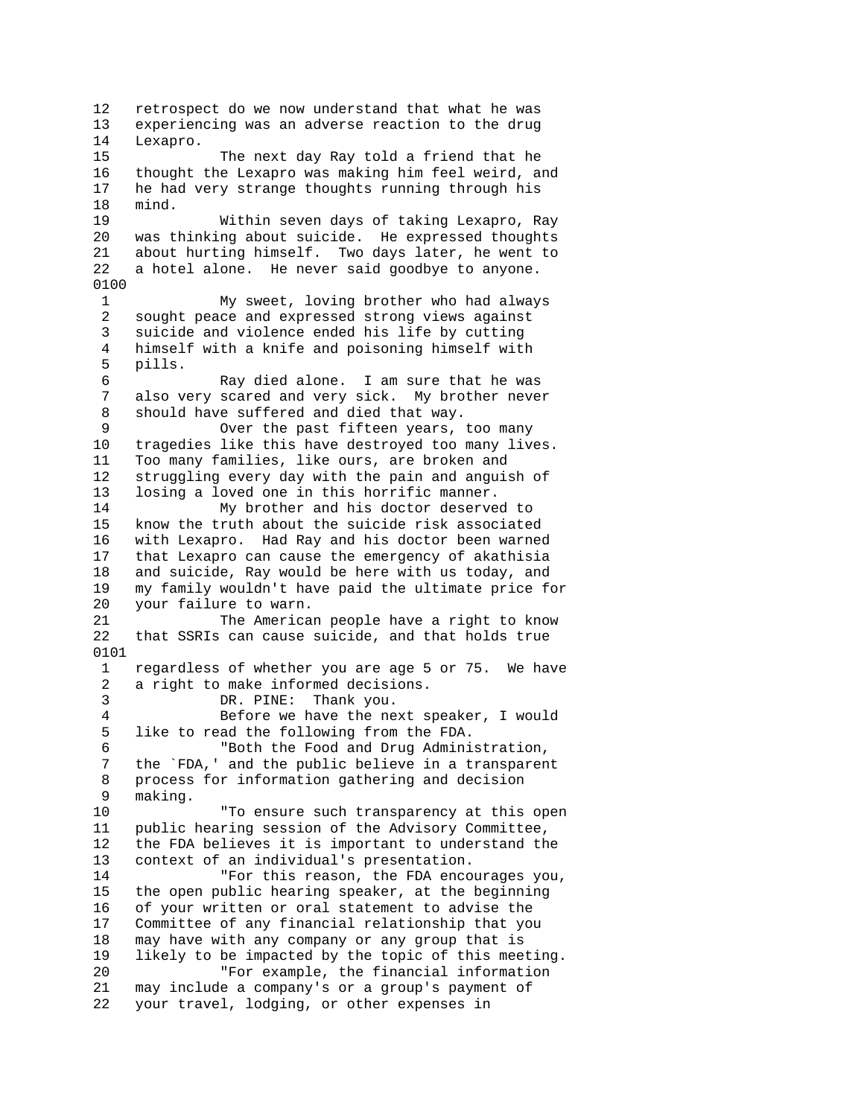12 retrospect do we now understand that what he was 13 experiencing was an adverse reaction to the drug 14 Lexapro. 15 The next day Ray told a friend that he 16 thought the Lexapro was making him feel weird, and 17 he had very strange thoughts running through his 18 mind. 19 Within seven days of taking Lexapro, Ray was thinking about suicide. He expressed thoughts 21 about hurting himself. Two days later, he went to 22 a hotel alone. He never said goodbye to anyone. 0100 1 My sweet, loving brother who had always 2 sought peace and expressed strong views against 3 suicide and violence ended his life by cutting 4 himself with a knife and poisoning himself with 5 pills. 6 Ray died alone. I am sure that he was<br>7 also very scared and very sick. My brother never also very scared and very sick. My brother never 8 should have suffered and died that way. 9 Over the past fifteen years, too many 10 tragedies like this have destroyed too many lives. 11 Too many families, like ours, are broken and 12 struggling every day with the pain and anguish of 13 losing a loved one in this horrific manner. 14 My brother and his doctor deserved to 15 know the truth about the suicide risk associated 16 with Lexapro. Had Ray and his doctor been warned 17 that Lexapro can cause the emergency of akathisia 18 and suicide, Ray would be here with us today, and 19 my family wouldn't have paid the ultimate price for your failure to warn. 21 The American people have a right to know 22 that SSRIs can cause suicide, and that holds true 0101 1 regardless of whether you are age 5 or 75. We have 2 a right to make informed decisions. 3 DR. PINE: Thank you. 4 Before we have the next speaker, I would 5 like to read the following from the FDA. 6 "Both the Food and Drug Administration, 7 the `FDA,' and the public believe in a transparent 8 process for information gathering and decision 9 making. 10 "To ensure such transparency at this open 11 public hearing session of the Advisory Committee, 12 the FDA believes it is important to understand the 13 context of an individual's presentation. 14 "For this reason, the FDA encourages you, 15 the open public hearing speaker, at the beginning 16 of your written or oral statement to advise the 17 Committee of any financial relationship that you 18 may have with any company or any group that is 19 likely to be impacted by the topic of this meeting. 20 "For example, the financial information 21 may include a company's or a group's payment of 22 your travel, lodging, or other expenses in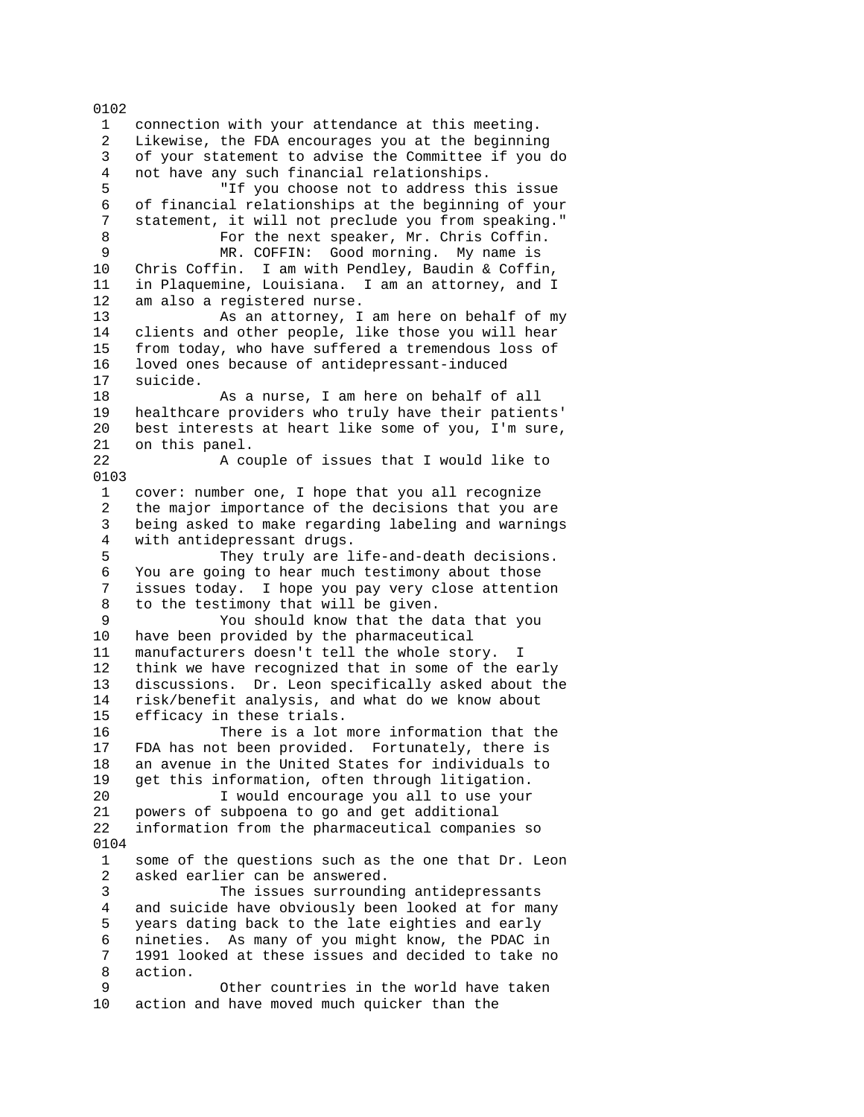1 connection with your attendance at this meeting. 2 Likewise, the FDA encourages you at the beginning 3 of your statement to advise the Committee if you do 4 not have any such financial relationships. 5 "If you choose not to address this issue 6 of financial relationships at the beginning of your 7 statement, it will not preclude you from speaking." 8 For the next speaker, Mr. Chris Coffin. 9 MR. COFFIN: Good morning. My name is 10 Chris Coffin. I am with Pendley, Baudin & Coffin, 11 in Plaquemine, Louisiana. I am an attorney, and I 12 am also a registered nurse. 13 As an attorney, I am here on behalf of my 14 clients and other people, like those you will hear 15 from today, who have suffered a tremendous loss of 16 loved ones because of antidepressant-induced 17 suicide. 18 As a nurse, I am here on behalf of all 19 healthcare providers who truly have their patients' 20 best interests at heart like some of you, I'm sure, 21 on this panel. 22 A couple of issues that I would like to 0103 1 cover: number one, I hope that you all recognize 2 the major importance of the decisions that you are 3 being asked to make regarding labeling and warnings 4 with antidepressant drugs. 5 They truly are life-and-death decisions. 6 You are going to hear much testimony about those issues today. I hope you pay very close attention 8 to the testimony that will be given. 9 You should know that the data that you 10 have been provided by the pharmaceutical 11 manufacturers doesn't tell the whole story. I 12 think we have recognized that in some of the early 13 discussions. Dr. Leon specifically asked about the 14 risk/benefit analysis, and what do we know about 15 efficacy in these trials. 16 There is a lot more information that the 17 FDA has not been provided. Fortunately, there is 18 an avenue in the United States for individuals to 19 get this information, often through litigation. 20 I would encourage you all to use your 21 powers of subpoena to go and get additional 22 information from the pharmaceutical companies so 0104 1 some of the questions such as the one that Dr. Leon 2 asked earlier can be answered. 3 The issues surrounding antidepressants 4 and suicide have obviously been looked at for many 5 years dating back to the late eighties and early 6 nineties. As many of you might know, the PDAC in 7 1991 looked at these issues and decided to take no 8 action. 9 Other countries in the world have taken 10 action and have moved much quicker than the

0102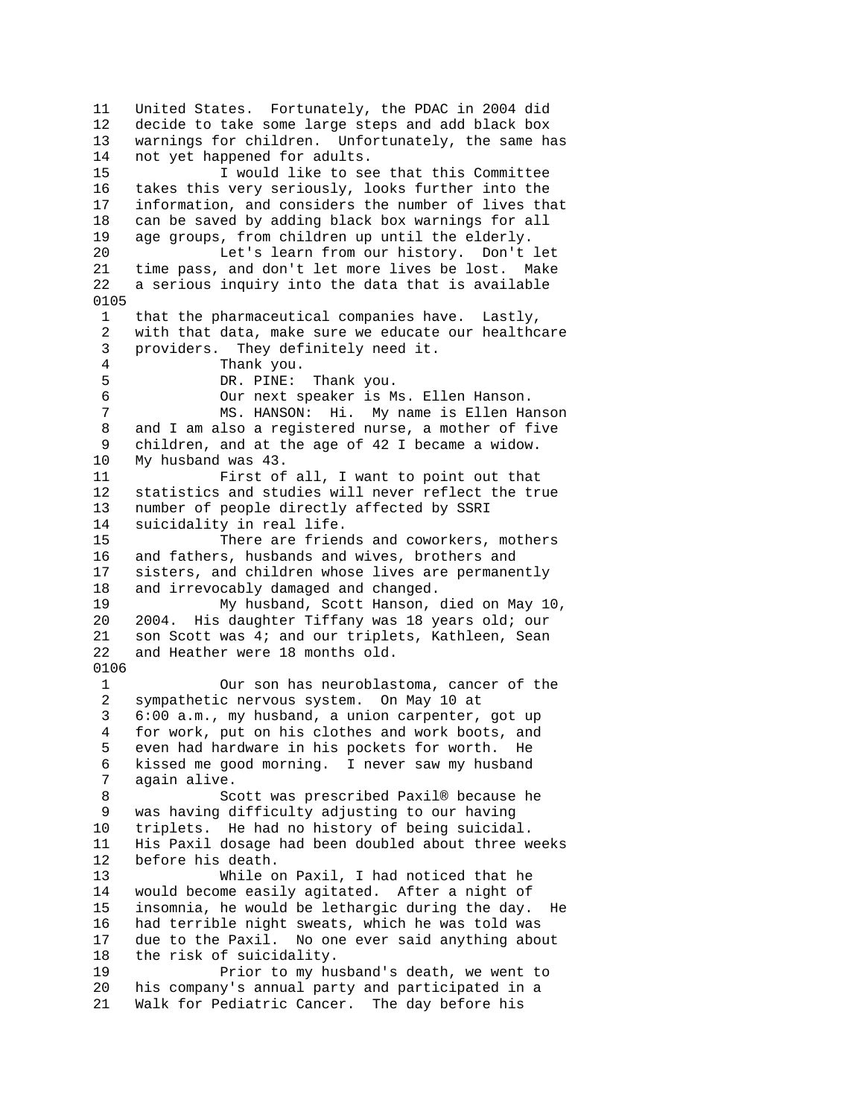11 United States. Fortunately, the PDAC in 2004 did 12 decide to take some large steps and add black box 13 warnings for children. Unfortunately, the same has 14 not yet happened for adults. 15 I would like to see that this Committee 16 takes this very seriously, looks further into the 17 information, and considers the number of lives that 18 can be saved by adding black box warnings for all 19 age groups, from children up until the elderly. 20 Let's learn from our history. Don't let 21 time pass, and don't let more lives be lost. Make 22 a serious inquiry into the data that is available 0105 1 that the pharmaceutical companies have. Lastly, 2 with that data, make sure we educate our healthcare 3 providers. They definitely need it. 4 Thank you. 5 DR. PINE: Thank you.<br>6 Our next speaker is M Our next speaker is Ms. Ellen Hanson. 7 MS. HANSON: Hi. My name is Ellen Hanson 8 and I am also a registered nurse, a mother of five 9 children, and at the age of 42 I became a widow. 10 My husband was 43. 11 First of all, I want to point out that 12 statistics and studies will never reflect the true 13 number of people directly affected by SSRI 14 suicidality in real life. 15 There are friends and coworkers, mothers 16 and fathers, husbands and wives, brothers and 17 sisters, and children whose lives are permanently 18 and irrevocably damaged and changed.<br>19 My husband. Scott Hanson. My husband, Scott Hanson, died on May 10, 20 2004. His daughter Tiffany was 18 years old; our 21 son Scott was 4; and our triplets, Kathleen, Sean 22 and Heather were 18 months old. 0106 1 Our son has neuroblastoma, cancer of the 2 sympathetic nervous system. On May 10 at 3 6:00 a.m., my husband, a union carpenter, got up 4 for work, put on his clothes and work boots, and 5 even had hardware in his pockets for worth. He 6 kissed me good morning. I never saw my husband 7 again alive. 8 Scott was prescribed Paxil® because he 9 was having difficulty adjusting to our having 10 triplets. He had no history of being suicidal. 11 His Paxil dosage had been doubled about three weeks 12 before his death. 13 While on Paxil, I had noticed that he 14 would become easily agitated. After a night of 15 insomnia, he would be lethargic during the day. He 16 had terrible night sweats, which he was told was 17 due to the Paxil. No one ever said anything about 18 the risk of suicidality. 19 Prior to my husband's death, we went to 20 his company's annual party and participated in a 21 Walk for Pediatric Cancer. The day before his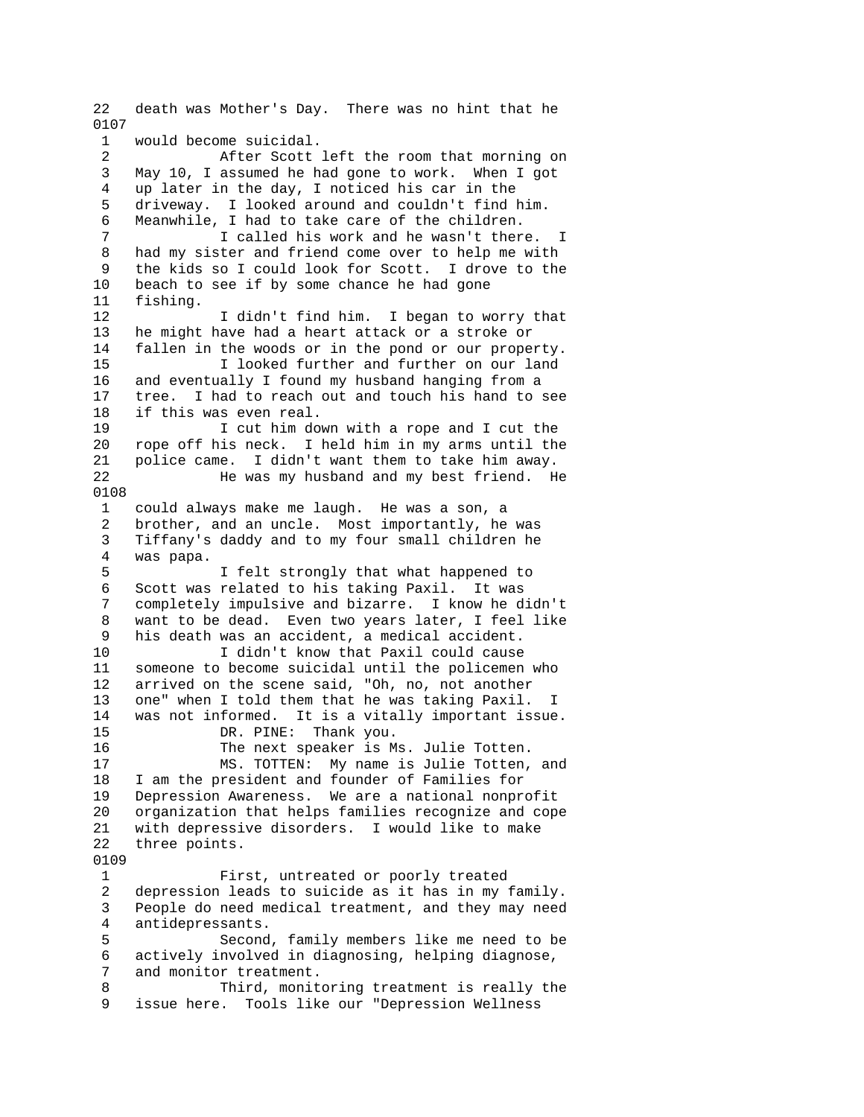22 death was Mother's Day. There was no hint that he 0107 1 would become suicidal. 2 After Scott left the room that morning on 3 May 10, I assumed he had gone to work. When I got 4 up later in the day, I noticed his car in the 5 driveway. I looked around and couldn't find him. 6 Meanwhile, I had to take care of the children. 7 I called his work and he wasn't there. I 8 had my sister and friend come over to help me with 9 the kids so I could look for Scott. I drove to the 10 beach to see if by some chance he had gone 11 fishing. 12 I didn't find him. I began to worry that<br>13 he might have had a heart attack or a stroke or he might have had a heart attack or a stroke or 14 fallen in the woods or in the pond or our property. 15 I looked further and further on our land 16 and eventually I found my husband hanging from a 17 tree. I had to reach out and touch his hand to see 18 if this was even real. 19 I cut him down with a rope and I cut the<br>20 rope off his neck. I held him in my arms until the rope off his neck. I held him in my arms until the 21 police came. I didn't want them to take him away. 22 He was my husband and my best friend. He 0108 1 could always make me laugh. He was a son, a 2 brother, and an uncle. Most importantly, he was 3 Tiffany's daddy and to my four small children he 4 was papa. 5 I felt strongly that what happened to 6 Scott was related to his taking Paxil. It was completely impulsive and bizarre. I know he didn't 8 want to be dead. Even two years later, I feel like 9 his death was an accident, a medical accident. 10 I didn't know that Paxil could cause 11 someone to become suicidal until the policemen who 12 arrived on the scene said, "Oh, no, not another 13 one" when I told them that he was taking Paxil. I 14 was not informed. It is a vitally important issue. 15 DR. PINE: Thank you. 16 The next speaker is Ms. Julie Totten. 17 MS. TOTTEN: My name is Julie Totten, and 18 I am the president and founder of Families for 19 Depression Awareness. We are a national nonprofit 20 organization that helps families recognize and cope 21 with depressive disorders. I would like to make 22 three points. 0109 1 First, untreated or poorly treated 2 depression leads to suicide as it has in my family. 3 People do need medical treatment, and they may need 4 antidepressants. 5 Second, family members like me need to be 6 actively involved in diagnosing, helping diagnose, 7 and monitor treatment. 8 Third, monitoring treatment is really the 9 issue here. Tools like our "Depression Wellness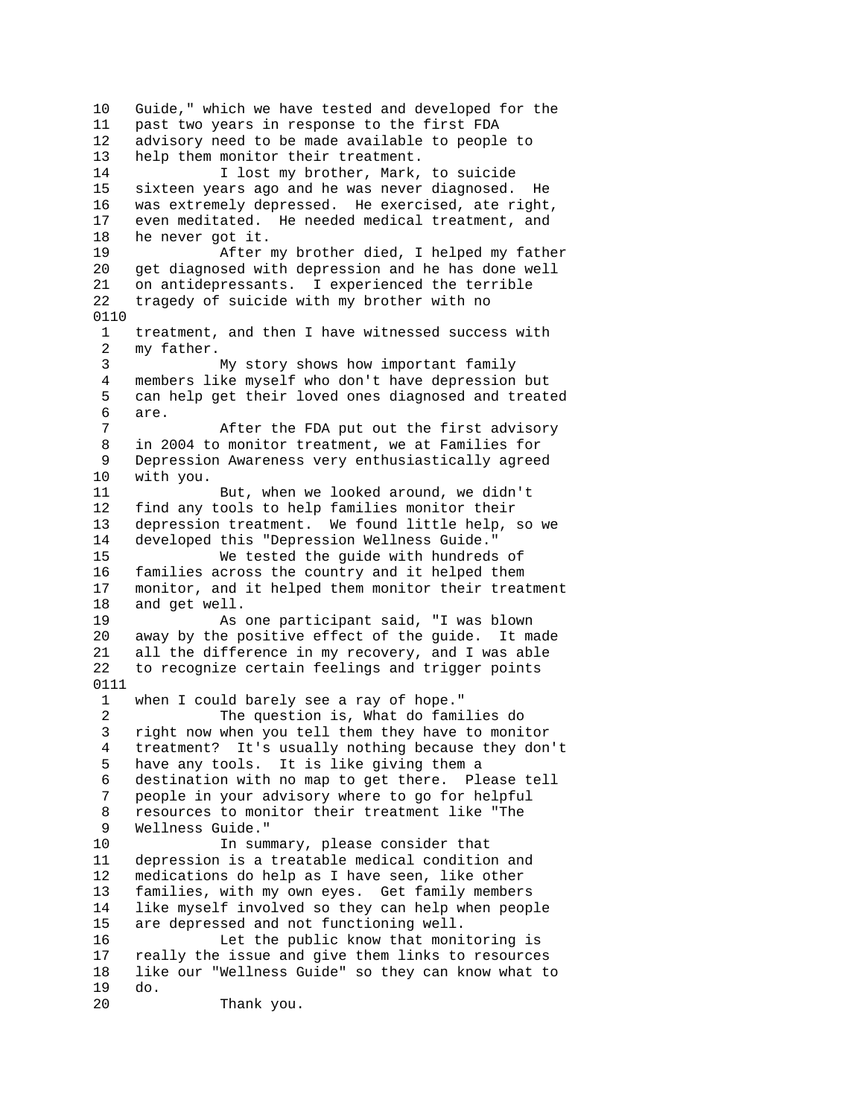10 Guide," which we have tested and developed for the 11 past two years in response to the first FDA 12 advisory need to be made available to people to 13 help them monitor their treatment. 14 I lost my brother, Mark, to suicide 15 sixteen years ago and he was never diagnosed. He 16 was extremely depressed. He exercised, ate right, 17 even meditated. He needed medical treatment, and 18 he never got it. 19 After my brother died, I helped my father 20 get diagnosed with depression and he has done well 21 on antidepressants. I experienced the terrible 22 tragedy of suicide with my brother with no 0110 1 treatment, and then I have witnessed success with<br>2 my father. my father. 3 My story shows how important family 4 members like myself who don't have depression but<br>5 can help get their loved ones diagnosed and treat can help get their loved ones diagnosed and treated 6 are. 7 After the FDA put out the first advisory 8 in 2004 to monitor treatment, we at Families for 9 Depression Awareness very enthusiastically agreed 10 with you. 11 But, when we looked around, we didn't 12 find any tools to help families monitor their 13 depression treatment. We found little help, so we 14 developed this "Depression Wellness Guide." 15 We tested the guide with hundreds of 16 families across the country and it helped them 17 monitor, and it helped them monitor their treatment 18 and get well. 19 As one participant said, "I was blown 20 away by the positive effect of the guide. It made 21 all the difference in my recovery, and I was able 22 to recognize certain feelings and trigger points 0111 1 when I could barely see a ray of hope." 2 The question is, What do families do 3 right now when you tell them they have to monitor 4 treatment? It's usually nothing because they don't 5 have any tools. It is like giving them a 6 destination with no map to get there. Please tell 7 people in your advisory where to go for helpful 8 resources to monitor their treatment like "The 9 Wellness Guide." 10 In summary, please consider that 11 depression is a treatable medical condition and 12 medications do help as I have seen, like other 13 families, with my own eyes. Get family members 14 like myself involved so they can help when people 15 are depressed and not functioning well. 16 Let the public know that monitoring is 17 really the issue and give them links to resources 18 like our "Wellness Guide" so they can know what to 19 do. 20 Thank you.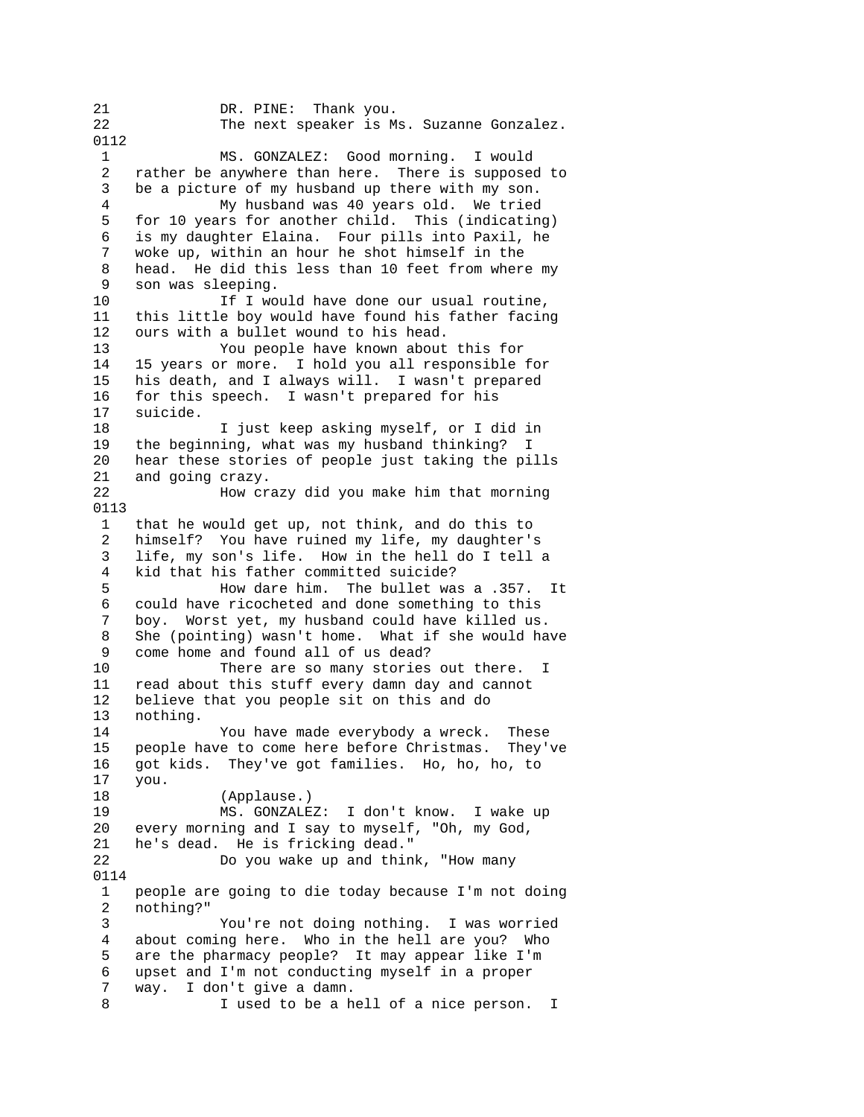21 DR. PINE: Thank you. 22 The next speaker is Ms. Suzanne Gonzalez. 0112 1 MS. GONZALEZ: Good morning. I would 2 rather be anywhere than here. There is supposed to 3 be a picture of my husband up there with my son. 4 My husband was 40 years old. We tried 5 for 10 years for another child. This (indicating) 6 is my daughter Elaina. Four pills into Paxil, he 7 woke up, within an hour he shot himself in the 8 head. He did this less than 10 feet from where my 9 son was sleeping. 10 If I would have done our usual routine, 11 this little boy would have found his father facing 12 ours with a bullet wound to his head. 13 You people have known about this for 14 15 years or more. I hold you all responsible for 15 his death, and I always will. I wasn't prepared 16 for this speech. I wasn't prepared for his 17 suicide. 18 I just keep asking myself, or I did in 19 the beginning, what was my husband thinking? I 20 hear these stories of people just taking the pills 21 and going crazy. 22 How crazy did you make him that morning 0113 1 that he would get up, not think, and do this to 2 himself? You have ruined my life, my daughter's 3 life, my son's life. How in the hell do I tell a 4 kid that his father committed suicide? 5 How dare him. The bullet was a .357. It 6 could have ricocheted and done something to this 7 boy. Worst yet, my husband could have killed us. 8 She (pointing) wasn't home. What if she would have 9 come home and found all of us dead?<br>10 There are so many stories There are so many stories out there. I 11 read about this stuff every damn day and cannot 12 believe that you people sit on this and do 13 nothing. 14 You have made everybody a wreck. These 15 people have to come here before Christmas. They've 16 got kids. They've got families. Ho, ho, ho, to 17 you. 18 (Applause.) 19 MS. GONZALEZ: I don't know. I wake up 20 every morning and I say to myself, "Oh, my God, 21 he's dead. He is fricking dead." 22 Do you wake up and think, "How many 0114 1 people are going to die today because I'm not doing 2 nothing?" 3 You're not doing nothing. I was worried 4 about coming here. Who in the hell are you? Who 5 are the pharmacy people? It may appear like I'm 6 upset and I'm not conducting myself in a proper 7 way. I don't give a damn. 8 I used to be a hell of a nice person. I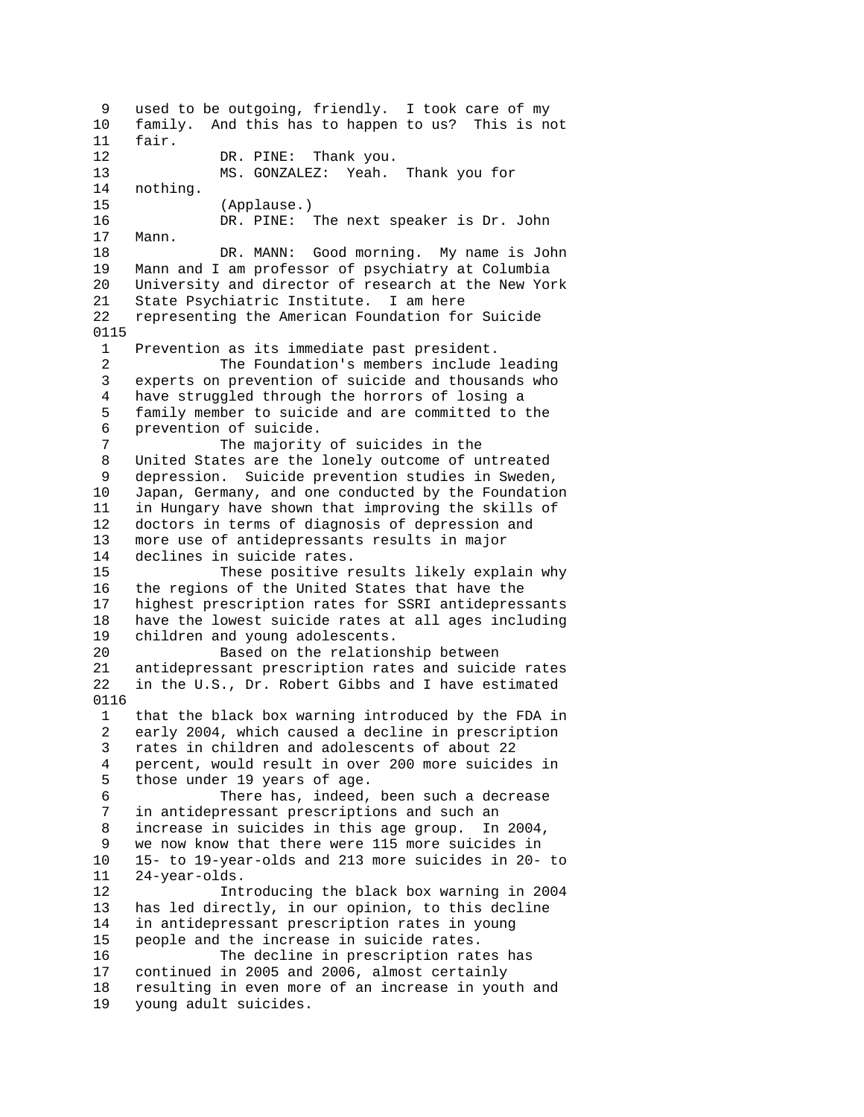9 used to be outgoing, friendly. I took care of my 10 family. And this has to happen to us? This is not 11 fair. 12 DR. PINE: Thank you. 13 MS. GONZALEZ: Yeah. Thank you for 14 nothing. 15 (Applause.) 16 DR. PINE: The next speaker is Dr. John 17 Mann. 18 DR. MANN: Good morning. My name is John 19 Mann and I am professor of psychiatry at Columbia 20 University and director of research at the New York 21 State Psychiatric Institute. I am here 22 representing the American Foundation for Suicide 0115 1 Prevention as its immediate past president. 2 The Foundation's members include leading 3 experts on prevention of suicide and thousands who 4 have struggled through the horrors of losing a 5 family member to suicide and are committed to the 6 prevention of suicide. 7 The majority of suicides in the 8 United States are the lonely outcome of untreated 9 depression. Suicide prevention studies in Sweden, 10 Japan, Germany, and one conducted by the Foundation 11 in Hungary have shown that improving the skills of 12 doctors in terms of diagnosis of depression and 13 more use of antidepressants results in major 14 declines in suicide rates. 15 These positive results likely explain why 16 the regions of the United States that have the 17 highest prescription rates for SSRI antidepressants 18 have the lowest suicide rates at all ages including 19 children and young adolescents. 20 Based on the relationship between 21 antidepressant prescription rates and suicide rates<br>22 in the U.S., Dr. Robert Gibbs and I have estimated in the U.S., Dr. Robert Gibbs and I have estimated 0116 1 that the black box warning introduced by the FDA in 2 early 2004, which caused a decline in prescription 3 rates in children and adolescents of about 22 4 percent, would result in over 200 more suicides in 5 those under 19 years of age. 6 There has, indeed, been such a decrease 7 in antidepressant prescriptions and such an 8 increase in suicides in this age group. In 2004, 9 we now know that there were 115 more suicides in 10 15- to 19-year-olds and 213 more suicides in 20- to 11 24-year-olds. 12 Introducing the black box warning in 2004 13 has led directly, in our opinion, to this decline 14 in antidepressant prescription rates in young 15 people and the increase in suicide rates. 16 The decline in prescription rates has 17 continued in 2005 and 2006, almost certainly 18 resulting in even more of an increase in youth and 19 young adult suicides.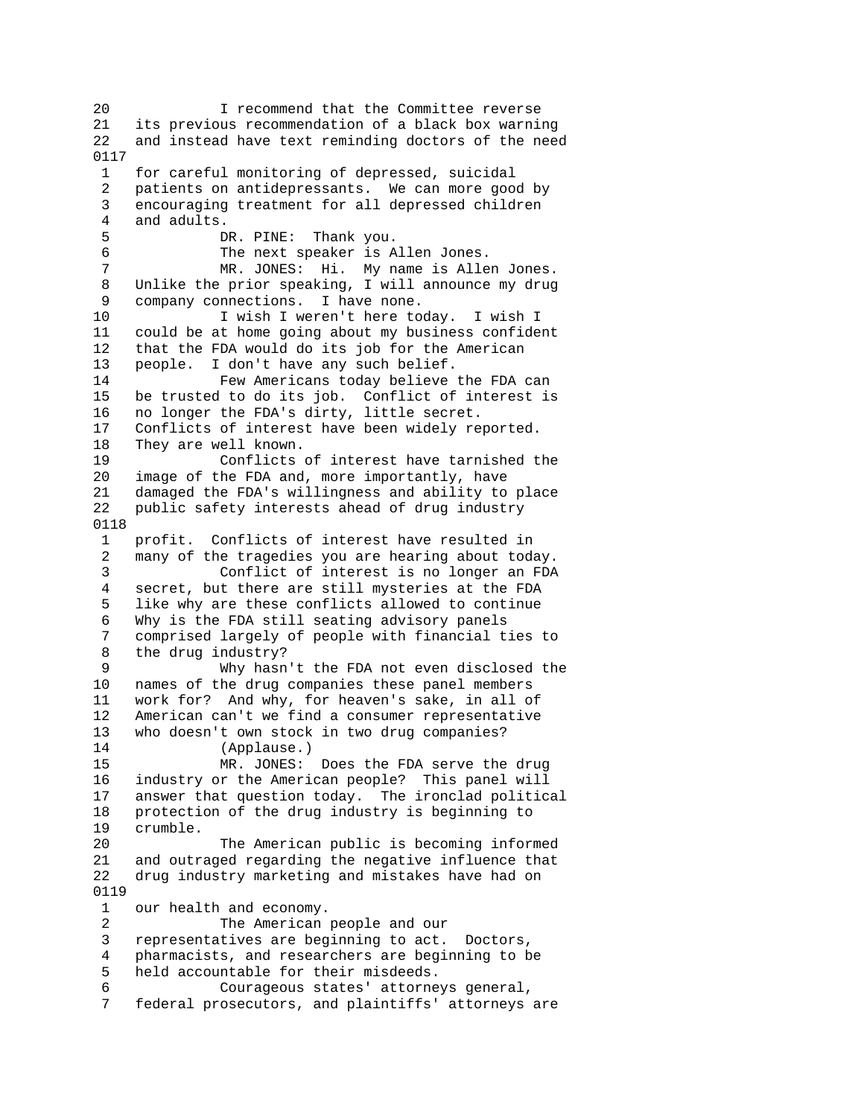20 I recommend that the Committee reverse 21 its previous recommendation of a black box warning 22 and instead have text reminding doctors of the need 0117 1 for careful monitoring of depressed, suicidal 2 patients on antidepressants. We can more good by 3 encouraging treatment for all depressed children 4 and adults. 5 DR. PINE: Thank you. 6 The next speaker is Allen Jones. 7 MR. JONES: Hi. My name is Allen Jones. 8 Unlike the prior speaking, I will announce my drug 9 company connections. I have none. 10 I wish I weren't here today. I wish I 11 could be at home going about my business confident 12 that the FDA would do its job for the American 13 people. I don't have any such belief. 14 Few Americans today believe the FDA can<br>15 be trusted to do its job. Conflict of interest is be trusted to do its job. Conflict of interest is 16 no longer the FDA's dirty, little secret. 17 Conflicts of interest have been widely reported. 18 They are well known. 19 Conflicts of interest have tarnished the 20 image of the FDA and, more importantly, have 21 damaged the FDA's willingness and ability to place 22 public safety interests ahead of drug industry 0118 1 profit. Conflicts of interest have resulted in 2 many of the tragedies you are hearing about today. 3 Conflict of interest is no longer an FDA 4 secret, but there are still mysteries at the FDA 5 like why are these conflicts allowed to continue 6 Why is the FDA still seating advisory panels 7 comprised largely of people with financial ties to 8 the drug industry? 9 Why hasn't the FDA not even disclosed the 10 names of the drug companies these panel members 11 work for? And why, for heaven's sake, in all of 12 American can't we find a consumer representative 13 who doesn't own stock in two drug companies? 14 (Applause.) 15 MR. JONES: Does the FDA serve the drug 16 industry or the American people? This panel will 17 answer that question today. The ironclad political 18 protection of the drug industry is beginning to 19 crumble. 20 The American public is becoming informed 21 and outraged regarding the negative influence that 22 drug industry marketing and mistakes have had on 0119 1 our health and economy. 2 The American people and our 3 representatives are beginning to act. Doctors, 4 pharmacists, and researchers are beginning to be 5 held accountable for their misdeeds. 6 Courageous states' attorneys general, 7 federal prosecutors, and plaintiffs' attorneys are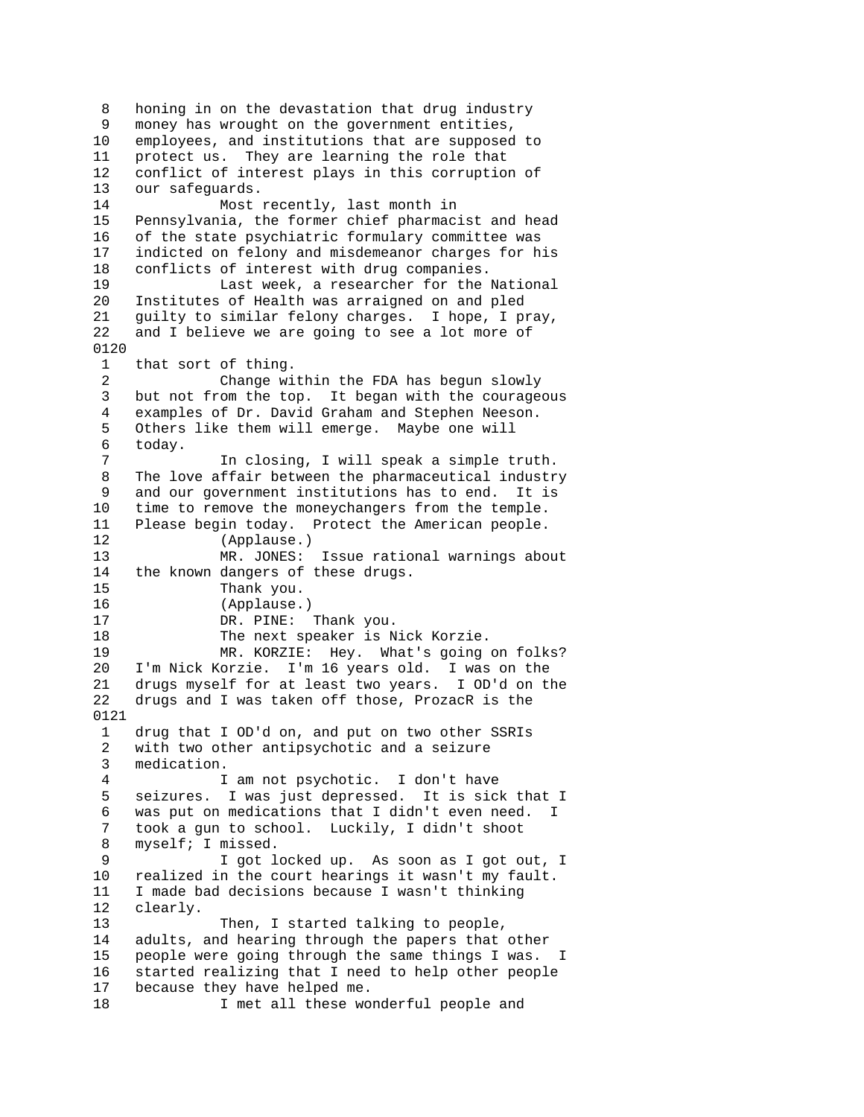8 honing in on the devastation that drug industry 9 money has wrought on the government entities, 10 employees, and institutions that are supposed to 11 protect us. They are learning the role that 12 conflict of interest plays in this corruption of 13 our safeguards. 14 Most recently, last month in 15 Pennsylvania, the former chief pharmacist and head 16 of the state psychiatric formulary committee was 17 indicted on felony and misdemeanor charges for his 18 conflicts of interest with drug companies. 19 Last week, a researcher for the National 20 Institutes of Health was arraigned on and pled 21 guilty to similar felony charges. I hope, I pray, 22 and I believe we are going to see a lot more of 0120 1 that sort of thing. 2 Change within the FDA has begun slowly<br>3 but not from the top. It began with the courage but not from the top. It began with the courageous 4 examples of Dr. David Graham and Stephen Neeson. 5 Others like them will emerge. Maybe one will 6 today. 7 In closing, I will speak a simple truth. 8 The love affair between the pharmaceutical industry 9 and our government institutions has to end. It is 10 time to remove the moneychangers from the temple. 11 Please begin today. Protect the American people. 12 (Applause.) 13 MR. JONES: Issue rational warnings about 14 the known dangers of these drugs.<br>15 Thank you. 15 Thank you.<br>16 (Applause. (Applause.) 17 DR. PINE: Thank you. 18 The next speaker is Nick Korzie. 19 MR. KORZIE: Hey. What's going on folks? 20 I'm Nick Korzie. I'm 16 years old. I was on the 21 drugs myself for at least two years. I OD'd on the 22 drugs and I was taken off those, ProzacR is the 0121 1 drug that I OD'd on, and put on two other SSRIs 2 with two other antipsychotic and a seizure 3 medication. 4 I am not psychotic. I don't have 5 seizures. I was just depressed. It is sick that I 6 was put on medications that I didn't even need. I 7 took a gun to school. Luckily, I didn't shoot 8 myself; I missed. 9 I got locked up. As soon as I got out, I 10 realized in the court hearings it wasn't my fault. 11 I made bad decisions because I wasn't thinking 12 clearly. 13 Then, I started talking to people, 14 adults, and hearing through the papers that other 15 people were going through the same things I was. I 16 started realizing that I need to help other people 17 because they have helped me. 18 I met all these wonderful people and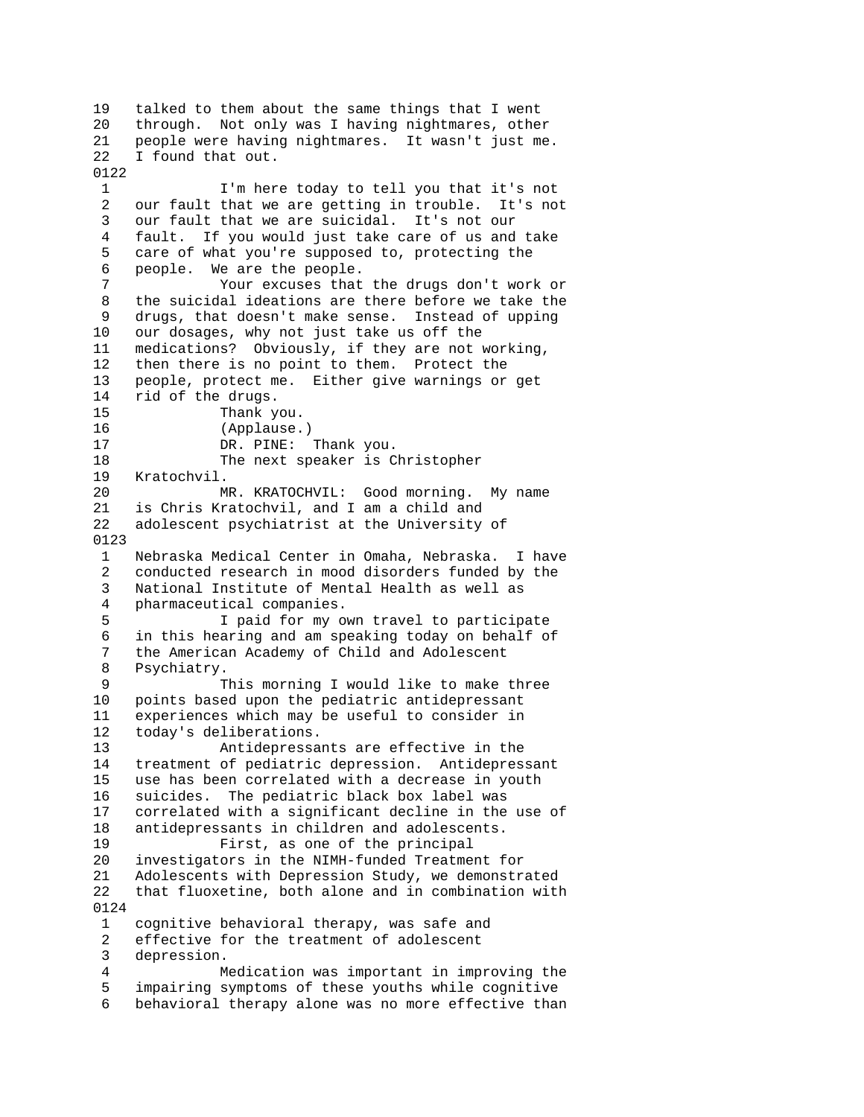19 talked to them about the same things that I went 20 through. Not only was I having nightmares, other 21 people were having nightmares. It wasn't just me. 22 I found that out. 0122 1 I'm here today to tell you that it's not 2 our fault that we are getting in trouble. It's not 3 our fault that we are suicidal. It's not our 4 fault. If you would just take care of us and take 5 care of what you're supposed to, protecting the 6 people. We are the people. 7 Your excuses that the drugs don't work or 8 the suicidal ideations are there before we take the 9 drugs, that doesn't make sense. Instead of upping 10 our dosages, why not just take us off the 11 medications? Obviously, if they are not working, 12 then there is no point to them. Protect the 13 people, protect me. Either give warnings or get 14 rid of the drugs. 15 Thank you. 16 (Applause.) 17 DR. PINE: Thank you. 18 The next speaker is Christopher 19 Kratochvil. 20 MR. KRATOCHVIL: Good morning. My name 21 is Chris Kratochvil, and I am a child and 22 adolescent psychiatrist at the University of 0123 1 Nebraska Medical Center in Omaha, Nebraska. I have 2 conducted research in mood disorders funded by the 3 National Institute of Mental Health as well as 4 pharmaceutical companies. 5 I paid for my own travel to participate 6 in this hearing and am speaking today on behalf of 7 the American Academy of Child and Adolescent 8 Psychiatry. 9 This morning I would like to make three 10 points based upon the pediatric antidepressant 11 experiences which may be useful to consider in 12 today's deliberations. 13 Antidepressants are effective in the 14 treatment of pediatric depression. Antidepressant 15 use has been correlated with a decrease in youth 16 suicides. The pediatric black box label was 17 correlated with a significant decline in the use of 18 antidepressants in children and adolescents. 19 First, as one of the principal 20 investigators in the NIMH-funded Treatment for 21 Adolescents with Depression Study, we demonstrated 22 that fluoxetine, both alone and in combination with 0124 1 cognitive behavioral therapy, was safe and 2 effective for the treatment of adolescent 3 depression. 4 Medication was important in improving the 5 impairing symptoms of these youths while cognitive 6 behavioral therapy alone was no more effective than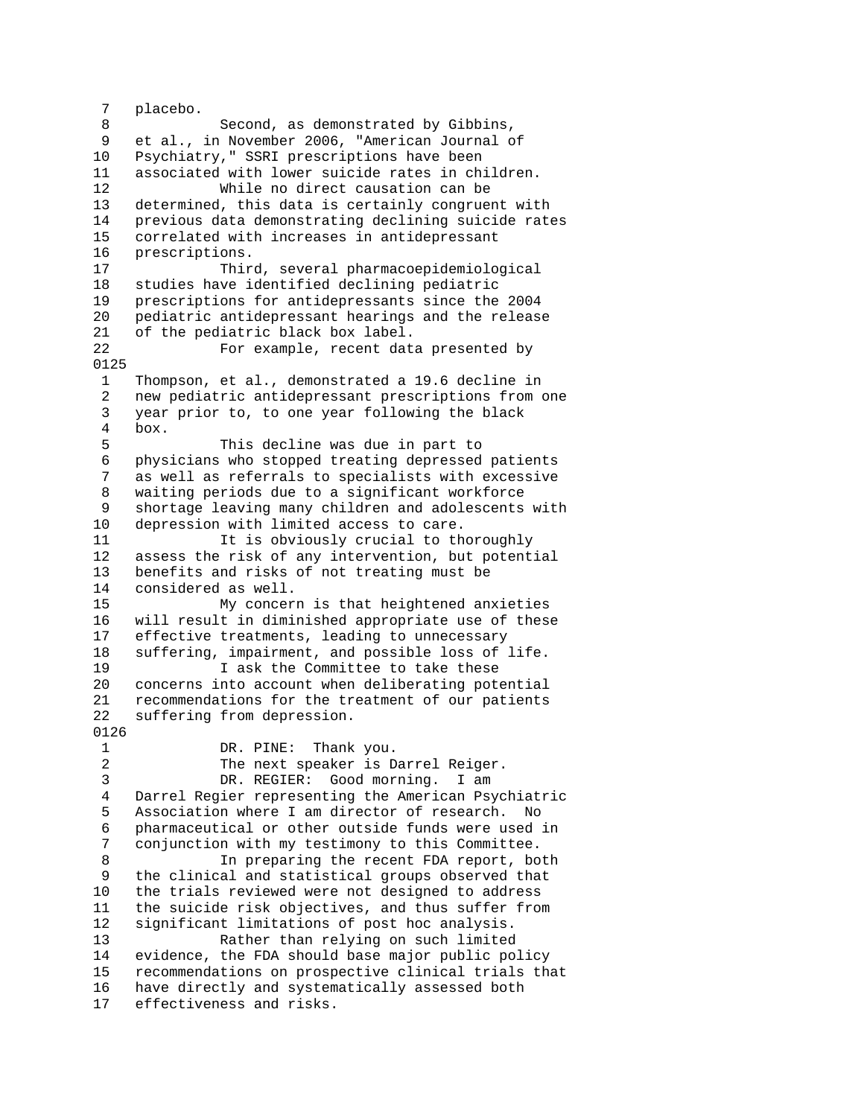7 placebo. 8 Second, as demonstrated by Gibbins, 9 et al., in November 2006, "American Journal of 10 Psychiatry," SSRI prescriptions have been 11 associated with lower suicide rates in children. 12 While no direct causation can be 13 determined, this data is certainly congruent with 14 previous data demonstrating declining suicide rates 15 correlated with increases in antidepressant 16 prescriptions. 17 Third, several pharmacoepidemiological 18 studies have identified declining pediatric 19 prescriptions for antidepressants since the 2004 20 pediatric antidepressant hearings and the release 21 of the pediatric black box label. 22 For example, recent data presented by 0125 1 Thompson, et al., demonstrated a 19.6 decline in 2 new pediatric antidepressant prescriptions from one 3 year prior to, to one year following the black 4 box. 5 This decline was due in part to 6 physicians who stopped treating depressed patients 7 as well as referrals to specialists with excessive 8 waiting periods due to a significant workforce 9 shortage leaving many children and adolescents with 10 depression with limited access to care. 11 11 It is obviously crucial to thoroughly 12 assess the risk of any intervention, but potential 13 benefits and risks of not treating must be 14 considered as well.<br>15 My concer My concern is that heightened anxieties 16 will result in diminished appropriate use of these 17 effective treatments, leading to unnecessary 18 suffering, impairment, and possible loss of life. 19 19 I ask the Committee to take these 20 concerns into account when deliberating potential 21 recommendations for the treatment of our patients 22 suffering from depression. 0126 1 DR. PINE: Thank you. 2 The next speaker is Darrel Reiger. 3 DR. REGIER: Good morning. I am 4 Darrel Regier representing the American Psychiatric 5 Association where I am director of research. No 6 pharmaceutical or other outside funds were used in 7 conjunction with my testimony to this Committee. 8 In preparing the recent FDA report, both 9 the clinical and statistical groups observed that 10 the trials reviewed were not designed to address 11 the suicide risk objectives, and thus suffer from 12 significant limitations of post hoc analysis. 13 Rather than relying on such limited 14 evidence, the FDA should base major public policy 15 recommendations on prospective clinical trials that 16 have directly and systematically assessed both 17 effectiveness and risks.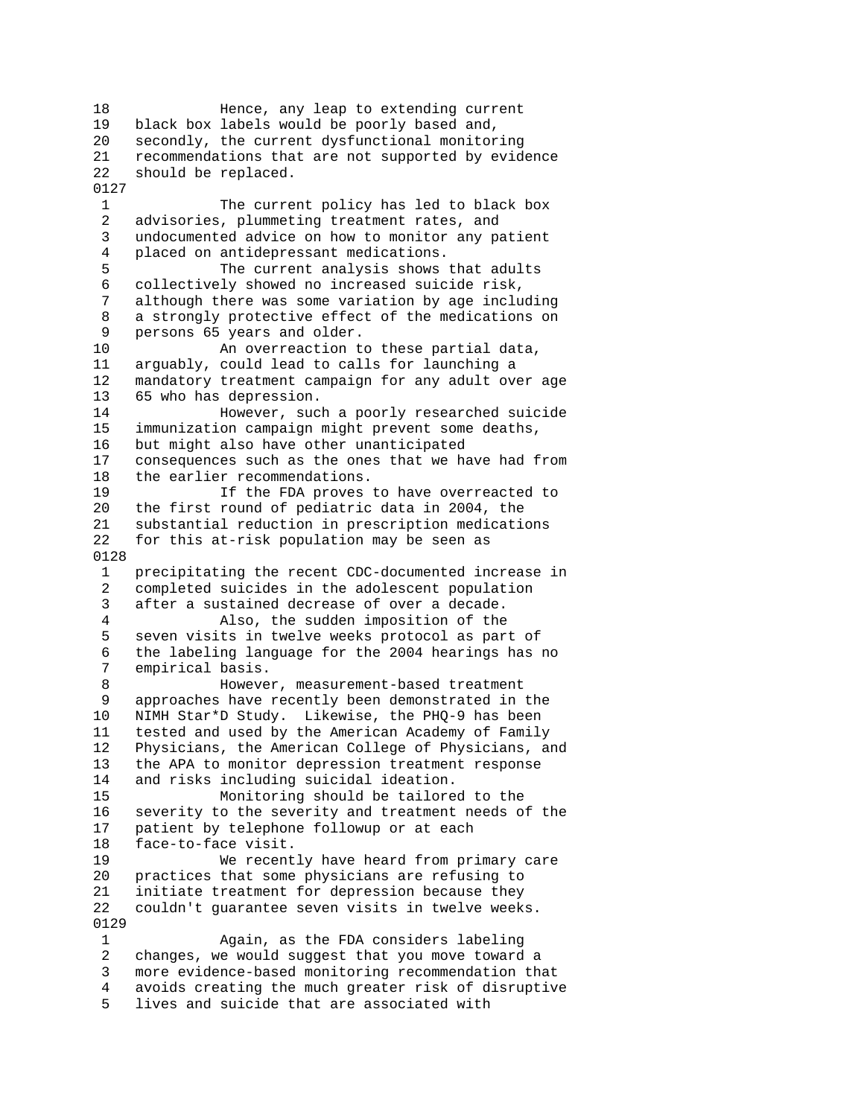18 Hence, any leap to extending current 19 black box labels would be poorly based and, 20 secondly, the current dysfunctional monitoring 21 recommendations that are not supported by evidence 22 should be replaced. 0127 1 The current policy has led to black box 2 advisories, plummeting treatment rates, and 3 undocumented advice on how to monitor any patient 4 placed on antidepressant medications. 5 The current analysis shows that adults 6 collectively showed no increased suicide risk, 7 although there was some variation by age including 8 a strongly protective effect of the medications on 9 persons 65 years and older. 10 An overreaction to these partial data, 11 arguably, could lead to calls for launching a 12 mandatory treatment campaign for any adult over age 13 65 who has depression. 14 However, such a poorly researched suicide 15 immunization campaign might prevent some deaths, 16 but might also have other unanticipated 17 consequences such as the ones that we have had from 18 the earlier recommendations. 19 If the FDA proves to have overreacted to 20 the first round of pediatric data in 2004, the 21 substantial reduction in prescription medications 22 for this at-risk population may be seen as 0128 1 precipitating the recent CDC-documented increase in 2 completed suicides in the adolescent population<br>3 after a sustained decrease of over a decade. after a sustained decrease of over a decade. 4 Also, the sudden imposition of the 5 seven visits in twelve weeks protocol as part of 6 the labeling language for the 2004 hearings has no empirical basis. 8 However, measurement-based treatment 9 approaches have recently been demonstrated in the 10 NIMH Star\*D Study. Likewise, the PHQ-9 has been 11 tested and used by the American Academy of Family 12 Physicians, the American College of Physicians, and 13 the APA to monitor depression treatment response 14 and risks including suicidal ideation. 15 Monitoring should be tailored to the 16 severity to the severity and treatment needs of the 17 patient by telephone followup or at each 18 face-to-face visit. 19 We recently have heard from primary care 20 practices that some physicians are refusing to 21 initiate treatment for depression because they 22 couldn't guarantee seven visits in twelve weeks. 0129 1 Again, as the FDA considers labeling 2 changes, we would suggest that you move toward a 3 more evidence-based monitoring recommendation that 4 avoids creating the much greater risk of disruptive 5 lives and suicide that are associated with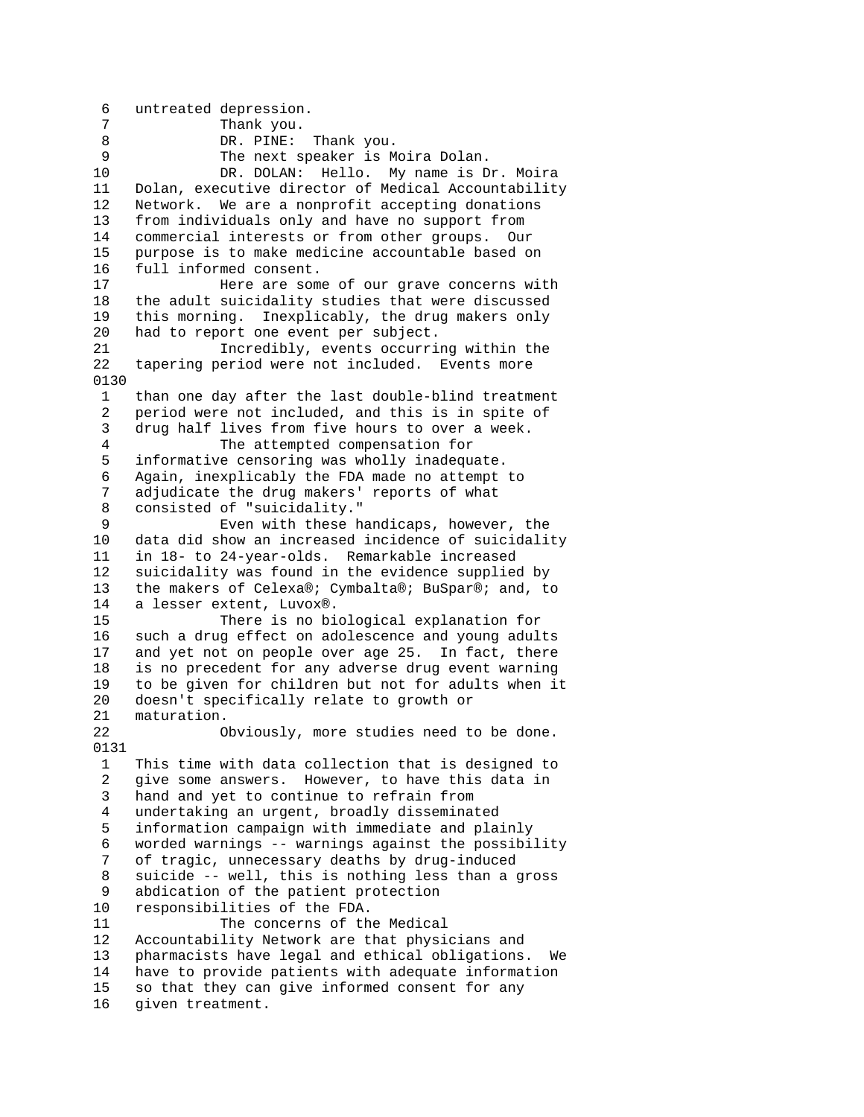6 untreated depression. Thank you. 8 DR. PINE: Thank you. 9 The next speaker is Moira Dolan. 10 DR. DOLAN: Hello. My name is Dr. Moira 11 Dolan, executive director of Medical Accountability 12 Network. We are a nonprofit accepting donations 13 from individuals only and have no support from 14 commercial interests or from other groups. Our 15 purpose is to make medicine accountable based on 16 full informed consent. 17 Here are some of our grave concerns with 18 the adult suicidality studies that were discussed 19 this morning. Inexplicably, the drug makers only 20 had to report one event per subject. 21 Incredibly, events occurring within the 22 tapering period were not included. Events more 0130 1 than one day after the last double-blind treatment 2 period were not included, and this is in spite of 3 drug half lives from five hours to over a week. 4 The attempted compensation for 5 informative censoring was wholly inadequate. 6 Again, inexplicably the FDA made no attempt to 7 adjudicate the drug makers' reports of what 8 consisted of "suicidality." 9 Even with these handicaps, however, the 10 data did show an increased incidence of suicidality 11 in 18- to 24-year-olds. Remarkable increased 12 suicidality was found in the evidence supplied by 13 the makers of Celexa®; Cymbalta®; BuSpar®; and, to 14 a lesser extent, Luvox®. 15 There is no biological explanation for 16 such a drug effect on adolescence and young adults 17 and yet not on people over age 25. In fact, there 18 is no precedent for any adverse drug event warning 19 to be given for children but not for adults when it 20 doesn't specifically relate to growth or 21 maturation. 22 Obviously, more studies need to be done. 0131 1 This time with data collection that is designed to 2 give some answers. However, to have this data in 3 hand and yet to continue to refrain from 4 undertaking an urgent, broadly disseminated 5 information campaign with immediate and plainly 6 worded warnings -- warnings against the possibility 7 of tragic, unnecessary deaths by drug-induced 8 suicide -- well, this is nothing less than a gross 9 abdication of the patient protection 10 responsibilities of the FDA. 11 The concerns of the Medical 12 Accountability Network are that physicians and 13 pharmacists have legal and ethical obligations. We 14 have to provide patients with adequate information 15 so that they can give informed consent for any 16 given treatment.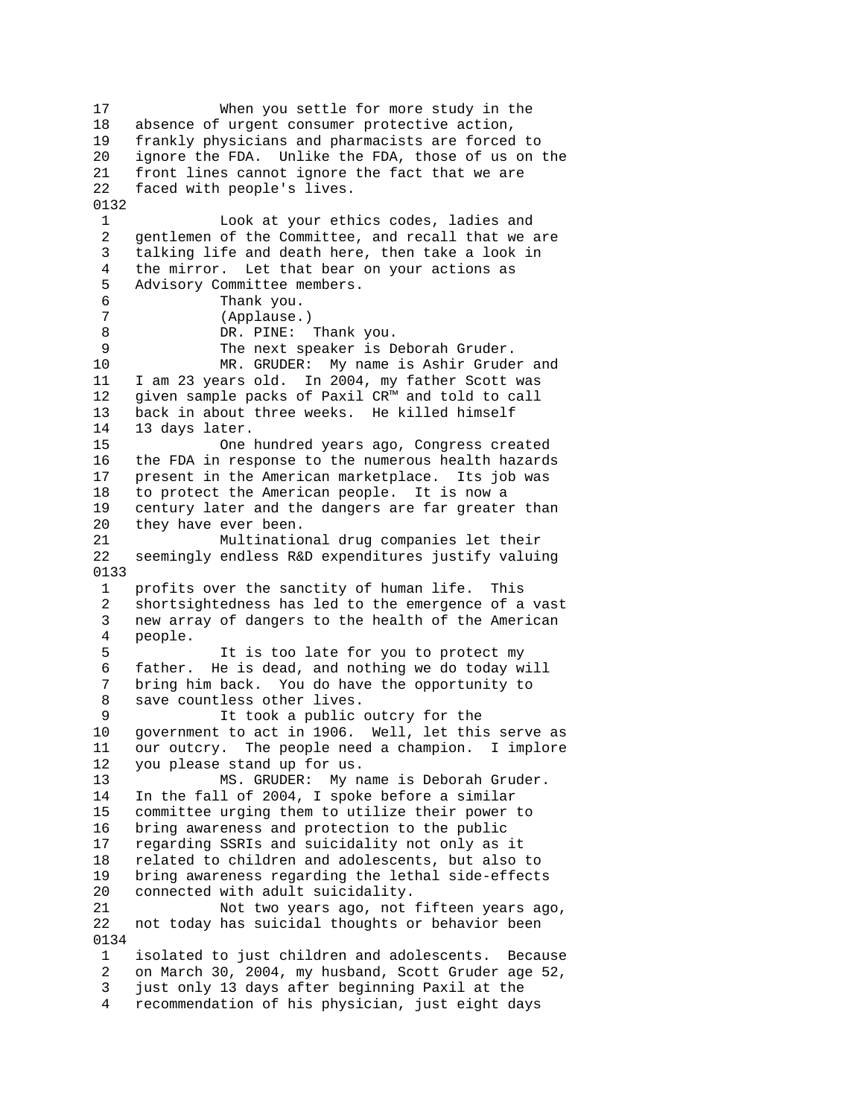17 When you settle for more study in the 18 absence of urgent consumer protective action, 19 frankly physicians and pharmacists are forced to 20 ignore the FDA. Unlike the FDA, those of us on the 21 front lines cannot ignore the fact that we are 22 faced with people's lives. 0132 1 Look at your ethics codes, ladies and 2 gentlemen of the Committee, and recall that we are 3 talking life and death here, then take a look in 4 the mirror. Let that bear on your actions as 5 Advisory Committee members. 6 Thank you.<br>7 (Applause. 7 (Applause.)<br>8 DR. PINE: DR. PINE: Thank you. 9 The next speaker is Deborah Gruder. 10 MR. GRUDER: My name is Ashir Gruder and 11 I am 23 years old. In 2004, my father Scott was 12 given sample packs of Paxil CR™ and told to call 13 back in about three weeks. He killed himself 14 13 days later. 15 One hundred years ago, Congress created 16 the FDA in response to the numerous health hazards 17 present in the American marketplace. Its job was 18 to protect the American people. It is now a 19 century later and the dangers are far greater than 20 they have ever been. 21 Multinational drug companies let their 22 seemingly endless R&D expenditures justify valuing 0133 1 profits over the sanctity of human life. This 2 shortsightedness has led to the emergence of a vast 3 new array of dangers to the health of the American 4 people. 5 It is too late for you to protect my 6 father. He is dead, and nothing we do today will 7 bring him back. You do have the opportunity to 8 save countless other lives. 9 It took a public outcry for the 10 government to act in 1906. Well, let this serve as 11 our outcry. The people need a champion. I implore 12 you please stand up for us. 13 MS. GRUDER: My name is Deborah Gruder. 14 In the fall of 2004, I spoke before a similar 15 committee urging them to utilize their power to 16 bring awareness and protection to the public 17 regarding SSRIs and suicidality not only as it 18 related to children and adolescents, but also to 19 bring awareness regarding the lethal side-effects 20 connected with adult suicidality. 21 Not two years ago, not fifteen years ago, 22 not today has suicidal thoughts or behavior been 0134 1 isolated to just children and adolescents. Because 2 on March 30, 2004, my husband, Scott Gruder age 52, 3 just only 13 days after beginning Paxil at the 4 recommendation of his physician, just eight days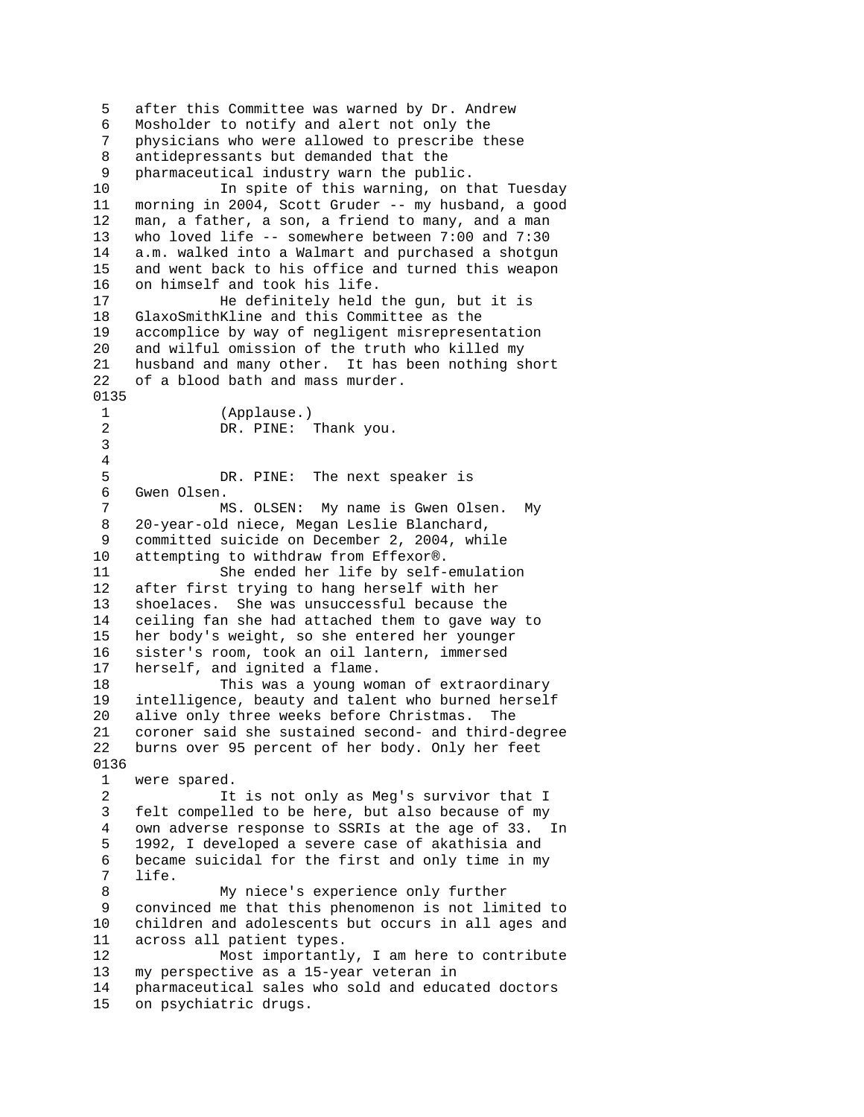5 after this Committee was warned by Dr. Andrew 6 Mosholder to notify and alert not only the 7 physicians who were allowed to prescribe these 8 antidepressants but demanded that the 9 pharmaceutical industry warn the public. 10 In spite of this warning, on that Tuesday 11 morning in 2004, Scott Gruder -- my husband, a good 12 man, a father, a son, a friend to many, and a man 13 who loved life -- somewhere between 7:00 and 7:30 14 a.m. walked into a Walmart and purchased a shotgun 15 and went back to his office and turned this weapon 16 on himself and took his life. 17 He definitely held the gun, but it is 18 GlaxoSmithKline and this Committee as the 19 accomplice by way of negligent misrepresentation 20 and wilful omission of the truth who killed my 21 husband and many other. It has been nothing short 22 of a blood bath and mass murder. 0135 1 (Applause.) 2 DR. PINE: Thank you. 3 4 5 DR. PINE: The next speaker is 6 Gwen Olsen. 7 MS. OLSEN: My name is Gwen Olsen. My 8 20-year-old niece, Megan Leslie Blanchard, 9 committed suicide on December 2, 2004, while 10 attempting to withdraw from Effexor®. 11 She ended her life by self-emulation 12 after first trying to hang herself with her 13 shoelaces. She was unsuccessful because the 14 ceiling fan she had attached them to gave way to 15 her body's weight, so she entered her younger 16 sister's room, took an oil lantern, immersed 17 herself, and ignited a flame. 18 This was a young woman of extraordinary 19 intelligence, beauty and talent who burned herself 20 alive only three weeks before Christmas. The 21 coroner said she sustained second- and third-degree 22 burns over 95 percent of her body. Only her feet 0136 1 were spared. 2 It is not only as Meg's survivor that I 3 felt compelled to be here, but also because of my 4 own adverse response to SSRIs at the age of 33. In 5 1992, I developed a severe case of akathisia and 6 became suicidal for the first and only time in my 7 life. 8 My niece's experience only further 9 convinced me that this phenomenon is not limited to 10 children and adolescents but occurs in all ages and 11 across all patient types. 12 Most importantly, I am here to contribute 13 my perspective as a 15-year veteran in 14 pharmaceutical sales who sold and educated doctors 15 on psychiatric drugs.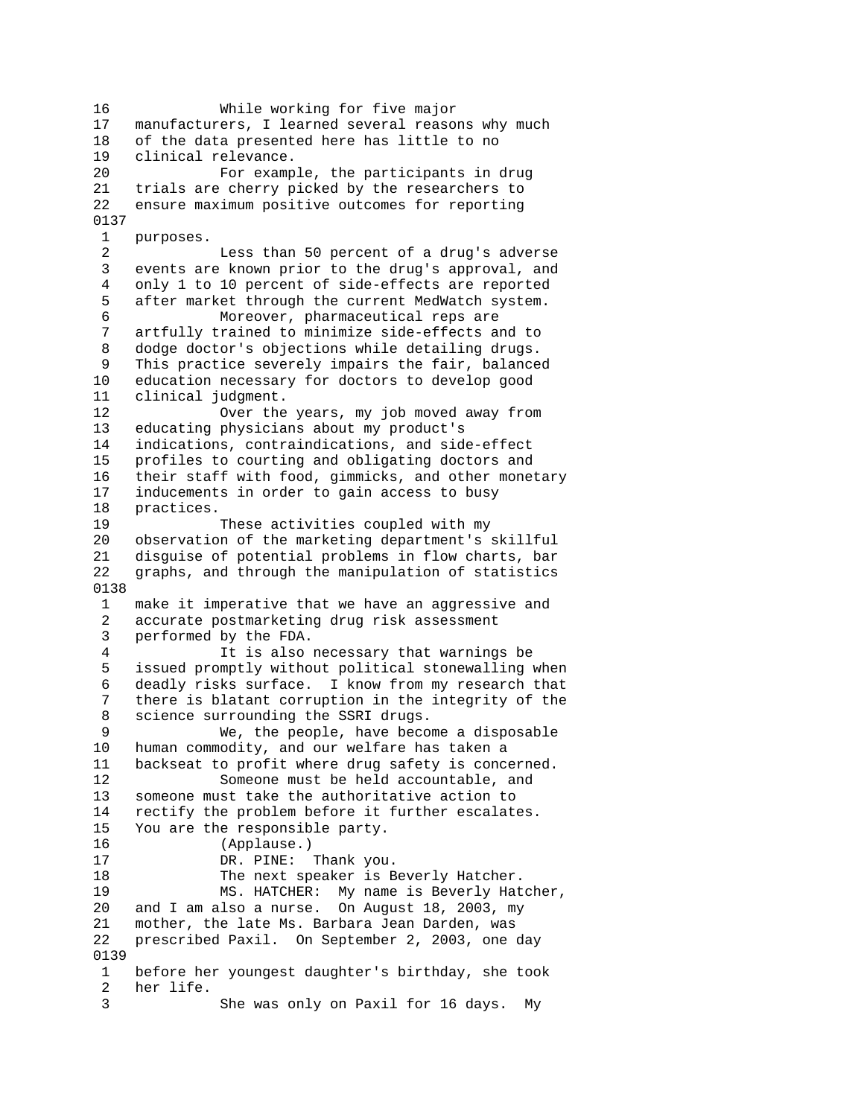16 While working for five major 17 manufacturers, I learned several reasons why much 18 of the data presented here has little to no 19 clinical relevance. 20 For example, the participants in drug 21 trials are cherry picked by the researchers to 22 ensure maximum positive outcomes for reporting 0137 1 purposes. 2 Less than 50 percent of a drug's adverse 3 events are known prior to the drug's approval, and 4 only 1 to 10 percent of side-effects are reported 5 after market through the current MedWatch system. 6 Moreover, pharmaceutical reps are artfully trained to minimize side-effects and to 8 dodge doctor's objections while detailing drugs. 9 This practice severely impairs the fair, balanced 10 education necessary for doctors to develop good 11 clinical judgment. 12 Over the years, my job moved away from 13 educating physicians about my product's 14 indications, contraindications, and side-effect 15 profiles to courting and obligating doctors and 16 their staff with food, gimmicks, and other monetary 17 inducements in order to gain access to busy 18 practices. 19 These activities coupled with my 20 observation of the marketing department's skillful 21 disguise of potential problems in flow charts, bar 22 graphs, and through the manipulation of statistics 0138 1 make it imperative that we have an aggressive and 2 accurate postmarketing drug risk assessment 3 performed by the FDA. 4 It is also necessary that warnings be 5 issued promptly without political stonewalling when 6 deadly risks surface. I know from my research that 7 there is blatant corruption in the integrity of the 8 science surrounding the SSRI drugs. 9 We, the people, have become a disposable 10 human commodity, and our welfare has taken a 11 backseat to profit where drug safety is concerned. 12 Someone must be held accountable, and 13 someone must take the authoritative action to 14 rectify the problem before it further escalates. 15 You are the responsible party. 16 (Applause.) 17 DR. PINE: Thank you. 18 The next speaker is Beverly Hatcher. 19 MS. HATCHER: My name is Beverly Hatcher, 20 and I am also a nurse. On August 18, 2003, my 21 mother, the late Ms. Barbara Jean Darden, was 22 prescribed Paxil. On September 2, 2003, one day 0139 1 before her youngest daughter's birthday, she took 2 her life. 3 She was only on Paxil for 16 days. My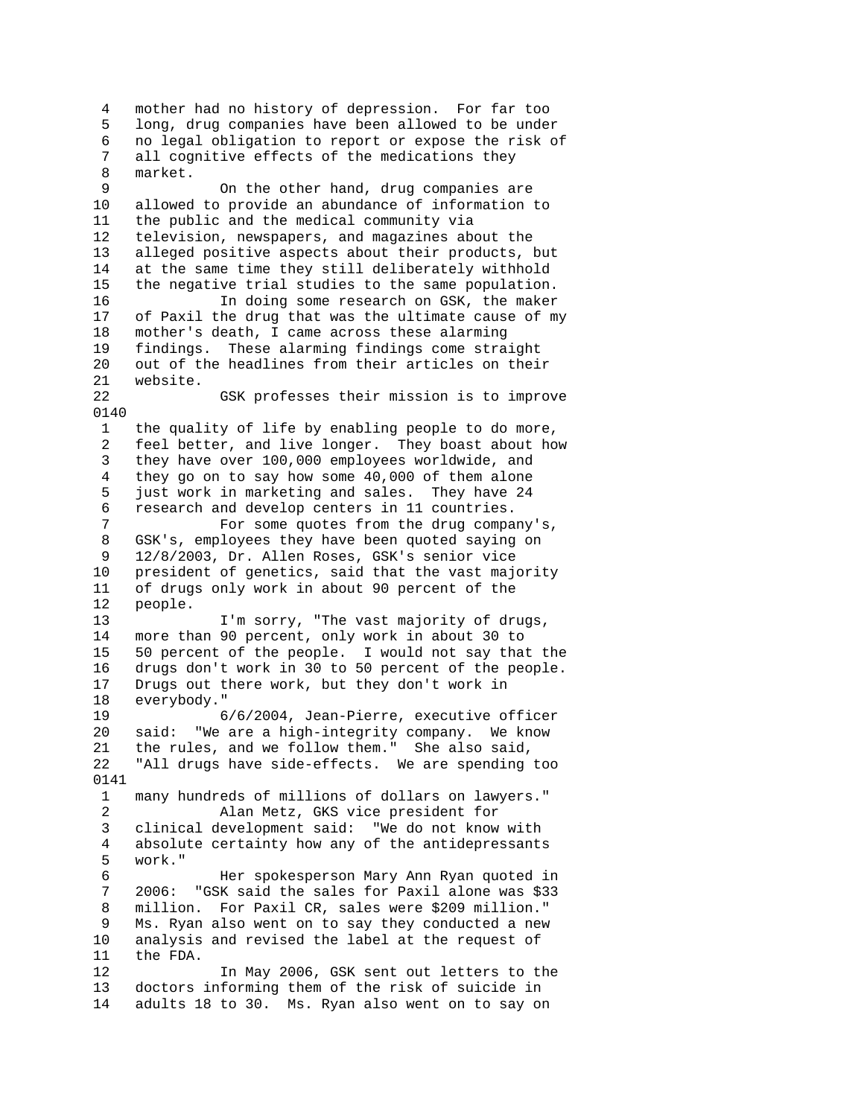4 mother had no history of depression. For far too 5 long, drug companies have been allowed to be under 6 no legal obligation to report or expose the risk of 7 all cognitive effects of the medications they 8 market. 9 On the other hand, drug companies are 10 allowed to provide an abundance of information to 11 the public and the medical community via 12 television, newspapers, and magazines about the 13 alleged positive aspects about their products, but 14 at the same time they still deliberately withhold 15 the negative trial studies to the same population. 16 In doing some research on GSK, the maker 17 of Paxil the drug that was the ultimate cause of my 18 mother's death, I came across these alarming 19 findings. These alarming findings come straight 20 out of the headlines from their articles on their 21 website. GSK professes their mission is to improve 0140 1 the quality of life by enabling people to do more, 2 feel better, and live longer. They boast about how 3 they have over 100,000 employees worldwide, and 4 they go on to say how some 40,000 of them alone 5 just work in marketing and sales. They have 24 6 research and develop centers in 11 countries. 7 For some quotes from the drug company's, 8 GSK's, employees they have been quoted saying on 9 12/8/2003, Dr. Allen Roses, GSK's senior vice 10 president of genetics, said that the vast majority 11 of drugs only work in about 90 percent of the people. 13 I'm sorry, "The vast majority of drugs, 14 more than 90 percent, only work in about 30 to 15 50 percent of the people. I would not say that the 16 drugs don't work in 30 to 50 percent of the people. 17 Drugs out there work, but they don't work in 18 everybody." 19 6/6/2004, Jean-Pierre, executive officer 20 said: "We are a high-integrity company. We know 21 the rules, and we follow them." She also said, 22 "All drugs have side-effects. We are spending too 0141 1 many hundreds of millions of dollars on lawyers." 2 Alan Metz, GKS vice president for 3 clinical development said: "We do not know with 4 absolute certainty how any of the antidepressants 5 work." 6 Her spokesperson Mary Ann Ryan quoted in 7 2006: "GSK said the sales for Paxil alone was \$33 8 million. For Paxil CR, sales were \$209 million." 9 Ms. Ryan also went on to say they conducted a new 10 analysis and revised the label at the request of 11 the FDA. 12 In May 2006, GSK sent out letters to the 13 doctors informing them of the risk of suicide in 14 adults 18 to 30. Ms. Ryan also went on to say on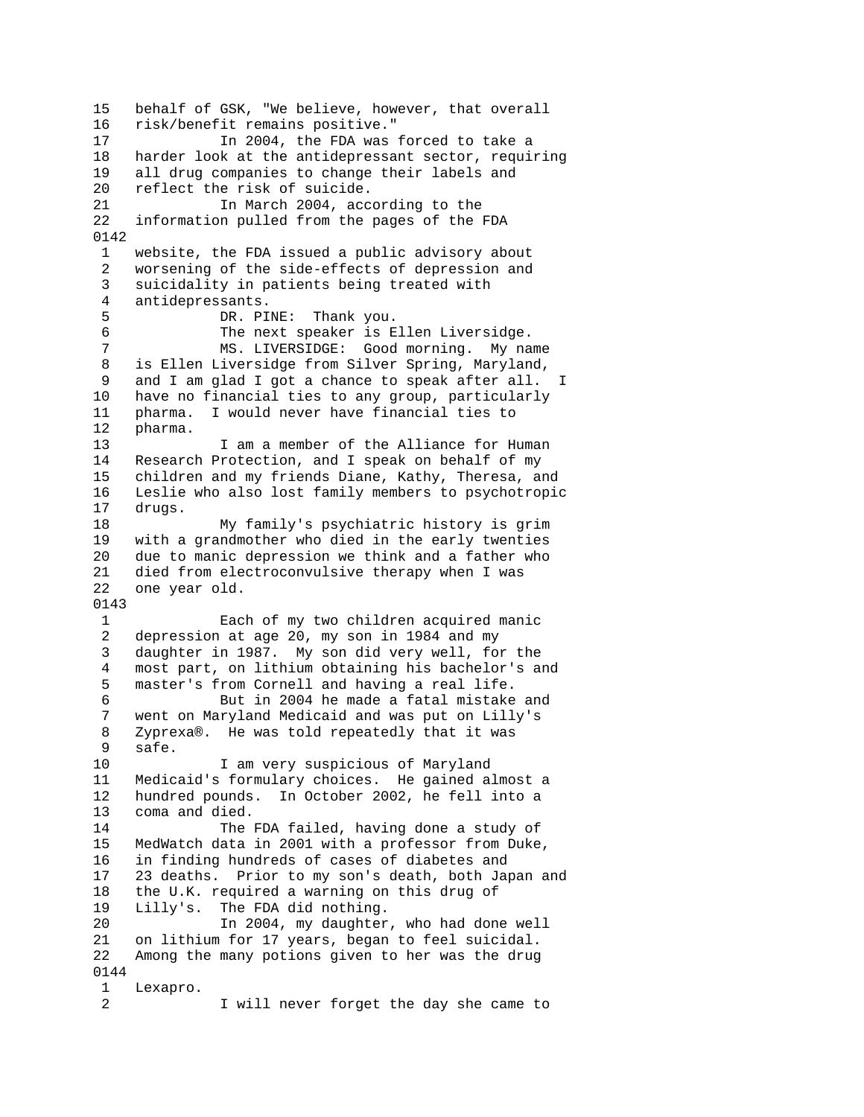15 behalf of GSK, "We believe, however, that overall 16 risk/benefit remains positive." 17 In 2004, the FDA was forced to take a 18 harder look at the antidepressant sector, requiring 19 all drug companies to change their labels and 20 reflect the risk of suicide. 21 In March 2004, according to the 22 information pulled from the pages of the FDA 0142 1 website, the FDA issued a public advisory about 2 worsening of the side-effects of depression and 3 suicidality in patients being treated with 4 antidepressants. 5 DR. PINE: Thank you.<br>6 The next speaker is E 6 The next speaker is Ellen Liversidge.<br>7 MS. LIVERSIDGE: Good morning. My na MS. LIVERSIDGE: Good morning. My name 8 is Ellen Liversidge from Silver Spring, Maryland, 9 and I am glad I got a chance to speak after all. I 10 have no financial ties to any group, particularly 11 pharma. I would never have financial ties to 12 pharma. 13 I am a member of the Alliance for Human 14 Research Protection, and I speak on behalf of my 15 children and my friends Diane, Kathy, Theresa, and 16 Leslie who also lost family members to psychotropic 17 drugs. 18 My family's psychiatric history is grim 19 with a grandmother who died in the early twenties 20 due to manic depression we think and a father who 21 died from electroconvulsive therapy when I was 22 one year old. 0143 1 Each of my two children acquired manic 2 depression at age 20, my son in 1984 and my 3 daughter in 1987. My son did very well, for the 4 most part, on lithium obtaining his bachelor's and 5 master's from Cornell and having a real life. 6 But in 2004 he made a fatal mistake and 7 went on Maryland Medicaid and was put on Lilly's 8 Zyprexa®. He was told repeatedly that it was 9 safe. 10 I am very suspicious of Maryland 11 Medicaid's formulary choices. He gained almost a 12 hundred pounds. In October 2002, he fell into a 13 coma and died. 14 The FDA failed, having done a study of 15 MedWatch data in 2001 with a professor from Duke, 16 in finding hundreds of cases of diabetes and 17 23 deaths. Prior to my son's death, both Japan and 18 the U.K. required a warning on this drug of 19 Lilly's. The FDA did nothing. 20 In 2004, my daughter, who had done well 21 on lithium for 17 years, began to feel suicidal. 22 Among the many potions given to her was the drug 0144 1 Lexapro. 2 I will never forget the day she came to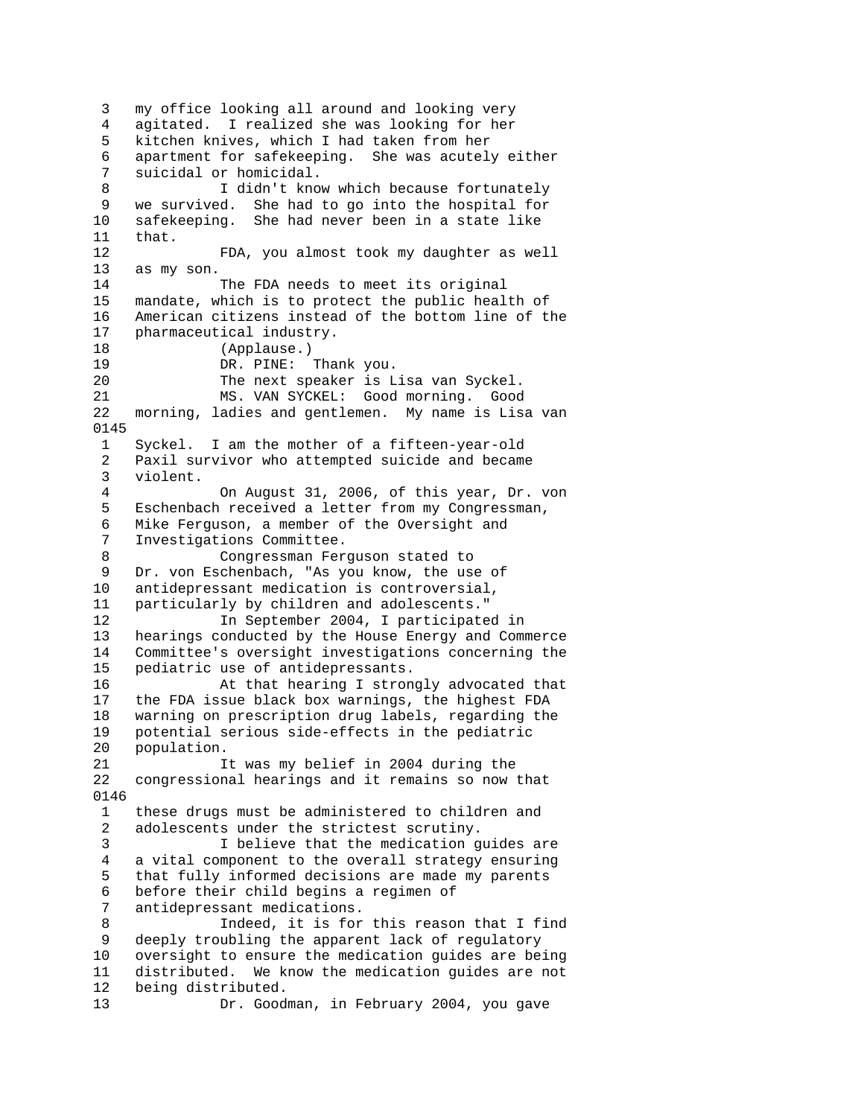3 my office looking all around and looking very 4 agitated. I realized she was looking for her 5 kitchen knives, which I had taken from her 6 apartment for safekeeping. She was acutely either 7 suicidal or homicidal. 8 I didn't know which because fortunately 9 we survived. She had to go into the hospital for 10 safekeeping. She had never been in a state like 11 that. 12 FDA, you almost took my daughter as well 13 as my son. 14 The FDA needs to meet its original 15 mandate, which is to protect the public health of 16 American citizens instead of the bottom line of the 17 pharmaceutical industry. 18 (Applause.) 19 DR. PINE: Thank you. 20 The next speaker is Lisa van Syckel.<br>21 MS. VAN SYCKEL: Good morning. Good MS. VAN SYCKEL: Good morning. Good 22 morning, ladies and gentlemen. My name is Lisa van 0145 1 Syckel. I am the mother of a fifteen-year-old 2 Paxil survivor who attempted suicide and became 3 violent. 4 On August 31, 2006, of this year, Dr. von 5 Eschenbach received a letter from my Congressman, 6 Mike Ferguson, a member of the Oversight and 7 Investigations Committee. 8 Congressman Ferguson stated to 9 Dr. von Eschenbach, "As you know, the use of 10 antidepressant medication is controversial,<br>11 particularly by children and adolescents." particularly by children and adolescents." 12 In September 2004, I participated in 13 hearings conducted by the House Energy and Commerce 14 Committee's oversight investigations concerning the 15 pediatric use of antidepressants. 16 At that hearing I strongly advocated that 17 the FDA issue black box warnings, the highest FDA 18 warning on prescription drug labels, regarding the 19 potential serious side-effects in the pediatric 20 population. 21 It was my belief in 2004 during the 22 congressional hearings and it remains so now that 0146 1 these drugs must be administered to children and 2 adolescents under the strictest scrutiny. 3 I believe that the medication guides are 4 a vital component to the overall strategy ensuring 5 that fully informed decisions are made my parents 6 before their child begins a regimen of 7 antidepressant medications. 8 Indeed, it is for this reason that I find 9 deeply troubling the apparent lack of regulatory 10 oversight to ensure the medication guides are being 11 distributed. We know the medication guides are not 12 being distributed. 13 Dr. Goodman, in February 2004, you gave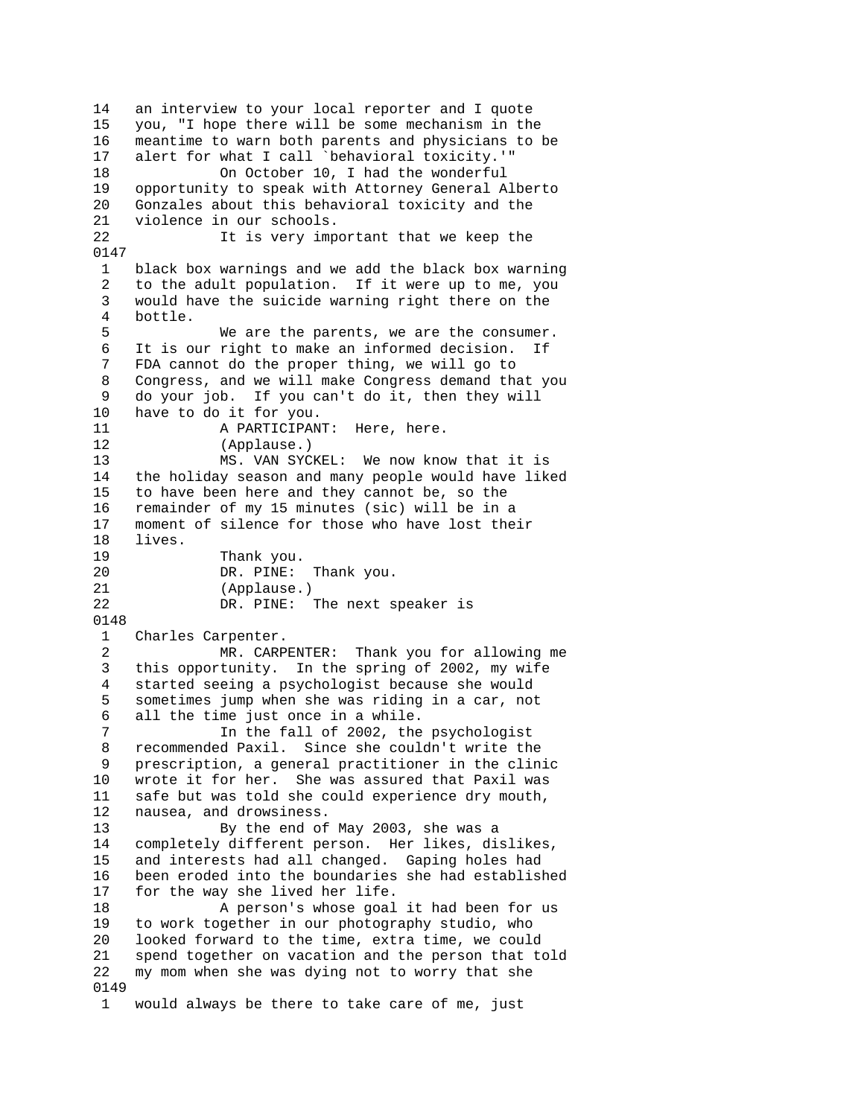14 an interview to your local reporter and I quote 15 you, "I hope there will be some mechanism in the 16 meantime to warn both parents and physicians to be 17 alert for what I call `behavioral toxicity.'" 18 On October 10, I had the wonderful 19 opportunity to speak with Attorney General Alberto 20 Gonzales about this behavioral toxicity and the 21 violence in our schools. 22 It is very important that we keep the 0147 1 black box warnings and we add the black box warning 2 to the adult population. If it were up to me, you 3 would have the suicide warning right there on the 4 bottle. 5 We are the parents, we are the consumer. 6 It is our right to make an informed decision. If 7 FDA cannot do the proper thing, we will go to 8 Congress, and we will make Congress demand that you 9 do your job. If you can't do it, then they will 10 have to do it for you. 11 A PARTICIPANT: Here, here. 12 (Applause.) 13 MS. VAN SYCKEL: We now know that it is 14 the holiday season and many people would have liked 15 to have been here and they cannot be, so the 16 remainder of my 15 minutes (sic) will be in a 17 moment of silence for those who have lost their 18 lives. 19 Thank you. 20 DR. PINE: Thank you. 21 (Applause.)<br>22 DR. PINE: DR. PINE: The next speaker is 0148 1 Charles Carpenter. 2 MR. CARPENTER: Thank you for allowing me 3 this opportunity. In the spring of 2002, my wife 4 started seeing a psychologist because she would 5 sometimes jump when she was riding in a car, not 6 all the time just once in a while. 7 In the fall of 2002, the psychologist 8 recommended Paxil. Since she couldn't write the 9 prescription, a general practitioner in the clinic 10 wrote it for her. She was assured that Paxil was 11 safe but was told she could experience dry mouth, 12 nausea, and drowsiness.<br>13 By the end of By the end of May 2003, she was a 14 completely different person. Her likes, dislikes, 15 and interests had all changed. Gaping holes had 16 been eroded into the boundaries she had established 17 for the way she lived her life. 18 A person's whose goal it had been for us 19 to work together in our photography studio, who 20 looked forward to the time, extra time, we could 21 spend together on vacation and the person that told 22 my mom when she was dying not to worry that she 0149 1 would always be there to take care of me, just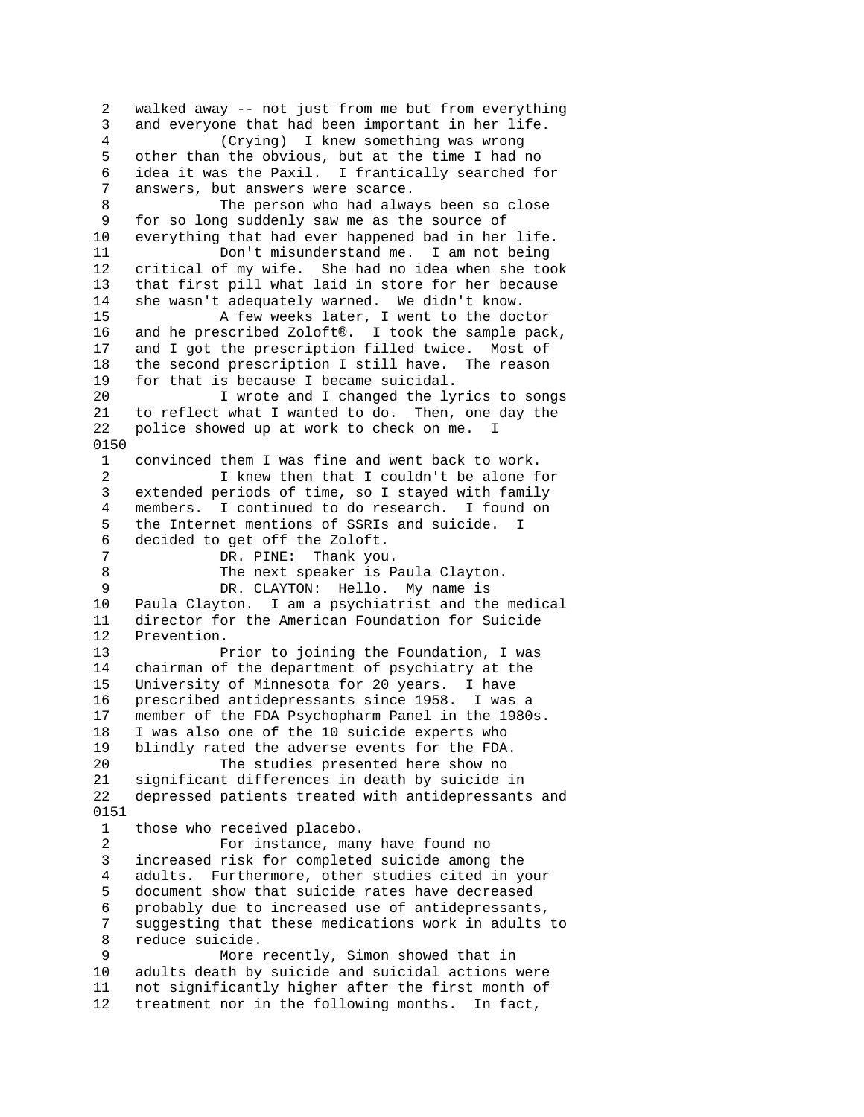2 walked away -- not just from me but from everything 3 and everyone that had been important in her life. 4 (Crying) I knew something was wrong 5 other than the obvious, but at the time I had no 6 idea it was the Paxil. I frantically searched for 7 answers, but answers were scarce. 8 The person who had always been so close 9 for so long suddenly saw me as the source of 10 everything that had ever happened bad in her life. 11 Don't misunderstand me. I am not being 12 critical of my wife. She had no idea when she took 13 that first pill what laid in store for her because 14 she wasn't adequately warned. We didn't know. 15 A few weeks later, I went to the doctor 16 and he prescribed Zoloft®. I took the sample pack, 17 and I got the prescription filled twice. Most of 18 the second prescription I still have. The reason 19 for that is because I became suicidal.<br>20 I wrote and I changed the ly I wrote and I changed the lyrics to songs 21 to reflect what I wanted to do. Then, one day the 22 police showed up at work to check on me. I 0150 1 convinced them I was fine and went back to work. 2 I knew then that I couldn't be alone for 3 extended periods of time, so I stayed with family 4 members. I continued to do research. I found on 5 the Internet mentions of SSRIs and suicide. I 6 decided to get off the Zoloft. 7 DR. PINE: Thank you. 8 The next speaker is Paula Clayton.<br>9 DR. CLAYTON: Hello. My name is 9 DR. CLAYTON: Hello. My name is<br>10 Paula Clayton. I am a psychiatrist and the Paula Clayton. I am a psychiatrist and the medical 11 director for the American Foundation for Suicide 12 Prevention. 13 Prior to joining the Foundation, I was 14 chairman of the department of psychiatry at the 15 University of Minnesota for 20 years. I have 16 prescribed antidepressants since 1958. I was a 17 member of the FDA Psychopharm Panel in the 1980s. 18 I was also one of the 10 suicide experts who 19 blindly rated the adverse events for the FDA. 20 The studies presented here show no 21 significant differences in death by suicide in 22 depressed patients treated with antidepressants and 0151 1 those who received placebo. 2 For instance, many have found no 3 increased risk for completed suicide among the 4 adults. Furthermore, other studies cited in your 5 document show that suicide rates have decreased 6 probably due to increased use of antidepressants, 7 suggesting that these medications work in adults to 8 reduce suicide. 9 More recently, Simon showed that in 10 adults death by suicide and suicidal actions were 11 not significantly higher after the first month of 12 treatment nor in the following months. In fact,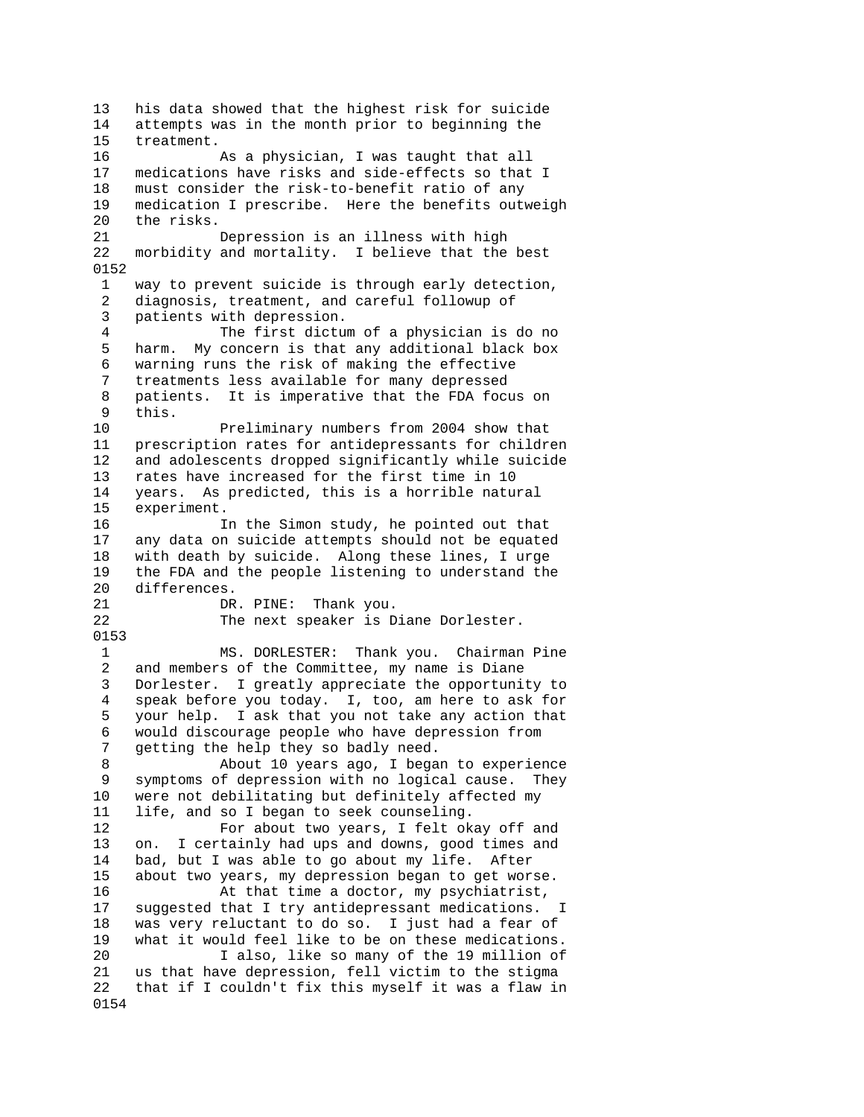13 his data showed that the highest risk for suicide 14 attempts was in the month prior to beginning the 15 treatment. 16 As a physician, I was taught that all 17 medications have risks and side-effects so that I 18 must consider the risk-to-benefit ratio of any 19 medication I prescribe. Here the benefits outweigh 20 the risks. 21 Depression is an illness with high 22 morbidity and mortality. I believe that the best 0152 1 way to prevent suicide is through early detection, 2 diagnosis, treatment, and careful followup of 3 patients with depression. 4 The first dictum of a physician is do no 5 harm. My concern is that any additional black box 6 warning runs the risk of making the effective 7 treatments less available for many depressed 8 patients. It is imperative that the FDA focus on 9 this. 10 Preliminary numbers from 2004 show that 11 prescription rates for antidepressants for children 12 and adolescents dropped significantly while suicide 13 rates have increased for the first time in 10 14 years. As predicted, this is a horrible natural 15 experiment. 16 In the Simon study, he pointed out that 17 any data on suicide attempts should not be equated 18 with death by suicide. Along these lines, I urge 19 the FDA and the people listening to understand the 20 differences.<br>21 DR DR. PINE: Thank you. 22 The next speaker is Diane Dorlester. 0153 1 MS. DORLESTER: Thank you. Chairman Pine 2 and members of the Committee, my name is Diane 3 Dorlester. I greatly appreciate the opportunity to 4 speak before you today. I, too, am here to ask for 5 your help. I ask that you not take any action that 6 would discourage people who have depression from 7 getting the help they so badly need. 8 About 10 years ago, I began to experience 9 symptoms of depression with no logical cause. They 10 were not debilitating but definitely affected my 11 life, and so I began to seek counseling. 12 For about two years, I felt okay off and 13 on. I certainly had ups and downs, good times and 14 bad, but I was able to go about my life. After 15 about two years, my depression began to get worse. 16 At that time a doctor, my psychiatrist, 17 suggested that I try antidepressant medications. I 18 was very reluctant to do so. I just had a fear of 19 what it would feel like to be on these medications. 20 I also, like so many of the 19 million of 21 us that have depression, fell victim to the stigma 22 that if I couldn't fix this myself it was a flaw in 0154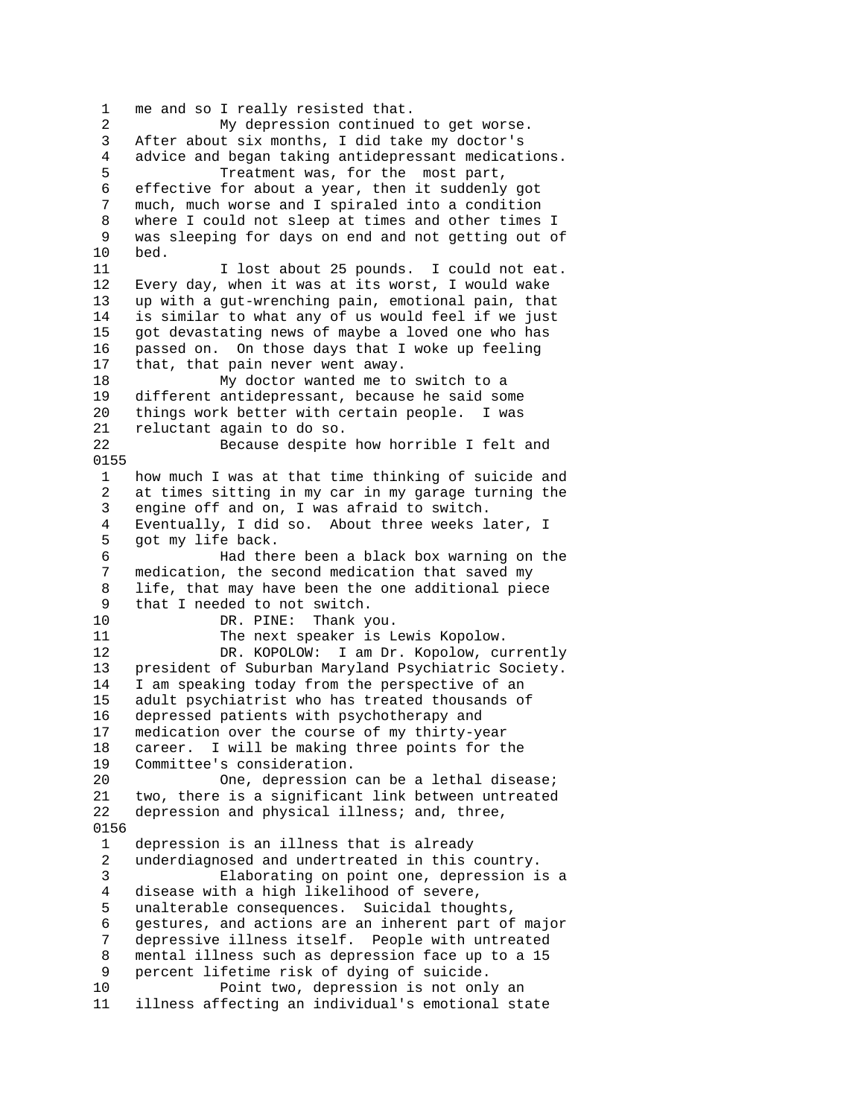1 me and so I really resisted that. 2 My depression continued to get worse. 3 After about six months, I did take my doctor's 4 advice and began taking antidepressant medications. 5 Treatment was, for the most part, 6 effective for about a year, then it suddenly got 7 much, much worse and I spiraled into a condition 8 where I could not sleep at times and other times I 9 was sleeping for days on end and not getting out of 10 bed. 11 10st about 25 pounds. I could not eat. 12 Every day, when it was at its worst, I would wake 13 up with a gut-wrenching pain, emotional pain, that 14 is similar to what any of us would feel if we just 15 got devastating news of maybe a loved one who has 16 passed on. On those days that I woke up feeling 17 that, that pain never went away. 18 My doctor wanted me to switch to a<br>19 different antidepressant, because he said so different antidepressant, because he said some 20 things work better with certain people. I was 21 reluctant again to do so. 22 Because despite how horrible I felt and 0155 1 how much I was at that time thinking of suicide and 2 at times sitting in my car in my garage turning the 3 engine off and on, I was afraid to switch. 4 Eventually, I did so. About three weeks later, I 5 got my life back. 6 Had there been a black box warning on the 7 medication, the second medication that saved my 8 life, that may have been the one additional piece<br>9 that I needed to not switch. 9 that I needed to not switch.<br>10 DR. PINE: Thank v DR. PINE: Thank you. 11 The next speaker is Lewis Kopolow. 12 DR. KOPOLOW: I am Dr. Kopolow, currently 13 president of Suburban Maryland Psychiatric Society. 14 I am speaking today from the perspective of an 15 adult psychiatrist who has treated thousands of 16 depressed patients with psychotherapy and 17 medication over the course of my thirty-year 18 career. I will be making three points for the 19 Committee's consideration. 20 One, depression can be a lethal disease; 21 two, there is a significant link between untreated 22 depression and physical illness; and, three, 0156 1 depression is an illness that is already 2 underdiagnosed and undertreated in this country. 3 Elaborating on point one, depression is a 4 disease with a high likelihood of severe, 5 unalterable consequences. Suicidal thoughts, 6 gestures, and actions are an inherent part of major 7 depressive illness itself. People with untreated 8 mental illness such as depression face up to a 15 9 percent lifetime risk of dying of suicide. 10 Point two, depression is not only an 11 illness affecting an individual's emotional state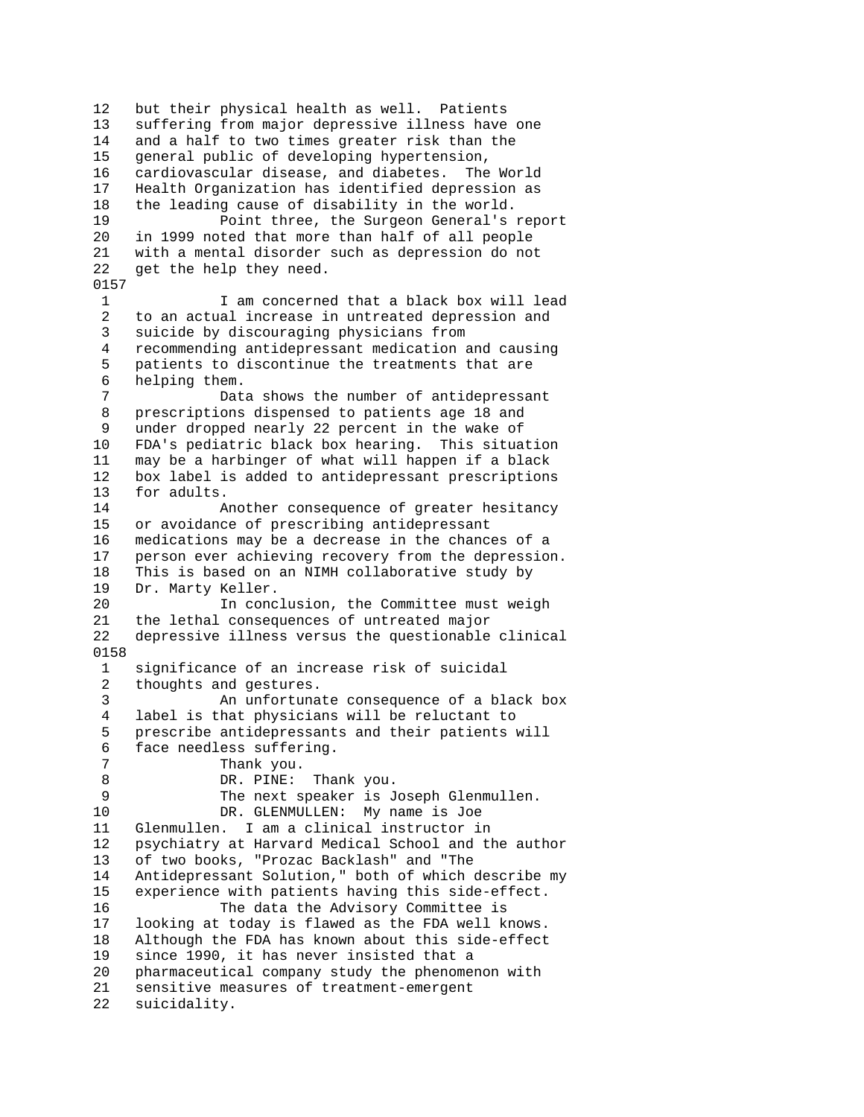12 but their physical health as well. Patients 13 suffering from major depressive illness have one 14 and a half to two times greater risk than the 15 general public of developing hypertension, 16 cardiovascular disease, and diabetes. The World 17 Health Organization has identified depression as 18 the leading cause of disability in the world. 19 Point three, the Surgeon General's report 20 in 1999 noted that more than half of all people 21 with a mental disorder such as depression do not 22 get the help they need. 0157

 1 I am concerned that a black box will lead 2 to an actual increase in untreated depression and 3 suicide by discouraging physicians from 4 recommending antidepressant medication and causing 5 patients to discontinue the treatments that are 6 helping them.<br>7

Data shows the number of antidepressant 8 prescriptions dispensed to patients age 18 and 9 under dropped nearly 22 percent in the wake of 10 FDA's pediatric black box hearing. This situation 11 may be a harbinger of what will happen if a black 12 box label is added to antidepressant prescriptions 13 for adults.

14 Another consequence of greater hesitancy 15 or avoidance of prescribing antidepressant 16 medications may be a decrease in the chances of a 17 person ever achieving recovery from the depression. 18 This is based on an NIMH collaborative study by 19 Dr. Marty Keller.<br>20 In conc

In conclusion, the Committee must weigh 21 the lethal consequences of untreated major 22 depressive illness versus the questionable clinical 0158

 1 significance of an increase risk of suicidal 2 thoughts and gestures. 3 An unfortunate consequence of a black box 4 label is that physicians will be reluctant to 5 prescribe antidepressants and their patients will 6 face needless suffering. 7 Thank you. 8 DR. PINE: Thank you. 9 The next speaker is Joseph Glenmullen. 10 DR. GLENMULLEN: My name is Joe 11 Glenmullen. I am a clinical instructor in 12 psychiatry at Harvard Medical School and the author 13 of two books, "Prozac Backlash" and "The 14 Antidepressant Solution," both of which describe my 15 experience with patients having this side-effect. 16 The data the Advisory Committee is 17 looking at today is flawed as the FDA well knows. 18 Although the FDA has known about this side-effect 19 since 1990, it has never insisted that a 20 pharmaceutical company study the phenomenon with 21 sensitive measures of treatment-emergent 22 suicidality.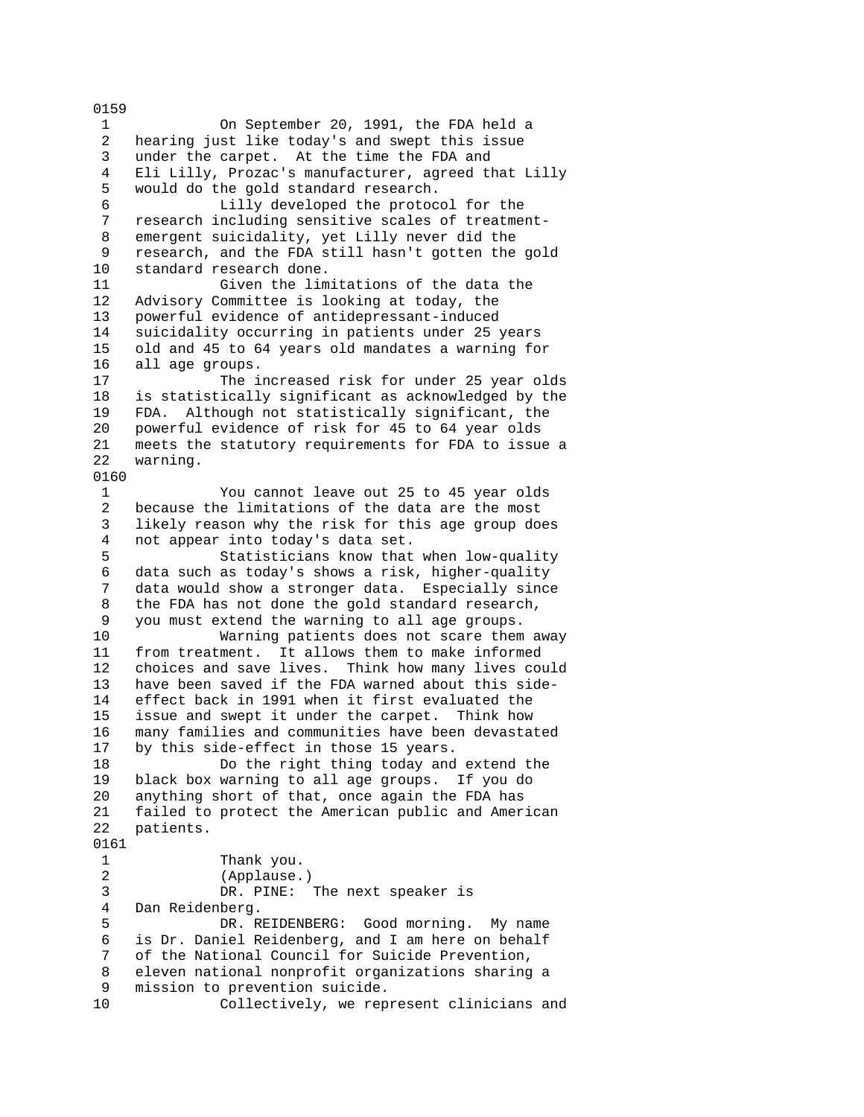1 On September 20, 1991, the FDA held a 2 hearing just like today's and swept this issue 3 under the carpet. At the time the FDA and 4 Eli Lilly, Prozac's manufacturer, agreed that Lilly 5 would do the gold standard research. 6 Lilly developed the protocol for the 7 research including sensitive scales of treatment- 8 emergent suicidality, yet Lilly never did the 9 research, and the FDA still hasn't gotten the gold 10 standard research done. 11 Given the limitations of the data the 12 Advisory Committee is looking at today, the 13 powerful evidence of antidepressant-induced 14 suicidality occurring in patients under 25 years 15 old and 45 to 64 years old mandates a warning for 16 all age groups. 17 The increased risk for under 25 year olds 18 is statistically significant as acknowledged by the 19 FDA. Although not statistically significant, the 20 powerful evidence of risk for 45 to 64 year olds 21 meets the statutory requirements for FDA to issue a 22 warning. 0160 1 You cannot leave out 25 to 45 year olds 2 because the limitations of the data are the most 3 likely reason why the risk for this age group does 4 not appear into today's data set. 5 Statisticians know that when low-quality 6 data such as today's shows a risk, higher-quality data would show a stronger data. Especially since 8 the FDA has not done the gold standard research, 9 you must extend the warning to all age groups. 10 Warning patients does not scare them away 11 from treatment. It allows them to make informed 12 choices and save lives. Think how many lives could 13 have been saved if the FDA warned about this side-14 effect back in 1991 when it first evaluated the 15 issue and swept it under the carpet. Think how 16 many families and communities have been devastated 17 by this side-effect in those 15 years. 18 Do the right thing today and extend the 19 black box warning to all age groups. If you do 20 anything short of that, once again the FDA has 21 failed to protect the American public and American 22 patients. 0161 1 Thank you. 2 (Applause.) 3 DR. PINE: The next speaker is 4 Dan Reidenberg. 5 DR. REIDENBERG: Good morning. My name 6 is Dr. Daniel Reidenberg, and I am here on behalf 7 of the National Council for Suicide Prevention, 8 eleven national nonprofit organizations sharing a 9 mission to prevention suicide. 10 Collectively, we represent clinicians and

0159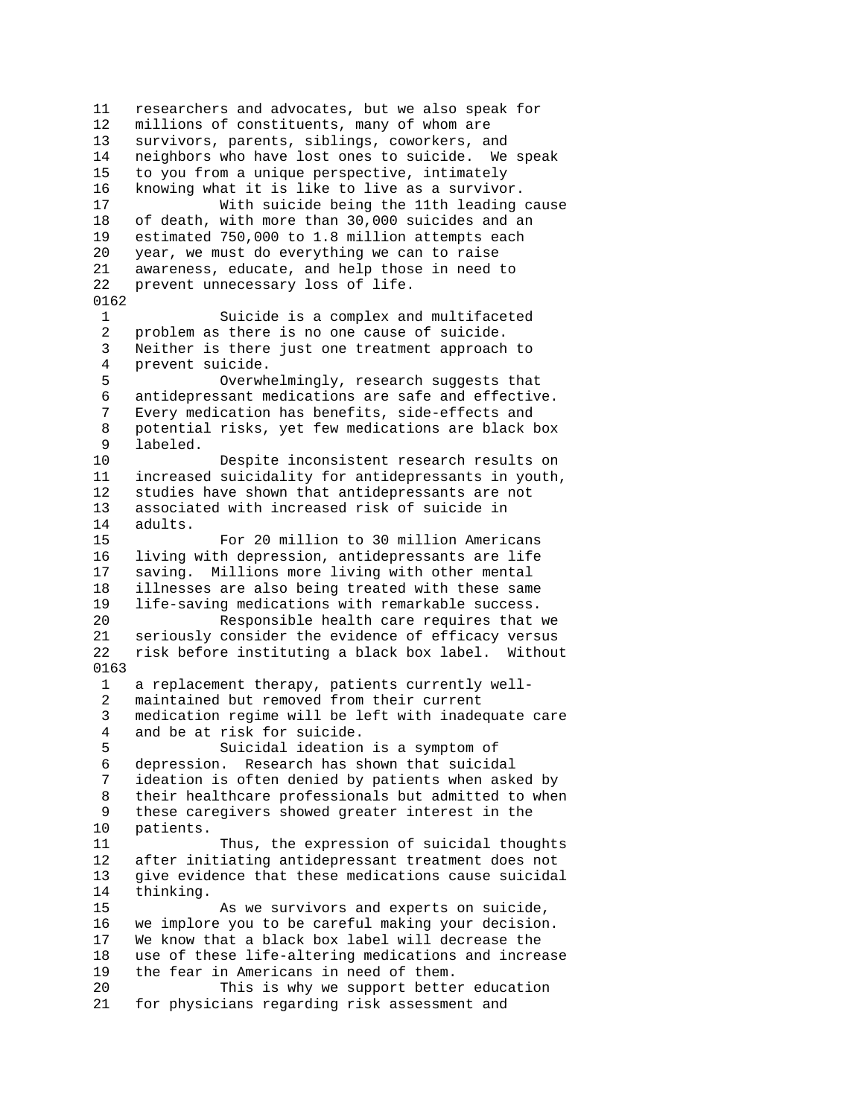11 researchers and advocates, but we also speak for 12 millions of constituents, many of whom are 13 survivors, parents, siblings, coworkers, and 14 neighbors who have lost ones to suicide. We speak 15 to you from a unique perspective, intimately 16 knowing what it is like to live as a survivor. 17 With suicide being the 11th leading cause 18 of death, with more than 30,000 suicides and an 19 estimated 750,000 to 1.8 million attempts each 20 year, we must do everything we can to raise 21 awareness, educate, and help those in need to 22 prevent unnecessary loss of life. 0162 1 Suicide is a complex and multifaceted<br>2 problem as there is no one cause of suicide. problem as there is no one cause of suicide. 3 Neither is there just one treatment approach to 4 prevent suicide. 5 Overwhelmingly, research suggests that 6 antidepressant medications are safe and effective. 7 Every medication has benefits, side-effects and 8 potential risks, yet few medications are black box 9 labeled. 10 Despite inconsistent research results on 11 increased suicidality for antidepressants in youth, 12 studies have shown that antidepressants are not 13 associated with increased risk of suicide in 14 adults. 15 For 20 million to 30 million Americans 16 living with depression, antidepressants are life 17 saving. Millions more living with other mental 18 illnesses are also being treated with these same<br>19 life-saving medications with remarkable success. life-saving medications with remarkable success. 20 Responsible health care requires that we 21 seriously consider the evidence of efficacy versus 22 risk before instituting a black box label. Without 0163 1 a replacement therapy, patients currently well- 2 maintained but removed from their current 3 medication regime will be left with inadequate care 4 and be at risk for suicide. 5 Suicidal ideation is a symptom of 6 depression. Research has shown that suicidal 7 ideation is often denied by patients when asked by 8 their healthcare professionals but admitted to when 9 these caregivers showed greater interest in the 10 patients. 11 Thus, the expression of suicidal thoughts 12 after initiating antidepressant treatment does not 13 give evidence that these medications cause suicidal 14 thinking. 15 As we survivors and experts on suicide, 16 we implore you to be careful making your decision. 17 We know that a black box label will decrease the 18 use of these life-altering medications and increase 19 the fear in Americans in need of them. 20 This is why we support better education 21 for physicians regarding risk assessment and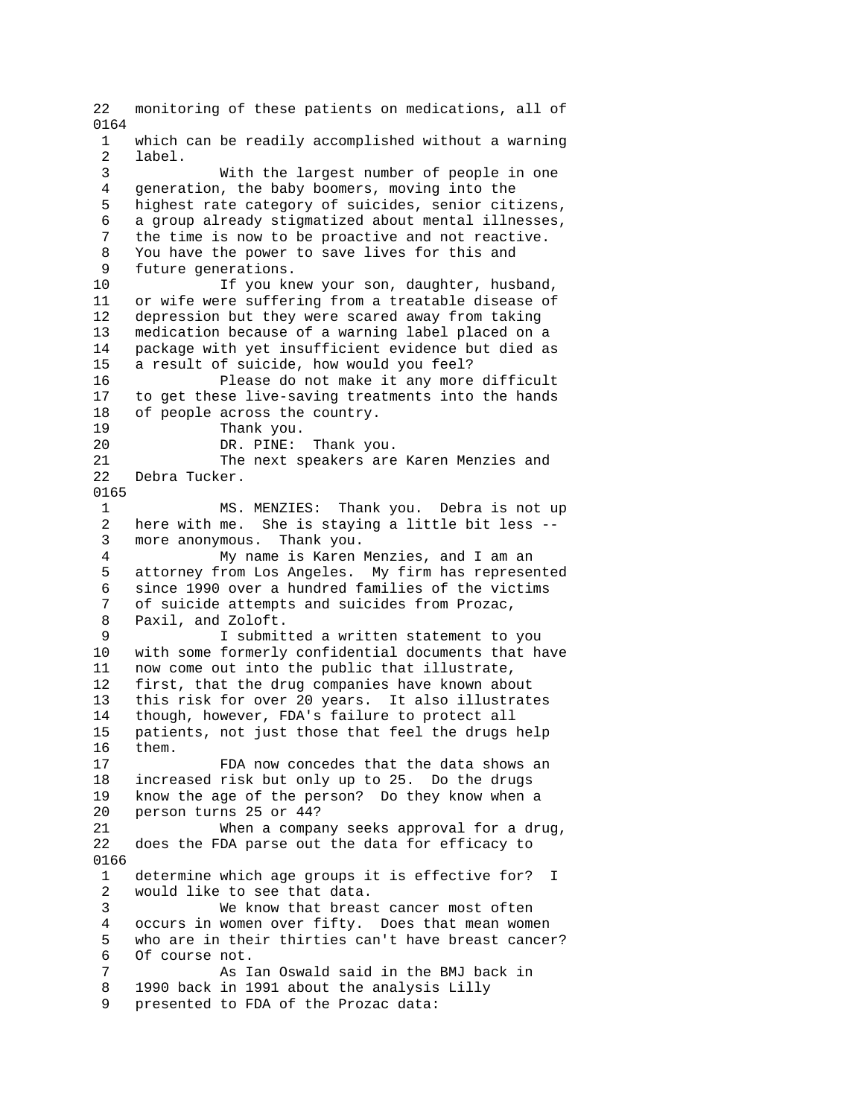22 monitoring of these patients on medications, all of 0164 1 which can be readily accomplished without a warning 2 label. 3 With the largest number of people in one 4 generation, the baby boomers, moving into the 5 highest rate category of suicides, senior citizens, 6 a group already stigmatized about mental illnesses, 7 the time is now to be proactive and not reactive. 8 You have the power to save lives for this and 9 future generations. 10 If you knew your son, daughter, husband, 11 or wife were suffering from a treatable disease of 12 depression but they were scared away from taking 13 medication because of a warning label placed on a 14 package with yet insufficient evidence but died as 15 a result of suicide, how would you feel? 16 Please do not make it any more difficult 17 to get these live-saving treatments into the hands 18 of people across the country. 19 Thank you.<br>20 DR. PINE: DR. PINE: Thank you. 21 The next speakers are Karen Menzies and 22 Debra Tucker. 0165 1 MS. MENZIES: Thank you. Debra is not up 2 here with me. She is staying a little bit less -- 3 more anonymous. Thank you. 4 My name is Karen Menzies, and I am an 5 attorney from Los Angeles. My firm has represented 6 since 1990 over a hundred families of the victims of suicide attempts and suicides from Prozac, 8 Paxil, and Zoloft. 9 I submitted a written statement to you 10 with some formerly confidential documents that have 11 now come out into the public that illustrate, 12 first, that the drug companies have known about 13 this risk for over 20 years. It also illustrates 14 though, however, FDA's failure to protect all 15 patients, not just those that feel the drugs help 16 them. 17 FDA now concedes that the data shows an 18 increased risk but only up to 25. Do the drugs 19 know the age of the person? Do they know when a 20 person turns 25 or 44? 21 When a company seeks approval for a drug, 22 does the FDA parse out the data for efficacy to 0166 1 determine which age groups it is effective for? I 2 would like to see that data. 3 We know that breast cancer most often 4 occurs in women over fifty. Does that mean women 5 who are in their thirties can't have breast cancer? 6 Of course not. 7 As Ian Oswald said in the BMJ back in 8 1990 back in 1991 about the analysis Lilly 9 presented to FDA of the Prozac data: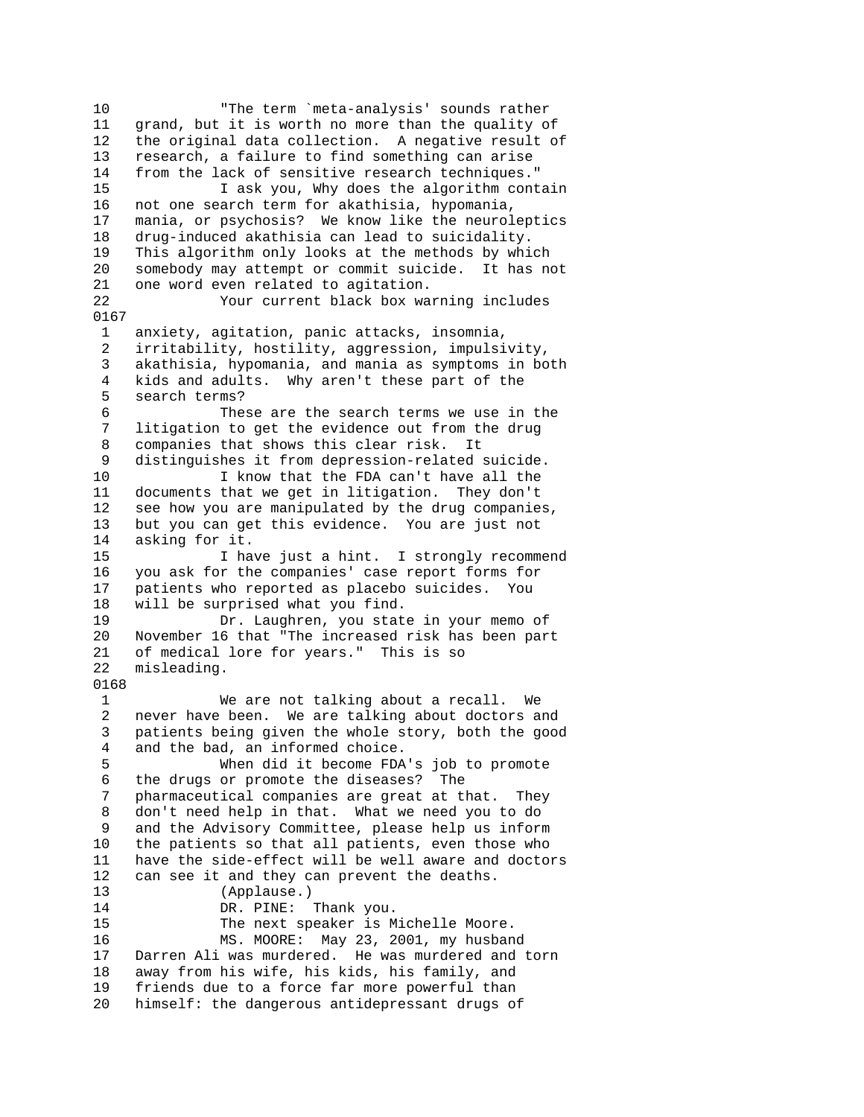10 "The term `meta-analysis' sounds rather 11 grand, but it is worth no more than the quality of 12 the original data collection. A negative result of 13 research, a failure to find something can arise 14 from the lack of sensitive research techniques." 15 I ask you, Why does the algorithm contain 16 not one search term for akathisia, hypomania, 17 mania, or psychosis? We know like the neuroleptics 18 drug-induced akathisia can lead to suicidality. 19 This algorithm only looks at the methods by which 20 somebody may attempt or commit suicide. It has not 21 one word even related to agitation. 22 Your current black box warning includes 0167 1 anxiety, agitation, panic attacks, insomnia, 2 irritability, hostility, aggression, impulsivity, 3 akathisia, hypomania, and mania as symptoms in both 4 kids and adults. Why aren't these part of the 5 search terms? 6 These are the search terms we use in the 7 litigation to get the evidence out from the drug 8 companies that shows this clear risk. It 9 distinguishes it from depression-related suicide. 10 I know that the FDA can't have all the 11 documents that we get in litigation. They don't 12 see how you are manipulated by the drug companies, 13 but you can get this evidence. You are just not 14 asking for it. 15 I have just a hint. I strongly recommend 16 you ask for the companies' case report forms for 17 patients who reported as placebo suicides. You 18 will be surprised what you find. 19 Dr. Laughren, you state in your memo of 20 November 16 that "The increased risk has been part 21 of medical lore for years." This is so 22 misleading. 0168 1 We are not talking about a recall. We 2 never have been. We are talking about doctors and 3 patients being given the whole story, both the good 4 and the bad, an informed choice. 5 When did it become FDA's job to promote 6 the drugs or promote the diseases? The 7 pharmaceutical companies are great at that. They 8 don't need help in that. What we need you to do 9 and the Advisory Committee, please help us inform 10 the patients so that all patients, even those who 11 have the side-effect will be well aware and doctors 12 can see it and they can prevent the deaths. 13 (Applause.) 14 DR. PINE: Thank you. 15 The next speaker is Michelle Moore. 16 MS. MOORE: May 23, 2001, my husband 17 Darren Ali was murdered. He was murdered and torn 18 away from his wife, his kids, his family, and 19 friends due to a force far more powerful than 20 himself: the dangerous antidepressant drugs of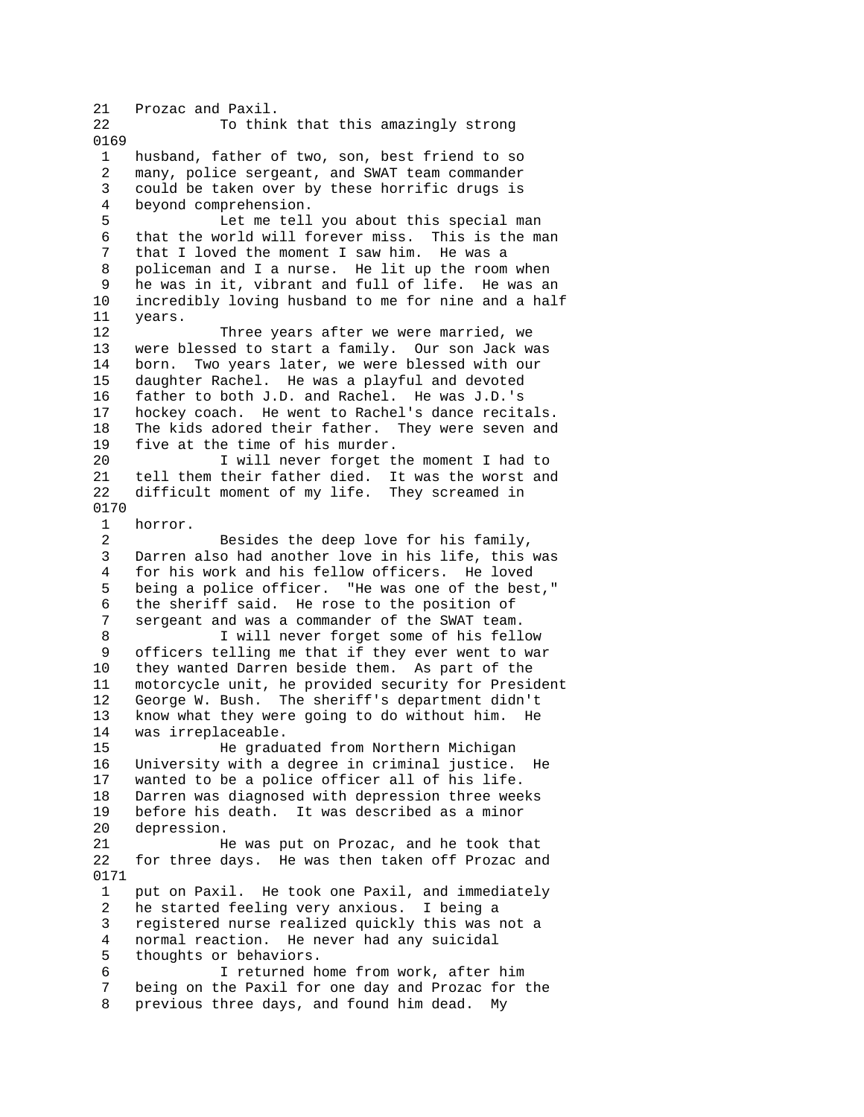21 Prozac and Paxil. 22 To think that this amazingly strong 0169 1 husband, father of two, son, best friend to so 2 many, police sergeant, and SWAT team commander 3 could be taken over by these horrific drugs is 4 beyond comprehension. 5 Let me tell you about this special man 6 that the world will forever miss. This is the man 7 that I loved the moment I saw him. He was a 8 policeman and I a nurse. He lit up the room when 9 he was in it, vibrant and full of life. He was an 10 incredibly loving husband to me for nine and a half 11 years. 12 Three years after we were married, we 13 were blessed to start a family. Our son Jack was 14 born. Two years later, we were blessed with our 15 daughter Rachel. He was a playful and devoted 16 father to both J.D. and Rachel. He was J.D.'s 17 hockey coach. He went to Rachel's dance recitals. 18 The kids adored their father. They were seven and<br>19 five at the time of his murder. five at the time of his murder. 20 I will never forget the moment I had to 21 tell them their father died. It was the worst and 22 difficult moment of my life. They screamed in 0170 1 horror. 2 Besides the deep love for his family, 3 Darren also had another love in his life, this was 4 for his work and his fellow officers. He loved 5 being a police officer. "He was one of the best," 6 the sheriff said. He rose to the position of sergeant and was a commander of the SWAT team. 8 I will never forget some of his fellow 9 officers telling me that if they ever went to war 10 they wanted Darren beside them. As part of the 11 motorcycle unit, he provided security for President<br>12 George W. Bush. The sheriff's department didn't George W. Bush. The sheriff's department didn't 13 know what they were going to do without him. He 14 was irreplaceable. 15 He graduated from Northern Michigan 16 University with a degree in criminal justice. He 17 wanted to be a police officer all of his life. 18 Darren was diagnosed with depression three weeks 19 before his death. It was described as a minor 20 depression. 21 He was put on Prozac, and he took that 22 for three days. He was then taken off Prozac and 0171 1 put on Paxil. He took one Paxil, and immediately 2 he started feeling very anxious. I being a 3 registered nurse realized quickly this was not a 4 normal reaction. He never had any suicidal 5 thoughts or behaviors. 6 I returned home from work, after him 7 being on the Paxil for one day and Prozac for the 8 previous three days, and found him dead. My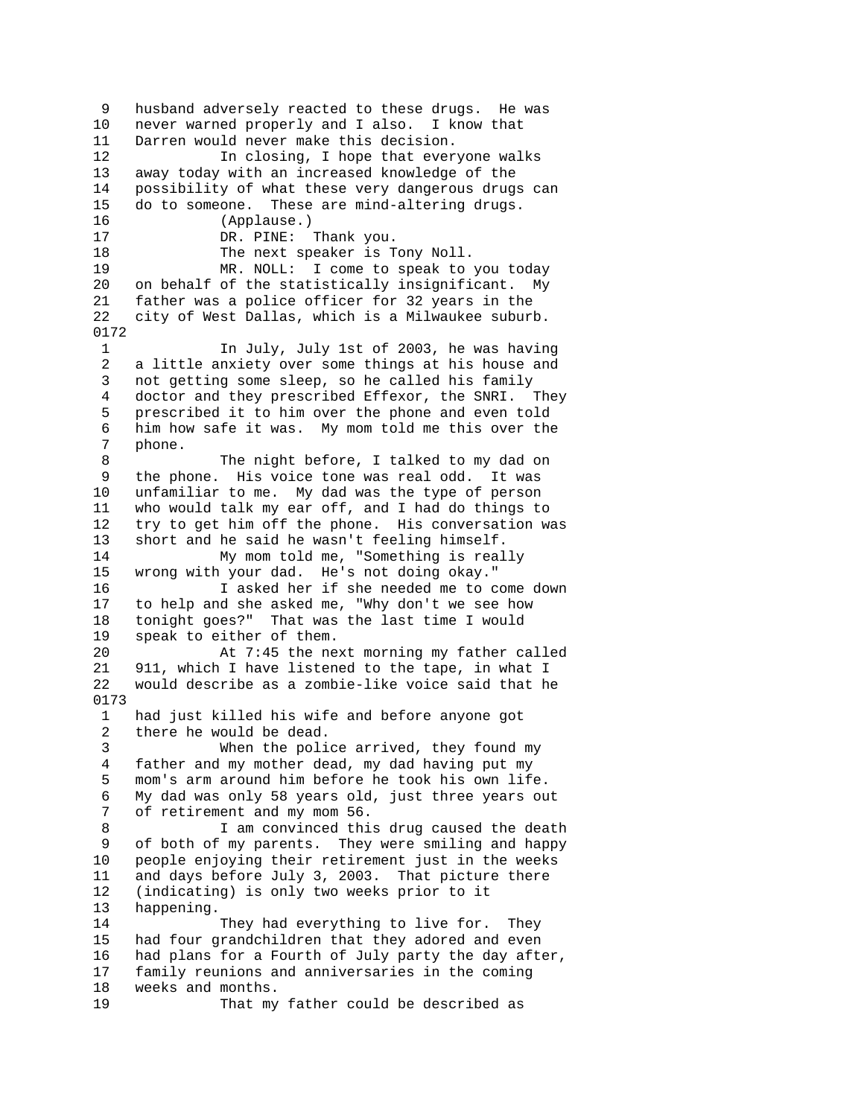9 husband adversely reacted to these drugs. He was 10 never warned properly and I also. I know that 11 Darren would never make this decision. 12 In closing, I hope that everyone walks 13 away today with an increased knowledge of the 14 possibility of what these very dangerous drugs can 15 do to someone. These are mind-altering drugs. 16 (Applause.) 17 DR. PINE: Thank you. 18 The next speaker is Tony Noll. 19 MR. NOLL: I come to speak to you today 20 on behalf of the statistically insignificant. My 21 father was a police officer for 32 years in the 22 city of West Dallas, which is a Milwaukee suburb. 0172 1 In July, July 1st of 2003, he was having 2 a little anxiety over some things at his house and 3 not getting some sleep, so he called his family 4 doctor and they prescribed Effexor, the SNRI. They 5 prescribed it to him over the phone and even told 6 him how safe it was. My mom told me this over the 7 phone. 8 The night before, I talked to my dad on 9 the phone. His voice tone was real odd. It was 10 unfamiliar to me. My dad was the type of person 11 who would talk my ear off, and I had do things to 12 try to get him off the phone. His conversation was 13 short and he said he wasn't feeling himself. 14 My mom told me, "Something is really 15 wrong with your dad. He's not doing okay." 16 I asked her if she needed me to come down<br>17 to help and she asked me, "Why don't we see how to help and she asked me, "Why don't we see how 18 tonight goes?" That was the last time I would 19 speak to either of them. 20 At 7:45 the next morning my father called 21 911, which I have listened to the tape, in what I 22 would describe as a zombie-like voice said that he 0173 1 had just killed his wife and before anyone got 2 there he would be dead. 3 When the police arrived, they found my 4 father and my mother dead, my dad having put my 5 mom's arm around him before he took his own life. 6 My dad was only 58 years old, just three years out 7 of retirement and my mom 56. 8 I am convinced this drug caused the death 9 of both of my parents. They were smiling and happy 10 people enjoying their retirement just in the weeks 11 and days before July 3, 2003. That picture there 12 (indicating) is only two weeks prior to it 13 happening. 14 They had everything to live for. They 15 had four grandchildren that they adored and even 16 had plans for a Fourth of July party the day after, 17 family reunions and anniversaries in the coming 18 weeks and months. 19 That my father could be described as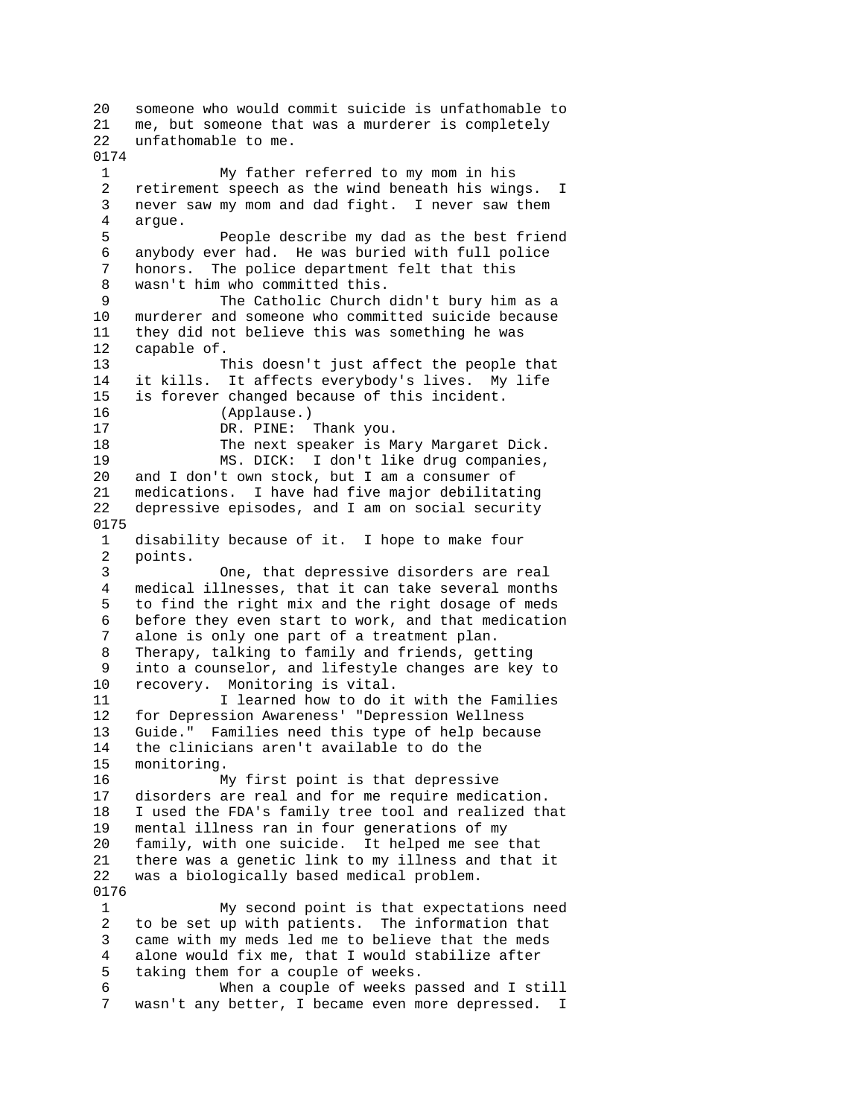20 someone who would commit suicide is unfathomable to 21 me, but someone that was a murderer is completely 22 unfathomable to me. 0174 1 My father referred to my mom in his 2 retirement speech as the wind beneath his wings. I 3 never saw my mom and dad fight. I never saw them 4 argue. 5 People describe my dad as the best friend 6 anybody ever had. He was buried with full police 7 honors. The police department felt that this 8 wasn't him who committed this. 9 The Catholic Church didn't bury him as a 10 murderer and someone who committed suicide because 11 they did not believe this was something he was 12 capable of. 13 This doesn't just affect the people that 14 it kills. It affects everybody's lives. My life 15 is forever changed because of this incident. 16 (Applause.) 17 DR. PINE: Thank you. 18 The next speaker is Mary Margaret Dick. 19 MS. DICK: I don't like drug companies, 20 and I don't own stock, but I am a consumer of 21 medications. I have had five major debilitating 22 depressive episodes, and I am on social security 0175 1 disability because of it. I hope to make four 2 points. 3 One, that depressive disorders are real 4 medical illnesses, that it can take several months 5 to find the right mix and the right dosage of meds 6 before they even start to work, and that medication 7 alone is only one part of a treatment plan. 8 Therapy, talking to family and friends, getting 9 into a counselor, and lifestyle changes are key to 10 recovery. Monitoring is vital. 11 11 I learned how to do it with the Families 12 for Depression Awareness' "Depression Wellness 13 Guide." Families need this type of help because 14 the clinicians aren't available to do the 15 monitoring. 16 My first point is that depressive 17 disorders are real and for me require medication. 18 I used the FDA's family tree tool and realized that 19 mental illness ran in four generations of my 20 family, with one suicide. It helped me see that 21 there was a genetic link to my illness and that it 22 was a biologically based medical problem. 0176 1 My second point is that expectations need 2 to be set up with patients. The information that 3 came with my meds led me to believe that the meds 4 alone would fix me, that I would stabilize after 5 taking them for a couple of weeks. 6 When a couple of weeks passed and I still 7 wasn't any better, I became even more depressed. I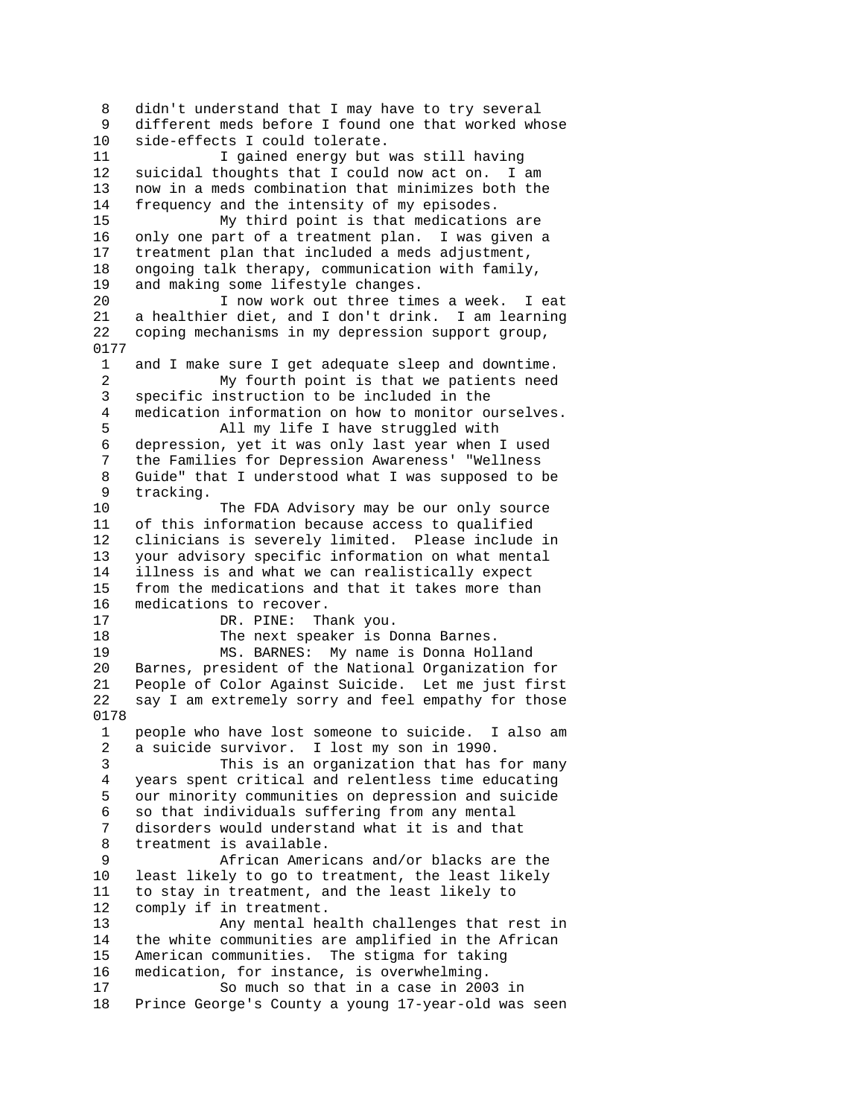8 didn't understand that I may have to try several 9 different meds before I found one that worked whose 10 side-effects I could tolerate. 11 I gained energy but was still having 12 suicidal thoughts that I could now act on. I am 13 now in a meds combination that minimizes both the 14 frequency and the intensity of my episodes. 15 My third point is that medications are 16 only one part of a treatment plan. I was given a 17 treatment plan that included a meds adjustment, 18 ongoing talk therapy, communication with family, 19 and making some lifestyle changes. 20 I now work out three times a week. I eat 21 a healthier diet, and I don't drink. I am learning 22 coping mechanisms in my depression support group, 0177 1 and I make sure I get adequate sleep and downtime. 2 My fourth point is that we patients need<br>3 specific instruction to be included in the specific instruction to be included in the 4 medication information on how to monitor ourselves. 5 All my life I have struggled with 6 depression, yet it was only last year when I used 7 the Families for Depression Awareness' "Wellness 8 Guide" that I understood what I was supposed to be 9 tracking. 10 The FDA Advisory may be our only source 11 of this information because access to qualified 12 clinicians is severely limited. Please include in 13 your advisory specific information on what mental 14 illness is and what we can realistically expect 15 from the medications and that it takes more than 16 medications to recover. 17 DR. PINE: Thank you. 18 The next speaker is Donna Barnes. 19 MS. BARNES: My name is Donna Holland 20 Barnes, president of the National Organization for 21 People of Color Against Suicide. Let me just first 22 say I am extremely sorry and feel empathy for those 0178 1 people who have lost someone to suicide. I also am 2 a suicide survivor. I lost my son in 1990. 3 This is an organization that has for many 4 years spent critical and relentless time educating 5 our minority communities on depression and suicide 6 so that individuals suffering from any mental 7 disorders would understand what it is and that 8 treatment is available. 9 African Americans and/or blacks are the 10 least likely to go to treatment, the least likely 11 to stay in treatment, and the least likely to 12 comply if in treatment. 13 Any mental health challenges that rest in 14 the white communities are amplified in the African 15 American communities. The stigma for taking 16 medication, for instance, is overwhelming. 17 So much so that in a case in 2003 in 18 Prince George's County a young 17-year-old was seen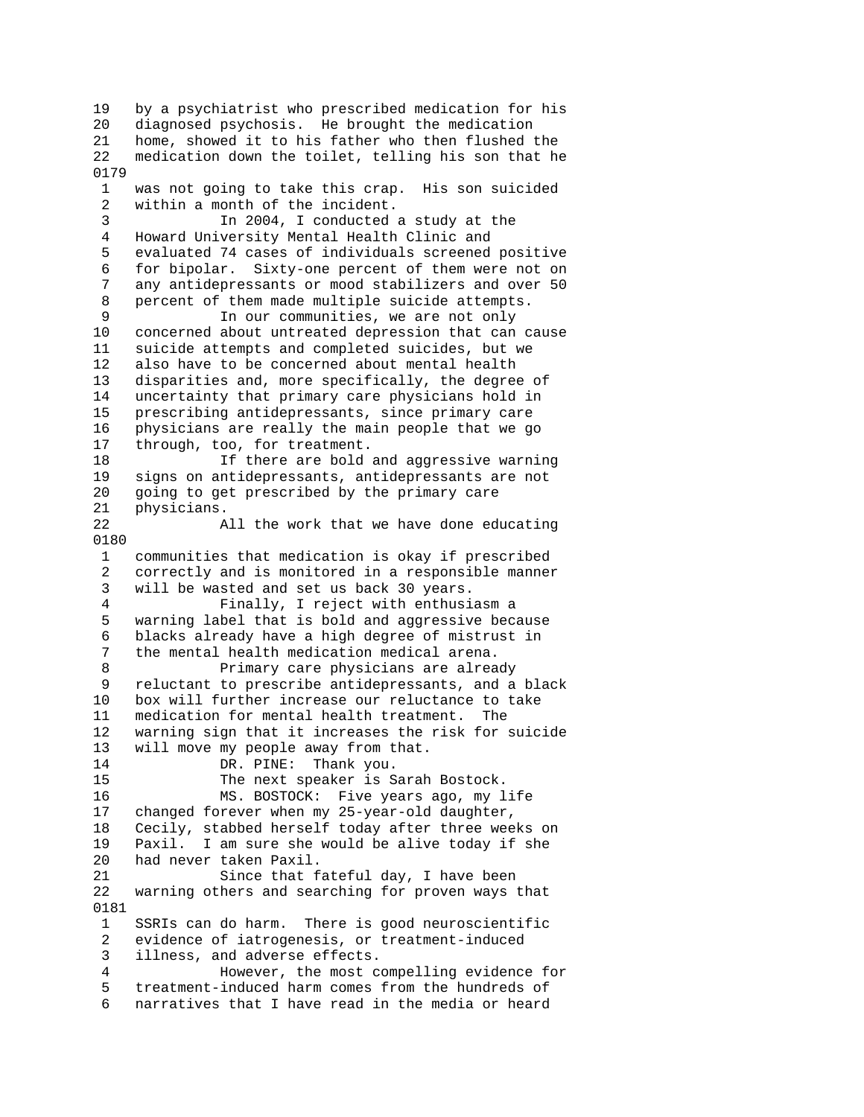19 by a psychiatrist who prescribed medication for his 20 diagnosed psychosis. He brought the medication 21 home, showed it to his father who then flushed the 22 medication down the toilet, telling his son that he 0179 1 was not going to take this crap. His son suicided 2 within a month of the incident. 3 In 2004, I conducted a study at the 4 Howard University Mental Health Clinic and 5 evaluated 74 cases of individuals screened positive 6 for bipolar. Sixty-one percent of them were not on 7 any antidepressants or mood stabilizers and over 50 8 percent of them made multiple suicide attempts. 9 11 our communities, we are not only<br>10 concerned about untreated depression that can concerned about untreated depression that can cause 11 suicide attempts and completed suicides, but we 12 also have to be concerned about mental health 13 disparities and, more specifically, the degree of 14 uncertainty that primary care physicians hold in 15 prescribing antidepressants, since primary care 16 physicians are really the main people that we go 17 through, too, for treatment. 18 If there are bold and aggressive warning 19 signs on antidepressants, antidepressants are not 20 going to get prescribed by the primary care 21 physicians. 22 All the work that we have done educating 0180 1 communities that medication is okay if prescribed 2 correctly and is monitored in a responsible manner 3 will be wasted and set us back 30 years.<br>4 Finally. I reject with enthusi Finally, I reject with enthusiasm a 5 warning label that is bold and aggressive because 6 blacks already have a high degree of mistrust in 7 the mental health medication medical arena. 8 Primary care physicians are already 9 reluctant to prescribe antidepressants, and a black 10 box will further increase our reluctance to take 11 medication for mental health treatment. The 12 warning sign that it increases the risk for suicide 13 will move my people away from that. 14 DR. PINE: Thank you. 15 The next speaker is Sarah Bostock. 16 MS. BOSTOCK: Five years ago, my life 17 changed forever when my 25-year-old daughter, 18 Cecily, stabbed herself today after three weeks on 19 Paxil. I am sure she would be alive today if she 20 had never taken Paxil. 21 Since that fateful day, I have been 22 warning others and searching for proven ways that 0181 1 SSRIs can do harm. There is good neuroscientific 2 evidence of iatrogenesis, or treatment-induced 3 illness, and adverse effects. 4 However, the most compelling evidence for 5 treatment-induced harm comes from the hundreds of 6 narratives that I have read in the media or heard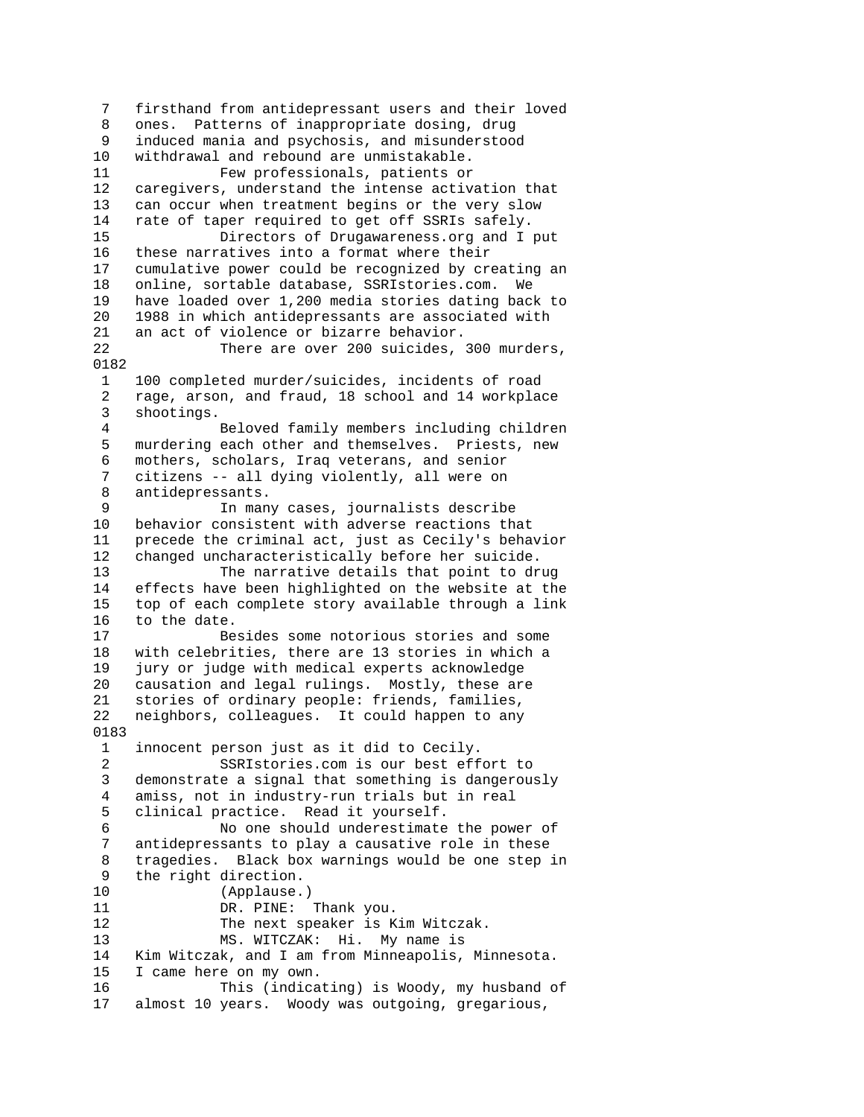7 firsthand from antidepressant users and their loved 8 ones. Patterns of inappropriate dosing, drug 9 induced mania and psychosis, and misunderstood 10 withdrawal and rebound are unmistakable. 11 Few professionals, patients or 12 caregivers, understand the intense activation that 13 can occur when treatment begins or the very slow 14 rate of taper required to get off SSRIs safely. 15 Directors of Drugawareness.org and I put 16 these narratives into a format where their 17 cumulative power could be recognized by creating an 18 online, sortable database, SSRIstories.com. We 19 have loaded over 1,200 media stories dating back to 20 1988 in which antidepressants are associated with 21 an act of violence or bizarre behavior. 22 There are over 200 suicides, 300 murders, 0182 1 100 completed murder/suicides, incidents of road 2 rage, arson, and fraud, 18 school and 14 workplace 3 shootings. 4 Beloved family members including children 5 murdering each other and themselves. Priests, new 6 mothers, scholars, Iraq veterans, and senior 7 citizens -- all dying violently, all were on 8 antidepressants. 9 In many cases, journalists describe 10 behavior consistent with adverse reactions that 11 precede the criminal act, just as Cecily's behavior 12 changed uncharacteristically before her suicide. 13 The narrative details that point to drug 14 effects have been highlighted on the website at the 15 top of each complete story available through a link 16 to the date. 17 Besides some notorious stories and some 18 with celebrities, there are 13 stories in which a 19 jury or judge with medical experts acknowledge 20 causation and legal rulings. Mostly, these are 21 stories of ordinary people: friends, families, 22 neighbors, colleagues. It could happen to any 0183 1 innocent person just as it did to Cecily. 2 SSRIstories.com is our best effort to 3 demonstrate a signal that something is dangerously 4 amiss, not in industry-run trials but in real 5 clinical practice. Read it yourself. 6 No one should underestimate the power of 7 antidepressants to play a causative role in these 8 tragedies. Black box warnings would be one step in 9 the right direction. 10 (Applause.) 11 DR. PINE: Thank you. 12 The next speaker is Kim Witczak. 13 MS. WITCZAK: Hi. My name is 14 Kim Witczak, and I am from Minneapolis, Minnesota. 15 I came here on my own. 16 This (indicating) is Woody, my husband of 17 almost 10 years. Woody was outgoing, gregarious,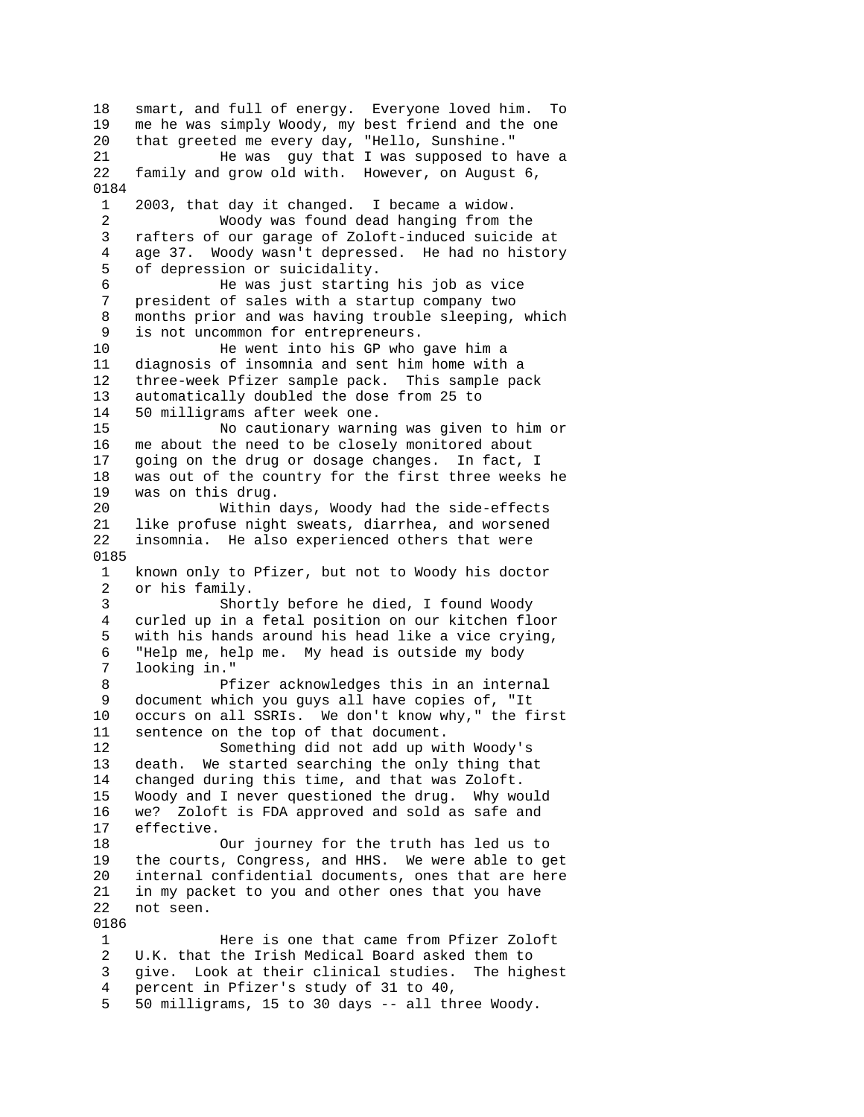18 smart, and full of energy. Everyone loved him. To 19 me he was simply Woody, my best friend and the one 20 that greeted me every day, "Hello, Sunshine." 21 He was guy that I was supposed to have a 22 family and grow old with. However, on August 6, 0184 1 2003, that day it changed. I became a widow. 2 Woody was found dead hanging from the 3 rafters of our garage of Zoloft-induced suicide at 4 age 37. Woody wasn't depressed. He had no history 5 of depression or suicidality. 6 He was just starting his job as vice 7 president of sales with a startup company two 8 months prior and was having trouble sleeping, which 9 is not uncommon for entrepreneurs. 10 He went into his GP who gave him a 11 diagnosis of insomnia and sent him home with a 12 three-week Pfizer sample pack. This sample pack 13 automatically doubled the dose from 25 to 14 50 milligrams after week one. 15 No cautionary warning was given to him or 16 me about the need to be closely monitored about 17 going on the drug or dosage changes. In fact, I 18 was out of the country for the first three weeks he 19 was on this drug. 20 Within days, Woody had the side-effects 21 like profuse night sweats, diarrhea, and worsened 22 insomnia. He also experienced others that were 0185 1 known only to Pfizer, but not to Woody his doctor 2 or his family. 3 Shortly before he died, I found Woody 4 curled up in a fetal position on our kitchen floor 5 with his hands around his head like a vice crying, 6 "Help me, help me. My head is outside my body looking in." 8 Pfizer acknowledges this in an internal 9 document which you guys all have copies of, "It 10 occurs on all SSRIs. We don't know why," the first 11 sentence on the top of that document. 12 Something did not add up with Woody's 13 death. We started searching the only thing that 14 changed during this time, and that was Zoloft. 15 Woody and I never questioned the drug. Why would 16 we? Zoloft is FDA approved and sold as safe and 17 effective. 18 Our journey for the truth has led us to 19 the courts, Congress, and HHS. We were able to get 20 internal confidential documents, ones that are here 21 in my packet to you and other ones that you have 22 not seen. 0186 1 Here is one that came from Pfizer Zoloft 2 U.K. that the Irish Medical Board asked them to 3 give. Look at their clinical studies. The highest 4 percent in Pfizer's study of 31 to 40, 5 50 milligrams, 15 to 30 days -- all three Woody.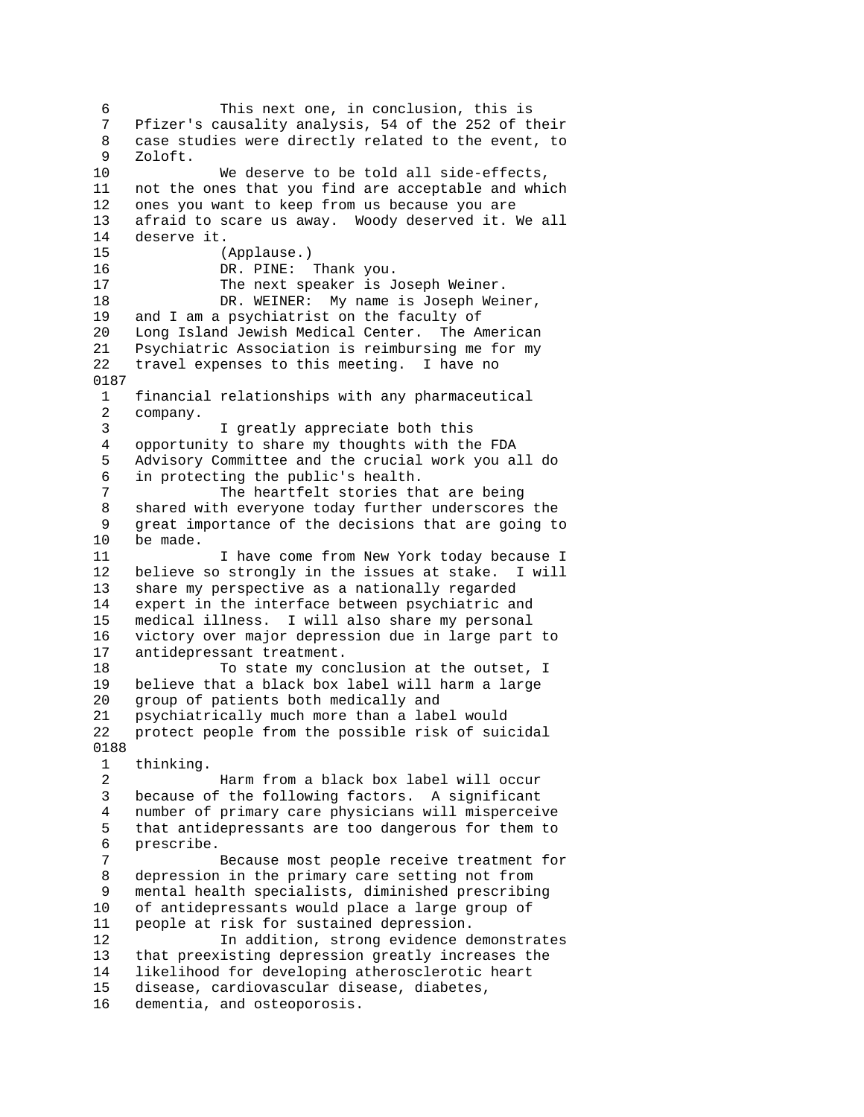6 This next one, in conclusion, this is<br>7 Pfizer's causality analysis. 54 of the 252 of the Pfizer's causality analysis, 54 of the 252 of their 8 case studies were directly related to the event, to 9 Zoloft. 10 We deserve to be told all side-effects, 11 not the ones that you find are acceptable and which 12 ones you want to keep from us because you are 13 afraid to scare us away. Woody deserved it. We all 14 deserve it. 15 (Applause.) 16 DR. PINE: Thank you. 17 The next speaker is Joseph Weiner. 18 DR. WEINER: My name is Joseph Weiner, 19 and I am a psychiatrist on the faculty of 20 Long Island Jewish Medical Center. The American 21 Psychiatric Association is reimbursing me for my 22 travel expenses to this meeting. I have no 0187 1 financial relationships with any pharmaceutical 2 company. 3 I greatly appreciate both this 4 opportunity to share my thoughts with the FDA 5 Advisory Committee and the crucial work you all do 6 in protecting the public's health. 7 The heartfelt stories that are being 8 shared with everyone today further underscores the 9 great importance of the decisions that are going to 10 be made. 11 I have come from New York today because I 12 believe so strongly in the issues at stake. I will 13 share my perspective as a nationally regarded<br>14 expert in the interface between psychiatric an expert in the interface between psychiatric and 15 medical illness. I will also share my personal 16 victory over major depression due in large part to 17 antidepressant treatment. 18 To state my conclusion at the outset, I 19 believe that a black box label will harm a large 20 group of patients both medically and 21 psychiatrically much more than a label would 22 protect people from the possible risk of suicidal 0188 1 thinking. 2 Harm from a black box label will occur 3 because of the following factors. A significant 4 number of primary care physicians will misperceive 5 that antidepressants are too dangerous for them to 6 prescribe. 7 Because most people receive treatment for 8 depression in the primary care setting not from 9 mental health specialists, diminished prescribing 10 of antidepressants would place a large group of 11 people at risk for sustained depression. 12 In addition, strong evidence demonstrates 13 that preexisting depression greatly increases the 14 likelihood for developing atherosclerotic heart 15 disease, cardiovascular disease, diabetes, 16 dementia, and osteoporosis.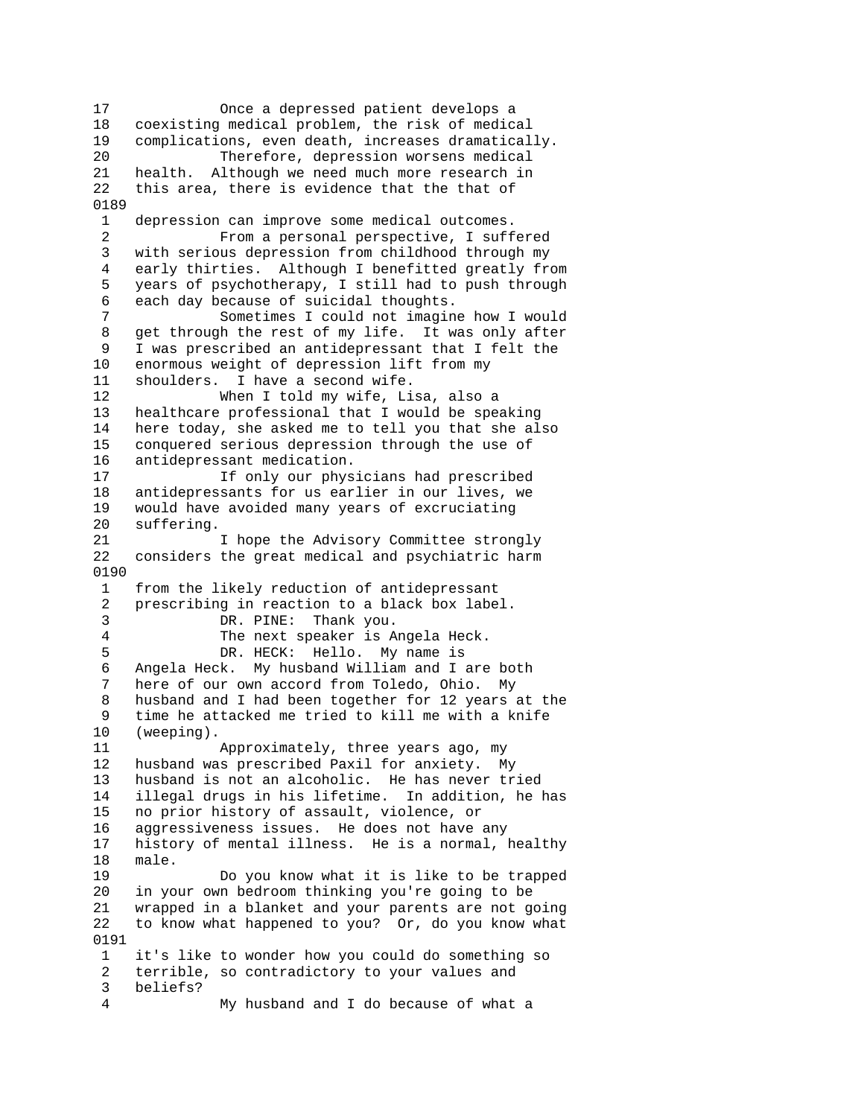17 Once a depressed patient develops a 18 coexisting medical problem, the risk of medical 19 complications, even death, increases dramatically. 20 Therefore, depression worsens medical 21 health. Although we need much more research in 22 this area, there is evidence that the that of 0189 1 depression can improve some medical outcomes. 2 From a personal perspective, I suffered 3 with serious depression from childhood through my 4 early thirties. Although I benefitted greatly from 5 years of psychotherapy, I still had to push through 6 each day because of suicidal thoughts. 7 Sometimes I could not imagine how I would 8 get through the rest of my life. It was only after 9 I was prescribed an antidepressant that I felt the 10 enormous weight of depression lift from my 11 shoulders. I have a second wife.<br>12 When I told my wife. Li When I told my wife, Lisa, also a 13 healthcare professional that I would be speaking 14 here today, she asked me to tell you that she also 15 conquered serious depression through the use of 16 antidepressant medication. 17 If only our physicians had prescribed 18 antidepressants for us earlier in our lives, we 19 would have avoided many years of excruciating 20 suffering. 21 I hope the Advisory Committee strongly 22 considers the great medical and psychiatric harm 0190 1 from the likely reduction of antidepressant 2 prescribing in reaction to a black box label. 3 DR. PINE: Thank you. 4 The next speaker is Angela Heck. 5 DR. HECK: Hello. My name is 6 Angela Heck. My husband William and I are both 7 here of our own accord from Toledo, Ohio. My 8 husband and I had been together for 12 years at the 9 time he attacked me tried to kill me with a knife 10 (weeping). 11 Approximately, three years ago, my 12 husband was prescribed Paxil for anxiety. My 13 husband is not an alcoholic. He has never tried 14 illegal drugs in his lifetime. In addition, he has 15 no prior history of assault, violence, or 16 aggressiveness issues. He does not have any 17 history of mental illness. He is a normal, healthy 18 male. 19 Do you know what it is like to be trapped 20 in your own bedroom thinking you're going to be 21 wrapped in a blanket and your parents are not going 22 to know what happened to you? Or, do you know what 0191 1 it's like to wonder how you could do something so 2 terrible, so contradictory to your values and 3 beliefs? 4 My husband and I do because of what a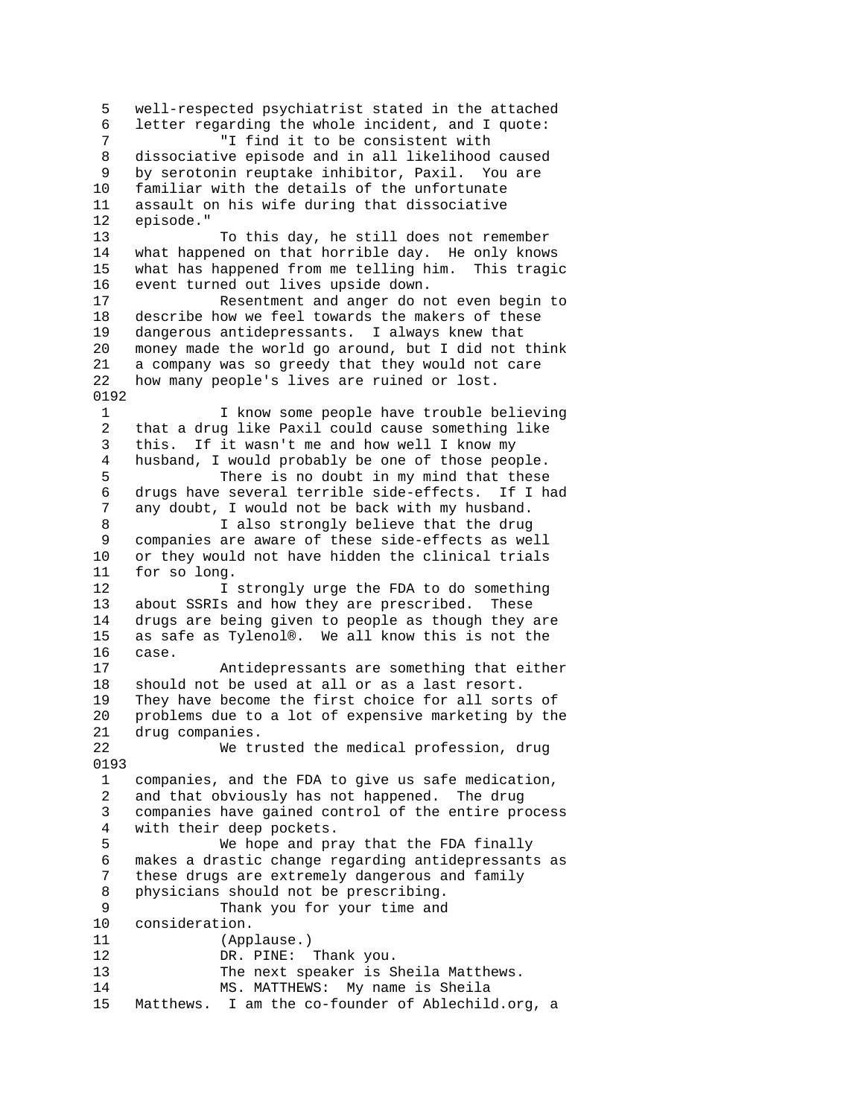5 well-respected psychiatrist stated in the attached 6 letter regarding the whole incident, and I quote: 7 "I find it to be consistent with 8 dissociative episode and in all likelihood caused 9 by serotonin reuptake inhibitor, Paxil. You are 10 familiar with the details of the unfortunate 11 assault on his wife during that dissociative 12 episode." 13 To this day, he still does not remember 14 what happened on that horrible day. He only knows 15 what has happened from me telling him. This tragic 16 event turned out lives upside down. 17 Resentment and anger do not even begin to 18 describe how we feel towards the makers of these 19 dangerous antidepressants. I always knew that 20 money made the world go around, but I did not think 21 a company was so greedy that they would not care 22 how many people's lives are ruined or lost. 0192 1 I know some people have trouble believing 2 that a drug like Paxil could cause something like 3 this. If it wasn't me and how well I know my 4 husband, I would probably be one of those people. 5 There is no doubt in my mind that these 6 drugs have several terrible side-effects. If I had 7 any doubt, I would not be back with my husband. 8 I also strongly believe that the drug 9 companies are aware of these side-effects as well<br>10 or they would not have hidden the clinical trials or they would not have hidden the clinical trials 11 for so long. 12 12 I strongly urge the FDA to do something<br>13 about SSRIs and how they are prescribed. These about SSRIs and how they are prescribed. These 14 drugs are being given to people as though they are 15 as safe as Tylenol®. We all know this is not the 16 case. 17 Antidepressants are something that either 18 should not be used at all or as a last resort. 19 They have become the first choice for all sorts of 20 problems due to a lot of expensive marketing by the 21 drug companies. 22 We trusted the medical profession, drug 0193 1 companies, and the FDA to give us safe medication, 2 and that obviously has not happened. The drug 3 companies have gained control of the entire process 4 with their deep pockets. 5 We hope and pray that the FDA finally 6 makes a drastic change regarding antidepressants as 7 these drugs are extremely dangerous and family 8 physicians should not be prescribing. 9 Thank you for your time and 10 consideration. 11 (Applause.) 12 DR. PINE: Thank you. 13 The next speaker is Sheila Matthews. 14 MS. MATTHEWS: My name is Sheila 15 Matthews. I am the co-founder of Ablechild.org, a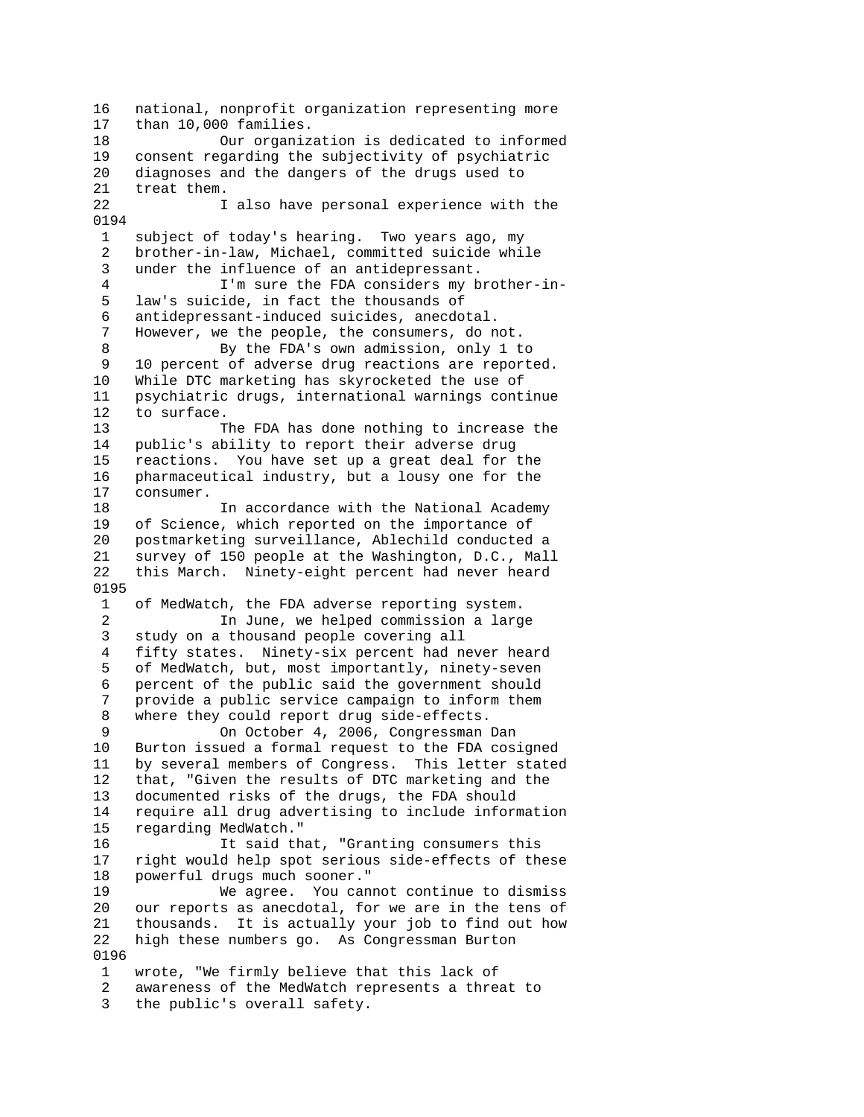16 national, nonprofit organization representing more 17 than 10,000 families. 18 Our organization is dedicated to informed 19 consent regarding the subjectivity of psychiatric 20 diagnoses and the dangers of the drugs used to 21 treat them. 22 I also have personal experience with the 0194 1 subject of today's hearing. Two years ago, my 2 brother-in-law, Michael, committed suicide while 3 under the influence of an antidepressant. 4 I'm sure the FDA considers my brother-in- 5 law's suicide, in fact the thousands of 6 antidepressant-induced suicides, anecdotal. However, we the people, the consumers, do not. 8 By the FDA's own admission, only 1 to 9 10 percent of adverse drug reactions are reported. 10 While DTC marketing has skyrocketed the use of<br>11 psychiatric drugs, international warnings cont psychiatric drugs, international warnings continue 12 to surface. 13 The FDA has done nothing to increase the 14 public's ability to report their adverse drug 15 reactions. You have set up a great deal for the 16 pharmaceutical industry, but a lousy one for the 17 consumer. 18 In accordance with the National Academy 19 of Science, which reported on the importance of 20 postmarketing surveillance, Ablechild conducted a 21 survey of 150 people at the Washington, D.C., Mall 22 this March. Ninety-eight percent had never heard 0195 1 of MedWatch, the FDA adverse reporting system. 2 In June, we helped commission a large 3 study on a thousand people covering all 4 fifty states. Ninety-six percent had never heard 5 of MedWatch, but, most importantly, ninety-seven 6 percent of the public said the government should 7 provide a public service campaign to inform them 8 where they could report drug side-effects. 9 On October 4, 2006, Congressman Dan 10 Burton issued a formal request to the FDA cosigned 11 by several members of Congress. This letter stated 12 that, "Given the results of DTC marketing and the 13 documented risks of the drugs, the FDA should 14 require all drug advertising to include information 15 regarding MedWatch." 16 It said that, "Granting consumers this 17 right would help spot serious side-effects of these 18 powerful drugs much sooner." 19 We agree. You cannot continue to dismiss 20 our reports as anecdotal, for we are in the tens of 21 thousands. It is actually your job to find out how 22 high these numbers go. As Congressman Burton 0196 1 wrote, "We firmly believe that this lack of 2 awareness of the MedWatch represents a threat to 3 the public's overall safety.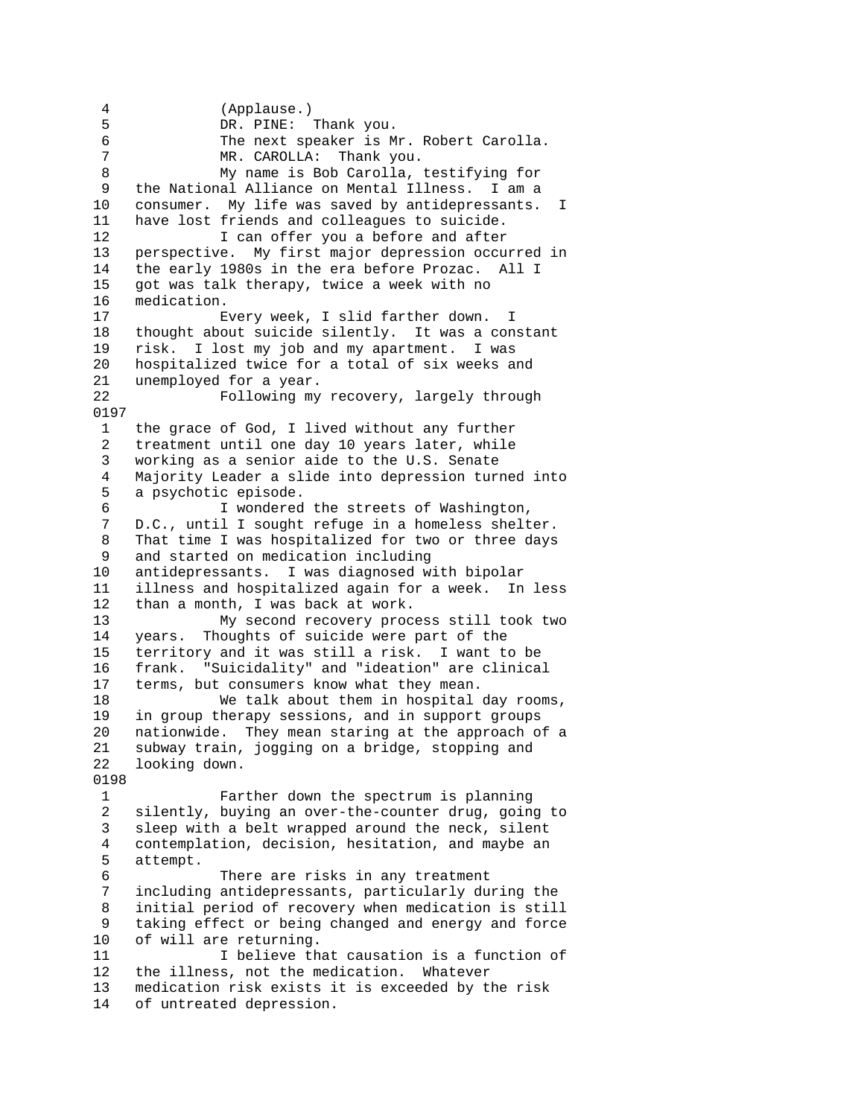4 (Applause.) 5 DR. PINE: Thank you. 6 The next speaker is Mr. Robert Carolla. 7 MR. CAROLLA: Thank you. 8 My name is Bob Carolla, testifying for 9 the National Alliance on Mental Illness. I am a 10 consumer. My life was saved by antidepressants. I 11 have lost friends and colleagues to suicide. 12 I can offer you a before and after 13 perspective. My first major depression occurred in 14 the early 1980s in the era before Prozac. All I 15 got was talk therapy, twice a week with no 16 medication. 17 Every week, I slid farther down. I 18 thought about suicide silently. It was a constant 19 risk. I lost my job and my apartment. I was 20 hospitalized twice for a total of six weeks and 21 unemployed for a year.<br>22 Following my Following my recovery, largely through 0197 1 the grace of God, I lived without any further 2 treatment until one day 10 years later, while 3 working as a senior aide to the U.S. Senate 4 Majority Leader a slide into depression turned into 5 a psychotic episode. 6 I wondered the streets of Washington, 7 D.C., until I sought refuge in a homeless shelter. 8 That time I was hospitalized for two or three days 9 and started on medication including 10 antidepressants. I was diagnosed with bipolar 11 illness and hospitalized again for a week. In less than a month, I was back at work. 13 My second recovery process still took two 14 years. Thoughts of suicide were part of the 15 territory and it was still a risk. I want to be 16 frank. "Suicidality" and "ideation" are clinical 17 terms, but consumers know what they mean. 18 We talk about them in hospital day rooms, 19 in group therapy sessions, and in support groups 20 nationwide. They mean staring at the approach of a 21 subway train, jogging on a bridge, stopping and 22 looking down. 0198 1 Farther down the spectrum is planning 2 silently, buying an over-the-counter drug, going to 3 sleep with a belt wrapped around the neck, silent 4 contemplation, decision, hesitation, and maybe an 5 attempt. 6 There are risks in any treatment<br>7 including antidepressants, particularly du including antidepressants, particularly during the 8 initial period of recovery when medication is still 9 taking effect or being changed and energy and force 10 of will are returning. 11 I believe that causation is a function of 12 the illness, not the medication. Whatever 13 medication risk exists it is exceeded by the risk 14 of untreated depression.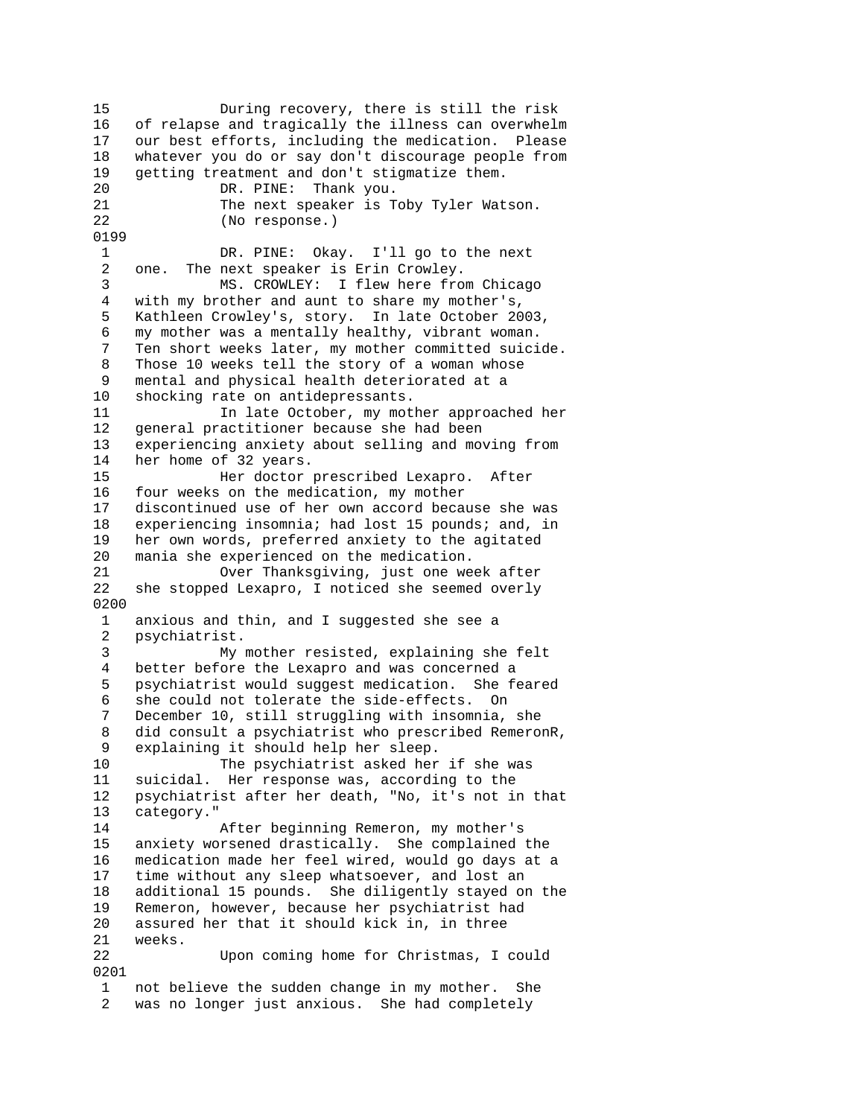15 During recovery, there is still the risk 16 of relapse and tragically the illness can overwhelm 17 our best efforts, including the medication. Please 18 whatever you do or say don't discourage people from 19 getting treatment and don't stigmatize them. 20 DR. PINE: Thank you. 21 The next speaker is Toby Tyler Watson. 22 (No response.) 0199 1 DR. PINE: Okay. I'll go to the next 2 one. The next speaker is Erin Crowley. 3 MS. CROWLEY: I flew here from Chicago 4 with my brother and aunt to share my mother's, 5 Kathleen Crowley's, story. In late October 2003, 6 my mother was a mentally healthy, vibrant woman. 7 Ten short weeks later, my mother committed suicide. 8 Those 10 weeks tell the story of a woman whose 9 mental and physical health deteriorated at a 10 shocking rate on antidepressants. 11 In late October, my mother approached her 12 general practitioner because she had been 13 experiencing anxiety about selling and moving from 14 her home of 32 years. 15 Her doctor prescribed Lexapro. After 16 four weeks on the medication, my mother 17 discontinued use of her own accord because she was 18 experiencing insomnia; had lost 15 pounds; and, in 19 her own words, preferred anxiety to the agitated 20 mania she experienced on the medication. 21 Over Thanksgiving, just one week after 22 she stopped Lexapro, I noticed she seemed overly 0200 1 anxious and thin, and I suggested she see a 2 psychiatrist. 3 My mother resisted, explaining she felt 4 better before the Lexapro and was concerned a 5 psychiatrist would suggest medication. She feared 6 she could not tolerate the side-effects. On 7 December 10, still struggling with insomnia, she 8 did consult a psychiatrist who prescribed RemeronR, 9 explaining it should help her sleep. 10 The psychiatrist asked her if she was 11 suicidal. Her response was, according to the 12 psychiatrist after her death, "No, it's not in that 13 category." 14 After beginning Remeron, my mother's 15 anxiety worsened drastically. She complained the 16 medication made her feel wired, would go days at a 17 time without any sleep whatsoever, and lost an 18 additional 15 pounds. She diligently stayed on the 19 Remeron, however, because her psychiatrist had 20 assured her that it should kick in, in three 21 weeks. 22 Upon coming home for Christmas, I could 0201 1 not believe the sudden change in my mother. She 2 was no longer just anxious. She had completely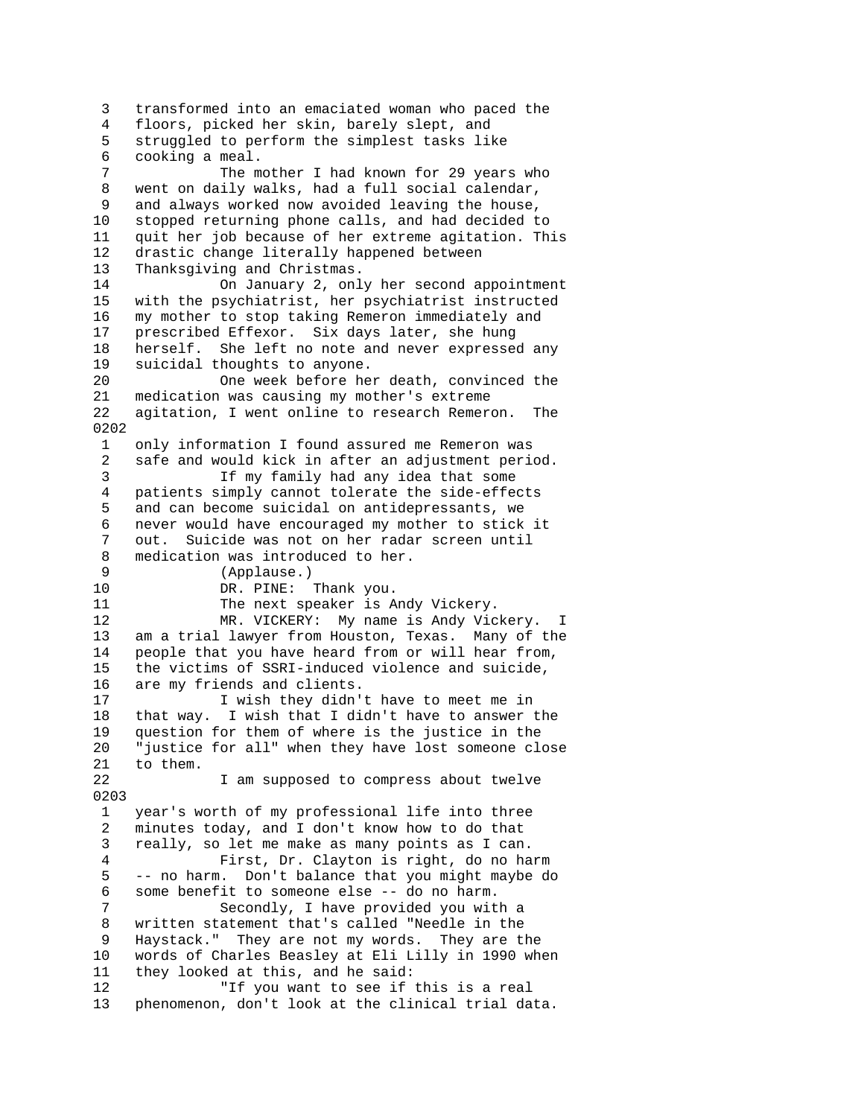3 transformed into an emaciated woman who paced the 4 floors, picked her skin, barely slept, and 5 struggled to perform the simplest tasks like 6 cooking a meal. 7 The mother I had known for 29 years who 8 went on daily walks, had a full social calendar, 9 and always worked now avoided leaving the house,<br>10 stopped returning phone calls, and had decided t stopped returning phone calls, and had decided to 11 quit her job because of her extreme agitation. This 12 drastic change literally happened between 13 Thanksgiving and Christmas. 14 On January 2, only her second appointment 15 with the psychiatrist, her psychiatrist instructed 16 my mother to stop taking Remeron immediately and 17 prescribed Effexor. Six days later, she hung 18 herself. She left no note and never expressed any 19 suicidal thoughts to anyone. 20 One week before her death, convinced the<br>21 medication was causing my mother's extreme medication was causing my mother's extreme 22 agitation, I went online to research Remeron. The 0202 1 only information I found assured me Remeron was 2 safe and would kick in after an adjustment period. 3 If my family had any idea that some 4 patients simply cannot tolerate the side-effects 5 and can become suicidal on antidepressants, we 6 never would have encouraged my mother to stick it 7 out. Suicide was not on her radar screen until 8 medication was introduced to her. 9 (Applause.)<br>10 DR. PINE: 10 DR. PINE: Thank you.<br>11 The next speaker is A The next speaker is Andy Vickery. 12 MR. VICKERY: My name is Andy Vickery. I 13 am a trial lawyer from Houston, Texas. Many of the 14 people that you have heard from or will hear from, 15 the victims of SSRI-induced violence and suicide, 16 are my friends and clients. 17 I wish they didn't have to meet me in 18 that way. I wish that I didn't have to answer the 19 question for them of where is the justice in the 20 "justice for all" when they have lost someone close 21 to them. 22 I am supposed to compress about twelve 0203 1 year's worth of my professional life into three 2 minutes today, and I don't know how to do that 3 really, so let me make as many points as I can. 4 First, Dr. Clayton is right, do no harm 5 -- no harm. Don't balance that you might maybe do 6 some benefit to someone else -- do no harm. 7 Secondly, I have provided you with a 8 written statement that's called "Needle in the 9 Haystack." They are not my words. They are the 10 words of Charles Beasley at Eli Lilly in 1990 when 11 they looked at this, and he said: 12 "If you want to see if this is a real 13 phenomenon, don't look at the clinical trial data.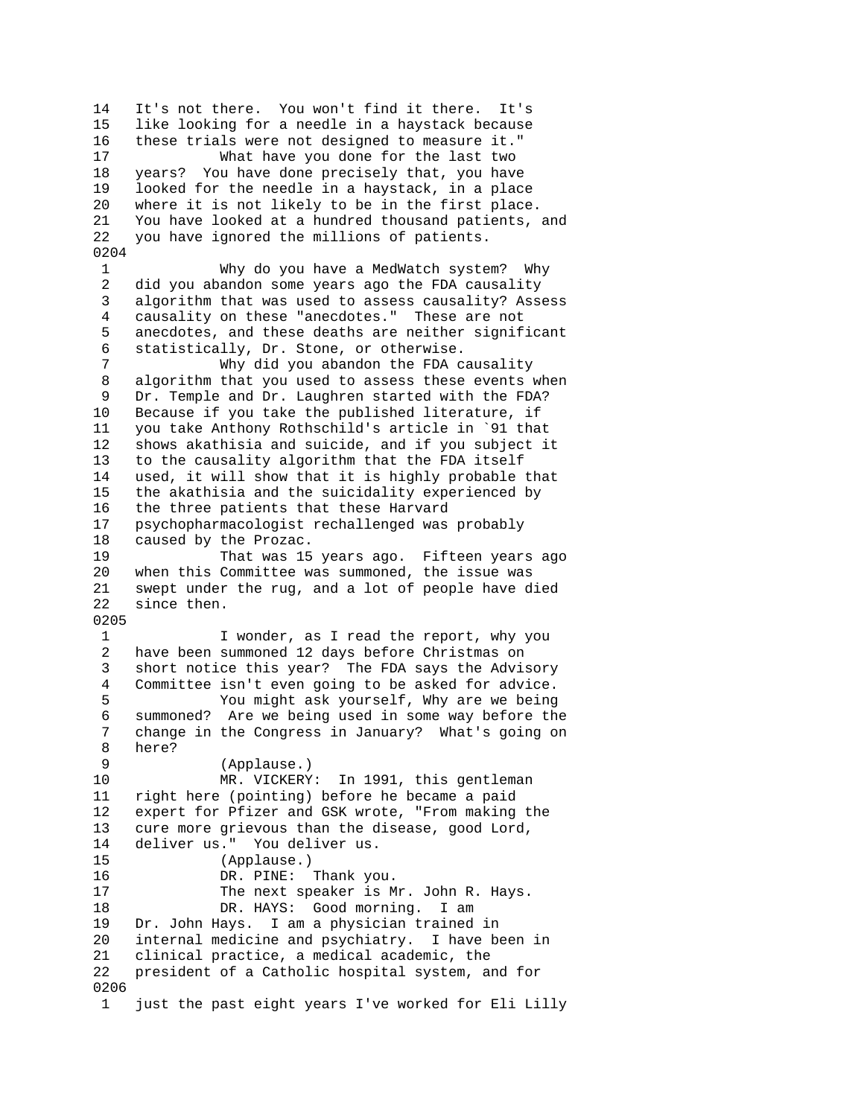14 It's not there. You won't find it there. It's 15 like looking for a needle in a haystack because 16 these trials were not designed to measure it." 17 What have you done for the last two 18 years? You have done precisely that, you have 19 looked for the needle in a haystack, in a place 20 where it is not likely to be in the first place. 21 You have looked at a hundred thousand patients, and 22 you have ignored the millions of patients. 0204 1 Why do you have a MedWatch system? Why 2 did you abandon some years ago the FDA causality 3 algorithm that was used to assess causality? Assess 4 causality on these "anecdotes." These are not 5 anecdotes, and these deaths are neither significant 6 statistically, Dr. Stone, or otherwise. 7 Why did you abandon the FDA causality 8 algorithm that you used to assess these events when 9 Dr. Temple and Dr. Laughren started with the FDA? 10 Because if you take the published literature, if 11 you take Anthony Rothschild's article in `91 that 12 shows akathisia and suicide, and if you subject it 13 to the causality algorithm that the FDA itself 14 used, it will show that it is highly probable that 15 the akathisia and the suicidality experienced by 16 the three patients that these Harvard 17 psychopharmacologist rechallenged was probably 18 caused by the Prozac. 19 That was 15 years ago. Fifteen years ago 20 when this Committee was summoned, the issue was 21 swept under the rug, and a lot of people have died since then. 0205 1 I wonder, as I read the report, why you 2 have been summoned 12 days before Christmas on 3 short notice this year? The FDA says the Advisory 4 Committee isn't even going to be asked for advice. 5 You might ask yourself, Why are we being 6 summoned? Are we being used in some way before the 7 change in the Congress in January? What's going on 8 here? 9 (Applause.) 10 MR. VICKERY: In 1991, this gentleman 11 right here (pointing) before he became a paid 12 expert for Pfizer and GSK wrote, "From making the 13 cure more grievous than the disease, good Lord, 14 deliver us." You deliver us. 15 (Applause.) 16 DR. PINE: Thank you. 17 The next speaker is Mr. John R. Hays. 18 DR. HAYS: Good morning. I am 19 Dr. John Hays. I am a physician trained in<br>20 internal medicine and psychiatry. I have b internal medicine and psychiatry. I have been in 21 clinical practice, a medical academic, the 22 president of a Catholic hospital system, and for 0206 1 just the past eight years I've worked for Eli Lilly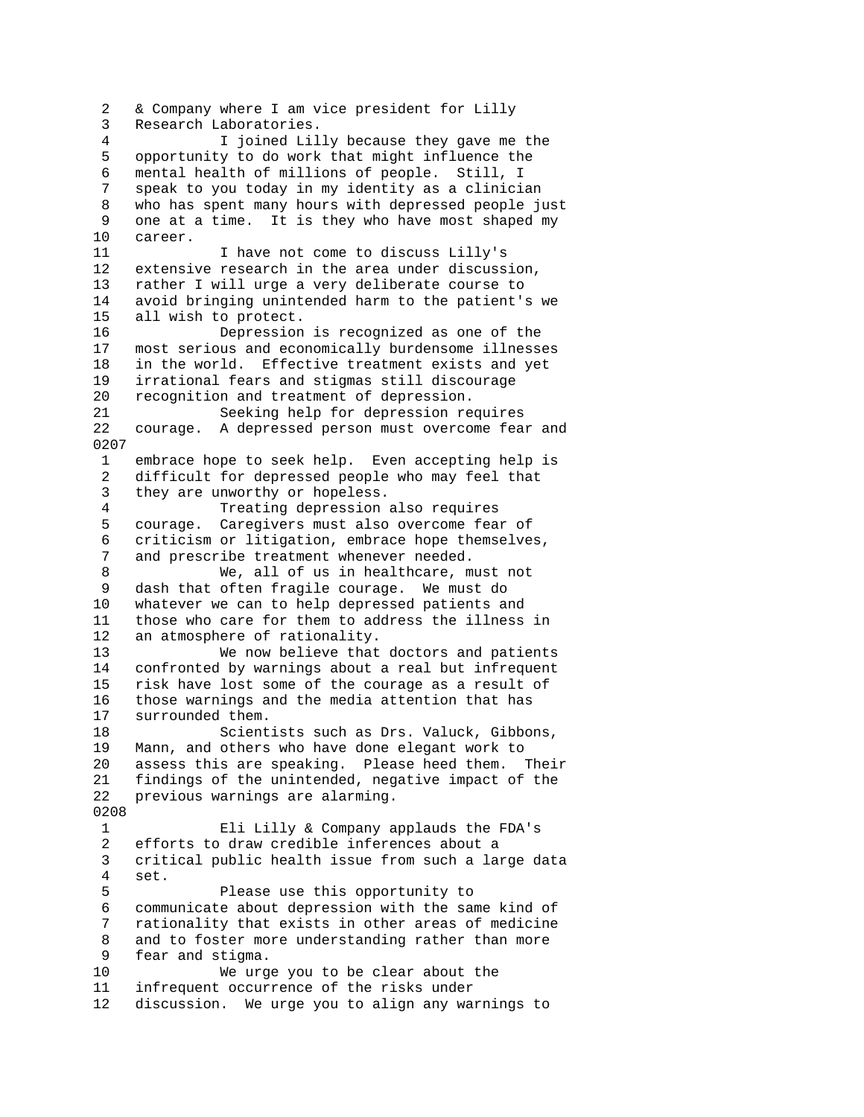2 & Company where I am vice president for Lilly 3 Research Laboratories. 4 I joined Lilly because they gave me the 5 opportunity to do work that might influence the 6 mental health of millions of people. Still, I 7 speak to you today in my identity as a clinician 8 who has spent many hours with depressed people just 9 one at a time. It is they who have most shaped my 10 career. 11 1 I have not come to discuss Lilly's 12 extensive research in the area under discussion, 13 rather I will urge a very deliberate course to 14 avoid bringing unintended harm to the patient's we 15 all wish to protect. 16 Depression is recognized as one of the 17 most serious and economically burdensome illnesses 18 in the world. Effective treatment exists and yet 19 irrational fears and stigmas still discourage 20 recognition and treatment of depression. 21 Seeking help for depression requires 22 courage. A depressed person must overcome fear and 0207 1 embrace hope to seek help. Even accepting help is 2 difficult for depressed people who may feel that 3 they are unworthy or hopeless. 4 Treating depression also requires 5 courage. Caregivers must also overcome fear of 6 criticism or litigation, embrace hope themselves, 7 and prescribe treatment whenever needed. 8 We, all of us in healthcare, must not 9 dash that often fragile courage. We must do 10 whatever we can to help depressed patients and 11 those who care for them to address the illness in 12 an atmosphere of rationality. 13 We now believe that doctors and patients 14 confronted by warnings about a real but infrequent 15 risk have lost some of the courage as a result of 16 those warnings and the media attention that has 17 surrounded them. 18 Scientists such as Drs. Valuck, Gibbons, 19 Mann, and others who have done elegant work to 20 assess this are speaking. Please heed them. Their 21 findings of the unintended, negative impact of the 22 previous warnings are alarming. 0208 1 Eli Lilly & Company applauds the FDA's 2 efforts to draw credible inferences about a 3 critical public health issue from such a large data 4 set. 5 Please use this opportunity to 6 communicate about depression with the same kind of 7 rationality that exists in other areas of medicine 8 and to foster more understanding rather than more 9 fear and stigma. 10 We urge you to be clear about the 11 infrequent occurrence of the risks under 12 discussion. We urge you to align any warnings to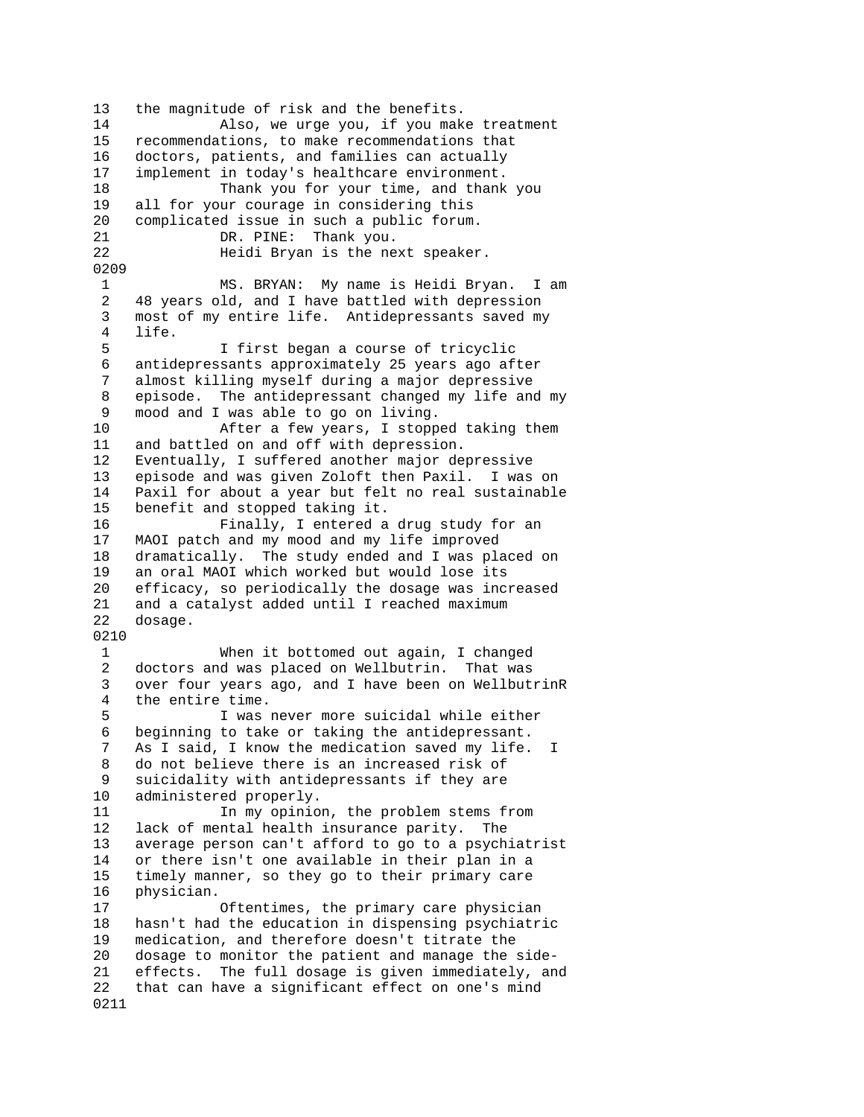13 the magnitude of risk and the benefits. 14 Also, we urge you, if you make treatment 15 recommendations, to make recommendations that 16 doctors, patients, and families can actually 17 implement in today's healthcare environment. 18 Thank you for your time, and thank you 19 all for your courage in considering this 20 complicated issue in such a public forum. 21 DR. PINE: Thank you. 22 Heidi Bryan is the next speaker. 0209 1 MS. BRYAN: My name is Heidi Bryan. I am 2 48 years old, and I have battled with depression 3 most of my entire life. Antidepressants saved my 4 life. 5 I first began a course of tricyclic 6 antidepressants approximately 25 years ago after 7 almost killing myself during a major depressive 8 episode. The antidepressant changed my life and my 9 mood and I was able to go on living. 10 After a few years, I stopped taking them 11 and battled on and off with depression. 12 Eventually, I suffered another major depressive 13 episode and was given Zoloft then Paxil. I was on 14 Paxil for about a year but felt no real sustainable 15 benefit and stopped taking it. 16 Finally, I entered a drug study for an 17 MAOI patch and my mood and my life improved 18 dramatically. The study ended and I was placed on 19 an oral MAOI which worked but would lose its 20 efficacy, so periodically the dosage was increased<br>21 and a catalyst added until I reached maximum and a catalyst added until I reached maximum 22 dosage. 0210 1 When it bottomed out again, I changed 2 doctors and was placed on Wellbutrin. That was 3 over four years ago, and I have been on WellbutrinR 4 the entire time. 5 I was never more suicidal while either 6 beginning to take or taking the antidepressant. 7 As I said, I know the medication saved my life. I 8 do not believe there is an increased risk of 9 suicidality with antidepressants if they are 10 administered properly. 11 In my opinion, the problem stems from 12 lack of mental health insurance parity. The 13 average person can't afford to go to a psychiatrist 14 or there isn't one available in their plan in a 15 timely manner, so they go to their primary care 16 physician. 17 Oftentimes, the primary care physician 18 hasn't had the education in dispensing psychiatric 19 medication, and therefore doesn't titrate the 20 dosage to monitor the patient and manage the side-21 effects. The full dosage is given immediately, and 22 that can have a significant effect on one's mind 0211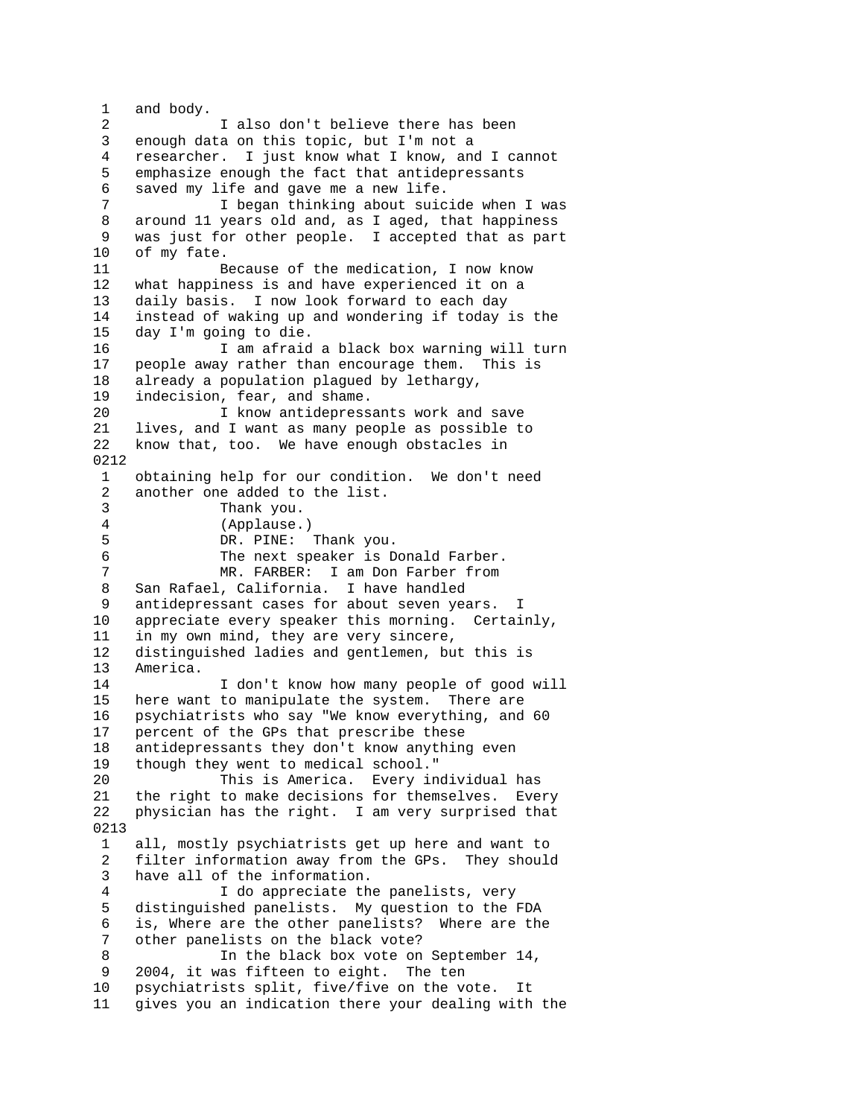1 and body. 2 I also don't believe there has been 3 enough data on this topic, but I'm not a 4 researcher. I just know what I know, and I cannot 5 emphasize enough the fact that antidepressants 6 saved my life and gave me a new life. 7 I began thinking about suicide when I was 8 around 11 years old and, as I aged, that happiness 9 was just for other people. I accepted that as part 10 of my fate. 11 Because of the medication, I now know 12 what happiness is and have experienced it on a 13 daily basis. I now look forward to each day 14 instead of waking up and wondering if today is the 15 day I'm going to die. 16 I am afraid a black box warning will turn 17 people away rather than encourage them. This is 18 already a population plagued by lethargy,<br>19 indecision, fear, and shame. indecision, fear, and shame. 20 I know antidepressants work and save 21 lives, and I want as many people as possible to 22 know that, too. We have enough obstacles in 0212 1 obtaining help for our condition. We don't need 2 another one added to the list. 3 Thank you. 4 (Applause.) 5 DR. PINE: Thank you. 6 The next speaker is Donald Farber. 7 MR. FARBER: I am Don Farber from 8 San Rafael, California. I have handled 9 antidepressant cases for about seven years. I 10 appreciate every speaker this morning. Certainly, 11 in my own mind, they are very sincere, 12 distinguished ladies and gentlemen, but this is 13 America. 14 I don't know how many people of good will 15 here want to manipulate the system. There are 16 psychiatrists who say "We know everything, and 60 17 percent of the GPs that prescribe these 18 antidepressants they don't know anything even 19 though they went to medical school." 20 This is America. Every individual has 21 the right to make decisions for themselves. Every 22 physician has the right. I am very surprised that 0213 1 all, mostly psychiatrists get up here and want to 2 filter information away from the GPs. They should 3 have all of the information. 4 I do appreciate the panelists, very 5 distinguished panelists. My question to the FDA 6 is, Where are the other panelists? Where are the 7 other panelists on the black vote? 8 In the black box vote on September 14, 9 2004, it was fifteen to eight. The ten 10 psychiatrists split, five/five on the vote. It 11 gives you an indication there your dealing with the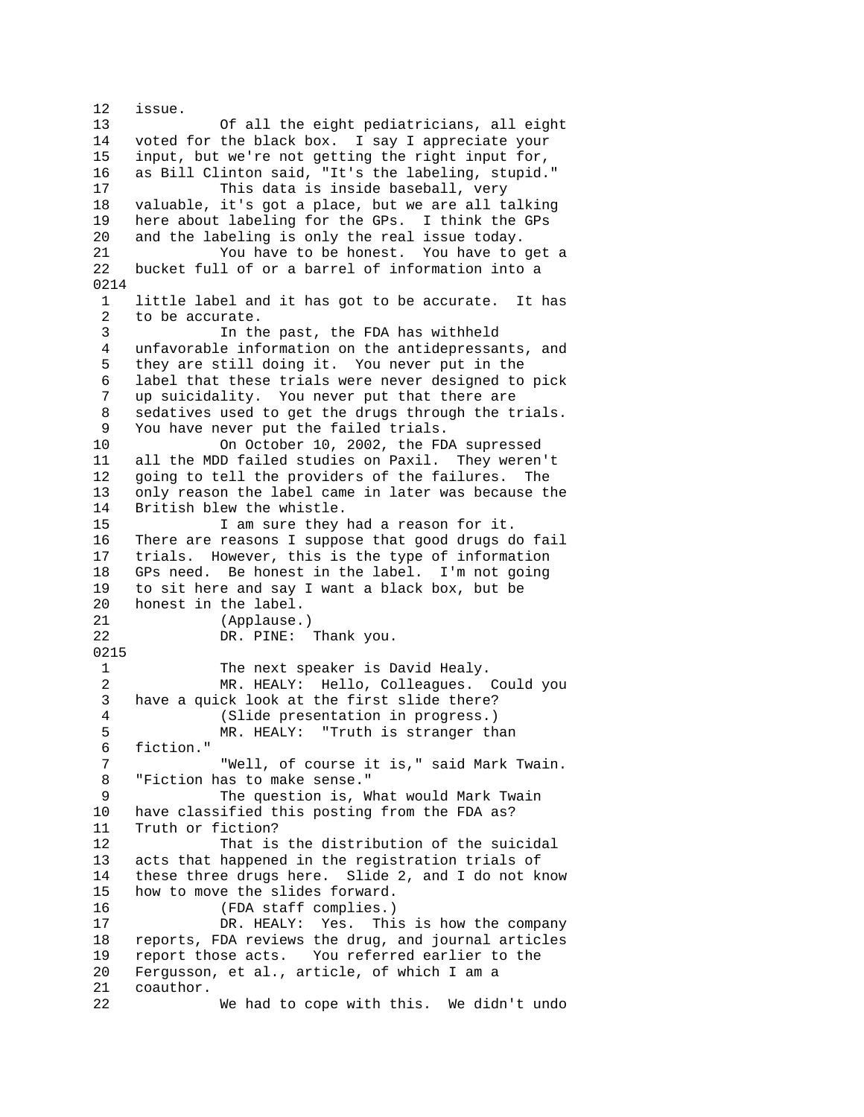12 issue. 13 Of all the eight pediatricians, all eight 14 voted for the black box. I say I appreciate your 15 input, but we're not getting the right input for, 16 as Bill Clinton said, "It's the labeling, stupid." 17 This data is inside baseball, very 18 valuable, it's got a place, but we are all talking 19 here about labeling for the GPs. I think the GPs 20 and the labeling is only the real issue today. 21 You have to be honest. You have to get a 22 bucket full of or a barrel of information into a 0214 1 little label and it has got to be accurate. It has 2 to be accurate. 3 In the past, the FDA has withheld 4 unfavorable information on the antidepressants, and 5 they are still doing it. You never put in the 6 label that these trials were never designed to pick 7 up suicidality. You never put that there are 8 sedatives used to get the drugs through the trials. 9 You have never put the failed trials. 10 On October 10, 2002, the FDA supressed 11 all the MDD failed studies on Paxil. They weren't 12 going to tell the providers of the failures. The 13 only reason the label came in later was because the 14 British blew the whistle. 15 I am sure they had a reason for it. 16 There are reasons I suppose that good drugs do fail 17 trials. However, this is the type of information 18 GPs need. Be honest in the label. I'm not going 19 to sit here and say I want a black box, but be 20 honest in the label. honest in the label. 21 (Applause.) 22 DR. PINE: Thank you. 0215 1 The next speaker is David Healy. 2 MR. HEALY: Hello, Colleagues. Could you 3 have a quick look at the first slide there? 4 (Slide presentation in progress.) 5 MR. HEALY: "Truth is stranger than 6 fiction." 7 "Well, of course it is," said Mark Twain. 8 "Fiction has to make sense." 9 The question is, What would Mark Twain 10 have classified this posting from the FDA as? 11 Truth or fiction? 12 That is the distribution of the suicidal 13 acts that happened in the registration trials of 14 these three drugs here. Slide 2, and I do not know 15 how to move the slides forward. 16 (FDA staff complies.) 17 DR. HEALY: Yes. This is how the company 18 reports, FDA reviews the drug, and journal articles 19 report those acts. You referred earlier to the 20 Fergusson, et al., article, of which I am a 21 coauthor. 22 We had to cope with this. We didn't undo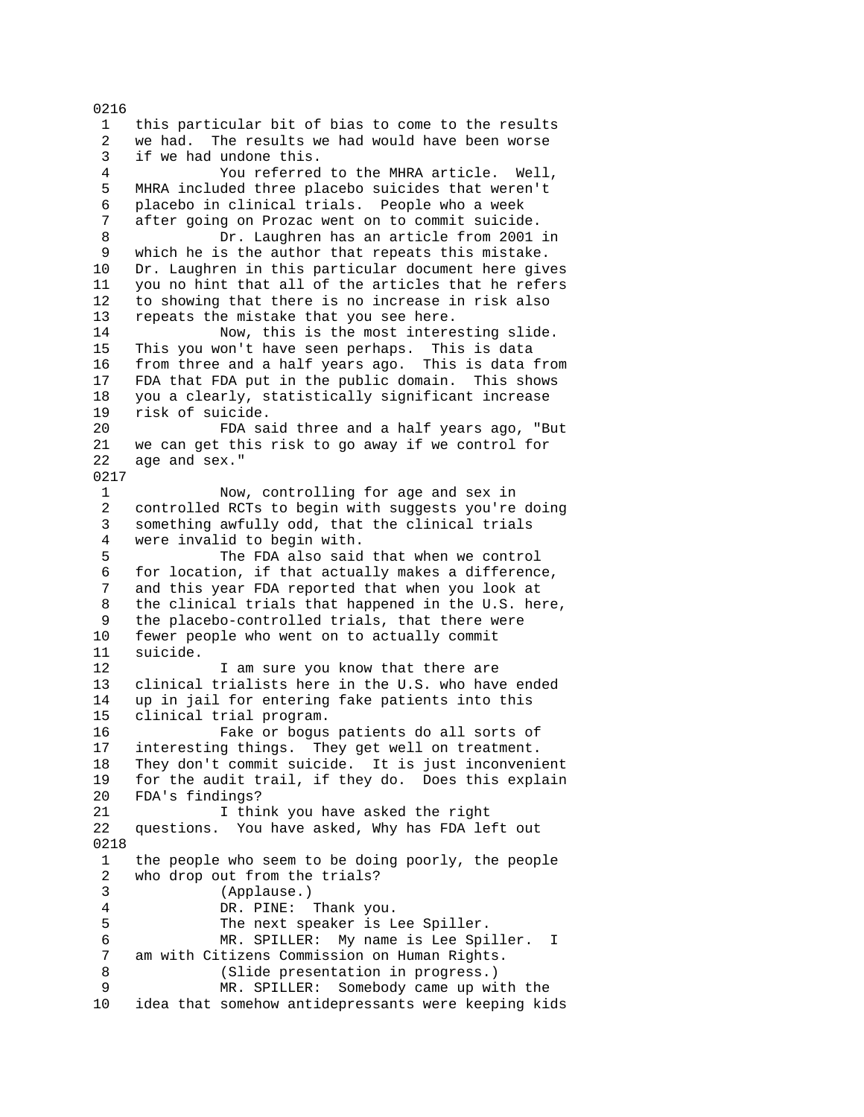1 this particular bit of bias to come to the results 2 we had. The results we had would have been worse 3 if we had undone this. 4 You referred to the MHRA article. Well, 5 MHRA included three placebo suicides that weren't 6 placebo in clinical trials. People who a week 7 after going on Prozac went on to commit suicide. 8 Dr. Laughren has an article from 2001 in 9 which he is the author that repeats this mistake. 10 Dr. Laughren in this particular document here gives 11 you no hint that all of the articles that he refers 12 to showing that there is no increase in risk also 13 repeats the mistake that you see here. 14 Now, this is the most interesting slide. 15 This you won't have seen perhaps. This is data 16 from three and a half years ago. This is data from 17 FDA that FDA put in the public domain. This shows 18 you a clearly, statistically significant increase 19 risk of suicide. 20 FDA said three and a half years ago, "But 21 we can get this risk to go away if we control for 22 age and sex." 0217 1 Now, controlling for age and sex in 2 controlled RCTs to begin with suggests you're doing 3 something awfully odd, that the clinical trials 4 were invalid to begin with. 5 The FDA also said that when we control 6 for location, if that actually makes a difference, and this year FDA reported that when you look at 8 the clinical trials that happened in the U.S. here, 9 the placebo-controlled trials, that there were 10 fewer people who went on to actually commit 11 suicide. 12 I am sure you know that there are 13 clinical trialists here in the U.S. who have ended 14 up in jail for entering fake patients into this 15 clinical trial program. 16 Fake or bogus patients do all sorts of 17 interesting things. They get well on treatment. 18 They don't commit suicide. It is just inconvenient 19 for the audit trail, if they do. Does this explain 20 FDA's findings? 21 I think you have asked the right 22 questions. You have asked, Why has FDA left out 0218 1 the people who seem to be doing poorly, the people 2 who drop out from the trials? 3 (Applause.) 4 DR. PINE: Thank you. 5 The next speaker is Lee Spiller. 6 MR. SPILLER: My name is Lee Spiller. I 7 am with Citizens Commission on Human Rights. 8 (Slide presentation in progress.) 9 MR. SPILLER: Somebody came up with the 10 idea that somehow antidepressants were keeping kids

0216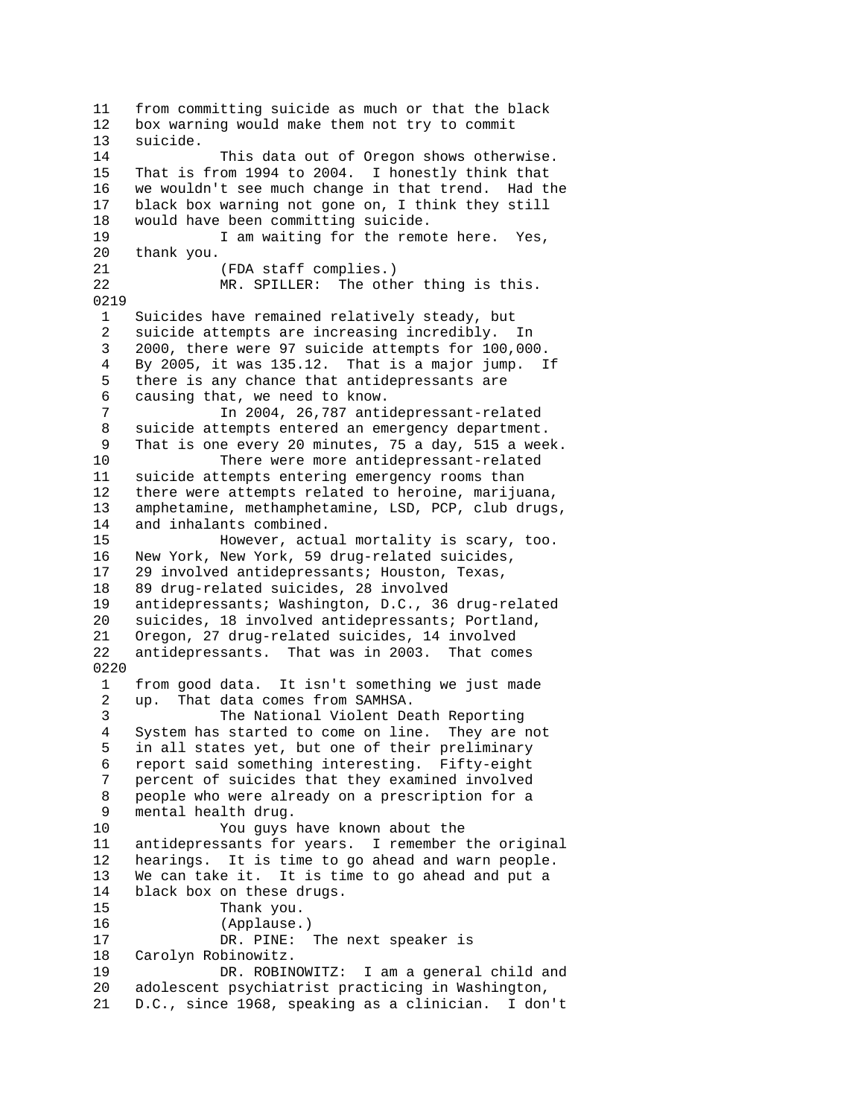11 from committing suicide as much or that the black 12 box warning would make them not try to commit 13 suicide. 14 This data out of Oregon shows otherwise. 15 That is from 1994 to 2004. I honestly think that 16 we wouldn't see much change in that trend. Had the 17 black box warning not gone on, I think they still 18 would have been committing suicide. 19 19 I am waiting for the remote here. Yes, 20 thank you. 21 (FDA staff complies.) 22 MR. SPILLER: The other thing is this. 0219 1 Suicides have remained relatively steady, but 2 suicide attempts are increasing incredibly. In 3 2000, there were 97 suicide attempts for 100,000. 4 By 2005, it was 135.12. That is a major jump. If 5 there is any chance that antidepressants are 6 causing that, we need to know. 7 In 2004, 26,787 antidepressant-related 8 suicide attempts entered an emergency department. 9 That is one every 20 minutes, 75 a day, 515 a week. 10 There were more antidepressant-related 11 suicide attempts entering emergency rooms than 12 there were attempts related to heroine, marijuana, 13 amphetamine, methamphetamine, LSD, PCP, club drugs, 14 and inhalants combined. 15 However, actual mortality is scary, too. 16 New York, New York, 59 drug-related suicides, 17 29 involved antidepressants; Houston, Texas, 18 89 drug-related suicides, 28 involved 19 antidepressants; Washington, D.C., 36 drug-related 20 suicides, 18 involved antidepressants; Portland, 21 Oregon, 27 drug-related suicides, 14 involved 22 antidepressants. That was in 2003. That comes 0220 1 from good data. It isn't something we just made 2 up. That data comes from SAMHSA. 3 The National Violent Death Reporting 4 System has started to come on line. They are not 5 in all states yet, but one of their preliminary 6 report said something interesting. Fifty-eight 7 percent of suicides that they examined involved 8 people who were already on a prescription for a 9 mental health drug. 10 You guys have known about the 11 antidepressants for years. I remember the original 12 hearings. It is time to go ahead and warn people. 13 We can take it. It is time to go ahead and put a 14 black box on these drugs. 15 Thank you. 16 (Applause.) 17 DR. PINE: The next speaker is 18 Carolyn Robinowitz. 19 DR. ROBINOWITZ: I am a general child and 20 adolescent psychiatrist practicing in Washington, 21 D.C., since 1968, speaking as a clinician. I don't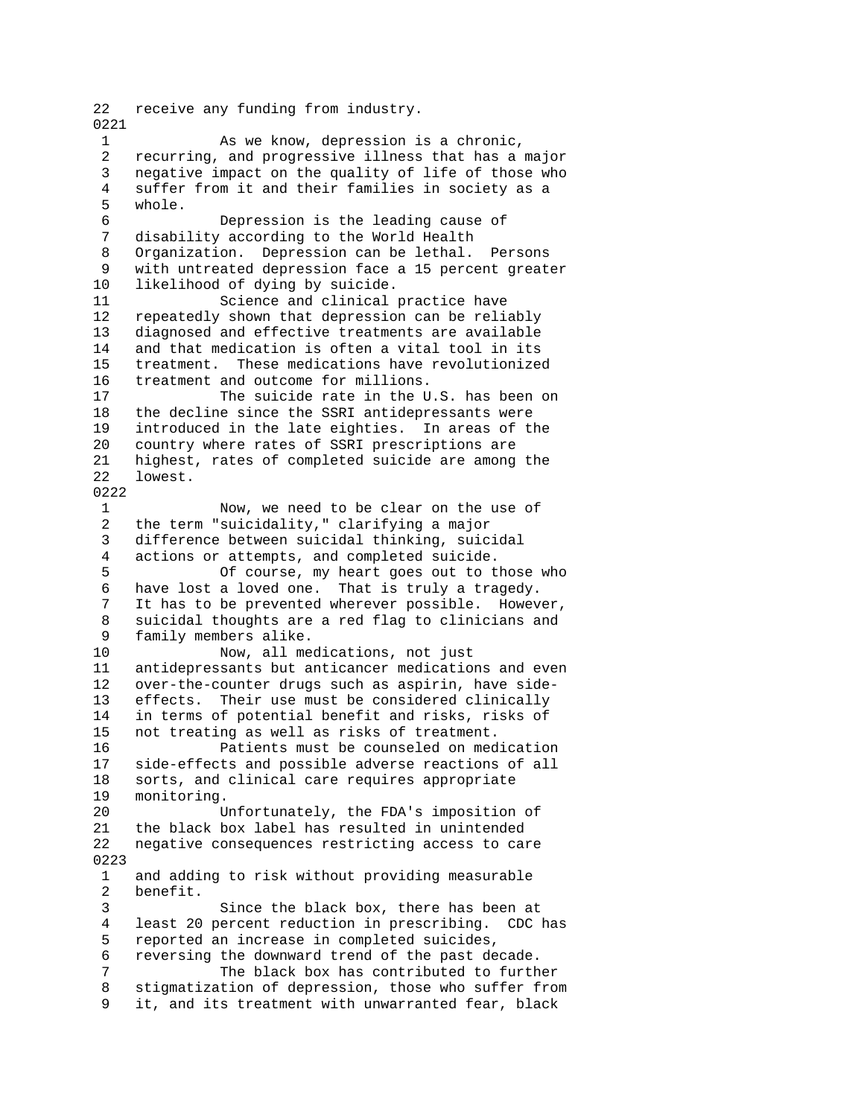22 receive any funding from industry. 0221 1 As we know, depression is a chronic, 2 recurring, and progressive illness that has a major 3 negative impact on the quality of life of those who 4 suffer from it and their families in society as a 5 whole. 6 Depression is the leading cause of 7 disability according to the World Health 8 Organization. Depression can be lethal. Persons 9 with untreated depression face a 15 percent greater 10 likelihood of dying by suicide. 11 Science and clinical practice have 12 repeatedly shown that depression can be reliably 13 diagnosed and effective treatments are available 14 and that medication is often a vital tool in its 15 treatment. These medications have revolutionized 16 treatment and outcome for millions. 17 The suicide rate in the U.S. has been on 18 the decline since the SSRI antidepressants were 19 introduced in the late eighties. In areas of the 20 country where rates of SSRI prescriptions are 21 highest, rates of completed suicide are among the 22 lowest. 0222 1 Now, we need to be clear on the use of 2 the term "suicidality," clarifying a major 3 difference between suicidal thinking, suicidal 4 actions or attempts, and completed suicide. 5 Of course, my heart goes out to those who 6 have lost a loved one. That is truly a tragedy. 7 It has to be prevented wherever possible. However, 8 suicidal thoughts are a red flag to clinicians and 9 family members alike. 10 Now, all medications, not just 11 antidepressants but anticancer medications and even 12 over-the-counter drugs such as aspirin, have side-13 effects. Their use must be considered clinically 14 in terms of potential benefit and risks, risks of 15 not treating as well as risks of treatment. 16 Patients must be counseled on medication 17 side-effects and possible adverse reactions of all 18 sorts, and clinical care requires appropriate 19 monitoring. 20 Unfortunately, the FDA's imposition of 21 the black box label has resulted in unintended 22 negative consequences restricting access to care 0223 1 and adding to risk without providing measurable<br>2 benefit. benefit. 3 Since the black box, there has been at 4 least 20 percent reduction in prescribing. CDC has 5 reported an increase in completed suicides, 6 reversing the downward trend of the past decade. 7 The black box has contributed to further 8 stigmatization of depression, those who suffer from 9 it, and its treatment with unwarranted fear, black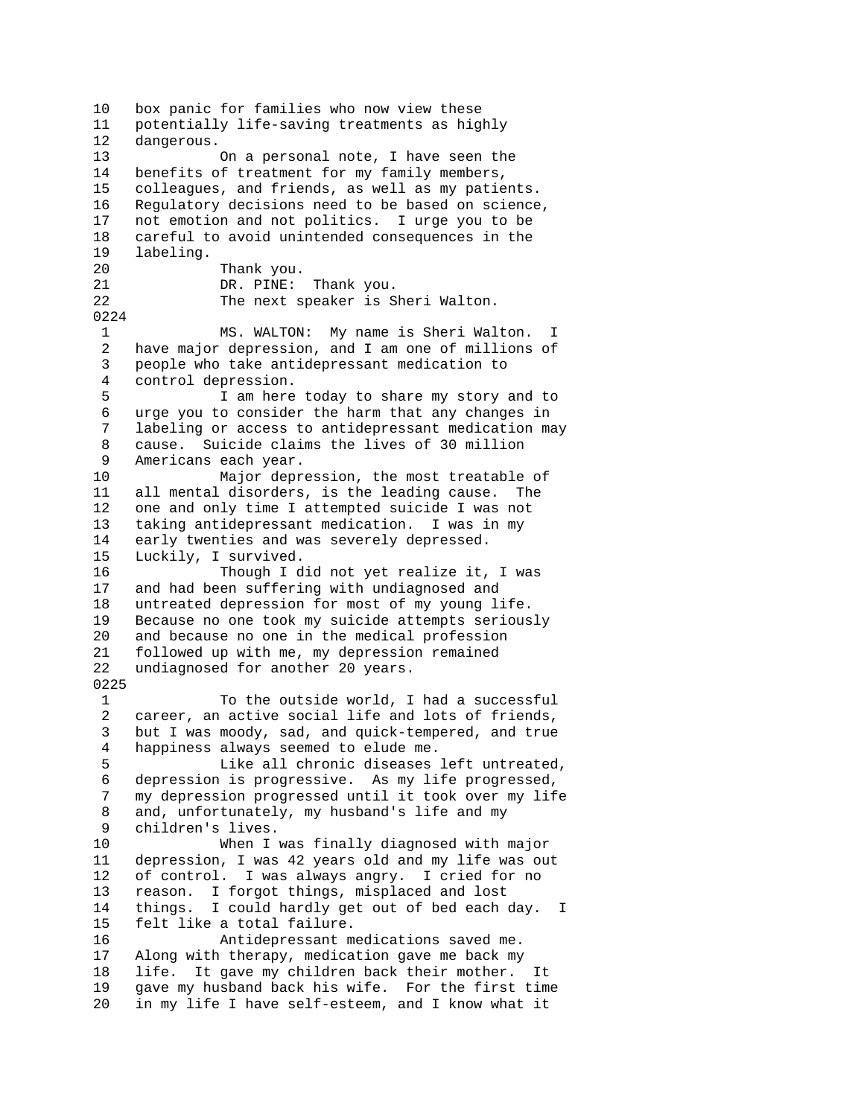10 box panic for families who now view these 11 potentially life-saving treatments as highly 12 dangerous. 13 On a personal note, I have seen the 14 benefits of treatment for my family members, 15 colleagues, and friends, as well as my patients. 16 Regulatory decisions need to be based on science, 17 not emotion and not politics. I urge you to be 18 careful to avoid unintended consequences in the 19 labeling. 20 Thank you. 21 DR. PINE: Thank you. 22 The next speaker is Sheri Walton. 0224 1 MS. WALTON: My name is Sheri Walton. I<br>2 have major depression, and I am one of millions of have major depression, and I am one of millions of 3 people who take antidepressant medication to 4 control depression. 5 I am here today to share my story and to 6 urge you to consider the harm that any changes in 7 labeling or access to antidepressant medication may 8 cause. Suicide claims the lives of 30 million 9 Americans each year. 10 Major depression, the most treatable of 11 all mental disorders, is the leading cause. The 12 one and only time I attempted suicide I was not 13 taking antidepressant medication. I was in my 14 early twenties and was severely depressed. 15 Luckily, I survived. 16 Though I did not yet realize it, I was 17 and had been suffering with undiagnosed and 18 untreated depression for most of my young life. 19 Because no one took my suicide attempts seriously 20 and because no one in the medical profession 21 followed up with me, my depression remained 22 undiagnosed for another 20 years. 0225 1 To the outside world, I had a successful 2 career, an active social life and lots of friends, 3 but I was moody, sad, and quick-tempered, and true 4 happiness always seemed to elude me. 5 Like all chronic diseases left untreated, 6 depression is progressive. As my life progressed, 7 my depression progressed until it took over my life 8 and, unfortunately, my husband's life and my 9 children's lives. 10 When I was finally diagnosed with major 11 depression, I was 42 years old and my life was out 12 of control. I was always angry. I cried for no 13 reason. I forgot things, misplaced and lost 14 things. I could hardly get out of bed each day. I 15 felt like a total failure. 16 Antidepressant medications saved me. 17 Along with therapy, medication gave me back my 18 life. It gave my children back their mother. It 19 gave my husband back his wife. For the first time 20 in my life I have self-esteem, and I know what it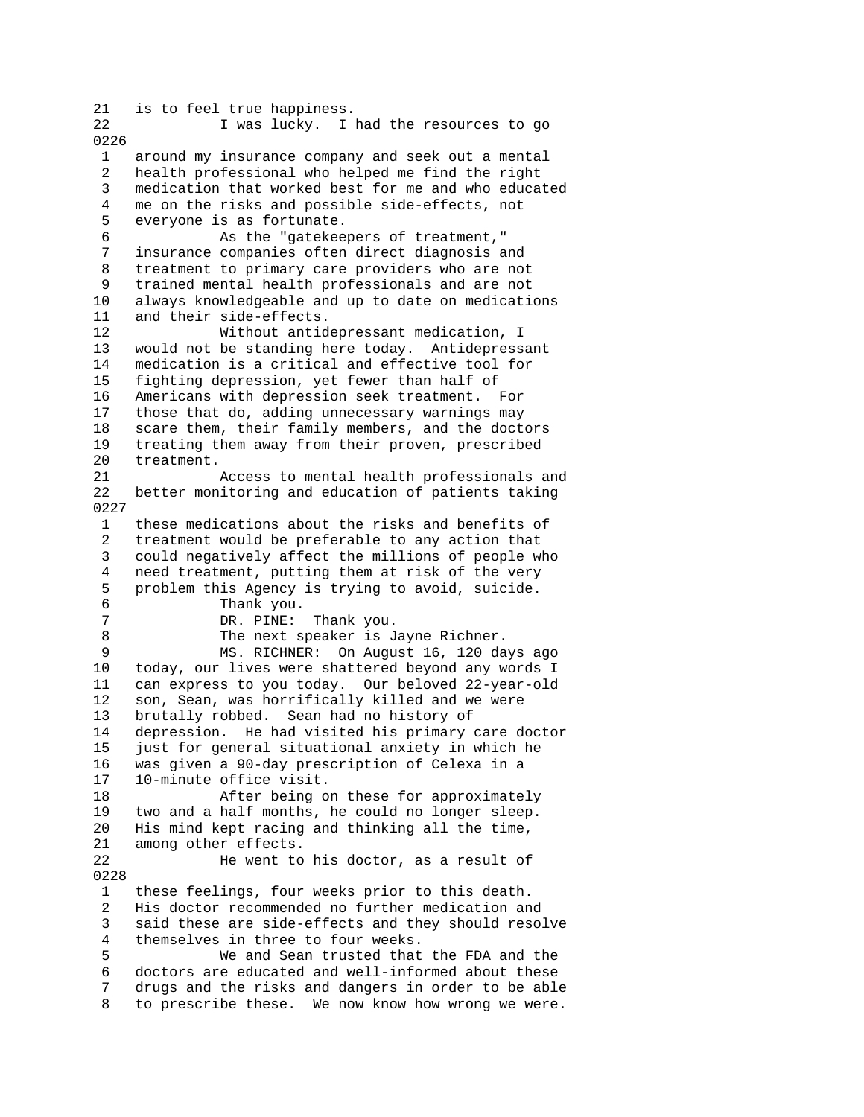21 is to feel true happiness.<br>22 1 was lucky 1 I was lucky. I had the resources to go 0226 1 around my insurance company and seek out a mental 2 health professional who helped me find the right 3 medication that worked best for me and who educated 4 me on the risks and possible side-effects, not 5 everyone is as fortunate. 6 As the "gatekeepers of treatment," 7 insurance companies often direct diagnosis and 8 treatment to primary care providers who are not 9 trained mental health professionals and are not 10 always knowledgeable and up to date on medications 11 and their side-effects. 12 Without antidepressant medication, I 13 would not be standing here today. Antidepressant 14 medication is a critical and effective tool for 15 fighting depression, yet fewer than half of 16 Americans with depression seek treatment. For 17 those that do, adding unnecessary warnings may 18 scare them, their family members, and the doctors 19 treating them away from their proven, prescribed 20 treatment. 21 Access to mental health professionals and 22 better monitoring and education of patients taking 0227 1 these medications about the risks and benefits of 2 treatment would be preferable to any action that 3 could negatively affect the millions of people who 4 need treatment, putting them at risk of the very<br>5 problem this Agency is trying to avoid, suicide. 5 problem this Agency is trying to avoid, suicide.<br>6 Thank you. 6 Thank you.<br>7 DR. PINE: DR. PINE: Thank you. 8 The next speaker is Jayne Richner. 9 MS. RICHNER: On August 16, 120 days ago 10 today, our lives were shattered beyond any words I 11 can express to you today. Our beloved 22-year-old 12 son, Sean, was horrifically killed and we were 13 brutally robbed. Sean had no history of 14 depression. He had visited his primary care doctor 15 just for general situational anxiety in which he 16 was given a 90-day prescription of Celexa in a 17 10-minute office visit. 18 After being on these for approximately 19 two and a half months, he could no longer sleep. 20 His mind kept racing and thinking all the time, 21 among other effects. 22 He went to his doctor, as a result of 0228 1 these feelings, four weeks prior to this death. 2 His doctor recommended no further medication and 3 said these are side-effects and they should resolve 4 themselves in three to four weeks. 5 We and Sean trusted that the FDA and the 6 doctors are educated and well-informed about these 7 drugs and the risks and dangers in order to be able 8 to prescribe these. We now know how wrong we were.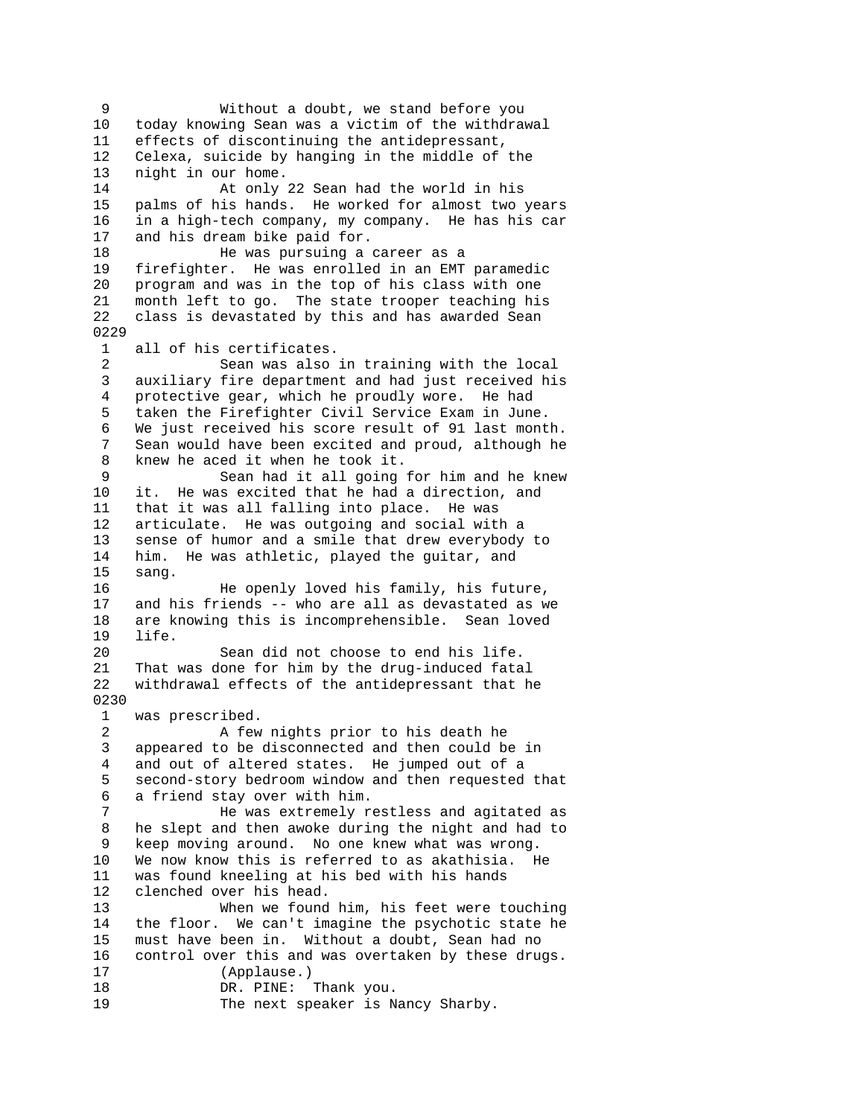9 Without a doubt, we stand before you 10 today knowing Sean was a victim of the withdrawal 11 effects of discontinuing the antidepressant, 12 Celexa, suicide by hanging in the middle of the 13 night in our home. 14 At only 22 Sean had the world in his 15 palms of his hands. He worked for almost two years 16 in a high-tech company, my company. He has his car 17 and his dream bike paid for. 18 He was pursuing a career as a 19 firefighter. He was enrolled in an EMT paramedic 20 program and was in the top of his class with one 21 month left to go. The state trooper teaching his 22 class is devastated by this and has awarded Sean 0229 1 all of his certificates. 2 Sean was also in training with the local 3 auxiliary fire department and had just received his 4 protective gear, which he proudly wore. He had 5 taken the Firefighter Civil Service Exam in June. 6 We just received his score result of 91 last month. 7 Sean would have been excited and proud, although he 8 knew he aced it when he took it. 9 Sean had it all going for him and he knew 10 it. He was excited that he had a direction, and 11 that it was all falling into place. He was 12 articulate. He was outgoing and social with a 13 sense of humor and a smile that drew everybody to 14 him. He was athletic, played the guitar, and 15 sang. 16 He openly loved his family, his future, and his friends -- who are all as devastated as we 18 are knowing this is incomprehensible. Sean loved 19 life. 20 Sean did not choose to end his life. 21 That was done for him by the drug-induced fatal<br>22 withdrawal effects of the antidepressant that h withdrawal effects of the antidepressant that he 0230 1 was prescribed. 2 A few nights prior to his death he 3 appeared to be disconnected and then could be in 4 and out of altered states. He jumped out of a 5 second-story bedroom window and then requested that 6 a friend stay over with him. 7 He was extremely restless and agitated as 8 he slept and then awoke during the night and had to 9 keep moving around. No one knew what was wrong. 10 We now know this is referred to as akathisia. He 11 was found kneeling at his bed with his hands 12 clenched over his head. 13 When we found him, his feet were touching 14 the floor. We can't imagine the psychotic state he 15 must have been in. Without a doubt, Sean had no 16 control over this and was overtaken by these drugs. 17 (Applause.) 18 DR. PINE: Thank you. 19 The next speaker is Nancy Sharby.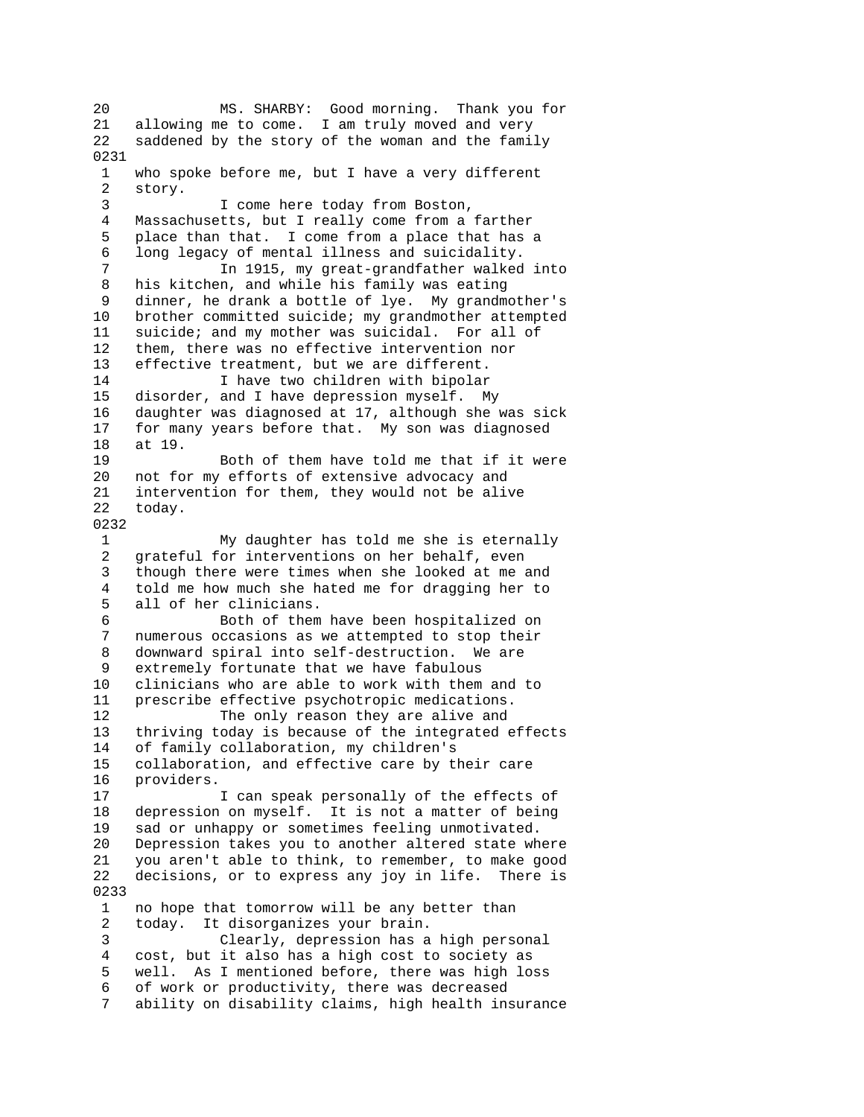20 MS. SHARBY: Good morning. Thank you for 21 allowing me to come. I am truly moved and very 22 saddened by the story of the woman and the family 0231 1 who spoke before me, but I have a very different 2 story. 3 I come here today from Boston, 4 Massachusetts, but I really come from a farther 5 place than that. I come from a place that has a 6 long legacy of mental illness and suicidality. 7 In 1915, my great-grandfather walked into 8 his kitchen, and while his family was eating 9 dinner, he drank a bottle of lye. My grandmother's 10 brother committed suicide; my grandmother attempted 11 suicide; and my mother was suicidal. For all of 12 them, there was no effective intervention nor 13 effective treatment, but we are different. 14 I have two children with bipolar<br>15 disorder, and I have depression myself. M disorder, and I have depression myself. My 16 daughter was diagnosed at 17, although she was sick 17 for many years before that. My son was diagnosed 18 at 19. 19 Both of them have told me that if it were 20 not for my efforts of extensive advocacy and 21 intervention for them, they would not be alive 22 today. 0232 1 My daughter has told me she is eternally 2 grateful for interventions on her behalf, even 3 though there were times when she looked at me and 4 told me how much she hated me for dragging her to all of her clinicians. 6 Both of them have been hospitalized on 7 numerous occasions as we attempted to stop their 8 downward spiral into self-destruction. We are 9 extremely fortunate that we have fabulous 10 clinicians who are able to work with them and to 11 prescribe effective psychotropic medications. 12 The only reason they are alive and 13 thriving today is because of the integrated effects 14 of family collaboration, my children's 15 collaboration, and effective care by their care 16 providers. 17 I can speak personally of the effects of 18 depression on myself. It is not a matter of being 19 sad or unhappy or sometimes feeling unmotivated. 20 Depression takes you to another altered state where 21 you aren't able to think, to remember, to make good 22 decisions, or to express any joy in life. There is 0233 1 no hope that tomorrow will be any better than 2 today. It disorganizes your brain. 3 Clearly, depression has a high personal 4 cost, but it also has a high cost to society as 5 well. As I mentioned before, there was high loss 6 of work or productivity, there was decreased 7 ability on disability claims, high health insurance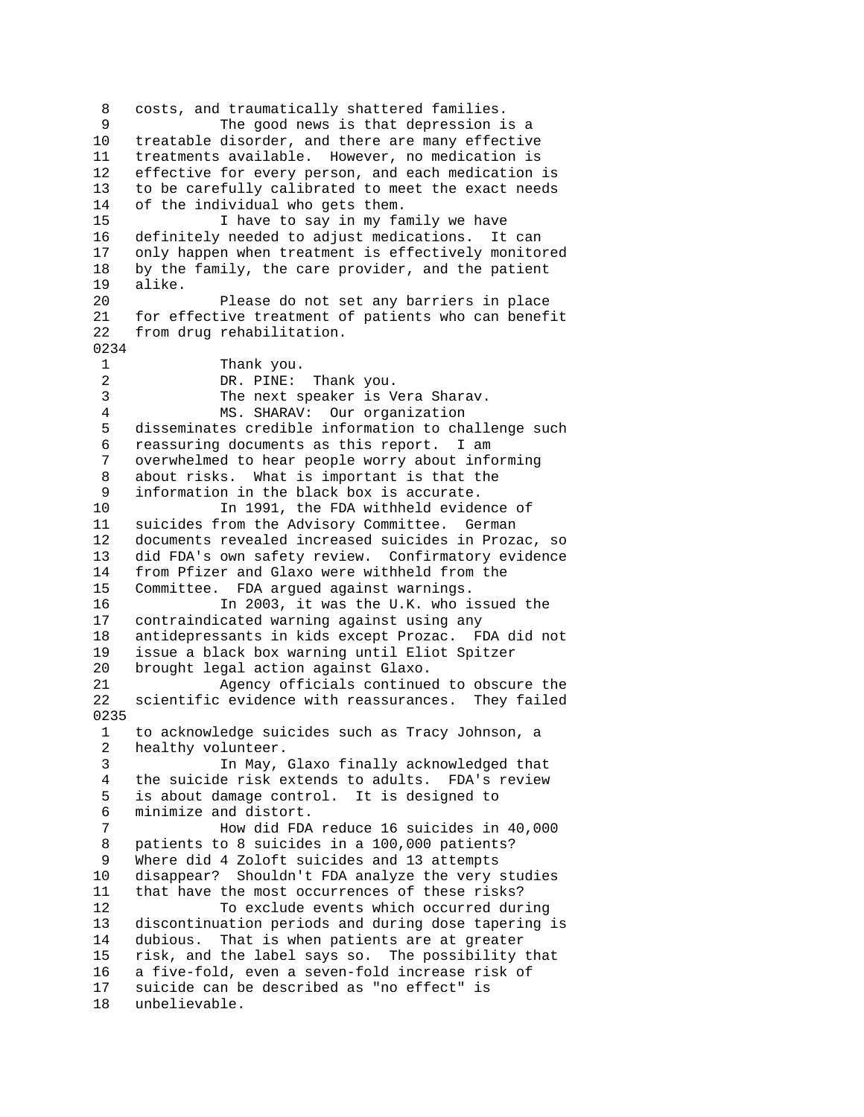8 costs, and traumatically shattered families. 9 The good news is that depression is a 10 treatable disorder, and there are many effective 11 treatments available. However, no medication is 12 effective for every person, and each medication is 13 to be carefully calibrated to meet the exact needs 14 of the individual who gets them. 15 I have to say in my family we have 16 definitely needed to adjust medications. It can 17 only happen when treatment is effectively monitored 18 by the family, the care provider, and the patient 19 alike. 20 Please do not set any barriers in place 21 for effective treatment of patients who can benefit 22 from drug rehabilitation. 0234 1 Thank you. 2 DR. PINE: Thank you.<br>3 The next speaker is V The next speaker is Vera Sharav. 4 MS. SHARAV: Our organization 5 disseminates credible information to challenge such 6 reassuring documents as this report. I am 7 overwhelmed to hear people worry about informing 8 about risks. What is important is that the 9 information in the black box is accurate.<br>10 1991, the FDA withheld evide In 1991, the FDA withheld evidence of 11 suicides from the Advisory Committee. German 12 documents revealed increased suicides in Prozac, so 13 did FDA's own safety review. Confirmatory evidence 14 from Pfizer and Glaxo were withheld from the 15 Committee. FDA argued against warnings. 16 In 2003, it was the U.K. who issued the 17 contraindicated warning against using any 18 antidepressants in kids except Prozac. FDA did not 19 issue a black box warning until Eliot Spitzer 20 brought legal action against Glaxo. 21 Agency officials continued to obscure the 22 scientific evidence with reassurances. They failed 0235 1 to acknowledge suicides such as Tracy Johnson, a 2 healthy volunteer. 3 In May, Glaxo finally acknowledged that 4 the suicide risk extends to adults. FDA's review 5 is about damage control. It is designed to 6 minimize and distort. 7 How did FDA reduce 16 suicides in 40,000 8 patients to 8 suicides in a 100,000 patients? 9 Where did 4 Zoloft suicides and 13 attempts 10 disappear? Shouldn't FDA analyze the very studies 11 that have the most occurrences of these risks? 12 To exclude events which occurred during 13 discontinuation periods and during dose tapering is 14 dubious. That is when patients are at greater 15 risk, and the label says so. The possibility that 16 a five-fold, even a seven-fold increase risk of 17 suicide can be described as "no effect" is 18 unbelievable.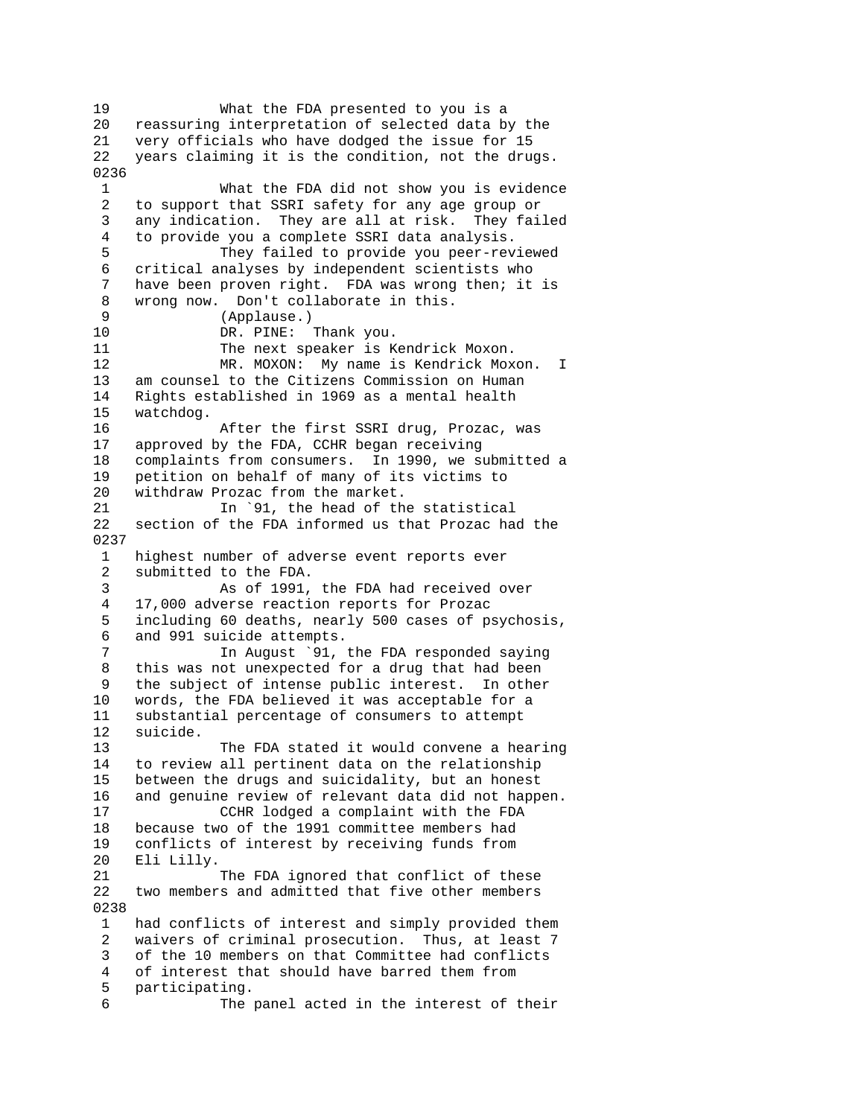19 What the FDA presented to you is a 20 reassuring interpretation of selected data by the 21 very officials who have dodged the issue for 15 22 years claiming it is the condition, not the drugs. 0236 1 What the FDA did not show you is evidence 2 to support that SSRI safety for any age group or 3 any indication. They are all at risk. They failed 4 to provide you a complete SSRI data analysis. 5 They failed to provide you peer-reviewed 6 critical analyses by independent scientists who 7 have been proven right. FDA was wrong then; it is 8 wrong now. Don't collaborate in this. 9 (Applause.) 10 DR. PINE: Thank you. 11 The next speaker is Kendrick Moxon. 12 MR. MOXON: My name is Kendrick Moxon. I 13 am counsel to the Citizens Commission on Human 14 Rights established in 1969 as a mental health 15 watchdog. 16 After the first SSRI drug, Prozac, was 17 approved by the FDA, CCHR began receiving 18 complaints from consumers. In 1990, we submitted a 19 petition on behalf of many of its victims to 20 withdraw Prozac from the market. 21 In `91, the head of the statistical 22 section of the FDA informed us that Prozac had the 0237 1 highest number of adverse event reports ever 2 submitted to the FDA. 3 As of 1991, the FDA had received over<br>4 17.000 adverse reaction reports for Prozac 4 17,000 adverse reaction reports for Prozac 5 including 60 deaths, nearly 500 cases of psychosis, 6 and 991 suicide attempts. 7 In August `91, the FDA responded saying 8 this was not unexpected for a drug that had been 9 the subject of intense public interest. In other 10 words, the FDA believed it was acceptable for a 11 substantial percentage of consumers to attempt 12 suicide. 13 The FDA stated it would convene a hearing 14 to review all pertinent data on the relationship 15 between the drugs and suicidality, but an honest 16 and genuine review of relevant data did not happen. 17 CCHR lodged a complaint with the FDA 18 because two of the 1991 committee members had 19 conflicts of interest by receiving funds from 20 Eli Lilly. 21 The FDA ignored that conflict of these 22 two members and admitted that five other members 0238 1 had conflicts of interest and simply provided them 2 waivers of criminal prosecution. Thus, at least 7 3 of the 10 members on that Committee had conflicts 4 of interest that should have barred them from 5 participating. 6 The panel acted in the interest of their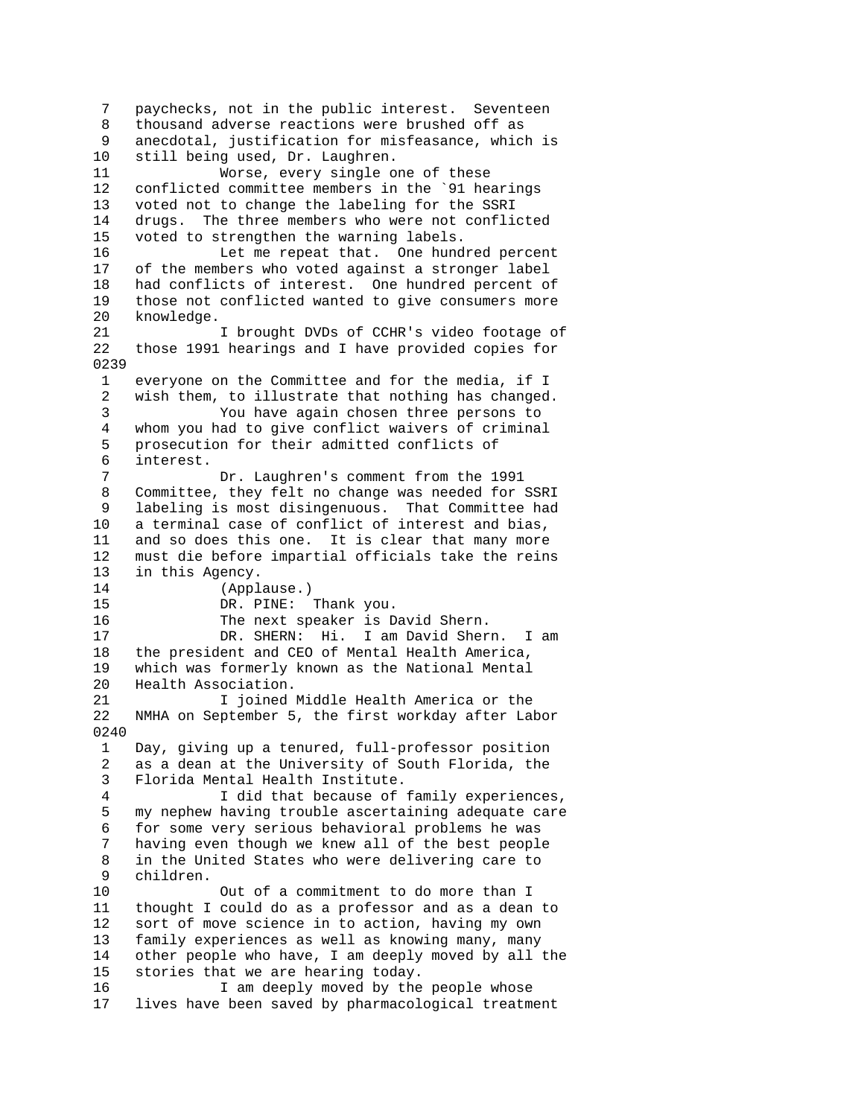7 paychecks, not in the public interest. Seventeen 8 thousand adverse reactions were brushed off as 9 anecdotal, justification for misfeasance, which is 10 still being used, Dr. Laughren. 11 Worse, every single one of these 12 conflicted committee members in the `91 hearings 13 voted not to change the labeling for the SSRI 14 drugs. The three members who were not conflicted 15 voted to strengthen the warning labels. 16 Let me repeat that. One hundred percent 17 of the members who voted against a stronger label 18 had conflicts of interest. One hundred percent of 19 those not conflicted wanted to give consumers more 20 knowledge. 21 I brought DVDs of CCHR's video footage of 22 those 1991 hearings and I have provided copies for 0239 1 everyone on the Committee and for the media, if I 2 wish them, to illustrate that nothing has changed. 3 You have again chosen three persons to 4 whom you had to give conflict waivers of criminal 5 prosecution for their admitted conflicts of 6 interest. 7 Dr. Laughren's comment from the 1991 8 Committee, they felt no change was needed for SSRI 9 labeling is most disingenuous. That Committee had 10 a terminal case of conflict of interest and bias, 11 and so does this one. It is clear that many more 12 must die before impartial officials take the reins 13 in this Agency. 14 (Applause.)<br>15 DR. PINE: DR. PINE: Thank you. 16 The next speaker is David Shern. 17 DR. SHERN: Hi. I am David Shern. I am 18 the president and CEO of Mental Health America, 19 which was formerly known as the National Mental 20 Health Association. 21 I joined Middle Health America or the 22 NMHA on September 5, the first workday after Labor 0240 1 Day, giving up a tenured, full-professor position 2 as a dean at the University of South Florida, the 3 Florida Mental Health Institute. 4 I did that because of family experiences, 5 my nephew having trouble ascertaining adequate care 6 for some very serious behavioral problems he was 7 having even though we knew all of the best people 8 in the United States who were delivering care to 9 children. 10 Out of a commitment to do more than I 11 thought I could do as a professor and as a dean to 12 sort of move science in to action, having my own 13 family experiences as well as knowing many, many 14 other people who have, I am deeply moved by all the 15 stories that we are hearing today. 16 I am deeply moved by the people whose 17 lives have been saved by pharmacological treatment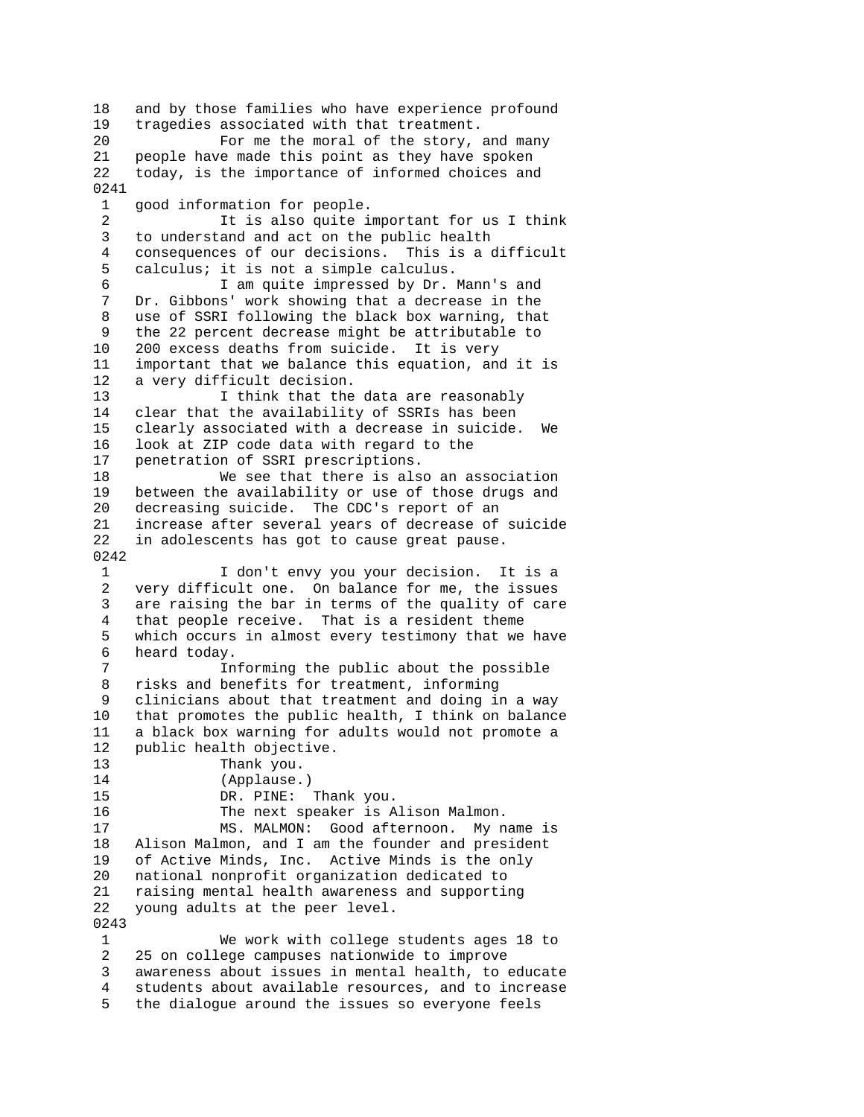18 and by those families who have experience profound 19 tragedies associated with that treatment. 20 For me the moral of the story, and many 21 people have made this point as they have spoken 22 today, is the importance of informed choices and 0241 1 good information for people. 2 It is also quite important for us I think 3 to understand and act on the public health 4 consequences of our decisions. This is a difficult 5 calculus; it is not a simple calculus. 6 I am quite impressed by Dr. Mann's and 7 Dr. Gibbons' work showing that a decrease in the 8 use of SSRI following the black box warning, that 9 the 22 percent decrease might be attributable to 10 200 excess deaths from suicide. It is very 11 important that we balance this equation, and it is 12 a very difficult decision. 13 13 I think that the data are reasonably 14 clear that the availability of SSRIs has been 15 clearly associated with a decrease in suicide. We 16 look at ZIP code data with regard to the 17 penetration of SSRI prescriptions. 18 We see that there is also an association 19 between the availability or use of those drugs and 20 decreasing suicide. The CDC's report of an 21 increase after several years of decrease of suicide 22 in adolescents has got to cause great pause. 0242 1 I don't envy you your decision. It is a 2 very difficult one. On balance for me, the issues<br>3 are raising the bar in terms of the quality of car are raising the bar in terms of the quality of care 4 that people receive. That is a resident theme 5 which occurs in almost every testimony that we have 6 heard today.<br>7 Th Informing the public about the possible 8 risks and benefits for treatment, informing 9 clinicians about that treatment and doing in a way 10 that promotes the public health, I think on balance 11 a black box warning for adults would not promote a 12 public health objective. 13 Thank you. 14 (Applause.) 15 DR. PINE: Thank you. 16 The next speaker is Alison Malmon. 17 MS. MALMON: Good afternoon. My name is 18 Alison Malmon, and I am the founder and president 19 of Active Minds, Inc. Active Minds is the only 20 national nonprofit organization dedicated to 21 raising mental health awareness and supporting 22 young adults at the peer level. 0243 1 We work with college students ages 18 to 2 25 on college campuses nationwide to improve 3 awareness about issues in mental health, to educate 4 students about available resources, and to increase 5 the dialogue around the issues so everyone feels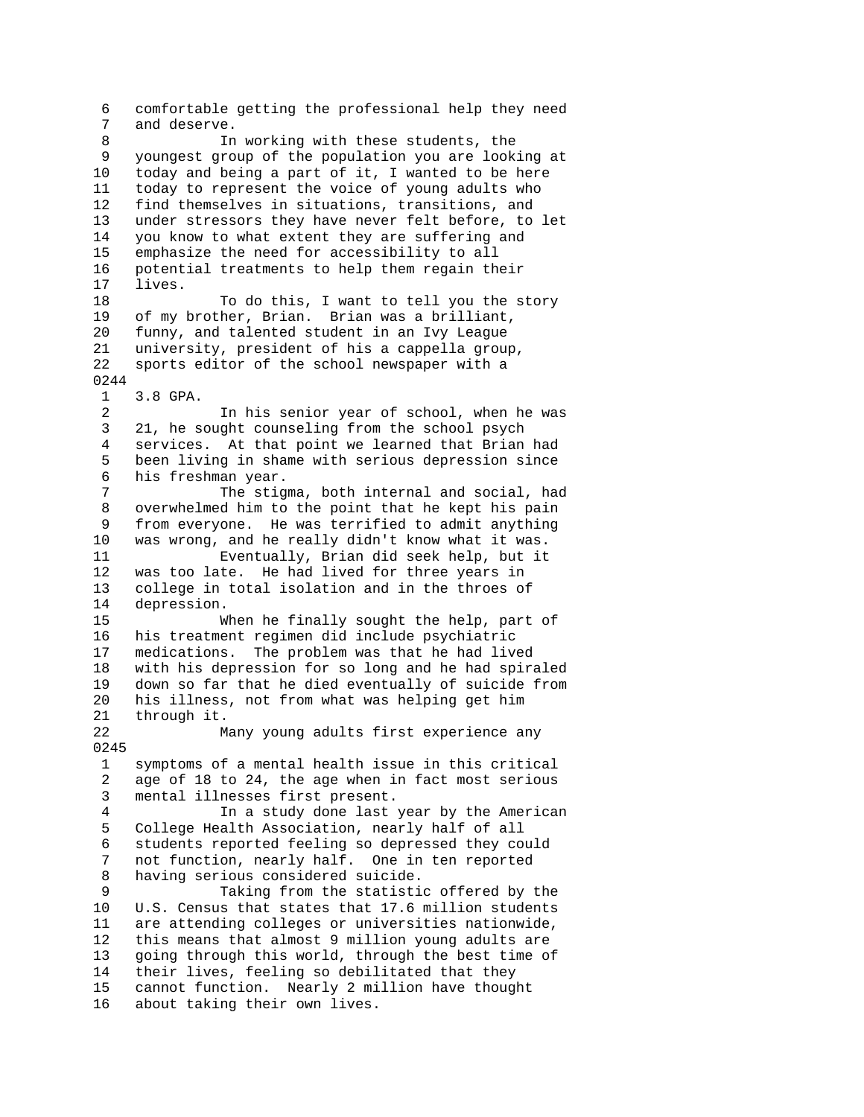6 comfortable getting the professional help they need and deserve. 8 In working with these students, the 9 youngest group of the population you are looking at 10 today and being a part of it, I wanted to be here today and being a part of it, I wanted to be here 11 today to represent the voice of young adults who 12 find themselves in situations, transitions, and 13 under stressors they have never felt before, to let 14 you know to what extent they are suffering and 15 emphasize the need for accessibility to all 16 potential treatments to help them regain their 17 lives. 18 To do this, I want to tell you the story 19 of my brother, Brian. Brian was a brilliant, 20 funny, and talented student in an Ivy League 21 university, president of his a cappella group, 22 sports editor of the school newspaper with a 0244 1 3.8 GPA. 2 In his senior year of school, when he was 3 21, he sought counseling from the school psych 4 services. At that point we learned that Brian had 5 been living in shame with serious depression since 6 his freshman year. 7 The stigma, both internal and social, had 8 overwhelmed him to the point that he kept his pain 9 from everyone. He was terrified to admit anything 10 was wrong, and he really didn't know what it was. 11 Eventually, Brian did seek help, but it 12 was too late. He had lived for three years in<br>13 college in total isolation and in the throes of 13 college in total isolation and in the throes of 14 depression. depression. 15 When he finally sought the help, part of 16 his treatment regimen did include psychiatric 17 medications. The problem was that he had lived 18 with his depression for so long and he had spiraled 19 down so far that he died eventually of suicide from 20 his illness, not from what was helping get him 21 through it. 22 Many young adults first experience any 0245 1 symptoms of a mental health issue in this critical 2 age of 18 to 24, the age when in fact most serious 3 mental illnesses first present. 4 In a study done last year by the American 5 College Health Association, nearly half of all 6 students reported feeling so depressed they could 7 not function, nearly half. One in ten reported 8 having serious considered suicide. 9 Taking from the statistic offered by the 10 U.S. Census that states that 17.6 million students 11 are attending colleges or universities nationwide, 12 this means that almost 9 million young adults are 13 going through this world, through the best time of 14 their lives, feeling so debilitated that they 15 cannot function. Nearly 2 million have thought 16 about taking their own lives.